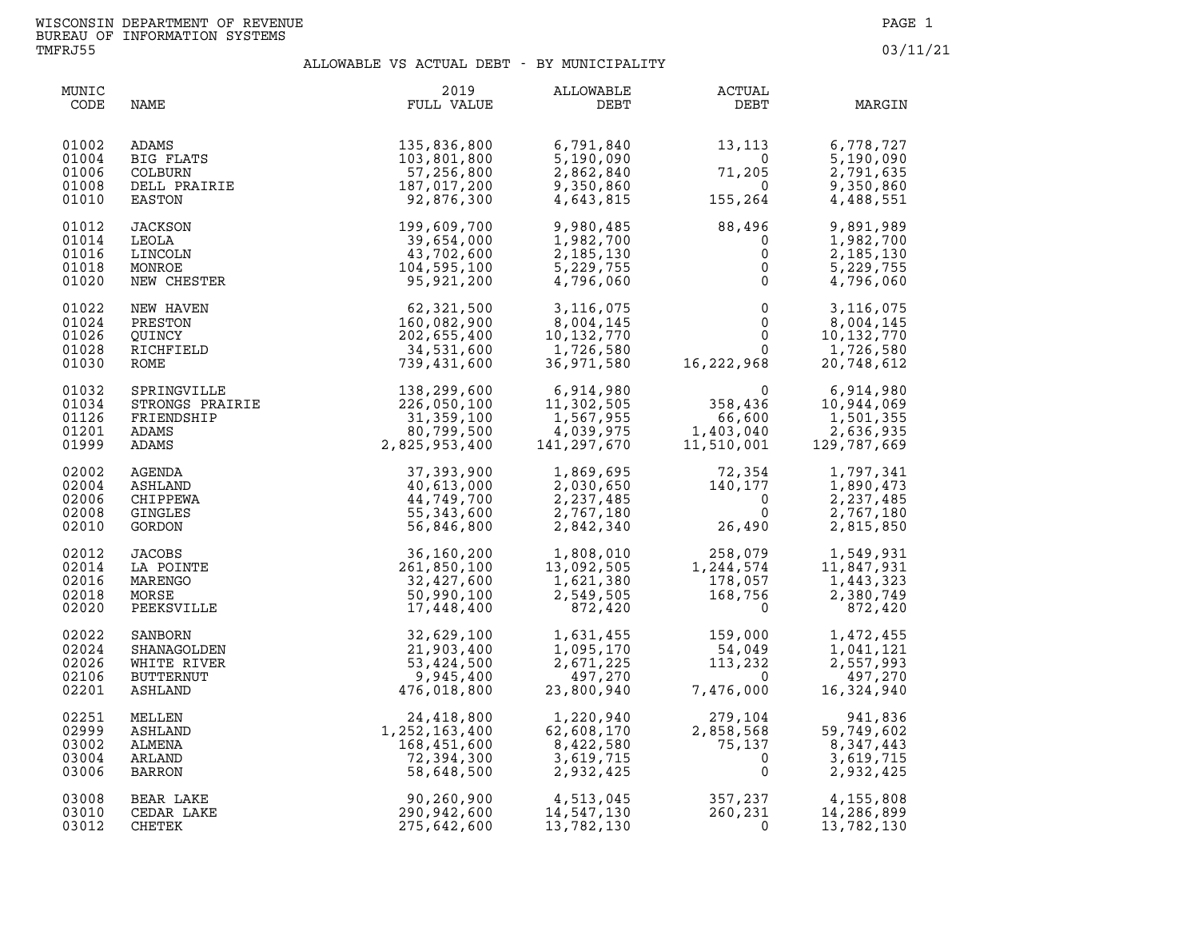| MUNIC<br>CODE                             | NAME                                                | 2019<br>FULL VALUE                                                                                                                                                                                                                                                                    | ALLOWABLE<br>DEBT                                               | ACTUAL<br>DEBT                                                                                                                                                                                                                                                                                                     | MARGIN                                                        |
|-------------------------------------------|-----------------------------------------------------|---------------------------------------------------------------------------------------------------------------------------------------------------------------------------------------------------------------------------------------------------------------------------------------|-----------------------------------------------------------------|--------------------------------------------------------------------------------------------------------------------------------------------------------------------------------------------------------------------------------------------------------------------------------------------------------------------|---------------------------------------------------------------|
| 01002<br>01004<br>01006<br>01008<br>01010 |                                                     | ADAMS<br>BIG FLATS<br>COLBURN 103,801,800<br>COLBURN 57,256,800<br>DELL PRAIRIE 187,017,200<br>PASTON 92,876,300                                                                                                                                                                      | 6,791,840<br>5,190,090<br>2,862,840<br>9,350,860<br>4,643,815   | $13,113$<br>0<br>71,205<br>0<br>155,264                                                                                                                                                                                                                                                                            | 6,778,727<br>5,190,090<br>2,791,635<br>9,350,860<br>4,488,551 |
| 01012<br>01014<br>01016<br>01018<br>01020 |                                                     | EASTON 92,876,300<br>JACKSON 199,609,700<br>LEOLA 39,654,000<br>LINCOLN 43,702,600<br>MONROE 104,595,100<br>NEW CHESTER 95,921,200                                                                                                                                                    | 9,980,485<br>1,982,700<br>2,185,130<br>5,229,755<br>4,796,060   | $88,496$<br>0<br>0<br>0<br>0                                                                                                                                                                                                                                                                                       | 9,891,989<br>1,982,700<br>2,185,130<br>5,229,755<br>4,796,060 |
| 01022<br>01024<br>01026<br>01028<br>01030 | NEW HAVEN<br>PRESTON<br>QUINCY<br>RICHFIELD<br>ROME | $52,321,500$<br>$62,321,500$<br>$160,082,900$<br>$202,655,400$<br>$34,531,600$<br>$739,431,600$                                                                                                                                                                                       | 3,116,075<br>8,004,145<br>10,132,770<br>1,726,580<br>36,971,580 | $\begin{array}{cccc} 3\, , 116\, , 075 \\ 8\, , 004\, , 145 \\ 10\, , 132\, , 770 \\ 1\, , 726\, , 580 \\ 36\, , 971\, , 580 \end{array} \qquad \qquad \begin{array}{cccc} & 0 & 3\, , 116\, , 075 \\ 0 & 8\, , 004\, , 145 \\ 0 & 10\, , 132\, , 770 \\ 1\, , 726\, , 580 \\ 0 & 1\, , 726\, , 580 \\ 20\, , 748$ |                                                               |
| 01032<br>01034<br>01126<br>01201<br>01999 |                                                     |                                                                                                                                                                                                                                                                                       |                                                                 | $\begin{array}{ccc} & 0 & 6,914,980 \\ 358,436 & 10,944,069 \\ 66,600 & 1,501,355 \\ 1,403,040 & 2,636,935 \\ 11,510,001 & 129,787,669 \\ \end{array}$                                                                                                                                                             |                                                               |
| 02002<br>02004<br>02006<br>02008<br>02010 |                                                     |                                                                                                                                                                                                                                                                                       |                                                                 | $\begin{array}{llll} 1,869,695 & & 72,354 \\ 2,030,650 & & 140,177 \\ 2,237,485 & & 0 \\ 2,767,180 & & & 0 \\ 2,842,340 & & & 26,490 \end{array}$                                                                                                                                                                  | 1,797,341<br>1,890,473<br>2,237,485<br>2,767,180<br>2,815,850 |
| 02012<br>02014<br>02016<br>02018<br>02020 |                                                     |                                                                                                                                                                                                                                                                                       |                                                                 | $\begin{array}{cccc} 36,160,200 & 1,808,010 & 258,079 & 1,549,931 \\ 261,850,100 & 13,092,505 & 1,244,574 & 11,847,931 \\ 32,427,600 & 1,621,380 & 178,057 & 1,443,323 \\ 50,990,100 & 2,549,505 & 168,756 & 2,380,749 \\ 17,448,400 & 872,420 & 0 & 872,420 \end{array$                                           |                                                               |
| 02022<br>02024<br>02026<br>02106<br>02201 |                                                     |                                                                                                                                                                                                                                                                                       |                                                                 | $\begin{array}{llll} 1,631,455 & & 159,000 \\ 1,095,170 & & 54,049 \\ 2,671,225 & & 113,232 \\ 497,270 & & & 0 \\ 23,800,940 & & 7,476,000 \end{array}$                                                                                                                                                            | 1,472,455<br>1,041,121<br>2,557,993<br>497,270<br>16,324,940  |
| 02251<br>02999<br>03002<br>03004<br>03006 |                                                     | NOME<br>SPRINNVILLE<br>SPRINNVILLE<br>SPRINNVILLE<br>SPRINNVILLE<br>NANS<br>NANS<br>NANS<br>NANS<br>NANS<br>NANS<br>NANS<br>NANS<br>NANS<br>NANS<br>NANS<br>NANS<br>NANS<br>NANS<br>NANS<br>NANS<br>NANS<br>NANGERER<br>NANGERER<br>NANGERER<br>NANGERER<br>NANGERER<br>NANGERER<br>N |                                                                 | $279,104$<br>$2,858,568$<br>$75,137$<br>$0$<br>0                                                                                                                                                                                                                                                                   | 941,836<br>59,749,602<br>8,347,443<br>3,619,715<br>2,932,425  |
| 03008<br>03010<br>03012                   |                                                     |                                                                                                                                                                                                                                                                                       |                                                                 | $\begin{array}{cccc} 90,260,900 & 4,513,045 & 357,237 & 4,155,808 \\ 290,942,600 & 14,547,130 & 260,231 & 14,286,899 \\ 275,642,600 & 13,782,130 & 0 & 13,782,130 \end{array}$                                                                                                                                     |                                                               |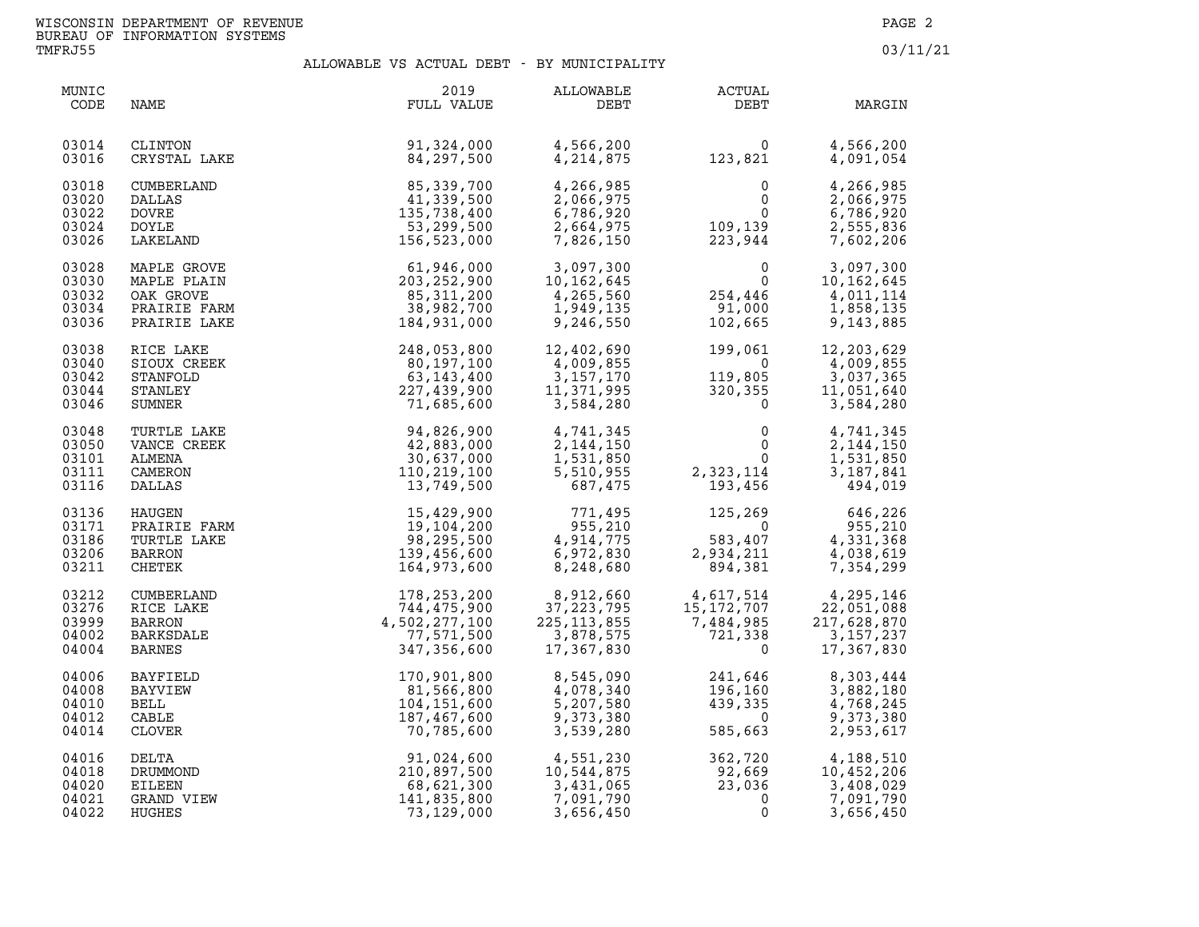| MUNIC<br>CODE                             | NAME                                                                    | 2019<br>FULL VALUE                                                                                                 | ALLOWABLE<br>DEBT                                                                                                         | ACTUAL<br>DEBT                                                                                         | MARGIN                                                                                                        |
|-------------------------------------------|-------------------------------------------------------------------------|--------------------------------------------------------------------------------------------------------------------|---------------------------------------------------------------------------------------------------------------------------|--------------------------------------------------------------------------------------------------------|---------------------------------------------------------------------------------------------------------------|
| 03014<br>03016                            | CLINTON<br>CRYSTAL LAKE                                                 | $\mathbf{E}$<br>91,324,000<br>84,297,500                                                                           | 4,566,200<br>4,214,875                                                                                                    | $\begin{smallmatrix}&&&0\\123,821\end{smallmatrix}$                                                    | 4,566,200<br>4,091,054                                                                                        |
| 03018<br>03020<br>03022<br>03024<br>03026 | CUMBERLAND<br>DALLAS<br><b>DOVRE</b><br>DOYLE<br>LAKELAND               | 85,339,700<br>41,339,500<br>135,738,400<br>53,299,500<br>156,523,000                                               | 4,266,985<br>2,066,975<br>6,786,920<br>2,664,975<br>7,826,150                                                             | $\begin{smallmatrix}&&0\0&&0\0&0\223,944\end{smallmatrix}$                                             | 4,266,985<br>2,066,975<br>6,786,920<br>2,555,836<br>7,602,206                                                 |
| 03028<br>03030<br>03032<br>03034<br>03036 | MAPLE GROVE<br>MAPLE PLAIN<br>OAK GROVE<br>PRAIRIE FARM<br>PRAIRIE LAKE | $61, 946, 000$<br>$203, 252, 900$<br>$85, 311, 200$<br>$38, 982, 700$<br>$184, 931, 000$                           | 3,097,300<br>10,162,645<br>4,265,560<br>1,266,560<br>1,949,135<br>9,246,550                                               | $0\ 0\ 0\ 254\ 446\ 91\ 000\ 102\ 665$<br>102,665                                                      | $\begin{array}{ccc} 0 & 3,097,300 \\ 0 & 10,162,645 \\ 446 & 4,011,114 \end{array}$<br>1,858,135<br>9,143,885 |
| 03038<br>03040<br>03042<br>03044<br>03046 | RICE LAKE<br>SIOUX CREEK<br>STANFOLD<br>STANLEY<br>SUMNER               | 248,053,800<br>80,197,100<br>63,143,400<br>227,439,900<br>71,685,600                                               | 12,402,690<br>4,009,855<br>3,157,170<br>3,157,170<br>11,371,995<br>3,584,280                                              | $199,061\ 0$<br>$199,061$<br>$119,805$<br>$320,355$<br>$0$                                             | 12,203,629<br>4,009,855<br>3,037,365<br>11,051,640<br>3,584,280                                               |
| 03048<br>03050<br>03101<br>03111<br>03116 | TURTLE LAKE<br>VANCE CREEK<br>ALMENA<br>CAMERON<br>DALLAS               | 94,826,900<br>42,883,000<br>30,637,000<br>110,219,100<br>13,749,500                                                | 4,741,345<br>2,144,150<br>1,531,850<br>5,510,955<br>687,475                                                               | $\begin{smallmatrix}&&&0\0&&&&0\0&2\, ,\,3\,2\,3\, ,\,1\,1\,4\ 1\,9\, 3\, ,\,4\,5\,6\end{smallmatrix}$ | 4,741,345<br>2, 144, 150<br>1,531,850<br>3,187,841<br>494,019                                                 |
| 03136<br>03171<br>03186<br>03206<br>03211 |                                                                         | HAUGEN 15,429,900<br>PRAIRIE FARM 19,104,200<br>TURTLE LAKE 98,295,500<br>BARRON 139,456,600<br>CHETEK 164,973,600 | 771,495<br>955,210<br>4,914,775<br>6,972,830<br>8,248,680                                                                 | 125,269<br>0<br>583,407<br>2,934,211<br>894,381                                                        | $\begin{array}{cc} 269 & 646,226 \\ 0 & 0 \end{array}$<br>4,331,368<br>4,038,619<br>7,354,299                 |
| 03212<br>03276<br>03999<br>04002<br>04004 | CUMBERLAND<br>RICE LAKE<br><b>BARRON</b><br>BARKSDALE<br><b>BARNES</b>  | 178,253,200<br>744,475,900<br>4,502,277,100<br>77,571,500<br>347,356,600                                           | 8,912,660<br>37,223,795<br>225,113,855<br>3,878,575<br>3,878,575<br>17,367.830                                            | $4,617,514$<br>$15,172,707$<br>$7,484,985$<br>$721,338$<br>$0$                                         | 4,295,146<br>22,051,088<br>217,628,870<br>3,157,237<br>17,367,830                                             |
| 04006<br>04008<br>04010<br>04012<br>04014 | BAYFIELD<br>BAYVIEW<br>BELL<br>CABLE<br>CLOVER                          | 170,901,800<br>81,566,800<br>104,151,600<br>187,467,600<br>70,785,600                                              | 8,545,090<br>4,078,340<br>5,207,580<br>9,373,380<br>3,539,280                                                             | 241,646<br>196,160<br>439,335<br>685,663<br>439,335<br>0<br>585,663                                    | 8,303,444<br>3,882,180<br>4,768,245<br>9,373,380<br>2,953,617                                                 |
| 04016<br>04018<br>04020<br>04021<br>04022 | DELTA<br>DRUMMOND<br>EILEEN<br>GRAND VIEW<br>HUGHES                     | 141,835,800<br>73,129,000                                                                                          | 91,024,600 4,551,230<br>210,897,500 10,544,875<br>68,621,300 3,431,065<br>141,835,800 7,091,790<br>7,091,790<br>3,656,450 | 362,720<br>92,669<br>3,408,029<br>23,036<br>3,408,029<br>0<br>3,656.450                                |                                                                                                               |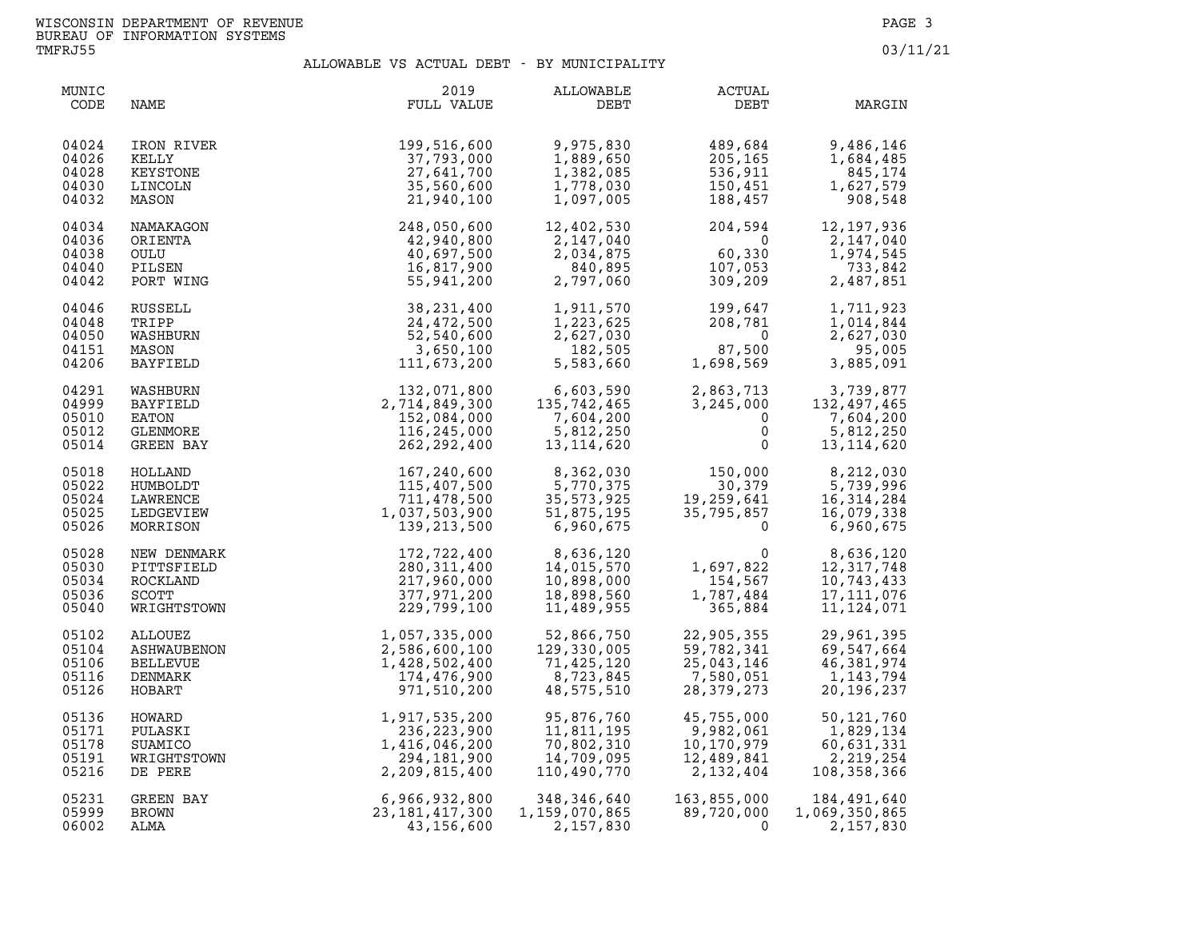| MUNIC<br>CODE                             | NAME                                                   | 2019<br>FULL VALUE                                                        | ALLOWABLE<br>DEBT                                                | <b>ACTUAL</b><br>DEBT                               | MARGIN                                                                       |
|-------------------------------------------|--------------------------------------------------------|---------------------------------------------------------------------------|------------------------------------------------------------------|-----------------------------------------------------|------------------------------------------------------------------------------|
| 04024<br>04026<br>04028<br>04030<br>04032 | IRON RIVER<br>KELLY<br>KEYSTONE<br>LINCOLN<br>MASON    | 199,516,600<br>37,793,000<br>27,641,700<br>35,560,600<br>21,940,100       | 9,975,830<br>1,889,650<br>1,382,085<br>1,778,030<br>1,097,005    | 489,684<br>205,165<br>536,911<br>150,451<br>188,457 | 9,486,146<br>1,684,485<br>845,174<br>1,627,579<br>908,548                    |
| 04034                                     | NAMAKAGON                                              | 248,050,600                                                               | 12,402,530                                                       | 204,594                                             | 12, 197, 936                                                                 |
| 04036                                     | ORIENTA                                                | 42,940,800                                                                | 2,147,040                                                        | $\overline{0}$                                      | 2,147,040                                                                    |
| 04038                                     | OULU                                                   | 40,697,500                                                                | 2,034,875                                                        | 60,330                                              | 1,974,545                                                                    |
| 04040                                     | PILSEN                                                 | 16,817,900                                                                | 840,895                                                          | 107,053                                             | 733,842                                                                      |
| 04042                                     | PORT WING                                              | 55,941,200                                                                | 2,797,060                                                        | 309,209                                             | 2,487,851                                                                    |
| 04046                                     | RUSSELL                                                | 38, 231, 400                                                              | 1,911,570                                                        | 199,647<br>208,781                                  | 1,711,923                                                                    |
| 04048                                     | TRIPP                                                  | 24,472,500                                                                | 1,223,625                                                        | 208,781                                             | 1,014,844                                                                    |
| 04050                                     | WASHBURN                                               | 52,540,600                                                                | 2,627,030                                                        | $\Omega$                                            | 2,627,030                                                                    |
| 04151                                     | MASON                                                  | 3,650,100                                                                 | 182,505                                                          | 87,500                                              | 95,005                                                                       |
| 04206                                     | BAYFIELD                                               | 111,673,200                                                               | 5,583,660                                                        | 87,500<br>1,698,569                                 | 3,885,091                                                                    |
| 04291<br>04999<br>05010<br>05012<br>05014 | WASHBURN<br>BAYFIELD<br>EATON<br>GLENMORE<br>GREEN BAY | 132,071,800<br>2,714,849,300<br>152,084,000<br>116,245,000<br>262,292,400 | 6,603,590<br>135,742,465<br>7,604,200<br>5,812,250<br>13,114,620 | $\mathbf{0}$<br>$\mathbf 0$<br>$\Omega$             | 2,863,713<br>3,245,000 132,497,465<br>7,604,200<br>5,812,250<br>13, 114, 620 |
| 05018                                     | HOLLAND                                                | 167,240,600                                                               | 8,362,030                                                        | 150,000                                             | 8,212,030                                                                    |
| 05022                                     | HUMBOLDT                                               | 115,407,500                                                               | 5,770,375                                                        | 30,379                                              | 5,739,996                                                                    |
| 05024                                     | LAWRENCE                                               | 711,478,500                                                               | 35,573,925                                                       | 19,259,641                                          | 16, 314, 284                                                                 |
| 05025                                     | LEDGEVIEW                                              | 1,037,503,900                                                             | 51,875,195                                                       | 35,795,857                                          | 16,079,338                                                                   |
| 05026                                     | MORRISON                                               | 139, 213, 500                                                             | 6,960,675                                                        | $\Omega$                                            | 6,960,675                                                                    |
| 05028                                     | NEW DENMARK                                            | 172,722,400                                                               | 8,636,120                                                        | 0                                                   | 8,636,120                                                                    |
| 05030                                     | PITTSFIELD                                             | 280, 311, 400                                                             | 14,015,570                                                       | 1,697,822                                           | 12, 317, 748                                                                 |
| 05034                                     | ROCKLAND                                               | 217,960,000                                                               | 10,898,000                                                       | 154,567                                             | 10,743,433                                                                   |
| 05036                                     | SCOTT                                                  | 377,971,200                                                               | 18,898,560                                                       | 1,787,484                                           | 17, 111, 076                                                                 |
| 05040                                     | WRIGHTSTOWN                                            | 229,799,100                                                               | 11,489,955                                                       | 365,884                                             | 11, 124, 071                                                                 |
| 05102                                     | ALLOUEZ                                                | 1,057,335,000                                                             | 52,866,750                                                       | 22,905,355                                          | 29,961,395                                                                   |
| 05104                                     | ASHWAUBENON                                            | 2,586,600,100                                                             | 129,330,005                                                      | 59,782,341                                          | 69,547,664                                                                   |
| 05106                                     | <b>BELLEVUE</b>                                        | 1,428,502,400                                                             | 71,425,120                                                       | 25,043,146                                          | 46,381,974                                                                   |
| 05116                                     | DENMARK                                                | 174,476,900                                                               | 8,723,845                                                        | 7,580,051                                           | 1,143,794                                                                    |
| 05126                                     | HOBART                                                 | 971,510,200                                                               | 48,575,510                                                       | 28,379,273                                          | 20,196,237                                                                   |
| 05136                                     | HOWARD                                                 | 1,917,535,200                                                             | 95,876,760                                                       | 45,755,000                                          | 50, 121, 760                                                                 |
| 05171                                     | PULASKI                                                | 236, 223, 900                                                             | 11,811,195                                                       | 9,982,061                                           | 1,829,134                                                                    |
| 05178                                     | SUAMICO                                                | 1,416,046,200                                                             | 70,802,310                                                       | 10,170,979                                          | 60,631,331                                                                   |
| 05191                                     | WRIGHTSTOWN                                            | 294,181,900                                                               | 14,709,095                                                       | 12,489,841                                          | 2,219,254                                                                    |
| 05216                                     | DE PERE                                                | 2,209,815,400                                                             | 110,490,770                                                      | 2,132,404                                           | 108,358,366                                                                  |
| 05231                                     | GREEN BAY                                              | 6,966,932,800                                                             | 348,346,640                                                      | 163,855,000                                         | 184,491,640                                                                  |
| 05999                                     | <b>BROWN</b>                                           | 23, 181, 417, 300                                                         | 1,159,070,865                                                    | 89,720,000                                          | 1,069,350,865                                                                |
| 06002                                     | ALMA                                                   | 43,156,600                                                                | 2,157,830                                                        | $\Omega$                                            | 2,157,830                                                                    |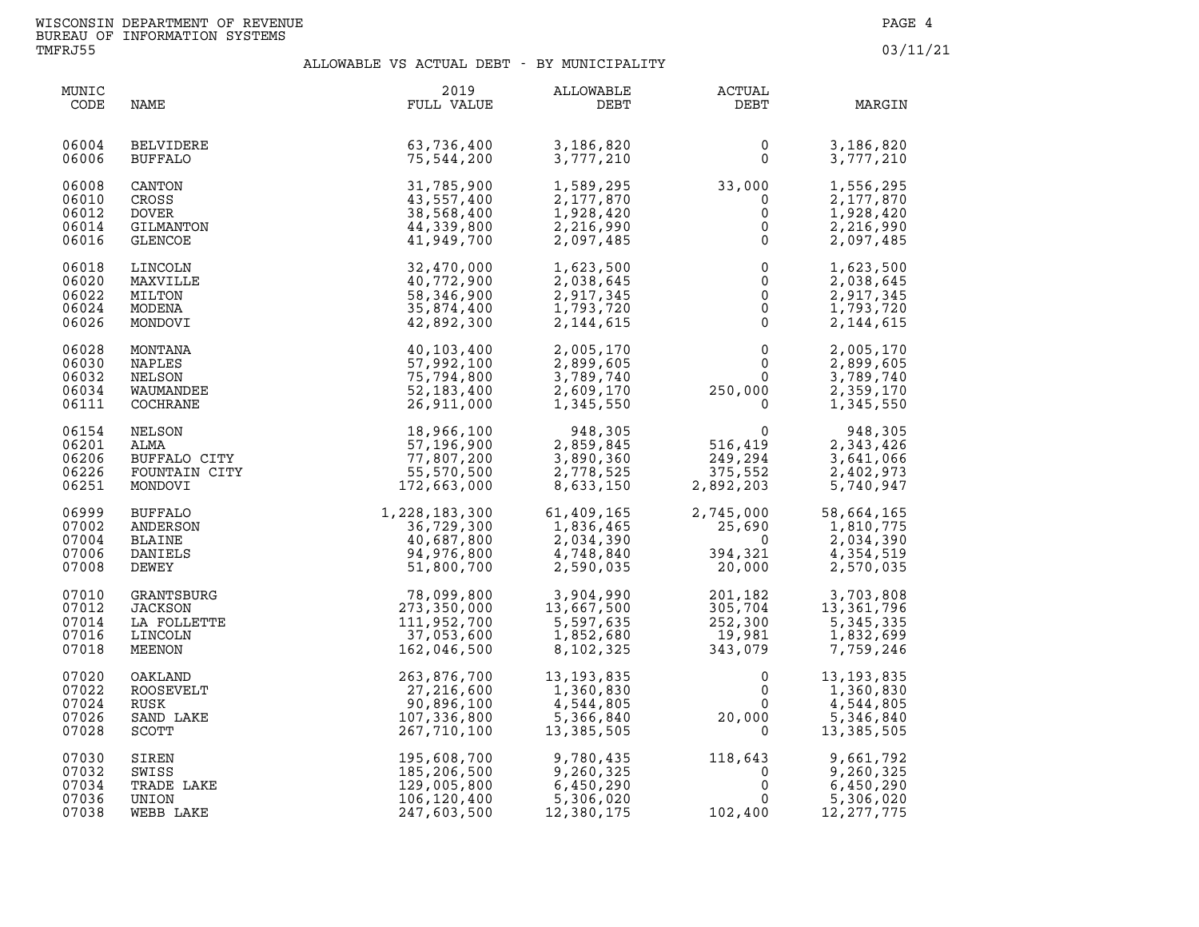| MUNIC<br>CODE                             | NAME                                                                                                                                | 2019<br>FULL VALUE                                                      | ALLOWABLE<br>DEBT                                               | <b>ACTUAL</b><br>DEBT                                                                    | MARGIN                                                            |
|-------------------------------------------|-------------------------------------------------------------------------------------------------------------------------------------|-------------------------------------------------------------------------|-----------------------------------------------------------------|------------------------------------------------------------------------------------------|-------------------------------------------------------------------|
| 06004<br>06006                            | <b>BELVIDERE</b><br><b>BUFFALO</b>                                                                                                  | 63,736,400<br>75,544,200                                                | 3,186,820<br>3,777,210                                          | 0<br>$\mathsf{O}$                                                                        | 3,186,820<br>3,777,210                                            |
| 06008<br>06010<br>06012<br>06014<br>06016 | CANTON<br>CROSS<br><b>DOVER</b><br>GILMANTON<br><b>GLENCOE</b>                                                                      | 31,785,900<br>43,557,400<br>38,568,400<br>44,339,800<br>41,949,700      | 1,589,295<br>2,177,870<br>1,928,420<br>2,216,990<br>2,097,485   | 33,000<br>$\overline{0}$<br>$\mathsf{O}$<br>$\mathsf{O}$<br>$\mathsf{O}$                 | 1,556,295<br>2,177,870<br>1,928,420<br>2,216,990<br>2,097,485     |
| 06018<br>06020<br>06022<br>06024<br>06026 | LINCOLN<br>MAXVILLE<br>MILTON<br>MODENA<br>MONDOVI                                                                                  | 32,470,000<br>40,772,900<br>58,346,900<br>35,874,400<br>42,892,300      | 1,623,500<br>2,038,645<br>2,917,345<br>1,793,720<br>2, 144, 615 | $\mathsf{O}\xspace$<br>$\overline{0}$<br>$\overline{0}$<br>$\overline{0}$<br>$\mathbf 0$ | 1,623,500<br>2,038,645<br>2,917,345<br>1,793,720<br>2, 144, 615   |
| 06028<br>06030<br>06032<br>06034<br>06111 | MONTANA<br>NAPLES<br>NELSON<br>WAUMANDEE<br>COCHRANE<br>NELSON<br>ALMA<br>BUFFALO CITY<br>FOUNTAIN CITY<br>FOUNTAIN CITY<br>MONDOVI | 40,103,400<br>57,992,100<br>75,794,800<br>52, 183, 400<br>26,911,000    | 2,005,170<br>2,899,605<br>3,789,740<br>2,609,170<br>1,345,550   | $\mathbf 0$<br>$\mathbf 0$<br>$0 \qquad \qquad$<br>250,000<br>$\overline{0}$             | 2,005,170<br>2,899,605<br>3,789,740<br>2,359,170<br>1,345,550     |
| 06154<br>06201<br>06206<br>06226<br>06251 |                                                                                                                                     | 18,966,100<br>57,196,900<br>77,807,200<br>55,570,500<br>172,663,000     | 948,305<br>2,859,845<br>3,890,360<br>2,778,525<br>8,633,150     | $0$<br>516,419<br>$249, 294$<br>375,552<br>2,892,203                                     | 948,305<br>2,343,426<br>3,641,066<br>2,402,973<br>5,740,947       |
| 06999<br>07002<br>07004<br>07006<br>07008 | BUFFALO<br>ANDERSON<br><b>BLAINE</b><br>DANIELS<br>DEWEY                                                                            | 1,228,183,300<br>36,729,300<br>40,687,800<br>94,976,800<br>51,800,700   | 61,409,165<br>1,836,465<br>2,034,390<br>4,748,840<br>2,590,035  | $2,745,000$<br>$25,690$<br>$394,321$<br>$20,000$                                         | 58,664,165<br>1,810,775<br>2,034,390<br>4,354,519<br>2,570,035    |
| 07010<br>07012<br>07014<br>07016<br>07018 | GRANTSBURG<br><b>JACKSON</b><br>LA FOLLETTE<br>LINCOLN<br>MEENON                                                                    | 78,099,800<br>273,350,000<br>111,952,700<br>37,053,600<br>162,046,500   | 3,904,990<br>13,667,500<br>5,597,635<br>1,852,680<br>8,102,325  | 201,182<br>305,704<br>252,300<br>19,981<br>343,079                                       | 3,703,808<br>13, 361, 796<br>5,345,335<br>1,832,699<br>7,759,246  |
| 07020<br>07022<br>07024<br>07026<br>07028 | OAKLAND<br>ROOSEVELT<br>RUSK<br>SAND LAKE<br>SCOTT                                                                                  | 263,876,700<br>27,216,600<br>90,896,100<br>107,336,800<br>267,710,100   | $13,135,7$<br>1,360,830<br>4,544,805<br>5,366,840<br>13,385,505 | $\mathbf 0$<br>$\mathbf 0$<br>$\mathbf 0$<br>20,000<br>$\mathbf 0$                       | 13, 193, 835<br>1,360,830<br>4,544,805<br>5,346,840<br>13,385,505 |
| 07030<br>07032<br>07034<br>07036<br>07038 | SIREN<br>SWISS<br>TRADE LAKE<br>UNION<br>WEBB LAKE                                                                                  | 195,608,700<br>185,206,500<br>129,005,800<br>106,120,400<br>247,603,500 | 9,780,435<br>9,260,325<br>6,450,290<br>5,306,020<br>12,380,175  | 118,643<br>$118,643$<br>0<br>0<br>0<br>$\mathbf 0$<br>102,400                            | 9,661,792<br>9,260,325<br>6,450,290<br>5,306,020<br>12, 277, 775  |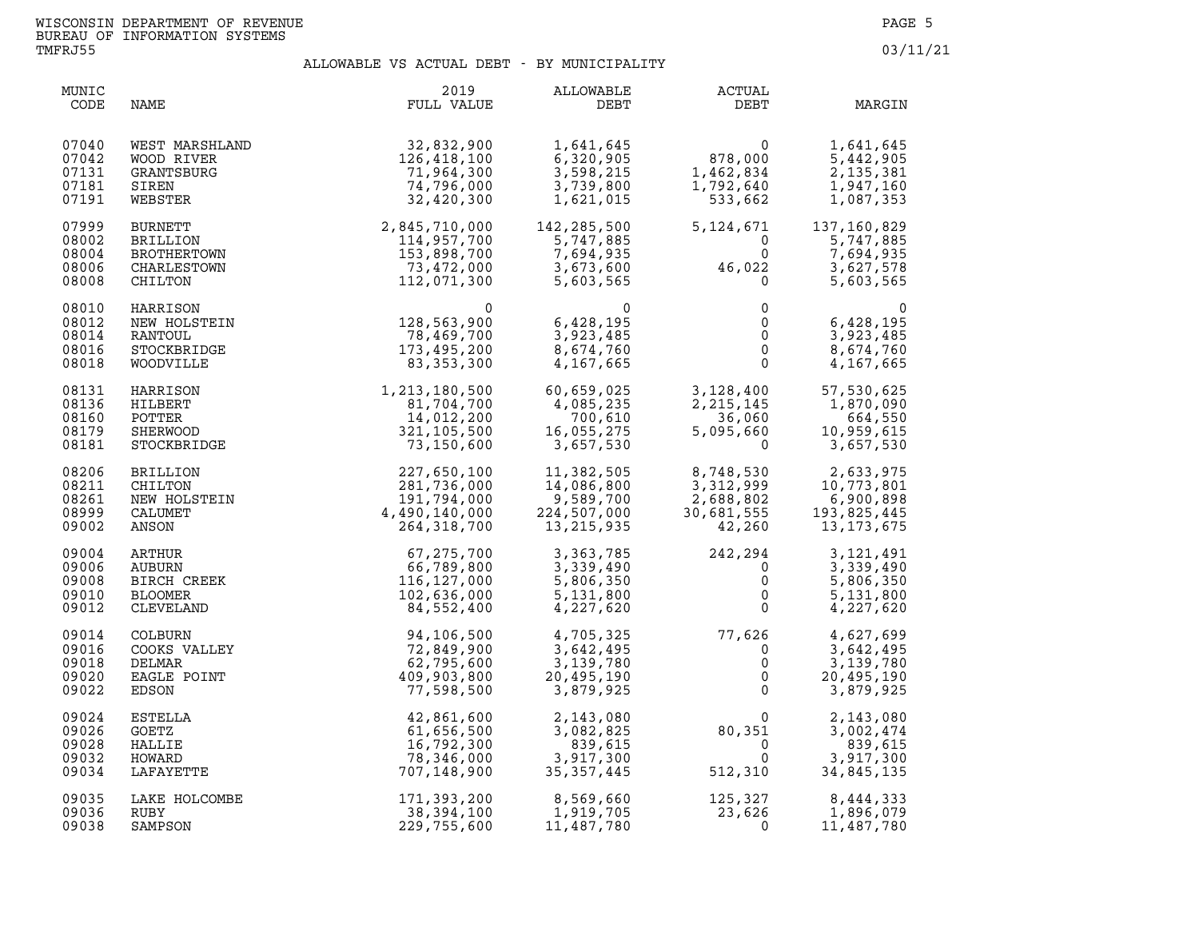| MUNIC<br>CODE                             | NAME                                                                                                                             | 2019<br>FULL VALUE                                                                                       | ALLOWABLE<br>DEBT                                                                                      | ACTUAL<br>DEBT                                                                           | MARGIN                                                              |
|-------------------------------------------|----------------------------------------------------------------------------------------------------------------------------------|----------------------------------------------------------------------------------------------------------|--------------------------------------------------------------------------------------------------------|------------------------------------------------------------------------------------------|---------------------------------------------------------------------|
| 07040<br>07042<br>07131<br>07181<br>07191 | WEST MARSHLAND<br>WOOD RIVER<br>GRANTSBURG<br>SIREN<br>WEBSTER                                                                   | 32,832,900<br>126,418,100<br>71,964,300<br>74,796,000<br>32,420,300                                      | 1,641,645<br>6,320,905<br>3,598,215<br>3,739,800<br>1,621,015                                          | $\begin{smallmatrix} 0 \ 878,000 \end{smallmatrix}$<br>1,462,834<br>1,792,640<br>533,662 | 1,641,645<br>5,442,905<br>2, 135, 381<br>1,947,160<br>1,087,353     |
| 07999<br>08002<br>08004<br>08006<br>08008 | BURNETT<br><b>BRILLION</b><br>BROTHERTOWN<br>CHARLESTOWN<br>CHILTON                                                              | 34, 420, 300<br>2, 845, 710, 000<br>114, 957, 700<br>153, 898, 700<br>73, 472, 000<br>112. 071. 363      | 142,285,500<br>5,747,885<br>7,694,935<br>3,673,600<br>5,603,565                                        | 5, 124, 671<br>$\overline{0}$<br>$\Omega$<br>$46,022$<br>0                               | 137,160,829<br>5,747,885<br>7,694,935<br>3,627,578<br>5,603,565     |
| 08010<br>08012<br>08014<br>08016<br>08018 | HARRISON<br>NEW HOLSTEIN<br>RANTOUL<br>STOCKBRIDGE<br>WOODVILLE                                                                  | $\begin{array}{c} 0 \\ 128,563,900 \\ 78,469,700 \end{array}$<br>78,469,700<br>173,495,200<br>83,353,300 | $\mathbf{0}$<br>6,428,195<br>3,923,485<br>8,674,760<br>4,167,665                                       | $\mathsf{O}$<br>0<br>$\overline{0}$<br>$\mathbf{0}$<br>$\mathbf{0}$                      | $\Omega$<br>6,428,195<br>3,923,485<br>8,674,760<br>4,167,665        |
| 08131<br>08136<br>08160<br>08179<br>08181 | HARRISON<br>HILBERT<br>POTTER<br><b>SHERWOOD</b><br>STOCKBRIDGE                                                                  | 1, 213, 180, 500<br>81, 704, 700<br>14, 012, 200<br>321, 105, 500<br>73, 150, 600                        | 60,659,025<br>4,085,235<br>700,610<br>16,055,275<br>3,657,530                                          | 3,128,400<br>2, 215, 145<br>36,060<br>5,095,660<br>$\Omega$                              | 57,530,625<br>1,870,090<br>664,550<br>10,959,615<br>3,657,530       |
| 08206<br>08211<br>08261<br>08999<br>09002 |                                                                                                                                  | 227,650,100<br>281,736,000<br>191,794,000<br>4,490,140,000<br>264, 318, 700                              | 11,382,505<br>14,∪o∪,J<br>9,589,700<br>000 <sup>דח⊐</sup><br>224,507,000<br>$\overline{13}$ , 215, 935 | 8,748,530<br>3,312,999<br>4,688,802<br>30,681,555<br>42,260                              | 2,633,975<br>10,773,801<br>6,900,898<br>193,825,445<br>13, 173, 675 |
| 09004<br>09006<br>09008<br>09010<br>09012 | CHILTON<br>NEW HOLSTEIN<br>CALUMET<br>CALUMET<br>ANSON<br>WRTHUR<br>UBURN<br>URCH CREEK<br>COMER<br>EVELAND<br>BURN<br>XS VALLET | 67, 275, 700<br>66,789,800<br>116,127,000<br>102,636,000<br>84,552,400                                   | 3,363,785<br>3,339,490<br>5,806,350<br>5,131,800<br>4,227,620                                          | $242, 294$<br>0<br>0<br>$\mathsf{O}$<br>$\Omega$                                         | 3,121,491<br>3,339,490<br>5,806,350<br>5,131,800<br>4,227,620       |
| 09014<br>09016<br>09018<br>09020<br>09022 | COOKS VALLEY<br>DELMAR<br>EAGLE POINT<br>EDSON                                                                                   | 94,106,500<br>72,849,900<br>62,795,600<br>409,903,800<br>77,598,500                                      | 4,705,325<br>3,642,495<br>3,139,780<br>20,495,190<br>3,879,925                                         | $77,626$<br>0<br>0<br>0<br>0                                                             | 4,627,699<br>3,642,495<br>3,139,780<br>20,495,190<br>3,879,925      |
| 09024<br>09026<br>09028<br>09032<br>09034 | ESTELLA<br>GOETZ<br>HALLIE<br>HOWARD<br>LAFAYETTE                                                                                | 42,861,600<br>61,656,500<br>16,792,300<br>78,346,000<br>707,148,900                                      | 2,143,080<br>3,082,825<br>839,615<br>3,917,300<br>35,357,445                                           | $\Omega$<br>80,351<br>$\mathbf 0$<br>$\Omega$<br>512, 310                                | 2,143,080<br>3,002,474<br>839,615<br>3,917,300<br>34,845,135        |
| 09035<br>09036<br>09038                   | LAKE HOLCOMBE<br>RUBY<br>SAMPSON                                                                                                 | 171,393,200<br>38,394,100<br>229,755,600                                                                 | 8,569,660<br>1,919,705<br>11,487,780                                                                   | 125,327<br>23,626<br>0                                                                   | 8,444,333<br>1,896,079<br>11,487,780                                |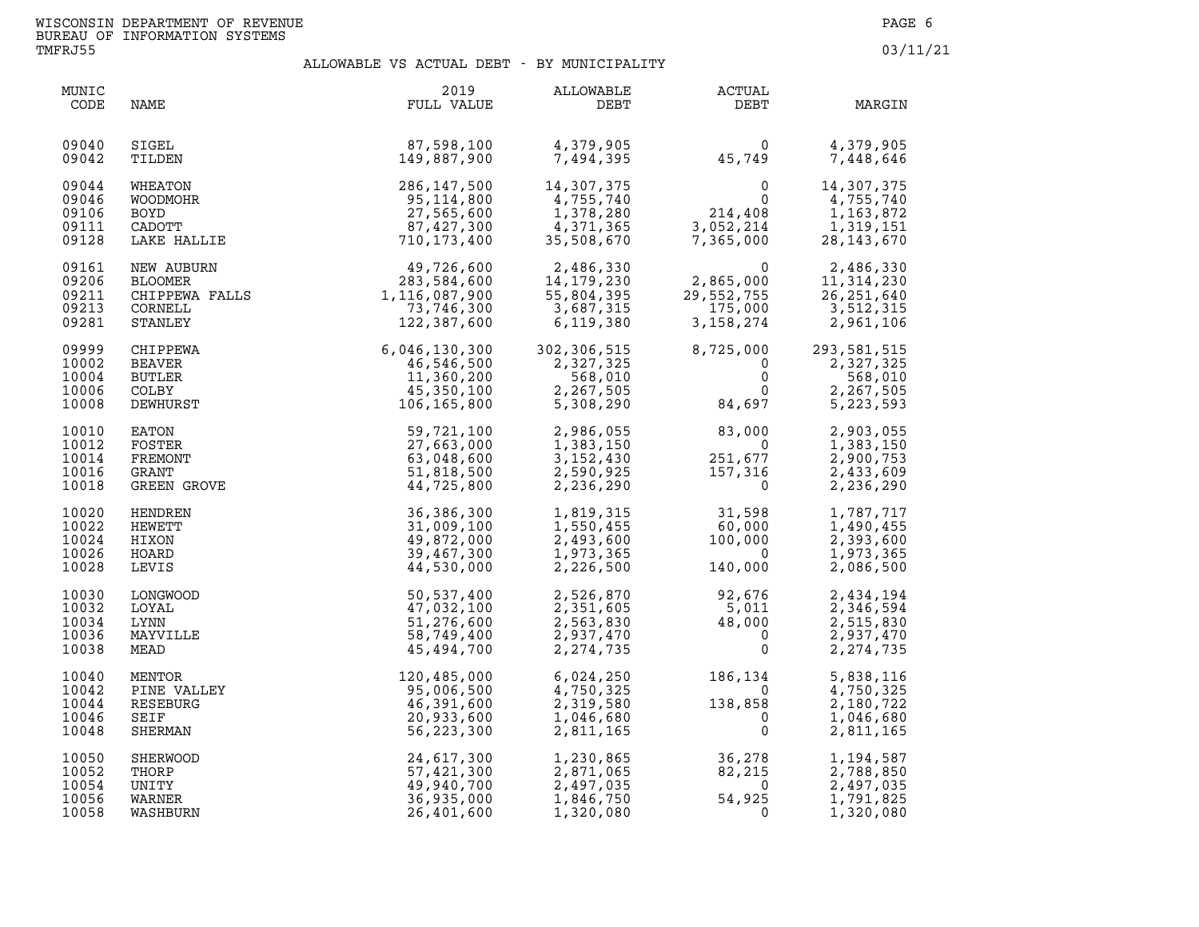| MUNIC<br>CODE                             | NAME                                                                     | 2019<br>FULL VALUE                                                                | ALLOWABLE<br>DEBT                                               | ACTUAL<br>DEBT                                                                                               | MARGIN                                                              |
|-------------------------------------------|--------------------------------------------------------------------------|-----------------------------------------------------------------------------------|-----------------------------------------------------------------|--------------------------------------------------------------------------------------------------------------|---------------------------------------------------------------------|
| 09040                                     | SIGEL                                                                    | 87,598,100                                                                        | 4,379,905                                                       | 0                                                                                                            | 4,379,905                                                           |
| 09042                                     | TILDEN                                                                   | 149,887,900                                                                       | 7,494,395                                                       | 45,749                                                                                                       | 7,448,646                                                           |
| 09044<br>09046<br>09106<br>09111<br>09128 | WHEATON<br>WOODMOHR<br><b>BOYD</b><br><b>CADOTT</b><br>LAKE HALLIE       | 286,147,500<br>95,114,800<br>27,565,600<br>87, 427, 300<br>710,173,400            | 14,307,375<br>4,755,740<br>1,378,280<br>4,371,365<br>35,508,670 | $\begin{smallmatrix}&&&0\0&214\,,408\0&3\,,052\,,214\end{smallmatrix}$<br>$\Omega$<br>3,052,214<br>7,365,000 | 14,307,375<br>4,755,740<br>1, 163, 872<br>1,319,151<br>28, 143, 670 |
| 09161<br>09206<br>09211<br>09213<br>09281 | NEW AUBURN<br>BLOOMER<br>CHIPPEWA FALLS<br>COPNEIL<br>CORNELL<br>STANLEY | 49,726,600<br>283,584,600<br>1,116,087,900<br>73,746,300<br>122,387,600           | 2,486,330<br>14,179,230<br>55,804,395<br>3,687,315<br>6,119,380 | 0<br>2,865,000<br>29,552,755<br>175,000<br>175,000<br>3, 158, 274                                            | 2,486,330<br>11,314,230<br>26, 251, 640<br>3,512,315<br>2,961,106   |
| 09999                                     | CHIPPEWA                                                                 | 6, 046, 130, 300<br>46, 546, 500<br>11, 360, 200<br>45, 350, 100<br>106, 165, 800 | 302,306,515                                                     | 8,725,000                                                                                                    | 293,581,515                                                         |
| 10002                                     | <b>BEAVER</b>                                                            |                                                                                   | 2,327,325                                                       | $\mathbf 0$                                                                                                  | 2,327,325                                                           |
| 10004                                     | <b>BUTLER</b>                                                            |                                                                                   | 568,010                                                         | $\mathbf 0$                                                                                                  | 568,010                                                             |
| 10006                                     | COLBY                                                                    |                                                                                   | 2,267,505                                                       | $\mathbf{0}$                                                                                                 | 2,267,505                                                           |
| 10008                                     | DEWHURST                                                                 |                                                                                   | 5,308,290                                                       | 84,697                                                                                                       | 5,223,593                                                           |
| 10010                                     | EATON                                                                    | 59,721,100                                                                        | 2,986,055                                                       | 83,000                                                                                                       | 2,903,055                                                           |
| 10012                                     | FOSTER                                                                   | 27,663,000                                                                        | 1,383,150                                                       | $\overline{0}$                                                                                               | 1,383,150                                                           |
| 10014                                     | FREMONT                                                                  | 63,048,600                                                                        | 3,152,430                                                       | 251,677                                                                                                      | 2,900,753                                                           |
| 10016                                     | GRANT                                                                    | 51,818,500                                                                        | 2,590,925                                                       | 157,316                                                                                                      | 2,433,609                                                           |
| 10018                                     | GREEN GROVE                                                              | 44,725,800                                                                        | 2,236,290                                                       | $\Omega$                                                                                                     | 2,236,290                                                           |
| 10020                                     | HENDREN                                                                  | 36,386,300                                                                        | 1,819,315                                                       | 31,598                                                                                                       | 1,787,717                                                           |
| 10022                                     | <b>HEWETT</b>                                                            | 31,009,100                                                                        | 1,550,455                                                       | 60,000                                                                                                       | 1,490,455                                                           |
| 10024                                     | HIXON                                                                    | 49,872,000                                                                        | 2,493,600                                                       | 100,000                                                                                                      | 2,393,600                                                           |
| 10026                                     | HOARD                                                                    | 39,467,300                                                                        | 1,973,365                                                       | $\overline{0}$                                                                                               | 1,973,365                                                           |
| 10028                                     | LEVIS                                                                    | 44,530,000                                                                        | 2,226,500                                                       | 140,000                                                                                                      | 2,086,500                                                           |
| 10030<br>10032<br>10034<br>10036<br>10038 | LONGWOOD<br>LOYAL<br>LYNN<br>MAYVILLE<br>MEAD                            | 50,537,400<br>47,032,100<br>51,276,600<br>58,749,400<br>45,494,700                | 2,526,870<br>2,351,605<br>2,563,830<br>2,937,470<br>2, 274, 735 | 92,676<br>$\frac{1}{5}$ , 0/6<br>48<br>$\overline{0}$<br>$\mathbf{0}$                                        | 2,434,194<br>2,346,594<br>2,515,830<br>2,937,470<br>2, 274, 735     |
| 10040                                     | MENTOR                                                                   | 120,485,000                                                                       | 6,024,250                                                       | 186,134                                                                                                      | 5,838,116                                                           |
| 10042                                     | PINE VALLEY                                                              | 95,006,500                                                                        | 4,750,325                                                       | $\overline{0}$                                                                                               | 4,750,325                                                           |
| 10044                                     | RESEBURG                                                                 | 46,391,600                                                                        | 2,319,580                                                       | 138,858                                                                                                      | 2,180,722                                                           |
| 10046                                     | SEIF                                                                     | 20,933,600                                                                        | 1,046,680                                                       | $\overline{0}$                                                                                               | 1,046,680                                                           |
| 10048                                     | SHERMAN                                                                  | 56,223,300                                                                        | 2,811,165                                                       | 0                                                                                                            | 2,811,165                                                           |
| 10050                                     | SHERWOOD                                                                 | 24,617,300                                                                        | 1,230,865                                                       | 36,278                                                                                                       | 1,194,587                                                           |
| 10052                                     | THORP                                                                    | 57,421,300                                                                        | 2,871,065                                                       | 82,215                                                                                                       | 2,788,850                                                           |
| 10054                                     | UNITY                                                                    | 49,940,700                                                                        | 2,497,035                                                       | $\overline{0}$                                                                                               | 2,497,035                                                           |
| 10056                                     | WARNER                                                                   | 36,935,000                                                                        | 1,846,750                                                       | 54,925                                                                                                       | 1,791,825                                                           |
| 10058                                     | WASHBURN                                                                 | 26,401,600                                                                        | 1,320,080                                                       | 0                                                                                                            | 1,320,080                                                           |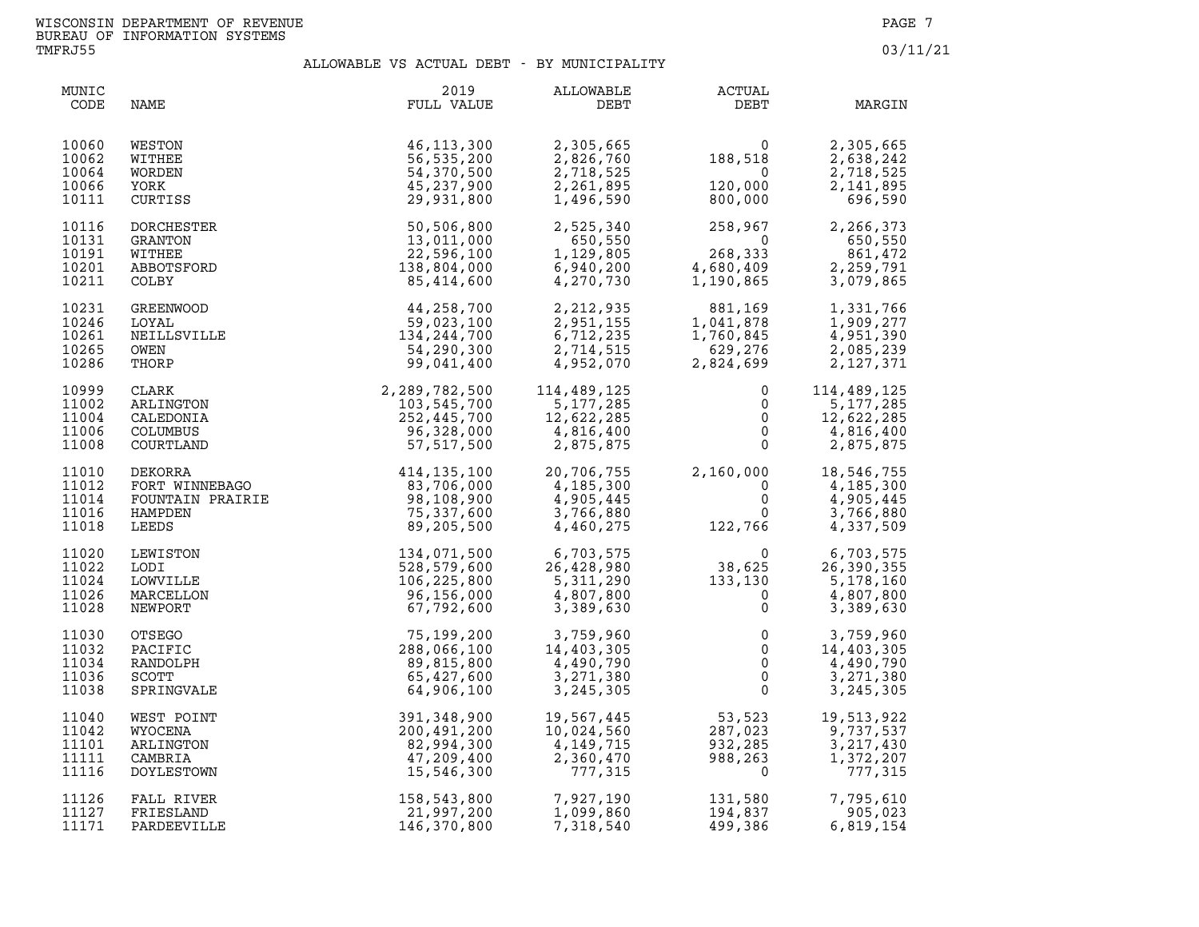| MUNIC<br>CODE                             | NAME                                                        | 2019<br>FULL VALUE                                                                                                                                                                                                                                                       | ALLOWABLE<br>DEBT                                                                    | <b>ACTUAL</b><br>DEBT                                                                                                                                                                                                                                            | MARGIN                                                                        |
|-------------------------------------------|-------------------------------------------------------------|--------------------------------------------------------------------------------------------------------------------------------------------------------------------------------------------------------------------------------------------------------------------------|--------------------------------------------------------------------------------------|------------------------------------------------------------------------------------------------------------------------------------------------------------------------------------------------------------------------------------------------------------------|-------------------------------------------------------------------------------|
| 10060<br>10062<br>10064<br>10066<br>10111 | WESTON<br>WITHEE<br>WORDEN<br>YORK<br>CURTISS               | 46, 113, 300<br>56,535,200<br>54,370,500<br>45,237,900<br>29,931,800                                                                                                                                                                                                     | 2,305,665<br>2,826,760<br>2,718,525<br>2,261,895<br>1,496,590                        | $\begin{smallmatrix}&&&0\188,518\0\0&120\,000\0&800\,000\end{smallmatrix}$<br>$\frac{1}{800}$ , 000<br>800, 000                                                                                                                                                  | 2,305,665<br>18<br>0<br>000<br>2,638,242<br>2,718,525<br>2,141,895<br>696,590 |
| 10116<br>10131<br>10191<br>10201<br>10211 | DORCHESTER<br>GRANTON<br>WITHEE<br>ABBOTSFORD<br>COLBY      | $\begin{array}{r} 25,351,800\ 50,506,800\ 13,011,000\ 22,596,100\ 138,804,000\ 85,414,600\ \end{array}$                                                                                                                                                                  | 2,525,340<br>650,550<br>1,129,805<br>6,940,200<br>4,270,730                          | $258,967$<br>0<br>$268,333$<br>4,680,409<br>1,190,865                                                                                                                                                                                                            | 2,266,373<br>650,550<br>861,472<br>2,259,791<br>3,079,865                     |
| 10231<br>10246<br>10261<br>10265<br>10286 |                                                             | COLBY<br>GREENWOOD<br>LOYAL<br>LOYAL<br>MEILLSVILLE<br>OWEN<br>MEILLSVILLE<br>OWEN<br>THORP<br>CLARK<br>CLARK<br>2,289,782,500<br>ARLINGTON<br>259,023,100<br>134,244,700<br>54,290,300<br>99,041,400<br>25,445,700<br>25,445,700<br>ARLINGTON<br>25,445,700<br>25,445,7 | 2,212,935<br>2,951,155<br>6,712,235<br>2,714,515<br>4,952,070                        | $881,169$<br>$1,041,878$<br>$1,760,845$<br>$629,276$<br>$2,824,699$                                                                                                                                                                                              | 1,331,766<br>1,909,277<br>4,951,390<br>2,085,239<br>2, 127, 371               |
| 10999<br>11002<br>11004<br>11006<br>11008 |                                                             |                                                                                                                                                                                                                                                                          | 114,489,125<br>5,177,285<br>$12,622,285$<br>4,816,400<br>2.255<br>2.255<br>2,875,875 | $\mathbf 0$<br>0<br>$\mathsf 0$<br>$\overline{0}$<br>$\Omega$                                                                                                                                                                                                    | 114,489,125<br>5,177,285<br>12,622,285<br>4,816,400<br>2,875,875              |
| 11010<br>11012<br>11014<br>11016<br>11018 |                                                             | 30, 328, 000<br>FORT WINNEBAGO<br>FORT WINNEBAGO<br>FOUNTAIN PRAIRIE<br>HAMPDEN<br>LEEDS<br>LEEDS<br>28, 108, 900<br>57, 517, 500<br>89, 108, 900<br>75, 337, 600<br>89, 205<br>57, 517, 500<br>75, 337, 600<br>89, 205<br>57, 517, 500<br>89, 108, 900<br>75, 3         | 20,706,755<br>4,185,300<br>4,905,445<br>3,766,880<br>4,460,275                       | $2,160,000$<br>$0$<br>$0$<br>$122,766$                                                                                                                                                                                                                           | 2,160,000 18,546,755<br>4,185,300<br>4,905,445<br>3,766,880<br>4,337,509      |
| 11020<br>11022<br>11024<br>11026<br>11028 | LODI<br><b>LOWVILLE</b><br>MARCELLON<br>NEWPORT             |                                                                                                                                                                                                                                                                          |                                                                                      | $\begin{array}{cccc} 134,071,500 & 6,703,575 & 0 & 6,703,575 \\ 528,579,600 & 26,428,980 & 38,625 & 26,390,355 \\ 106,225,800 & 5,311,290 & 133,130 & 5,178,160 \\ 96,156,000 & 4,807,800 & 0 & 4,807,800 \\ 67,792,600 & 3,389,630 & 0 & 3,389,630 \end{array}$ |                                                                               |
| 11030<br>11032<br>11034<br>11036<br>11038 | <b>OTSEGO</b><br>PACIFIC<br>RANDOLPH<br>SCOTT<br>SPRINGVALE | 75,199,200<br>288,066,100<br>89,815,800<br>65,427,600<br>64,906,100                                                                                                                                                                                                      | 3,759,960<br>14,403,305<br>4,490,790<br>3,271,380<br>3, 245, 305                     | $\begin{matrix}0\\0\\0\\0\\0\end{matrix}$                                                                                                                                                                                                                        | 3,759,960<br>14,403,305<br>4,490,790<br>3,271,380<br>3, 245, 305              |
| 11040<br>11042<br>11101<br>11111<br>11116 | WEST POINT<br>WYOCENA<br>ARLINGTON<br>CAMBRIA<br>DOYLESTOWN | 391,348,900<br>200,491,200<br>82,994,300<br>47,209,400<br>15,546,300                                                                                                                                                                                                     | 19,567,445<br>10,024,560<br>4,149,715<br>2,360,470<br>777,315                        | 53,523<br>287,023<br>932,285<br>988,263<br>932,285<br>988,263<br>0                                                                                                                                                                                               | 19,513,922<br>9,737,537<br>3, 217, 430<br>1,372,207<br>777,315                |
| 11126<br>11127<br>11171                   | FALL RIVER<br>FRIESLAND<br>PARDEEVILLE                      | 158,543,800<br>21,997,200<br>146,370,800                                                                                                                                                                                                                                 | 7,927,190<br>1,099,860<br>7,318,540                                                  | 131,580<br>194,837<br>499.386<br>499,386                                                                                                                                                                                                                         | 7,795,610<br>905,023<br>6,819,154                                             |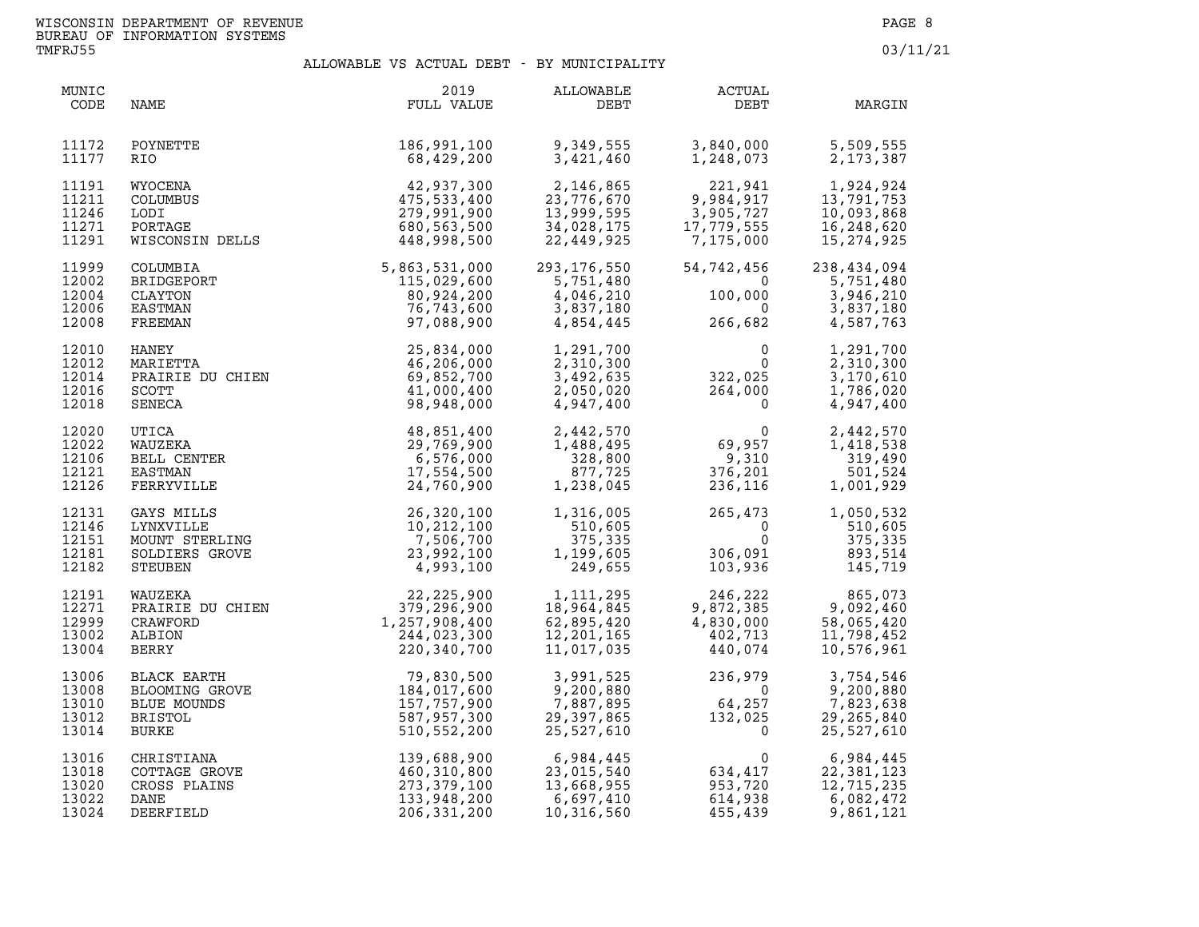| MUNIC<br>CODE                             | NAME                                                                   | 2019<br>FULL VALUE                                                                                                                                                                                                                                        | ALLOWABLE<br>DEBT                                                   | ACTUAL<br>DEBT                                                                                                                                                                                                                                                         | MARGIN                                                                       |
|-------------------------------------------|------------------------------------------------------------------------|-----------------------------------------------------------------------------------------------------------------------------------------------------------------------------------------------------------------------------------------------------------|---------------------------------------------------------------------|------------------------------------------------------------------------------------------------------------------------------------------------------------------------------------------------------------------------------------------------------------------------|------------------------------------------------------------------------------|
| 11172<br>11177                            | POYNETTE<br>RIO.                                                       | 186,991,100<br>68,429,200                                                                                                                                                                                                                                 | 9,349,555<br>3,421,460                                              | 3,840,000<br>1,248,073                                                                                                                                                                                                                                                 | 5,509,555<br>2, 173, 387                                                     |
| 11191<br>11211<br>11246<br>11271<br>11291 | WYOCENA<br>COLUMBUS<br>LODI<br>PORTAGE<br>WISCONSIN DELLS              | $\begin{array}{r} 42,937,300 \ 475,533,400 \ 279,991,900 \ 680,563,500 \ \end{array}$ DELLS                                                                                                                                                               | 2,146,865<br>23,776,670<br>13,999,595<br>34,028,175<br>22,449,925   | 221,941<br>9,984,917<br>3,905,727<br>7,779,555<br>7,175,000<br>9,984,917<br>3,905,727<br>17,779,555<br>7,175,000                                                                                                                                                       | 1,924,924<br>13,791,753<br>10,093,868<br>16,248,620<br>15, 274, 925          |
| 11999<br>12002<br>12004<br>12006<br>12008 | COLUMBIA<br>BRIDGEPORT<br>CLAYTON<br>EASTMAN<br>FREEMAN                | 5,863,531,000<br>115,029,600<br>80,924,200<br>76,743,600<br>97,088,900                                                                                                                                                                                    | 293,176,550<br>5,751,480<br>4,046,210<br>3,837,180<br>4,854,445     | $54, 742, 456$<br>$100, 000$<br>$266, 682$                                                                                                                                                                                                                             | 54,742,456 238,434,094<br>5,751,480 5<br>3,946,210<br>3,837,180<br>4,587,763 |
| 12010<br>12012<br>12014<br>12016<br>12018 | HANEY<br>MARIETTA<br>PRAIRIE DU CHIEN<br>SCOTT<br>SENECA               | 25,834,000<br>46,206,000<br>69,852,700<br>41,000,400<br>98,948,000                                                                                                                                                                                        | 1,291,700<br>2,310,300<br>3,492,635<br>2,050,020<br>4,947,400       | $\begin{smallmatrix}&&&0\0&&&0\0&322,025\264,000\0&0\end{smallmatrix}$                                                                                                                                                                                                 | 1,291,700<br>2,310,300<br>3,170,610<br>1,786,020<br>4,947,400                |
| 12020<br>12022<br>12106<br>12121<br>12126 | UTICA<br>WAUZEKA<br>BELL CENTER<br>EASTMAN<br>FERRYVILLE               | 48,851,400<br>29,769,900<br>6,576,000<br>17,554,500<br>24,760,900                                                                                                                                                                                         | 2,442,570<br>1,488,495<br>328,800<br>877,725<br>1,238,045           | $0$<br>$69,957$<br>$9,310$<br>$376,201$<br>$236,116$                                                                                                                                                                                                                   | 2,442,570<br>1,418,538<br>319,490<br>501,524<br>1,001,929                    |
| 12131<br>12146<br>12151<br>12181<br>12182 | GAYS MILLS<br>LYNXVILLE<br>MOUNT STERLING<br>SOLDIERS GROVE<br>STEUBEN | $\begin{array}{c} 26,320,100 \\ 10,212,100 \\ 7,506,700 \\ \text{E} \end{array}$<br>The contract of the contract of the contract of the contract of the contract of the contract of the contract of the contract of the contract of the contract of the c | 1,316,005<br>510,605<br>375,335<br>1,199,605<br>249,655             | $265,473$<br>0<br>306,091<br>103,936                                                                                                                                                                                                                                   | 1,050,532<br>510,605<br>375,335<br>306,091 893,514<br>103,936 145,719        |
| 12191<br>12271<br>12999<br>13002<br>13004 |                                                                        | WAUZEKA 22,225,900<br>PRAIRIE DU CHIEN 379,296,900<br>CRAWFORD 1,257,908,400<br>ALBION 244,023,300<br>BERRY 220,340,700                                                                                                                                   | 1, 111, 295<br>18,964,845<br>62,895,420<br>12,201,165<br>11,017,035 | 246,222 865,073<br>9,872,385 9,092,460<br>4,830,000 58,065,420<br>402,713 11,798,452<br>440,074 10,576,961                                                                                                                                                             |                                                                              |
| 13006<br>13008<br>13010<br>13012<br>13014 |                                                                        | BLACK EARTH<br>BLOOMING GROVE<br>BLOOMING GROVE<br>BLUE MOUNDS<br>BRISTOL<br>BRISTOL<br>BURKE<br>BURKE<br>510,552,200                                                                                                                                     | 3,991,525<br>9,200,880<br>7,887,895<br>29,397,865<br>25,527,610     | $236,979$<br>0<br>64,257<br>132,025<br>0                                                                                                                                                                                                                               | 3,754,546<br>9,200,880<br>7,823,638<br>29, 265, 840<br>25,527,610            |
| 13016<br>13018<br>13020<br>13022<br>13024 | CHRISTIANA<br>COTTAGE GROVE<br>CROSS PLAINS<br>DANE<br>DEERFIELD       | $\begin{array}{r} 139,688,900 \ 460,310,800 \ 273,379,100 \ 133,948,200 \ 206,331,200 \end{array}$                                                                                                                                                        | 6,984,445<br>23,015,540<br>13,668,955<br>6,697,410                  | $6,984,445$<br>$23,015,540$<br>$13,668,955$<br>$6,697,410$<br>$10,316,560$<br>$16,560$<br>$16,697$<br>$16,560$<br>$16,697$<br>$16,560$<br>$16,697$<br>$16,697$<br>$16,697$<br>$16,697$<br>$16,697$<br>$16,697$<br>$16,697$<br>$16,697$<br>$16,697$<br>$16,697$<br>$16$ | 6,984,445<br>22,381,123<br>12,715,235<br>6,082,472<br>9,861,121              |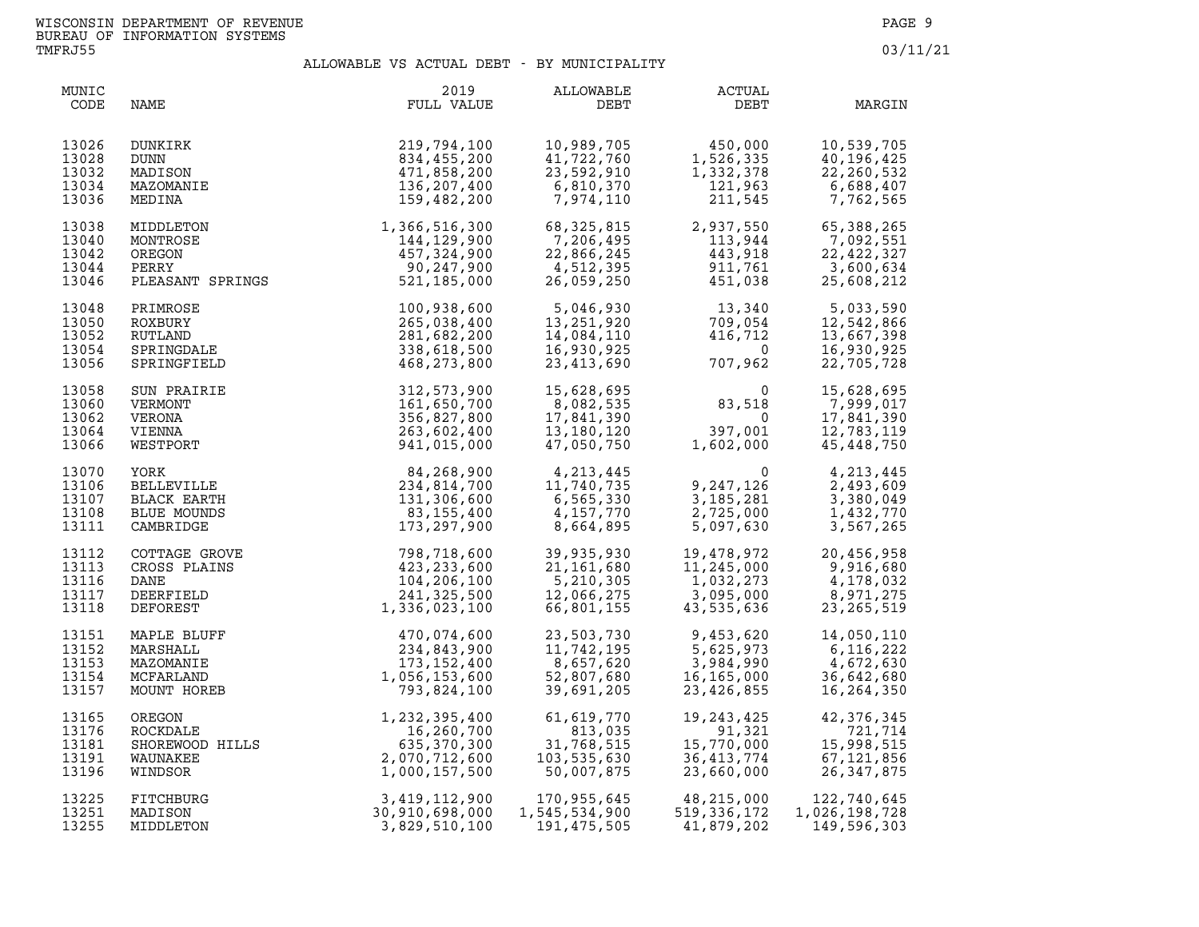| MUNIC<br>CODE                             | NAME                                                                 | 2019<br>FULL VALUE                                                                          | ALLOWABLE<br>DEBT                                                                                                      | ACTUAL<br>DEBT                                                                                                                       | MARGIN                                                             |
|-------------------------------------------|----------------------------------------------------------------------|---------------------------------------------------------------------------------------------|------------------------------------------------------------------------------------------------------------------------|--------------------------------------------------------------------------------------------------------------------------------------|--------------------------------------------------------------------|
| 13026<br>13028<br>13032<br>13034<br>13036 | DUNKIRK<br>DUNN<br>MADISON<br>MAZOMANIE<br>MEDINA                    | 219,794,100<br>834,455,200<br>471,858,200<br>136,207,400<br>159,482,200                     | 10,989,705<br>41,722,760<br>23,592,910<br>23,592,910<br>6,810,370<br>7,974,110                                         | 450,000<br>1,526,335<br>1,332,378<br>121,963<br>211,545                                                                              | 10,539,705<br>40,196,445<br>22,260,532<br>6,688,407<br>7,762,565   |
| 13038<br>13040<br>13042<br>13044<br>13046 | MIDDLETON<br>MONTROSE<br>OREGON<br>PERRY<br>PLEASANT SPRINGS         | 1,366,516,300<br>144,129,900<br>457,324,900<br>90,247,900<br>521,185,000                    | 68,325,815<br>7,206,495<br>22,866,245<br>4,512,395<br>26,059,250                                                       | 2,937,550<br>2,937,550<br>113,944<br>443,918<br>911,761<br>451,038<br>113,944<br>443,918<br>911,761<br>451,038<br>443,918<br>911,761 | 65,388,265<br>7,092,551<br>22, 422, 327<br>3,600,634<br>25,608,212 |
| 13048<br>13050<br>13052<br>13054<br>13056 | PRIMROSE<br>ROXBURY<br>RUTLAND<br>SPRINGDALE<br>SPRINGFIELD          | 100,938,600<br>265,038,400<br>281,682,200<br>338,618,500<br>468,273,800                     | 5,046,930<br>13,251,920<br>14,084,110<br>16,930,925<br>23,413,690                                                      | $13,340$<br>$709,054$<br>$416,712$<br>$0$<br>$707,962$                                                                               | 5,033,590<br>12,542,866<br>13,667,398<br>16,930,925<br>22,705,728  |
| 13058<br>13060<br>13062<br>13064<br>13066 | SUN PRAIRIE<br>VERMONT<br>VERONA<br>VIENNA<br>WESTPORT               | 312,573,900<br>161,650,700<br>356,827,800<br>263,602,400<br>941,015,000                     | 15,628,695<br>8,082,535<br>17,841,390<br>13,180,120<br>47,050,750                                                      | $83,518$<br>0<br>397,001<br>1,602,000                                                                                                | 15,628,695<br>7,999,017<br>17,841,390<br>12,783,119<br>45,448,750  |
| 13070<br>13106<br>13107<br>13108<br>13111 | YORK<br><b>BELLEVILLE</b><br>BLACK EARTH<br>BLUE MOUNDS<br>CAMBRIDGE | 84,268,900<br>234,814,700<br>131,306,600<br>83,155,400<br>173,297,900                       | 4, 213, 445<br>11, 740, 735<br>6, 565, 330<br>4, 213, 445<br>11, 740, 735<br>6, 565, 330<br>4, 157, 770<br>8, 664, 895 | 0<br>9,247,126<br>3,185,281<br>2,725,000<br>5,097,630                                                                                | 4,213,445<br>2,493,609<br>3,380,049<br>1,432,770<br>3,567,265      |
| 13112<br>13113<br>13116<br>13117<br>13118 | COTTAGE GROVE<br>CROSS PLAINS<br>DANE<br>DEERFIELD<br>DEFOREST       | 798,718,600<br>WE 798,718,600<br>423,233,600<br>104,206,100<br>241,325,500<br>1,336,023,100 | 39,935,930<br>21,161,680<br>5,210,305<br>12,066,275<br>66,801,155                                                      | 19,478,972 20,456,958<br>11,245,000 9,916,680<br>1,032,273 4,178,032<br>3,095,000 8,971,275<br>43,535,636 23,265,519                 |                                                                    |
| 13151<br>13152<br>13153<br>13154<br>13157 | MAPLE BLUFF<br>MARSHALL<br>MAZOMANIE<br>MCFARLAND<br>MOUNT HOREB     | 470,074,600<br>234,843,900<br>173, 152, 400<br>1,056,153,600<br>793,824,100                 | 23,503,730<br>11,742,195<br>8,657,620<br>52,807,680<br>39,691,205                                                      | 9,453,620<br>5,625,973<br>3,984,990<br>16,165,000<br>23,426,855                                                                      | 14,050,110<br>6,116,222<br>4,672,630<br>36,642,680<br>16,264,350   |
| 13165<br>13176<br>13181<br>13191<br>13196 | OREGON<br>ROCKDALE<br>SHOREWOOD HILLS<br>WAUNAKEE<br>WINDSOR         | 1,232,395,400<br>16,260,700<br>635,370,300<br>2,070,712,600<br>1,000,157,500                | 61,619,770<br>813,035<br>31,768,515<br>103,535,630<br>50,007,875                                                       | 19,243,425<br>91,321<br>15,770,000<br>36,413,774<br>23,660,000                                                                       | 42,376,345<br>721,714<br>15,998,515<br>67,121,856<br>26, 347, 875  |
| 13225<br>13251<br>13255                   | FITCHBURG<br>MADISON<br>MIDDLETON                                    | 3,419,112,900<br>30,910,698,000<br>3,829,510,100                                            | 170,955,645<br>1,545,534,900<br>191,475,505                                                                            | 48,215,000<br>519.336.172<br>519,336,172<br>41,879,202                                                                               | 122,740,645<br>1,026,198,728<br>149,596,303                        |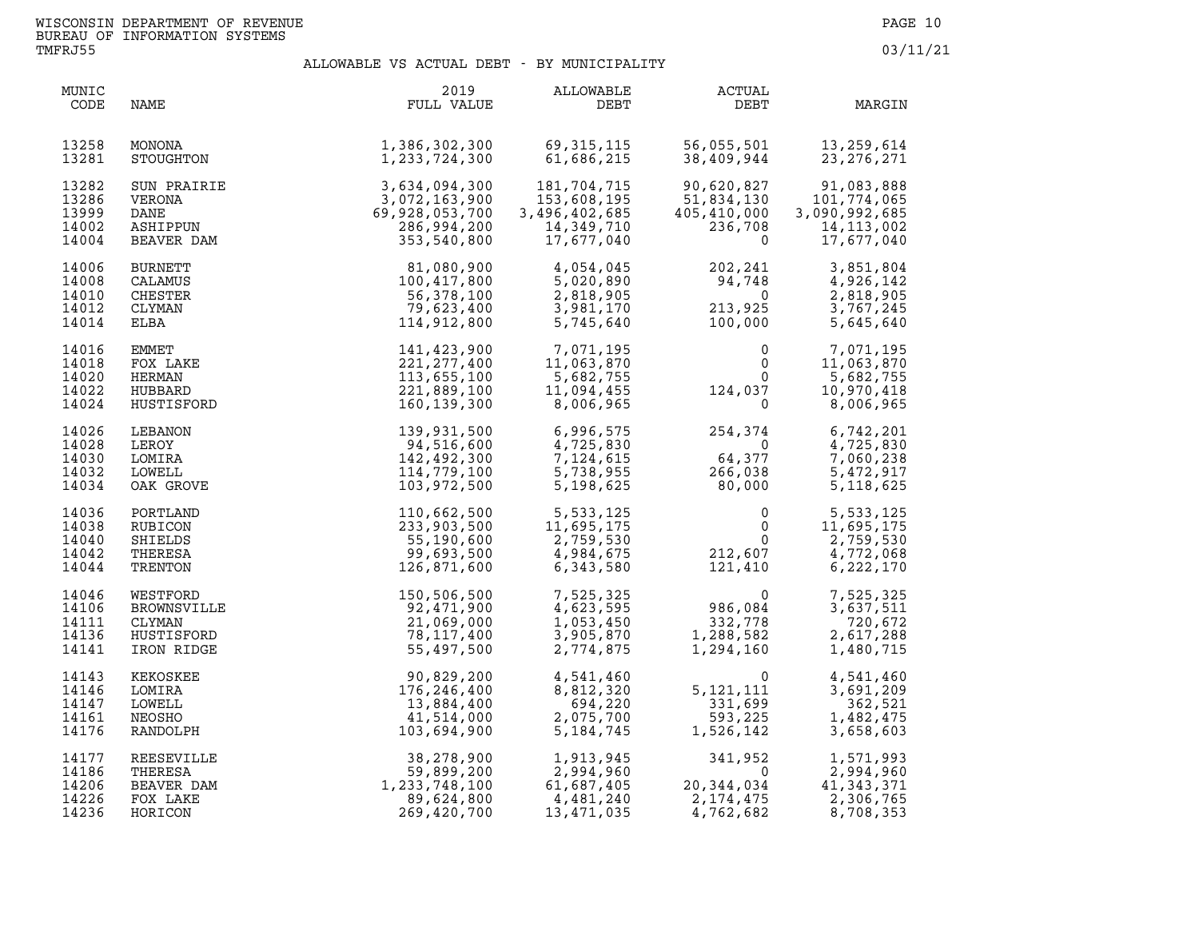| MUNIC<br>CODE                             | NAME                                                          | 2019<br>FULL VALUE                                                                          | ALLOWABLE<br>DEBT                                                       | ACTUAL<br>DEBT                                                                                 | MARGIN                                                                   |
|-------------------------------------------|---------------------------------------------------------------|---------------------------------------------------------------------------------------------|-------------------------------------------------------------------------|------------------------------------------------------------------------------------------------|--------------------------------------------------------------------------|
| 13258<br>13281                            | MONONA<br>STOUGHTON                                           | 1,386,302,300<br>1,233,724,300                                                              | 69,315,115<br>61,686,215                                                | 56,055,501<br>38,409,944                                                                       | 13, 259, 614<br>23, 276, 271                                             |
| 13282<br>13286<br>13999<br>14002<br>14004 | SUN PRAIRIE<br>VERONA<br>DANE<br>ASHIPPUN<br>BEAVER DAM       | 3, 634, 094, 300<br>3, 072, 163, 900<br>69, 928, 053, 700<br>286, 994, 200<br>353, 540, 800 | 181,704,715<br>153,608,195<br>3,496,402,685<br>14,349,710<br>17,677,040 | 90,620,827<br>51,834,130<br>405,410,000<br>236,708<br>$\Omega$                                 | 91,083,888<br>101,774,065<br>3,090,992,685<br>14, 113, 002<br>17,677,040 |
| 14006<br>14008<br>14010<br>14012<br>14014 | <b>BURNETT</b><br>CALAMUS<br>CHESTER<br>CLYMAN<br>ELBA        | 81,080,900<br>100,417,800<br>56,378,100<br>79,623,400<br>114,912,800                        | 4,054,045<br>5,020,890<br>2,818,905<br>3,981,170<br>5,745,640           | $202, 27$<br>94,748<br>$\mathbf{0}$<br>213,925<br>100,000                                      | 3,851,804<br>4,926,142<br>2,818,905<br>3,767,245<br>5,645,640            |
| 14016<br>14018<br>14020<br>14022<br>14024 | EMMET<br>FOX LAKE<br>HERMAN<br>HUBBARD<br>HUSTISFORD          | 141,423,900<br>221, 277, 400<br>113,655,100<br>221,889,100<br>160,139,300                   | 7,071,195<br>11,063.870<br>5,682,755<br>11,094,455<br>8,006,965         | $\begin{array}{c} 0 \\ 0 \\ 0 \\ 124,037 \\ 0 \end{array}$                                     | 7,071,195<br>11,063,870<br>5,682,755<br>10,970,418<br>8,006,965          |
| 14026<br>14028<br>14030<br>14032<br>14034 | LEBANON<br>LEROY<br>LOMIRA<br>LOWELL<br>OAK GROVE             | 139,931,500<br>94,516,600<br>142,492,300<br>114,779,100<br>103,972,500                      | 6,996,575<br>4,725,830<br>7,124,615<br>5,738,955<br>5,198,625           | 254,374<br>$\overline{0}$<br>64,377<br>$\frac{64,377}{266,038}$<br>80,000<br>266,038<br>80,000 | 6,742,201<br>4,725,830<br>7,060,238<br>5,472,917<br>5, 118, 625          |
| 14036<br>14038<br>14040<br>14042<br>14044 | PORTLAND<br>RUBICON<br>SHIELDS<br>THERESA<br>TRENTON          | 110,662,500<br>233,903,500<br>55,190,600<br>99,693,500<br>126,871,600                       | 5,533,125<br>11,695,175<br>2,759,530<br>4,984,675<br>6,343,580          | $\begin{array}{c} 0 \\ 0 \\ 0 \\ 212,607 \\ 121,410 \end{array}$                               | 5,533,125<br>11,695,175<br>2,759,530<br>4,772,068<br>6,222,170           |
| 14046<br>14106<br>14111<br>14136<br>14141 | WESTFORD<br>BROWNSVILLE<br>CLYMAN<br>HUSTISFORD<br>IRON RIDGE | 150,506,500<br>92,471,900<br>21,069,000<br>78,117,400<br>55,497,500                         | 7,525,325<br>4,623,595<br>1,053,450<br>3,905,870<br>2,774,875           | $\begin{array}{c} & 0 \\ 986,084 \\ 332,778 \\ 1,288,582 \\ 1,294,160 \end{array}$             | 7,525,325<br>3,637,511<br>720,672<br>2,617,288<br>1,480,715              |
| 14143<br>14146<br>14147<br>14161<br>14176 | KEKOSKEE<br>LOMIRA<br>LOWELL<br>NEOSHO<br>RANDOLPH            | 90,829,200<br>176,246,400<br>13,884,400<br>41,514,000<br>103,694,900                        | 4,541,460<br>8,812,320<br>694,220<br>2,075,700<br>5, 184, 745           | $\begin{array}{c} 0 \\ 5,121,111 \\ 331,699 \\ 593,225 \\ 1,526,142 \end{array}$               | 4,541,460<br>3,691,209<br>362,521<br>1,482,475<br>3,658,603              |
| 14177<br>14186<br>14206<br>14226<br>14236 | REESEVILLE<br>THERESA<br>BEAVER DAM<br>FOX LAKE<br>HORICON    | 38,278,900<br>59,899,200<br>1,233,748,100<br>89,624,800<br>269,420,700                      | 1,913,945<br>2,994,960<br>61,687,405<br>4,481,240<br>13,471,035         | $341,952$<br>0<br>20,344,034<br>2, 174, 475<br>4,762,682                                       | 1,571,993<br>2,994,960<br>41, 343, 371<br>2,306,765<br>8,708,353         |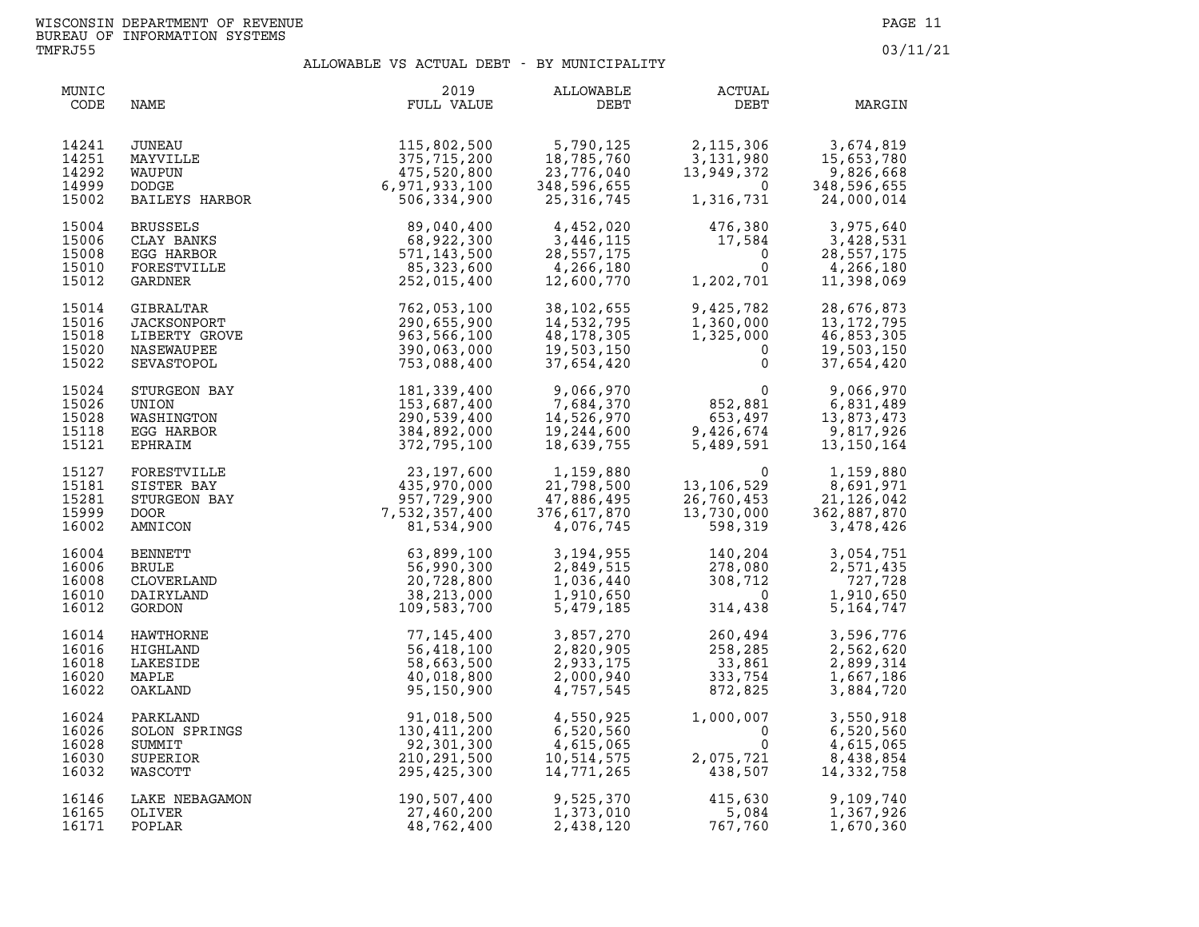| MUNIC<br>CODE                             | NAME                                                                  | 2019<br>FULL VALUE                                                                                                                                                   | ALLOWABLE<br>DEBT                                                  | ACTUAL<br>DEBT                                                                     | MARGIN                                                                                                        |
|-------------------------------------------|-----------------------------------------------------------------------|----------------------------------------------------------------------------------------------------------------------------------------------------------------------|--------------------------------------------------------------------|------------------------------------------------------------------------------------|---------------------------------------------------------------------------------------------------------------|
| 14241<br>14251<br>14292<br>14999<br>15002 | JUNEAU<br>MAYVILLE<br>WAUPUN<br>DODGE<br>BAILEYS HARBOR               | 115,802,500<br>375,715,200<br>475,520,800<br>6,971,933,100<br>506,334,900                                                                                            | 5,790,125<br>18,785,760<br>23,776,040<br>ردہ,596,0<br>25,316,745   | 2, 115, 306<br>13,949,372<br>$\frac{1}{2}$                                         | 3,674,819<br>3, 131, 980<br>15, 653, 780<br>13, 949, 372<br>0<br>348, 596, 655<br>1, 316, 731<br>24, 000, 014 |
| 15004<br>15006<br>15008<br>15010<br>15012 | <b>BRUSSELS</b><br>CLAY BANKS<br>EGG HARBOR<br>FORESTVILLE<br>GARDNER | 89,040,400<br>68,922,300<br>571, 143, 500<br>85,323,600<br>252,015,400                                                                                               | 4,452,020<br>3,446,115<br>28,557,175<br>4,266,180<br>12,600,770    | 476,380<br>17,584<br>$\overline{0}$<br>$0 \qquad \qquad$<br>1,202,701              | 3,975,640<br>3,428,531<br>28,557,175<br>4,266,180<br>11,398,069                                               |
| 15014<br>15016<br>15018<br>15020<br>15022 | GIBRALTAR<br>JACKSONPORT<br>LIBERTY GROVE<br>NASEWAUPEE<br>SEVASTOPOL | 762,053,100<br>290,655,900<br>963,566,100<br>390,063,000<br>753,088,400                                                                                              | 38,102,655<br>14,532,795<br>48,178,305<br>19,503,150<br>37,654,420 | 9,425,782<br>1,360,000<br>1,325,000<br>0<br>$\Omega$                               | 28,676,873<br>13, 172, 795<br>46,853,305<br>19,503,150<br>37,654,420                                          |
| 15024<br>15026<br>15028<br>15118<br>15121 | STURGEON BAY<br>UNION<br>WASHINGTON<br>EGG HARBOR<br>EPHRAIM          | 181,339,400<br>153,687,400<br>290,539,400<br>384,892,000<br>372,795,100                                                                                              | 9,066,970<br>7,684,370<br>14,526,970<br>19, 244, 600<br>18,639,755 | $0$<br>852,881<br>653,497<br>9,426,674<br>5,489,591                                | 9,066,970<br>6,831,489<br>13,873,473<br>9,817,926<br>13,150,164                                               |
| 15127<br>15181<br>15281<br>15999<br>16002 | FORESTVILLE<br>SISTER BAY<br>STURGEON BAY<br><b>DOOR</b><br>AMNICON   |                                                                                                                                                                      | 1,159,880<br>21,798,500<br>47,886,495<br>376,617,870<br>4,076,745  | $\overline{0}$<br>13,106,529<br>26,760,453<br>13,730,000 3<br>598,319              | 1,159,880<br>8,691,971<br>21, 126, 042<br>362,887,870<br>3,478,426                                            |
| 16004<br>16006<br>16008<br>16010<br>16012 | BENNETT<br><b>BRULE</b><br>CLOVERLAND<br>DAIRYLAND<br>GORDON          | $\begin{array}{r} 23,197,600 \ 435,970,000 \ 957,729,900 \ 7,532,357,400 \ 81,534,900 \ 63,899,100 \ 56,990,300 \ 20,728,800 \ 38,213,000 \ 109,583,700 \end{array}$ | 3,194,955<br>2,849,515<br>1,036,440<br>1,910,650<br>5,479,185      | $140, 204$<br>278,080<br>308,712<br>314,438                                        | 3,054,751<br>2,571,435<br>727,728<br>1,910,650<br>5, 164, 747                                                 |
| 16014<br>16016<br>16018<br>16020<br>16022 | HAWTHORNE<br>HIGHLAND<br>LAKESIDE<br>MAPLE<br>OAKLAND                 | 77,145,400<br>56,418,100<br>58,663,500<br>40,018,800<br>95,150,900                                                                                                   | 3,857,270<br>2,820,905<br>2,933,175<br>2,000,940<br>4,757,545      | 260,494<br>258,285<br>33,861<br>260,494<br>258,285<br>33,861<br>333,754<br>872,825 | 3,596,776<br>2,562,620<br>2,899,314<br>1,667,186<br>3,884,720                                                 |
| 16024<br>16026<br>16028<br>16030<br>16032 | PARKLAND<br>SOLON SPRINGS<br>SUMMIT<br>SUPERIOR<br>WASCOTT            | 91,018,500<br>130,411,200<br>92,301,300<br>210,291,500<br>295,425,300                                                                                                | 4,550,925<br>6,520,560<br>4,615,065<br>10,514,575<br>14,771,265    | 1,000,007<br>$\overline{0}$<br>2,075,721<br>438,507                                | 3,550,918<br>6,520,560<br>4,615,065<br>8,438,854<br>14,332,758                                                |
| 16146<br>16165<br>16171                   | LAKE NEBAGAMON<br>OLIVER<br>POPLAR                                    | 190,507,400<br>27,460,200<br>48,762,400                                                                                                                              | 9,525,370<br>1,373,010<br>2,438,120                                | 415,630<br>5,084<br>767,760                                                        | 9,109,740<br>1,367,926<br>1,670,360                                                                           |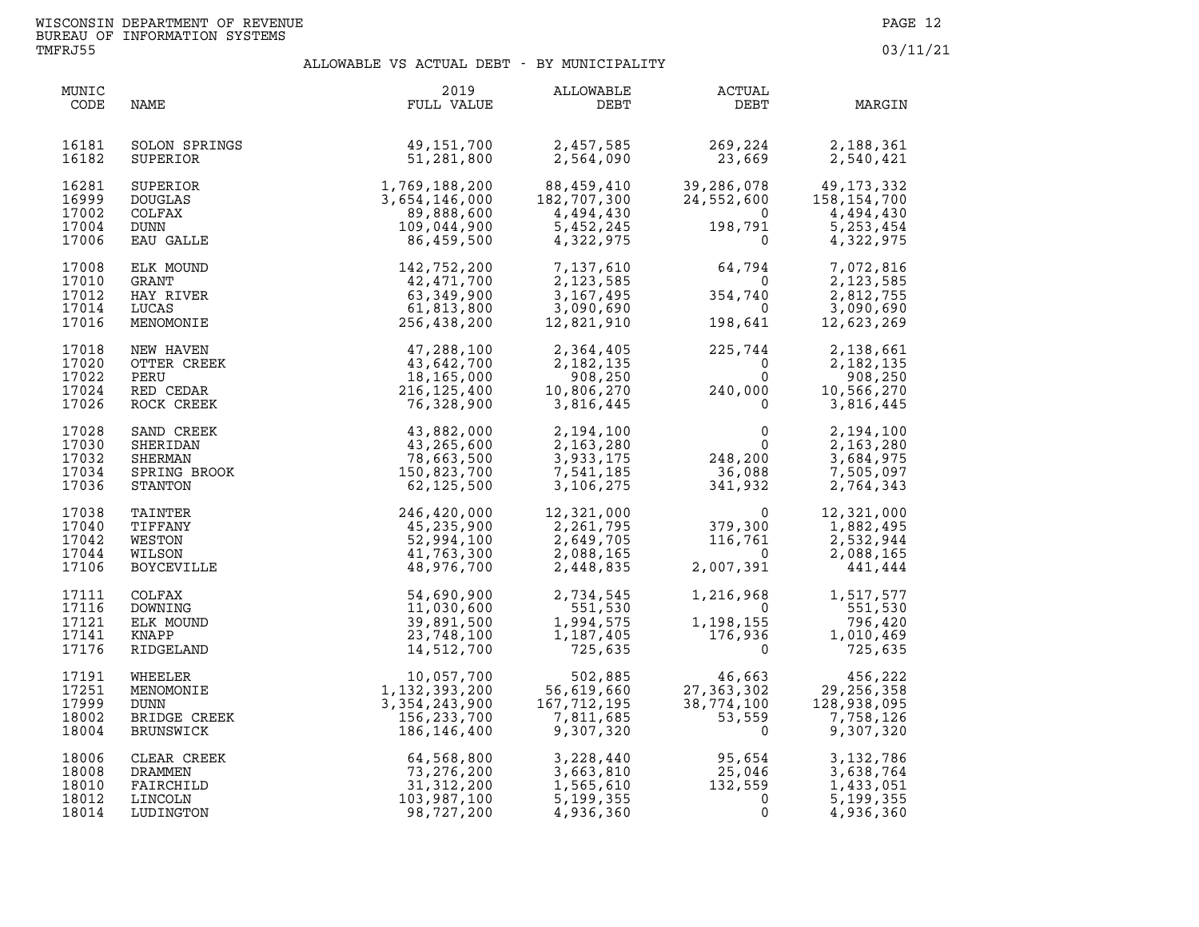**TMFRJ55 03/11/21** 

| MUNIC<br>CODE                             | NAME                                                         | 2019<br>FULL VALUE                                                            | ALLOWABLE<br>DEBT                                                  | ACTUAL<br>DEBT                                                                 | MARGIN                                                                        |
|-------------------------------------------|--------------------------------------------------------------|-------------------------------------------------------------------------------|--------------------------------------------------------------------|--------------------------------------------------------------------------------|-------------------------------------------------------------------------------|
| 16181<br>16182                            | SOLON SPRINGS<br>SUPERIOR                                    | 49,151,700<br>51,281,800                                                      | 2,457,585<br>2,564,090                                             | 269,224<br>23,669                                                              | 2,188,361<br>2,540,421                                                        |
| 16281<br>16999<br>17002<br>17004<br>17006 | SUPERIOR<br><b>DOUGLAS</b><br>COLFAX<br>DUNN<br>EAU GALLE    | 1,769,188,200<br>3,654,146,000<br>89,888,600<br>109,044,900<br>86,459,500     | 88,459,410<br>182,707,300<br>4,494,430<br>5,452,245<br>4,322,975   | 24,552,600<br>$\overline{0}$<br>198,791<br>$\Omega$                            | 39,286,078 49,173,332<br>158,154,700<br>4,494,430<br>5, 253, 454<br>4,322,975 |
| 17008<br>17010<br>17012<br>17014<br>17016 | ELK MOUND<br><b>GRANT</b><br>HAY RIVER<br>LUCAS<br>MENOMONIE | 142,752,200<br>42,471,700<br>63,349,900<br>61,813,800<br>256,438,200          | 7,137,610<br>2, 123, 585<br>3, 167, 495<br>3,090,690<br>12,821,910 | 64,794<br>$\overline{0}$<br>354,740<br>$\Omega$<br>198,641                     | 7,072,816<br>2,123,585<br>2,812,755<br>3,090,690<br>12,623,269                |
| 17018<br>17020<br>17022<br>17024<br>17026 | NEW HAVEN<br>OTTER CREEK<br>PERU<br>RED CEDAR<br>ROCK CREEK  | 47,288,100<br>43,642,700<br>18,165,000<br>216,125,400<br>76,328,900           | 2,364,405<br>2,182,135<br>908,250<br>10,806,270<br>3,816,445       | 225,744<br>$\overline{0}$<br>$\Omega$<br>$\overline{a}$<br>240,000<br>$\Omega$ | 2,138,661<br>2,182,135<br>908,250<br>10,566,270<br>3,816,445                  |
| 17028<br>17030<br>17032<br>17034<br>17036 | SAND CREEK<br>SHERIDAN<br>SHERMAN<br>SPRING BROOK<br>STANTON | 43,882,000<br>43,265,600<br>78,663,500<br>150,823,700<br>62,125,500           | 2,194,100<br>2,163,280<br>3,933,175<br>7,541,185<br>3,106,275      | $\begin{array}{c} 0 \\ 0 \\ 248, 200 \\ 36, 088 \\ 341, 932 \end{array}$       | 2,194,100<br>2,163,280<br>3,684,975<br>7,505,097<br>2,764,343                 |
| 17038<br>17040<br>17042<br>17044<br>17106 | TAINTER<br>TIFFANY<br>WESTON<br>WILSON<br><b>BOYCEVILLE</b>  | 246,420,000<br>45,235,900<br>52,994,100<br>41,763,300<br>48,976,700           | 12,321,000<br>2,261,795<br>2,649,705<br>2,088,165<br>2,448,835     | $\begin{smallmatrix}&&&0\cr 379,300\116,761\0\end{smallmatrix}$<br>2,007,391   | 12,321,000<br>1,882,495<br>2,532,944<br>2,088,165<br>441,444                  |
| 17111<br>17116<br>17121<br>17141<br>17176 | COLFAX<br>DOWNING<br>ELK MOUND<br>KNAPP<br>RIDGELAND         | 54,690,900<br>11,030,600<br>39,891,500<br>23,748,100<br>14,512,700            | 2,734,545<br>551,530<br>1,994,575<br>1,187,405<br>725,635          | 1,216,968<br>$\Omega$<br>1,198,155<br>1,198,155<br>176,936<br>$\Omega$         | 1,517,577<br>551,530<br>796,420<br>1,010,469<br>725,635                       |
| 17191<br>17251<br>17999<br>18002<br>18004 | WHEELER<br>MENOMONIE<br>DUNN<br>BRIDGE CREEK<br>BRUNSWICK    | 10,057,700<br>1,132,393,200<br>3, 354, 243, 900<br>156,233,700<br>186,146,400 | 502,885<br>56,619,660<br>167,712,195<br>7,811,685<br>9,307,320     | 46,663<br>27, 363, 302<br>38,774,100<br>53,559<br>$\Omega$                     | 456,222<br>29, 256, 358<br>128,938,095<br>7,758,126<br>9,307,320              |
| 18006<br>18008<br>18010<br>18012<br>18014 | CLEAR CREEK<br>DRAMMEN<br>FAIRCHILD<br>LINCOLN<br>LUDINGTON  | 64,568,800<br>73, 276, 200<br>31, 312, 200<br>103,987,100<br>98,727,200       | 3,228,440<br>3,663,810<br>1,565,610<br>5, 199, 355<br>4,936,360    | 95,654<br>$25,046$<br>132,559<br>0<br>0                                        | 3, 132, 786<br>3,638,764<br>1,433,051<br>5, 199, 355<br>4,936,360             |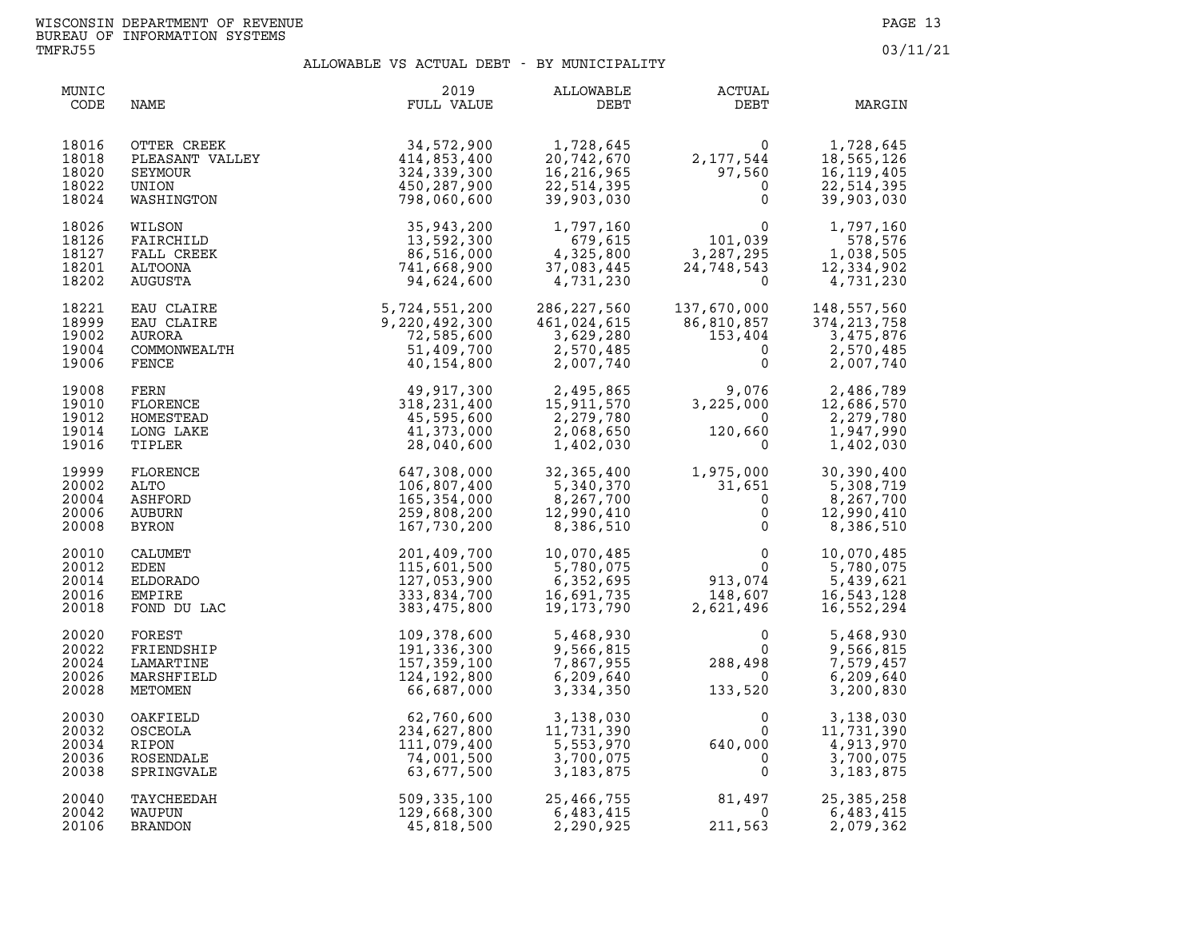| MUNIC<br>CODE                             | NAME                                                             | 2019<br>FULL VALUE                                                                                                                                                                                                                                             | ALLOWABLE<br>DEBT                                                 | <b>ACTUAL</b><br>DEBT                                                                         | MARGIN                                                              |
|-------------------------------------------|------------------------------------------------------------------|----------------------------------------------------------------------------------------------------------------------------------------------------------------------------------------------------------------------------------------------------------------|-------------------------------------------------------------------|-----------------------------------------------------------------------------------------------|---------------------------------------------------------------------|
| 18016<br>18018<br>18020<br>18022<br>18024 | OTTER CREEK<br>PLEASANT VALLEY<br>SEYMOUR<br>UNION<br>WASHINGTON | 34,572,900<br>414,853,400<br>324,339,300<br>450,287,900<br>798,060,600                                                                                                                                                                                         | 1,728,645<br>20,742,670<br>16,216,965<br>22,514,395<br>39,903,030 | $\Omega$<br>2,177,544<br>97,560<br>$\mathbf{0}$                                               | 1,728,645<br>18,565,126<br>16,119,405<br>22,514,395<br>39,903,030   |
| 18026<br>18126<br>18127<br>18201<br>18202 | WILSON<br>FAIRCHILD<br>FALL CREEK<br>ALTOONA<br>AUGUSTA          | 35,943,200<br>13,592,300<br>86,516,000<br>741,668,900<br>94,624,600                                                                                                                                                                                            | 1,797,160<br>679,615<br>4,325,800<br>37,083,445<br>4,731,230      | $\begin{array}{c} 0 \\ 101,039 \\ -205 \end{array}$<br>3,287,295<br>24,748,543<br>$\mathbf 0$ | 1,797,160<br>578,576<br>1,038,505<br>12,334,902<br>4,731,230        |
| 18221<br>18999<br>19002<br>19004<br>19006 |                                                                  | 94, 624, 600<br>EAU CLAIRE<br>EAU CLAIRE<br>EAU CLAIRE<br>200<br>AURORA<br>COMMONWEALTH<br>COMMONWEALTH<br>FERN 29, 220, 492, 300<br>51, 409, 700<br>51, 409, 700<br>40, 154, 800<br>FERN 49, 917, 300<br>FLORENCE<br>318, 231, 400<br>LONG LAKE<br>41, 373, 0 | 286,227,560<br>461,024,615<br>3,629,280<br>2,570,485<br>2,007,740 | 137,670,000<br>86,810,857<br>153,404<br>$\overline{0}$<br>$\mathbf 0$                         | 148,557,560<br>374, 213, 758<br>3,475,876<br>2,570,485<br>2,007,740 |
| 19008<br>19010<br>19012<br>19014<br>19016 |                                                                  |                                                                                                                                                                                                                                                                | 2,495,865<br>15,911,570<br>2,279,780<br>2,068,650<br>1,402,030    | 9,076<br>225.000    1<br>3,225,000<br>$\overline{0}$<br>120,660<br>$\Omega$                   | 2,486,789<br>12,686,570<br>2,279,780<br>1,947,990<br>1,402,030      |
| 19999<br>20002<br>20004<br>20006<br>20008 | FLORENCE<br>ALTO<br>ASHFORD<br>AUBURN<br>BYRON                   | 647,308,000<br>106,807,400<br>165,354,000<br>259,808,200<br>167,730,200                                                                                                                                                                                        | 32,365,400<br>5,340,370<br>8,267,700<br>12,990,410<br>8,386,510   | 1,975,000<br>$31,651$<br>0<br>0<br>$\Omega$                                                   | 30,390,400<br>5,308,719<br>8,267,700<br>12,990,410<br>8,386,510     |
| 20010<br>20012<br>20014<br>20016<br>20018 | CALUMET<br>EDEN<br>ELDORADO<br>EMPIRE<br>FOND DU LAC             | 201,409,700<br>115,601,500<br>127,053,900<br>333,834,700<br>383,475,800                                                                                                                                                                                        | 10,070,485<br>5,780,075<br>6,352,695<br>16,691,735<br>19,173,790  | $\mathsf{O}$<br>$\Omega$<br>913,074<br>148,607<br>--1.496<br>2,621,496                        | 10,070,485<br>5,780,075<br>5,439,621<br>16,543,128<br>16,552,294    |
| 20020<br>20022<br>20024<br>20026<br>20028 | FOREST<br>FRIENDSHIP<br>LAMARTINE<br>MARSHFIELD<br>METOMEN       | 109,378,600<br>191,336,300<br>157, 359, 100<br>124,192,800<br>66,687,000                                                                                                                                                                                       | 5,468,930<br>9,566,815<br>7,867,955<br>6, 209, 640<br>3,334,350   | $\Omega$<br>$\Omega$<br>288,498<br>$\bigcirc$<br>133,520                                      | 5,468,930<br>9,566,815<br>7,579,457<br>6,209,640<br>3,200,830       |
| 20030<br>20032<br>20034<br>20036<br>20038 | OAKFIELD<br>OSCEOLA<br>RIPON<br>ROSENDALE<br>SPRINGVALE          | 62,760,600<br>234,627,800<br>111,079,400<br>74,001,500<br>63,677,500                                                                                                                                                                                           | 3,138,030<br>11,731,390<br>5,553,970<br>3,700,075<br>3, 183, 875  | $\epsilon$<br>$\mathbf 0$<br>$\mathbf{0}$<br>640,000<br>$\overline{0}$<br>0                   | 3,138,030<br>11,731,390<br>4,913,970<br>3,700,075<br>3, 183, 875    |
| 20040<br>20042<br>20106                   | TAYCHEEDAH<br>WAUPUN<br><b>BRANDON</b>                           | 509, 335, 100<br>129,668,300<br>45,818,500                                                                                                                                                                                                                     | 25,400,,,,,<br>6,483,415<br>- 200,925<br>2,290,925                | 81,497<br>$\overline{0}$<br>211,563                                                           | 25, 385, 258<br>6,483,415<br>2,079,362                              |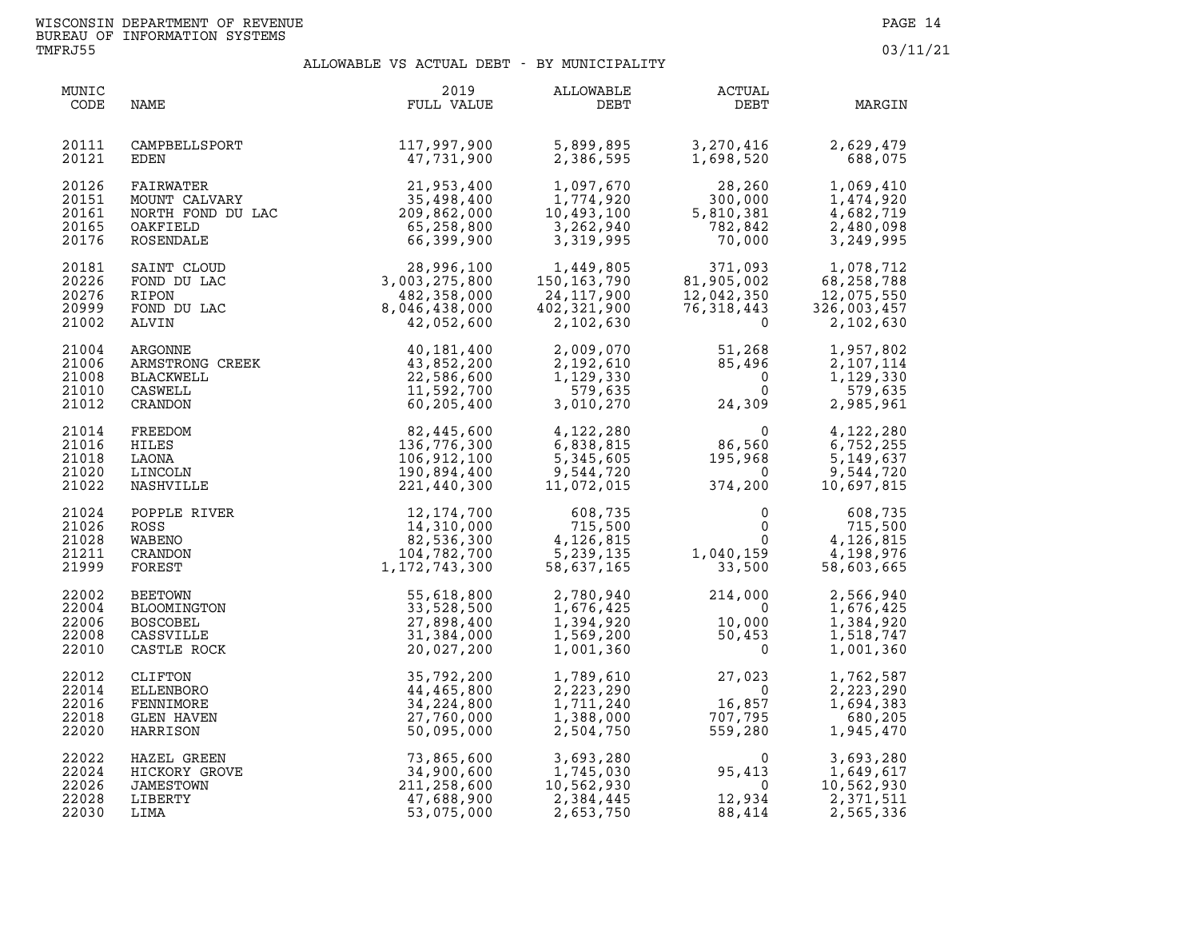**TMFRJ55 03/11/21** 

| MUNIC<br>CODE                             | NAME                                                                                                                             | 2019<br>FULL VALUE                                                                            | ALLOWABLE<br>DEBT                                                               | ACTUAL<br>DEBT                                                                  | MARGIN                                                            |
|-------------------------------------------|----------------------------------------------------------------------------------------------------------------------------------|-----------------------------------------------------------------------------------------------|---------------------------------------------------------------------------------|---------------------------------------------------------------------------------|-------------------------------------------------------------------|
| 20111<br>20121                            | CAMPBELLSPORT<br>EDEN                                                                                                            | 117,997,900<br>47,731,900                                                                     | 5,899,895<br>2,386,595                                                          | 3,270,416<br>1,698,520                                                          | 2,629,479<br>688,075                                              |
| 20126<br>20151<br>20161<br>20165<br>20176 | FAIRWATER 21,953,400<br>MOUNT CALVARY 35,498,400<br>NORTH FOND DU LAC 209,862,000<br>OAKFIELD 65,258,800<br>ROSENDALE 66,399,900 |                                                                                               | 1,097,670<br>1,774,920<br>10,493,100<br>3,262,940<br>3,319,995                  | 28,260<br>$\begin{array}{r} .52 \ .752 \ .754 \ .759 \ .787 \ .787 \end{array}$ | 1,069,410<br>1,474,920<br>4,682,719<br>2,480,098<br>3,249,995     |
| 20181<br>20226<br>20276<br>20999<br>21002 | SAINT CLOUD<br>FOND DU LAC<br>RIPON<br>FOND DU LAC<br>ALVIN                                                                      | 28,996,100<br>3,003,275,800<br>482,358,000<br>482, 358, 000<br>8, 046, 438, 000<br>42,052,600 | 1,449,805<br>150, 163, 790<br>24,117,900<br>402,321,900<br>2,102,630            | 371,093<br>81,905,002<br>12,042,350<br>12,042,350<br>76,318,443<br>0            | 1,078,712<br>68,258,788<br>12,075,550<br>326,003,457<br>2,102,630 |
| 21004<br>21006<br>21008<br>21010<br>21012 | ARGONNE<br>ARMSTRONG CREEK<br>BLACKWELL<br>CASWELL<br>CRANDON                                                                    | 40,181,400<br>43,852,200<br>22,586,600<br>11,592,700<br>60,205,400                            | 2,009,070<br>2,192,610<br>1,129,330<br>579,635<br>3,010,270                     | 51,268<br>85,496<br>$\mathbf{0}$<br>$\Omega$<br>24,309                          | 1,957,802<br>2,107,114<br>1,129,330<br>579,635<br>2,985,961       |
| 21014<br>21016<br>21018<br>21020<br>21022 | FREEDOM<br>HILES<br>LAONA<br>LINCOLN<br>NASHVILLE                                                                                | 82,445,600<br>136,776,300<br>106,912,100<br>190,894,400<br>221,440,300                        | 4,122,280<br>6,838,815<br>$\frac{1}{2}$<br>5,345,605<br>9,544,720<br>11,072,015 | 0<br>86,560<br>195,968<br>$\overline{\mathbf{0}}$<br>374,200                    | 4,122,280<br>6,752,255<br>5,149,637<br>9,544,720<br>10,697,815    |
| 21024<br>21026<br>21028<br>21211<br>21999 | POPPLE RIVER<br>ROSS 14,310,000<br>WABENO 82,536,300<br>CRANDON 104,782,700<br>FOREST 1,172,743,300                              |                                                                                               | 608,735<br>715,500<br>$4,126,815$<br>5,239,135<br>58,637,165                    | $\mathbf{0}$<br>0<br>$0 \qquad \qquad$<br>1,040,159<br>33,500                   | 608,735<br>715,500<br>4,126,815<br>4,198,976<br>58,603,665        |
| 22002<br>22004<br>22006<br>22008<br>22010 | BEETOWN<br>BLOOMINGTON<br><b>BOSCOBEL</b><br>CASSVILLE<br>CASTLE ROCK                                                            | 55,618,800<br>33,528,500<br>27,898,400<br>31,384,000<br>20,027,200                            | 2,780,940<br>1,676,425<br>1,394,920<br>1,569,200<br>1,001,360                   | $214,000$<br>0<br>$10,000$<br>50,453<br>0                                       | 2,566,940<br>1,676,425<br>1,384,920<br>1,518,747<br>1,001,360     |
| 22012<br>22014<br>22016<br>22018<br>22020 | CLIFTON<br>ELLENBORO<br>FENNIMORE<br><b>GLEN HAVEN</b><br>HARRISON                                                               | 35,792,200<br>44,465,800<br>34, 224, 800<br>27,760,000<br>50,095,000                          | 1,789,610<br>2,223,290<br>1,711,240<br>1,388,000<br>2,504,750                   | $27,023$<br>0<br>16,857<br>707,795<br>559,280                                   | 1,762,587<br>2,223,290<br>1,694,383<br>680,205<br>1,945,470       |
| 22022<br>22024<br>22026<br>22028<br>22030 | HAZEL GREEN<br>HICKORY GROVE<br>JAMESTOWN<br>LIBERTY<br>LIMA                                                                     | 73,865,600<br>34,900,600<br>211,258,600<br>47,688,900<br>53,075,000                           | 3,693,280<br>1,745,030<br>10,562,930<br>2,384,445<br>2,653,750                  | $\mathbf{0}$<br>$95,413$<br>0<br>12,934<br>88,414                               | 3,693,280<br>1,649,617<br>10,562,930<br>2,371,511<br>2,565,336    |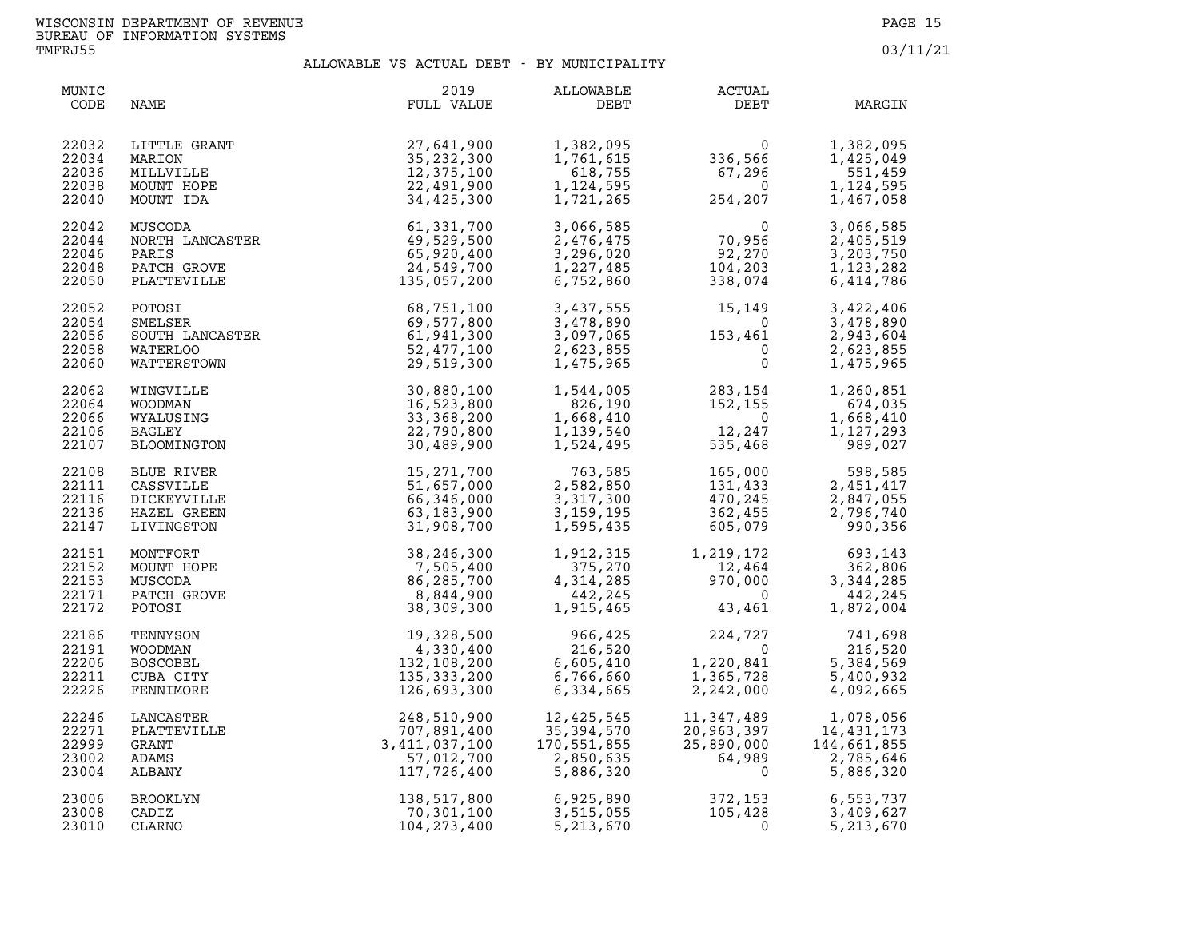| MUNIC<br>CODE                             | NAME                                                                | 2019<br>FULL VALUE                                                                                                                                                                                                                | ALLOWABLE<br>DEBT                                                                                                                                                                            | <b>ACTUAL</b><br>DEBT                                                                                                                                                                                                                      | MARGIN                                                        |
|-------------------------------------------|---------------------------------------------------------------------|-----------------------------------------------------------------------------------------------------------------------------------------------------------------------------------------------------------------------------------|----------------------------------------------------------------------------------------------------------------------------------------------------------------------------------------------|--------------------------------------------------------------------------------------------------------------------------------------------------------------------------------------------------------------------------------------------|---------------------------------------------------------------|
| 22032<br>22034<br>22036<br>22038<br>22040 |                                                                     | LITTLE GRANT<br>MARION 35,232,300<br>MILLVILLE 12,375,100<br>MOUNT HOPE 22,491,900<br>MOUNT IDA 34,425,300<br>MUSCODA 61,331,700<br>NORTH LANCASTER 49,529,500<br>PARIS 49,529,500<br>PARIS 65,920,400<br>PLATTEVILLE 135,057,200 |                                                                                                                                                                                              | $\begin{array}{llll} 1,382,095 & 0 \\ 1,761,615 & 336,566 \\ 618,755 & 67,296 \\ 1,124,595 & 0 \\ 1,721,265 & 254,207 \end{array}$                                                                                                         | 1,382,095<br>1,425,049<br>551,459<br>1,124,595<br>1,467,058   |
| 22042<br>22044<br>22046<br>22048<br>22050 |                                                                     |                                                                                                                                                                                                                                   |                                                                                                                                                                                              | 3,066,585<br>2,476,475 70,956<br>3,296,020 92,270<br>1,227,485 104,203<br>6,752,860 338,074                                                                                                                                                | 3,066,585<br>2,405,519<br>3,203,750<br>1,123,282<br>6,414,786 |
| 22052<br>22054<br>22056<br>22058<br>22060 |                                                                     | POTOSI 68,751,100<br>SMELSER 69,577,800<br>SOUTH LANCASTER 61,941,300<br>WATERLOO 52,477,100<br>WATTERSTOWN 29,519,300                                                                                                            |                                                                                                                                                                                              | 3,437,555<br>3,478,890<br>3,097,065<br>2,623,855<br>1,475,965<br>0                                                                                                                                                                         | 3,422,406<br>3,478,890<br>2,943,604<br>2,623,855<br>1,475,965 |
| 22062<br>22064<br>22066<br>22106<br>22107 | WINGVILLE<br>WOODMAN<br>WYALUSING<br>BAGLEY<br>BLOOMINGTON          | 30,880,100<br>16,523,800<br>33,368,200<br>22,790,800<br>30,489,900                                                                                                                                                                |                                                                                                                                                                                              | $\begin{array}{cccc} 1,544\,, 005 & 283\,, 154 & 1,260\,, 851 \\ 826\,, 190 & 152\,, 155 & 674\,, 035 \\ 1,668\,, 410 & 0 & 1,668\,, 410 \\ 1,139\,, 540 & 12\,, 247 & 1,127\,, 293 \\ 1,524\,, 495 & 535\,, 468 & 989\,, 027 \end{array}$ |                                                               |
| 22108<br>22111<br>22116<br>22136<br>22147 | BLUE RIVER<br>CASSVILLE<br>DICKEYVILLE<br>HAZEL GREEN<br>LIVINGSTON | 15,271,700<br>51,657,000<br>66,346,000<br>63,183,900<br>31,908,700                                                                                                                                                                |                                                                                                                                                                                              | $\begin{array}{cccc} 763,585 & 165,000 & 598,585 \\ 2,582,850 & 131,433 & 2,451,417 \\ 3,317,300 & 470,245 & 2,847,055 \\ 3,159,195 & 362,455 & 2,796,740 \\ 1,595,435 & 605,079 & 990,356 \end{array}$                                    |                                                               |
| 22151<br>22152<br>22153<br>22171<br>22172 | MONTFORT<br>MOUNT HOPE<br>MUSCODA<br>PATCH GROVE<br>POTOSI          | 38, 246, 300<br>7, 505, 400<br>86, 285, 700<br>8, 844, 900<br>38, 309, 300                                                                                                                                                        |                                                                                                                                                                                              | $\begin{array}{cccc} 1,912,315 & 1,219,172 & 693,143 \\ 375,270 & 12,464 & 362,806 \\ 4,314,285 & 970,000 & 3,344,285 \\ 442,245 & 0 & 442,245 \\ 1,915,465 & 43,461 & 1,872,004 \end{array}$                                              |                                                               |
| 22186<br>22191<br>22206<br>22211<br>22226 | TENNYSON<br>WOODMAN<br><b>BOSCOBEL</b><br>CUBA CITY<br>FENNIMORE    | 19, 328, 500<br>4, 330, 400<br>132, 108, 200<br>135, 333, 200<br>126, 693, 300<br>132,108,200<br>135,333,200<br>126,693,300                                                                                                       |                                                                                                                                                                                              | $\begin{array}{cccc} 966,425 & 224,727 & 741,698 \\ 216,520 & 0 & 216,520 \\ 6,605,410 & 1,220,841 & 5,384,569 \\ 6,766,660 & 1,365,728 & 5,400,932 \\ 6,334,665 & 2,242,000 & 4,092,665 \end{array}$                                      |                                                               |
| 22246<br>22271<br>22999<br>23002<br>23004 | LANCASTER<br>PLATTEVILLE<br>GRANT<br>ADAMS<br>ALBANY                | 3,411,037,100                                                                                                                                                                                                                     | $\begin{array}{llll} 248, 510, 900 & 12, 425, 545 \\ 707, 891, 400 & 35, 394, 570 \\ 411, 037, 100 & 170, 551, 855 \\ 57, 012, 700 & 2, 850, 635 \\ 117, 726, 400 & 5, 886, 320 \end{array}$ | $\begin{array}{cc} 11,347,489 & 1,078,056 \ 20,963,397 & 14,431,173 \ 25,890,000 & 144,661,855 \ 64,989 & 2,785,646 \ 0 & 5,886,320 \ \end{array}$                                                                                         |                                                               |
| 23006<br>23008<br>23010                   | BROOKLYN<br>CADIZ<br><b>CLARNO</b>                                  |                                                                                                                                                                                                                                   | 138,517,800 6,925,890 372,153<br>70,301,100 3,515,055 105,428<br>104,273,400 5,213,670 0                                                                                                     |                                                                                                                                                                                                                                            | 6,553,737<br>3,409,627<br>5,213,670                           |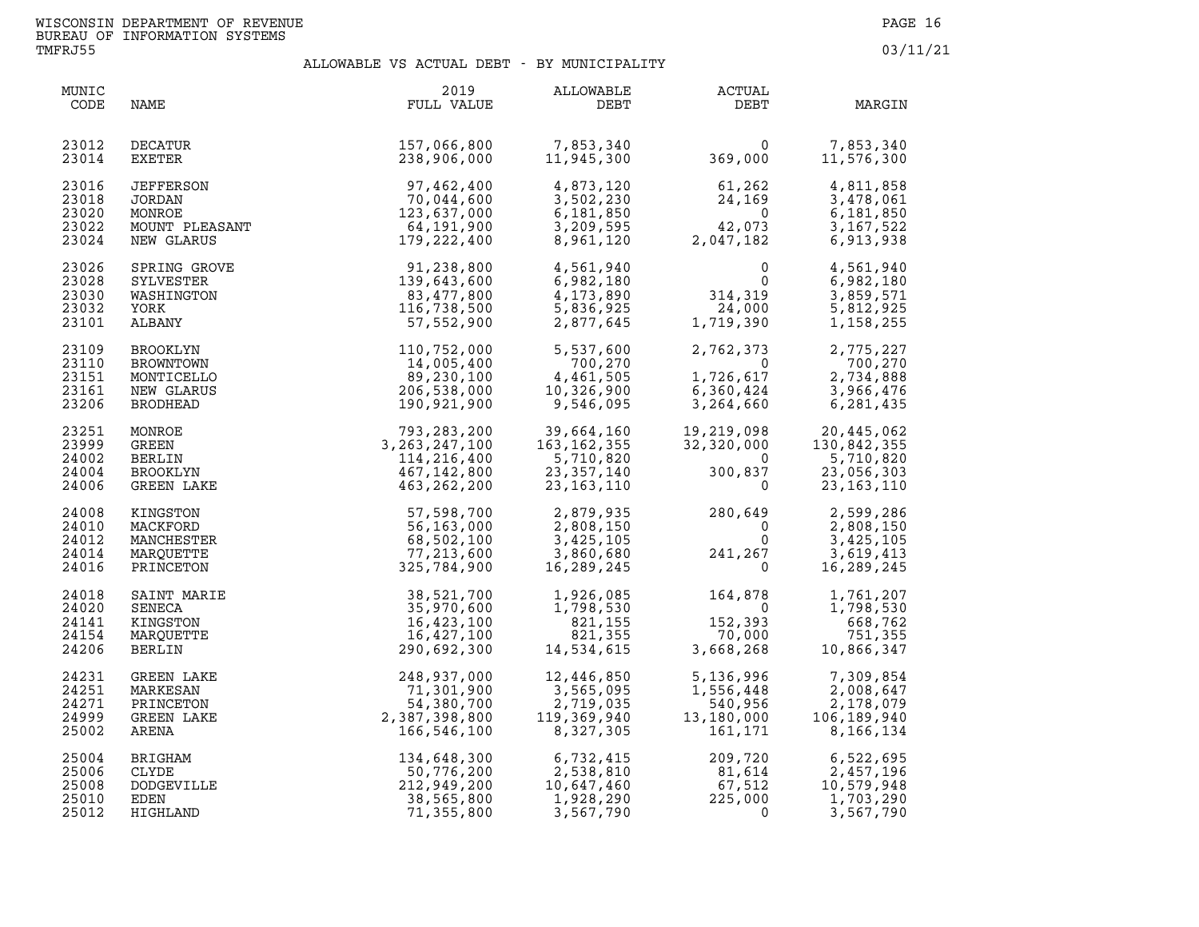| MUNIC<br>CODE                             | NAME                                                                 | 2019<br>FULL VALUE                                                                               | ALLOWABLE<br>DEBT                                                                                     | ACTUAL<br>DEBT                                                                                                             | MARGIN                                                                                                                                                                                    |
|-------------------------------------------|----------------------------------------------------------------------|--------------------------------------------------------------------------------------------------|-------------------------------------------------------------------------------------------------------|----------------------------------------------------------------------------------------------------------------------------|-------------------------------------------------------------------------------------------------------------------------------------------------------------------------------------------|
| 23012<br>23014                            | DECATUR<br>EXETER                                                    | 157,066,800<br>238,906,000                                                                       | 7,853,340<br>11.945.300                                                                               | 0<br>369,000                                                                                                               | 7,853,340<br>11,576,300                                                                                                                                                                   |
| 23016<br>23018<br>23020<br>23022<br>23024 | JEFFERSON<br>JORDAN<br>MONROE<br>MOUNT PLEASANT<br>NEW GLARUS        | 97,462,400<br>70,044,600<br>123,637,000                                                          | 4,873,120<br>3,502,230<br>6,181,850<br>3,209,595<br>8,961,120                                         | $61,262$<br>24,169<br>0<br>42,073<br>$\begin{array}{r} 24,262 \\ 24,169 \\ 0 \\ 42,073 \\ 17,182 \end{array}$<br>2,047,182 | 4,811,858<br>3,478,061<br>6,181,850<br>3,167,522<br>6,913,938                                                                                                                             |
| 23026<br>23028<br>23030<br>23032<br>23101 | SPRING GROVE<br>SYLVESTER<br>WASHINGTON<br>YORK<br>ALBANY            |                                                                                                  | 4,561,940<br>6,982,180<br>4,173,890<br>5,836,925<br>2,877,645                                         | $\begin{array}{c}0\\0\\314,319\\24,000\\1,719,390\end{array}$                                                              | 4,561,940<br>6,982,180<br>3,859,571<br>5,812,925<br>1,158,255                                                                                                                             |
| 23109<br>23110<br>23151<br>23161<br>23206 | BROOKLYN<br>BROWNTOWN<br>MONTICELLO<br>NEW GLARUS<br><b>BRODHEAD</b> |                                                                                                  | 5,537,600<br>$700, 270$<br>$4, 461, 505$<br>$10, 326, 900$<br>$9, 546, 095$<br>4,461,505<br>9,546,095 |                                                                                                                            | $\begin{array}{llll} 2,762,373 & \quad & 2,775,227 \\ 0 & \quad & 700,270 \\ 1,726,617 & \quad & 2,734,888 \\ 6,360,424 & \quad & 3,966,476 \\ 3,264,660 & \quad & 6,281,435 \end{array}$ |
| 23251<br>23999<br>24002<br>24004<br>24006 | MONROE<br>GREEN<br><b>BERLIN</b><br>BROOKLYN<br>GREEN LAKE           |                                                                                                  | 39,664,160<br>163, 162, 355<br>5,710,820<br>23, 357, 140<br>23,163,110                                | $\frac{19}{32}$<br>$\overline{0}$<br>300,837<br>$\mathsf{O}$                                                               | 19,219,098 20,445,062<br>32,320,000 130,842,355<br>5,710,820<br>23,056,303<br>23, 163, 110                                                                                                |
| 24008<br>24010<br>24012<br>24014<br>24016 | KINGSTON<br>MACKFORD<br>MANCHESTER<br>MARQUETTE<br>PRINCETON         | 56,163,000<br>68,502,100<br>77,213,600<br>325,784,900                                            | 2,879,935<br>2,808,150<br>3,425,105<br>3,860,680<br>16,289,245                                        | $280,649$<br>0<br>241,267<br>0                                                                                             | 2,599,286<br>2,808,150<br>3,425,105<br>3,619,413<br>16,289,245                                                                                                                            |
| 24018<br>24020<br>24141<br>24154<br>24206 | SAINT MARIE<br>SENECA<br>KINGSTON<br>MARQUETTE<br><b>BERLIN</b>      | 38,521,700<br>35,970,600<br>16,423,100<br>16,427,100<br>290,692,300                              | 1,926,085<br>1,798,530<br>821,155<br>821,355<br>14,534,615                                            | 164,878<br>$\overline{0}$<br>152,393<br>70,000<br>3,668,268                                                                | 1,761,207<br>1,798,530<br>668,762<br>751,355<br>10,866,347                                                                                                                                |
| 24231<br>24251<br>24271<br>24999<br>25002 | GREEN LAKE<br>MARKESAN<br>PRINCETON<br>GREEN LAKE<br>ARENA           | 248, 93, ,<br>71, 301, 900<br>54, 380, 700<br>2, 387, 398, 800<br>166, 546, 100<br>104, 648, 300 | 12,446,850<br>3,565,095<br>2,719,035<br>119,369,940<br>8,327,305                                      | 5,136,996<br>1,556,448<br>$540,956$<br>13,180,000<br>161,171                                                               | 7,309,854<br>2,008,647<br>2,178,079<br>106,189,940<br>8,166,134                                                                                                                           |
| 25004<br>25006<br>25008<br>25010<br>25012 | BRIGHAM<br><b>CLYDE</b><br>DODGEVILLE<br>EDEN<br>HIGHLAND            | 134,648,300<br>50,776,200<br>212,949,200<br>38,565,800<br>71,355,800                             | 6,732,415<br>2,538,810<br>10,647,460<br>1,928,290<br>3,567,790                                        | 209,720<br>81,614<br>67,512<br>225,000<br>$\Omega$                                                                         | 6,522,695<br>2,457,196<br>10,579,948<br>1,703,290<br>3,567,790                                                                                                                            |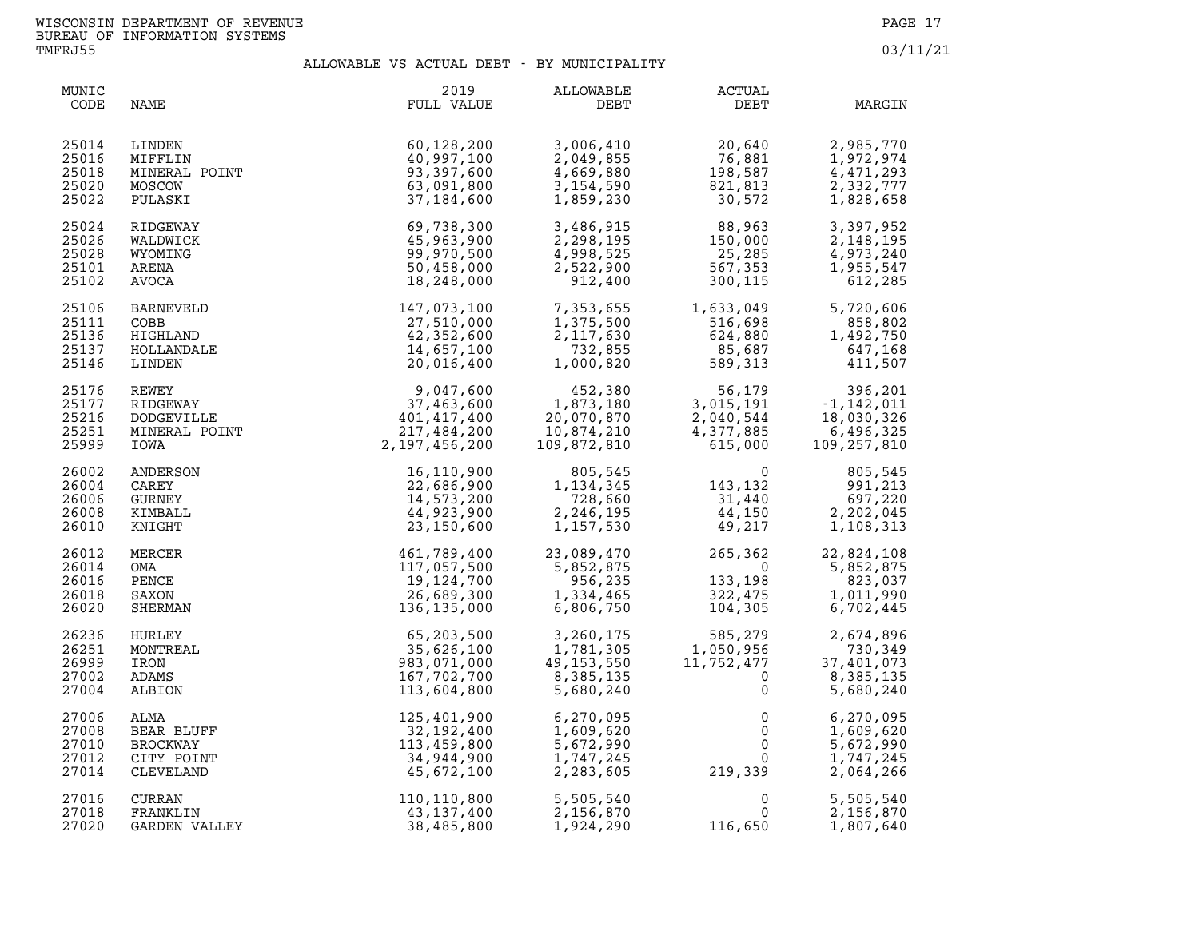| MUNIC<br>CODE                             | NAME                                                            | 2019<br>FULL VALUE                                                                 | ALLOWABLE<br>DEBT                                                             | ACTUAL<br>DEBT                                                                                                     | MARGIN                                                                           |
|-------------------------------------------|-----------------------------------------------------------------|------------------------------------------------------------------------------------|-------------------------------------------------------------------------------|--------------------------------------------------------------------------------------------------------------------|----------------------------------------------------------------------------------|
| 25014<br>25016<br>25018<br>25020<br>25022 | LINDEN<br>MIFFLIN<br>MINERAL POINT<br>MOSCOW<br>PULASKI         | 60,128,200<br>40,997,100<br>93,397,600<br>63,091,800<br>37, 184, 600               | 3,006,410<br>2,049,855<br>4,669,880<br>3,154,590<br>1,859,230                 | 20,640<br>76,881<br>198,587<br>821,813<br>30,572                                                                   | 2,985,770<br>1,972,974<br>4,471,293<br>2,332,777<br>1,828,658                    |
| 25024<br>25026<br>25028<br>25101<br>25102 | RIDGEWAY<br>WALDWICK<br>WYOMING<br>ARENA<br>AVOCA               | 69,738,300<br>45,963,900<br>99,970,500<br>50,458,000<br>18,248,000                 | 3,486,915<br>2,298,195<br>4,998,525<br>2,522,900<br>912,400                   | $88,963$<br>$150,000$<br>$25,285$<br>$567,353$<br>$300,115$<br>$88,963$<br>150,000<br>25,285<br>567,353<br>300,115 | 3,397,952<br>2,148,195<br>4,973,240<br>1,955,547<br>612,285                      |
| 25106<br>25111<br>25136<br>25137<br>25146 | <b>BARNEVELD</b><br>COBB<br>HIGHLAND<br>HOLLANDALE<br>LINDEN    | 147,073,100<br>27,510,000<br>42,352,600<br>14,657,100<br>20,016,400                | 7,353,655<br>1,375,500<br>2,117,630<br>732,855<br>1,000,820                   | 1,633,049<br>516,698<br>624,880<br>85,687<br>589,313                                                               | 5,720,606<br>858,802<br>1,492,750<br>647,168<br>411,507                          |
| 25176<br>25177<br>25216<br>25251<br>25999 | REWEY<br>RIDGEWAY<br><b>DODGEVILLE</b><br>MINERAL POINT<br>IOWA | 9,047,600<br>37,463,600<br>401,417,400<br>217,484,200<br>2, 197, 456, 200          | 452,380<br>1,873,180<br>20,070,870<br>10,874,210<br>109,872,810<br>20,070,870 | 3,015,191<br>2,040,544<br>4,377,885<br>615,000                                                                     | 56,179 396,201<br>015,191 -1,142,011<br>18,030,326<br>6,496,325<br>109, 257, 810 |
| 26002<br>26004<br>26006<br>26008<br>26010 | ANDERSON<br>CAREY<br><b>GURNEY</b><br>KIMBALL<br>KNIGHT         | 16,110,900<br>22,686,900<br>14,573,200<br>44,923,900<br>23,150,600                 | 805,545<br>1,134,345<br>728,660<br>2,246,195<br>1,157,530                     | $\begin{array}{c} 0 \\ 143,132 \\ 31,440 \\ 44,150 \end{array}$<br>44,150<br>49,217                                | 805,545<br>991,213<br>697,220<br>2,202,045<br>1,108,313                          |
| 26012<br>26014<br>26016<br>26018<br>26020 | MERCER<br>OMA<br>PENCE<br>SAXON<br>SHERMAN                      | 461,789,400<br>117,057,500<br>19,124,700<br>26,689,300<br>136,135,000              | 23,089,470<br>5,852,875<br>956,235<br>1,334,465<br>6,806,750                  | 265,362<br>$\overline{0}$<br>133,198<br>322,475<br>322,475<br>104,305                                              | 22,824,108<br>5,852,875<br>823,037<br>1,011,990<br>6,702,445                     |
| 26236<br>26251<br>26999<br>27002<br>27004 | HURLEY<br>MONTREAL<br>IRON<br>ADAMS<br>ALBION                   | 65,203,500<br>35,626,100<br>983,071,000<br>167,702,700<br>113,604,800              | 3,260,175<br>1,781,305<br>49,153,550<br>8,385,135<br>8,385,135<br>5,680,240   | 585,279<br>1,050,956<br>11,752,477<br>0<br>$\mathbf 0$<br>$\mathbf 0$                                              | 2,674,896<br>730,349<br>37,401,073<br>8,385,135<br>5,680,240                     |
| 27006<br>27008<br>27010<br>27012<br>27014 | ALMA<br>BEAR BLUFF<br>BROCKWAY<br>CITY POINT<br>CLEVELAND       | <b>LEY</b><br>125,401,900<br>32,192,400<br>113,459,800<br>34,944,900<br>45,672,100 | 6,270,095<br>1,609,620<br>5,672,990<br>1,747,245<br>2,283,605                 | $\mathsf{O}$<br>$\overline{0}$<br>$\mathsf{O}$<br>$0 \qquad \qquad$<br>219,339                                     | 6,270,095<br>1,609,620<br>5,672,990<br>1,747,245<br>2,064,266                    |
| 27016<br>27018<br>27020                   | <b>CURRAN</b><br>FRANKLIN<br>GARDEN VALLEY                      | 110,110,800<br>43,137,400<br>38,485,800                                            | 5,505,540<br>2,156,870<br>1,924,290                                           | $\mathsf{O}$<br>$\mathbf{0}$<br>116,650                                                                            | 5,505,540<br>2,156,870<br>1,807,640                                              |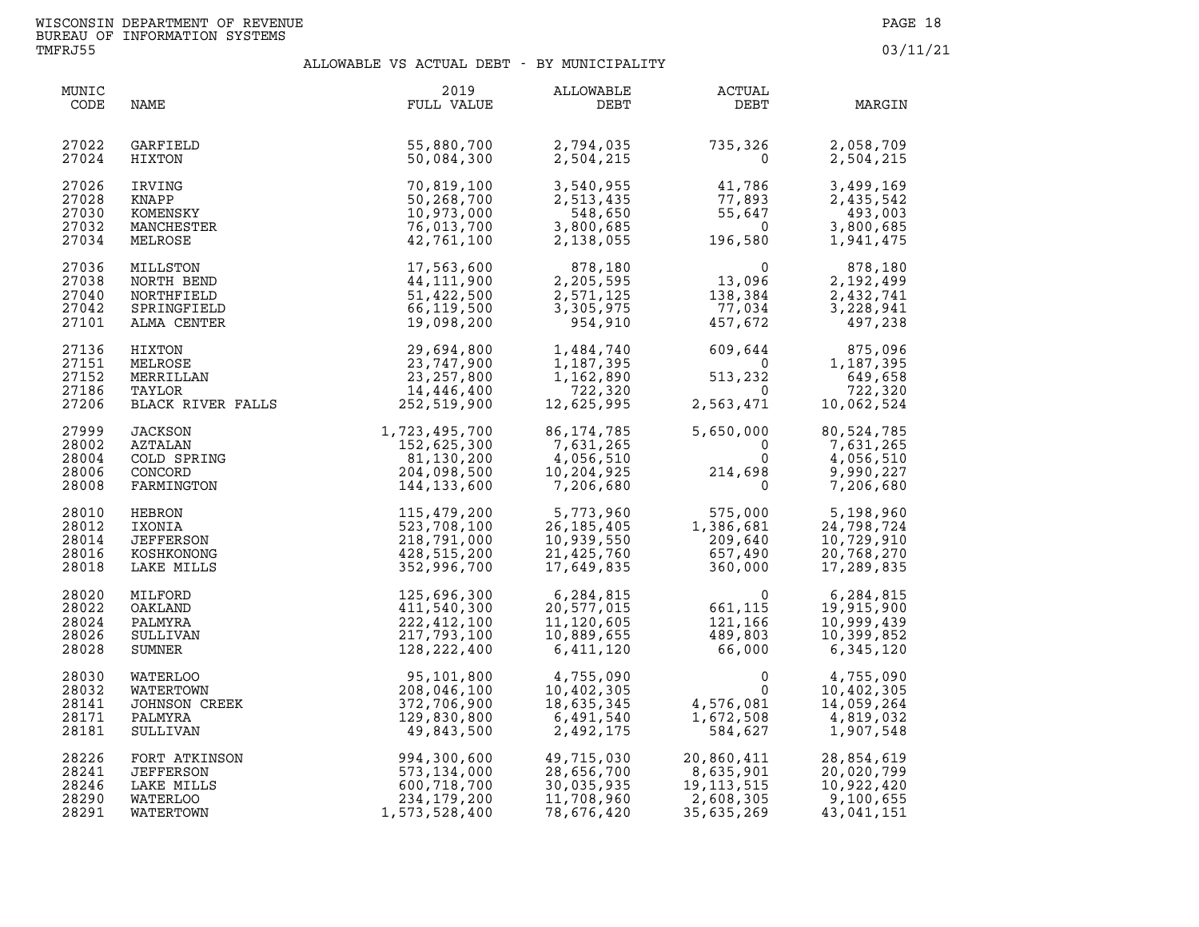| MUNIC<br>CODE                             | NAME                                                                    | 2019<br>FULL VALUE                                                                | ALLOWABLE<br>DEBT                                                   | ACTUAL<br>DEBT                                                                                             | MARGIN                                                            |
|-------------------------------------------|-------------------------------------------------------------------------|-----------------------------------------------------------------------------------|---------------------------------------------------------------------|------------------------------------------------------------------------------------------------------------|-------------------------------------------------------------------|
| 27022<br>27024                            | GARFIELD<br>HIXTON                                                      | 55,880,700<br>50,084,300                                                          | 2,794,035<br>2,504,215                                              | 735, 326<br>$\Omega$                                                                                       | 2,058,709<br>2,504,215                                            |
| 27026<br>27028<br>27030<br>27032<br>27034 | IRVING<br>KNAPP<br>KOMENSKY<br>MANCHESTER<br>MELROSE                    | 70,819,100<br>50,268,700<br>10,973,000<br>76,013,700<br>42,761,100                | 3,540,955<br>2,513,435<br>548,650<br>3,800,685<br>2,138,055         | 41,786<br>77,893<br>55,647<br>$\overline{\mathbf{0}}$<br>196,580                                           | 3,499,169<br>2,435,542<br>493,003<br>3,800,685<br>1,941,475       |
| 27036<br>27038<br>27040<br>27042<br>27101 | MILLSTON<br>NORTH BEND<br>NORTHFIELD<br>SPRINGFIELD<br>ALMA CENTER      | 17,563,600<br>44,111,900<br>51,422,500<br>66,119,500<br>19,098,200                | 878,180<br>2,205,595<br>2,571,125<br>3,305,975<br>954,910           | $\begin{smallmatrix}&&&0\13\, ,\, 096\138\, ,\, 384\2\  \  \, 77\, ,\, 034\457\, ,\, 672\end{smallmatrix}$ | 878,180<br>2,192,499<br>2,432,741<br>3,228,941<br>497,238         |
| 27136<br>27151<br>27152<br>27186<br>27206 | HIXTON<br>MELROSE<br>MERRILLAN<br>TAYLOR<br>BLACK RIVER FALLS           | 29,694,800<br>23,747,900<br>23, 257, 800<br>14,446,400<br>252,519,900             | 1,484,740<br>1,187,395<br>1,162,890<br>722,320<br>12,625,995        | $609,644$ <sup>0</sup><br>513,232<br>$\Omega$<br>2,563,471                                                 | 875,096<br>1,187,395<br>649,658<br>722,320<br>10,062,524          |
| 27999<br>28002<br>28004<br>28006<br>28008 | <b>JACKSON</b><br>AZTALAN<br>COLD SPRING<br>CONCORD<br>FARMINGTON       | 1,723,495,700<br>152,625,300<br>81,130,200<br>204,098,500<br>144,133,600          | 86, 174, 785<br>7,631,265<br>4,056,510<br>10,204,925<br>7,206,680   | 5,650,000<br>$\mathbf 0$<br>$\begin{smallmatrix}&&0\0\0\214\, , 698\0\end{smallmatrix}$                    | 80,524,785<br>7,631,265<br>4,056,510<br>9,990,227<br>7,206,680    |
| 28010<br>28012<br>28014<br>28016<br>28018 | HEBRON<br>IXONIA<br>JEFFERSON<br>KOSHKONONG<br>LAKE MILLS               | 115,479,200<br>523,708,100<br>218,791,000<br>428,515,200<br>352,996,700           | 5,773,960<br>26, 185, 405<br>10,939,550<br>21,425,760<br>17,649,835 | 575,000<br>$\frac{1}{2}$<br>1,386,681<br>209,640<br>657,490<br>360,000                                     | 5,198,960<br>24,798,724<br>10,729,910<br>20,768,270<br>17,289,835 |
| 28020<br>28022<br>28024<br>28026<br>28028 | MILFORD<br>OAKLAND<br>PALMYRA<br>SULLIVAN<br>SUMNER                     | 125,696,300<br>411,540,300<br>222,412,100<br>217,793,100<br>128, 222, 400         | 6,284,815<br>20,577,015<br>11,120,605<br>10,889,655<br>6,411,120    | 661, 115<br>121,166<br>121,166<br>489,803<br>66,000<br>121,166<br>489,803<br>66,000                        | 6,284,815<br>19,915,900<br>10,999,439<br>10,399,852<br>6,345,120  |
| 28030<br>28032<br>28141<br>28171<br>28181 | SUMNER<br>WATERLOO<br>WATERTOWN<br>JOHNSON CREEK<br>PALMYRA<br>SULLIVAN | 95,101,800<br>208,046,100<br>372,706,900<br>129,830,800<br>49,843,500             | 4,755,090<br>10,402,305<br>18,635,345<br>6,491,540<br>2,492,175     | 0<br>$\mathbf{0}$<br>4,576,081<br>1 672 508<br>1,672,508<br>584,627                                        | 4,755,090<br>10,402,305<br>14,059,264<br>4,819,032<br>1,907,548   |
| 28226<br>28241<br>28246<br>28290<br>28291 | FORT ATKINSON<br>JEFFERSON<br>LAKE MILLS<br>WATERLOO<br>WATERTOWN       | 994, 300, 600<br>573, 134, 000<br>600, 718, 700<br>234, 179, 200<br>1,573,528,400 | 49,715,030<br>28,656,700<br>30,035,935<br>11,708,960<br>78,676,420  | 20,860,411<br>$19,113,515$<br>$2,608,305$<br>$-635,269$                                                    | 28,854,619<br>20,020,799<br>10,922,420<br>9,100,655<br>43,041,151 |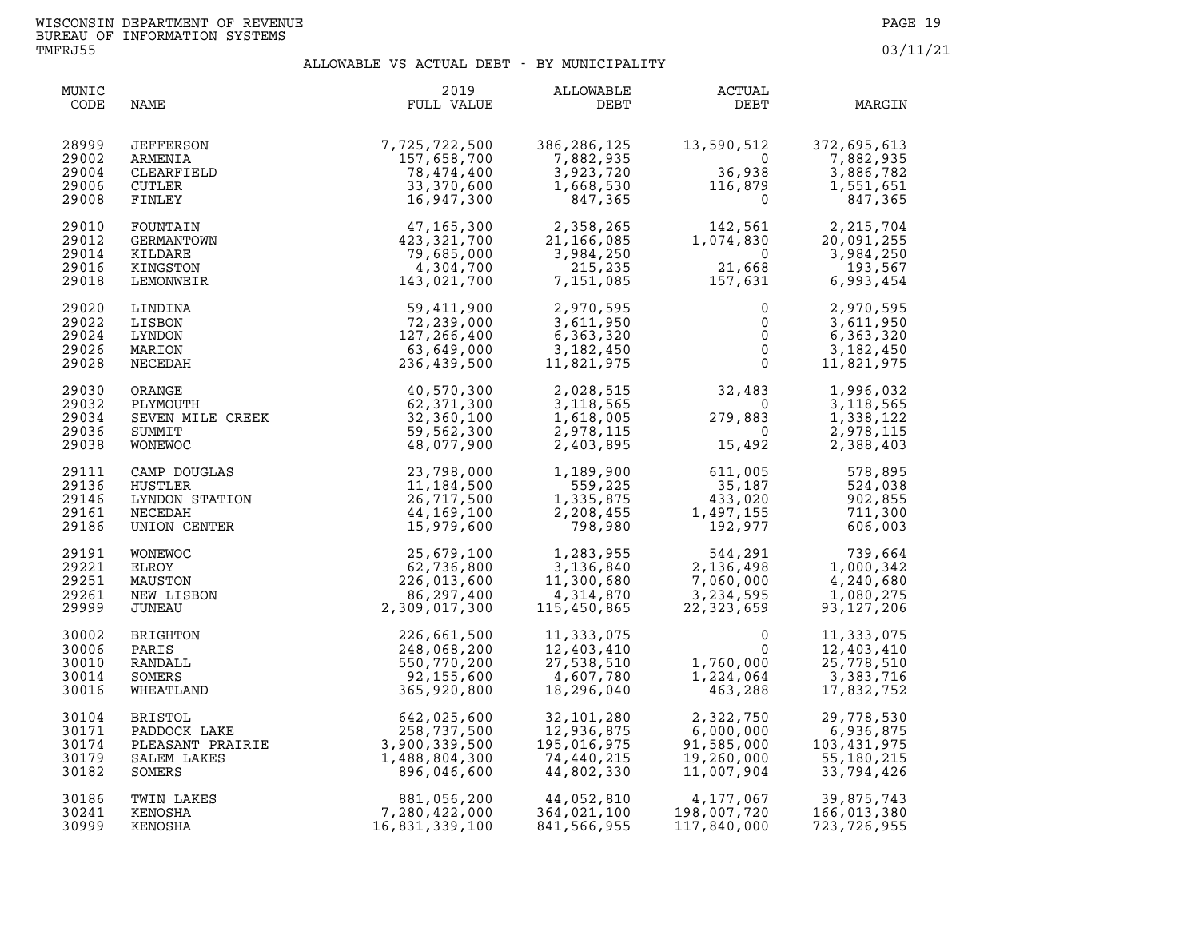| MUNIC<br>CODE                             | NAME                                                                        | 2019<br>FULL VALUE                                                          | ALLOWABLE<br>DEBT                                                                         | ACTUAL<br>DEBT                                                                                                                                                                                                           | MARGIN                                                                                                                                        |
|-------------------------------------------|-----------------------------------------------------------------------------|-----------------------------------------------------------------------------|-------------------------------------------------------------------------------------------|--------------------------------------------------------------------------------------------------------------------------------------------------------------------------------------------------------------------------|-----------------------------------------------------------------------------------------------------------------------------------------------|
| 28999<br>29002<br>29004<br>29006<br>29008 | JEFFERSON<br>ARMENIA<br>CLEARFIELD<br>CUTLER<br>FINLEY                      | 7,725,722,500<br>157,658,700<br>78,474,400<br>33,370,600<br>16,947,300      | 386,286,125<br>7,882,935<br>3,923,720<br>1,668,530<br>847,365                             | 13,590,512<br>$\overline{\mathbf{0}}$<br>$36,938$<br>$36,938$<br>$116,879$<br>$\overline{0}$                                                                                                                             | 372,695,613<br>7,882,935<br>3,886,782<br>1,551,651<br>847,365                                                                                 |
| 29010<br>29012<br>29014<br>29016<br>29018 | FOUNTAIN<br>GERMANTOWN<br>KILDARE<br>KINGSTON<br>LEMONWEIR                  | 47,165,300<br>423,321,700<br>79,685,000<br>4,304,700<br>143,021,700         | 2,358,265<br>21,166,085<br>3,984,250<br>215,235<br>7,151,085                              | 21,668<br>21,668<br>157,631                                                                                                                                                                                              | $\begin{array}{ccc} 142, 561 & 2, 215, 704 \\ 1, 074, 830 & 20, 091, 255 \\ 0 & 3, 984, 250 \end{array}$<br>3,984,250<br>193,567<br>6,993,454 |
| 29020<br>29022<br>29024<br>29026<br>29028 | LINDINA<br>LISBON<br>LYNDON<br>MARION<br>NECEDAH                            | 59,411,900<br>72,239,000<br>127,266,400<br>63,649,000<br>236,439,500        | 2,970,595<br>3,611,950<br>6,363,320<br>3,182,450<br>11,821,975                            | $\begin{matrix}0\0\0\0\0\end{matrix}$                                                                                                                                                                                    | 2,970,595<br>$\overline{0}$<br>3,611,950<br>6,363,320<br>3,182,450<br>11,821,975                                                              |
| 29030<br>29032<br>29034<br>29036<br>29038 | SUMMIT<br>WONEWOC                                                           | 59,562,300<br>48,077,900                                                    | 2,028,515                                                                                 | $2,028,515$<br>$3,118,565$<br>$1,618,005$<br>$2,978,115$<br>$2,403,895$<br>$15,492$                                                                                                                                      | 1,996,032<br>3, 118, 565<br>1,338,122<br>2,978,115<br>2,388,403                                                                               |
| 29111<br>29136<br>29146<br>29161<br>29186 | CAMP DOUGLAS<br>HUSTLER<br>LYNDON STATION<br>NECEDAH<br>UNION CENTER        | 23,798,000<br>11,184,500<br>26,717,500<br>44,169,100<br>15,979,600          |                                                                                           | $\begin{array}{cccc} 1,189,900 & & & 611,005 & & 578,895 \\ 559,225 & & 35,187 & & 524,038 \\ 1,335,875 & & 433,020 & & 902,855 \\ 2,208,455 & & 1,497,155 & & 711,300 \\ 798,980 & & & 192,977 & & 606,003 \end{array}$ |                                                                                                                                               |
| 29191<br>29221<br>29251<br>29261<br>29999 | WONEWOC<br>ELROY<br>MAUSTON<br>NEW LISBON<br>JUNEAU                         | 25,679,100<br>62,736,800<br>226,013,600<br>86,297,400<br>2,309,017,300      | $1,283,955$<br>3,136,840<br>11,300,680<br>4,314,870<br>115,450,865                        | $544, 291$<br>2, 136, 498<br>7,060,000<br>3,234,595<br>22,323,659                                                                                                                                                        | 739,664<br>1,000,342<br>4,240,680<br>1,080,275<br>93, 127, 206                                                                                |
| 30002<br>30006<br>30010<br>30014<br>30016 | BRIGHTON<br>PARIS<br>RANDALL<br>SOMERS<br>WHEATLAND                         | 226,661,500<br>248,068,200<br>550,770,200<br>92,155,600<br>365,920,800      | 11,333,075<br>12,403,410<br>27,538,510<br>4,607,780<br>18,296,040                         | $\mathbf{0}$<br>$\mathsf{O}$<br>1,760,000<br>1,224,064<br>463,288                                                                                                                                                        | 11,333,075<br>12,403,410<br>25,778,510<br>3,383,716<br>17,832,752                                                                             |
| 30104<br>30171<br>30174<br>30179<br>30182 | <b>BRISTOL</b><br>PADDOCK LAKE<br>PLEASANT PRAIRIE<br>SALEM LAKES<br>SOMERS | 642,025,600<br>258,737,500<br>3,900,339,500<br>1,488,804,300<br>896,046,600 | 32,101,280<br>$32, 336, 875$<br>$12, 936, 875$<br>195,016,975<br>74,440,215<br>44,802,330 | 2,322,750<br>6,000,000<br>91,585,000<br>19,260,000<br>11,007,904                                                                                                                                                         | 29,778,530<br>6,936,875<br>103,431,975<br>55,180,215<br>33,794,426                                                                            |
| 30186<br>30241<br>30999                   | TWIN LAKES<br>KENOSHA<br>KENOSHA                                            | 881,056,200<br>7,280,422,000<br>16,831,339,100                              | 44,052,810<br>364,021,100<br>841,566,955                                                  | 4,177,067<br>198,007,720<br>117,840,000                                                                                                                                                                                  | 39,875,743<br>166,013,380<br>723, 726, 955                                                                                                    |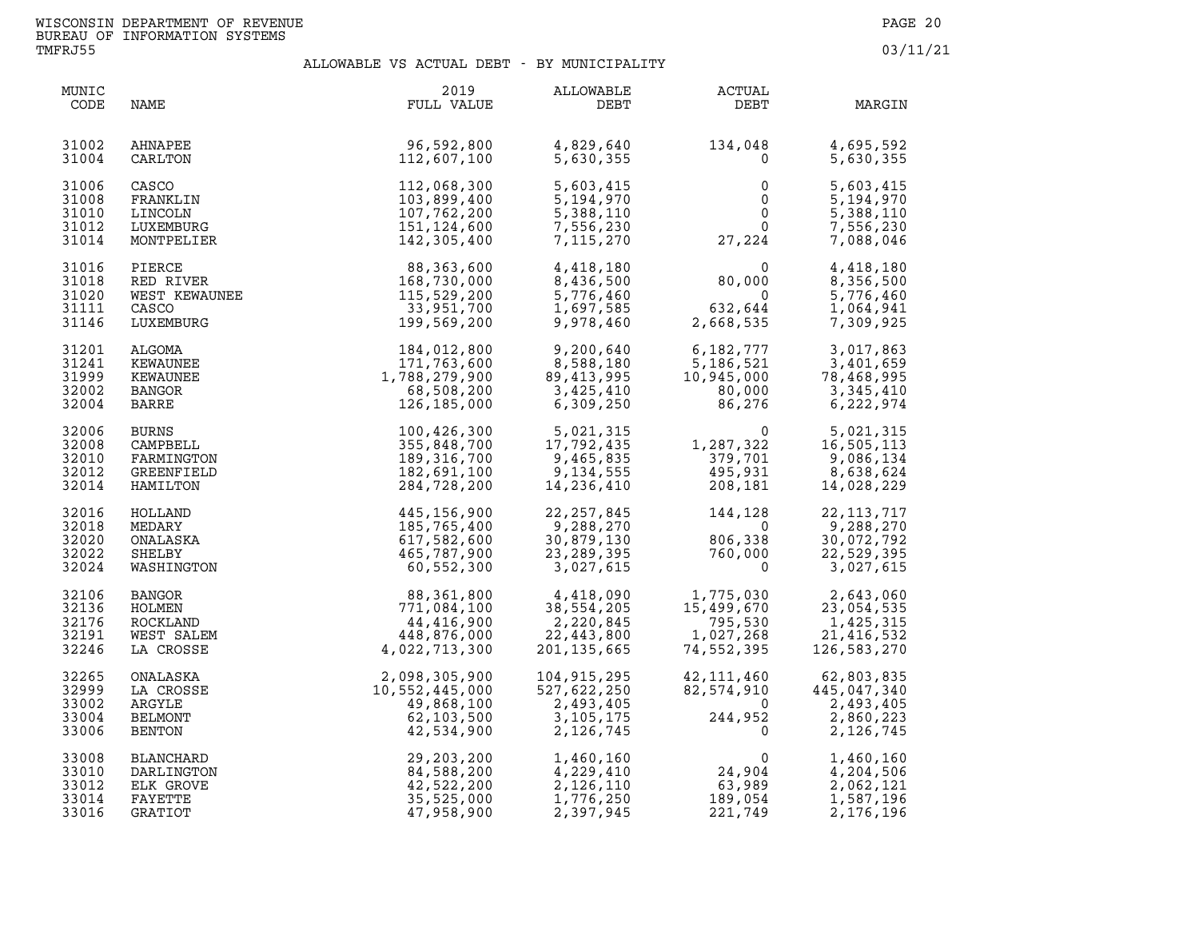| MUNIC<br>CODE                             | NAME                                                              | 2019<br>FULL VALUE                                                                                                                              | ALLOWABLE<br>DEBT                                                                                                                                                                                             | <b>ACTUAL</b><br>DEBT                                                                                                                                   | MARGIN                                                                                             |
|-------------------------------------------|-------------------------------------------------------------------|-------------------------------------------------------------------------------------------------------------------------------------------------|---------------------------------------------------------------------------------------------------------------------------------------------------------------------------------------------------------------|---------------------------------------------------------------------------------------------------------------------------------------------------------|----------------------------------------------------------------------------------------------------|
| 31002<br>31004                            | AHNAPEE<br>CARLTON                                                | $96,592,800$<br>$112.607.100$                                                                                                                   | 4,829,640<br>5,630,355                                                                                                                                                                                        | $134,048$<br>0 $4,695,592$<br>5,630,355                                                                                                                 |                                                                                                    |
| 31006<br>31008<br>31010<br>31012<br>31014 | CASCO<br>FRANKLIN<br>LINCOLN<br>LUXEMBURG<br>MONTPELIER           | 112,068,300<br>103,899,400<br>107,762,200<br>151,124,600<br>142,305,400                                                                         | 5,603,415<br>5,194,970<br>5,388,110<br>7,556,230<br>7,115,270                                                                                                                                                 | $\begin{smallmatrix} & & 0\ & & & 0\ & & & 0\ & & & 0\ & & & 27\, ,224 \end{smallmatrix}$                                                               | 5,603,415<br>5,194,970<br>5,388,110<br>7,556,230<br>7,088,046                                      |
| 31016<br>31018<br>31020<br>31111<br>31146 | PIERCE<br>RED RIVER<br>WEST KEWAUNEE<br>CASCO<br>LUXEMBURG        | 88,363,600<br>168,730,000<br>115,529,200<br>33,951,700<br>199,569,200                                                                           | 4,418,180<br>8,436,500<br>5,776,460<br>1,697,585<br>9,978,460                                                                                                                                                 | $80,000$<br>$632,644$<br>2,668,535                                                                                                                      | 4,418,180<br>8,356,500<br>5,776,460<br>1,064,941<br>7,309,925                                      |
| 31201<br>31241<br>31999<br>32002<br>32004 | ALGOMA<br>KEWAUNEE<br>KEWAUNEE<br>BANGOR<br>BARRE                 | 184,012,800<br>171,763,600<br>1,788,279,900<br>68,508,200<br>126,185,000                                                                        | 9,200,640<br>8,588,180<br>89,413,995<br>3,425,410<br>6,309,250                                                                                                                                                | $\begin{array}{cccc} 6,182,777 & 3,017,863 \\ 5,186,521 & 3,401,659 \\ 10,945,000 & 78,468,995 \\ 80,000 & 3,345,410 \\ 86,276 & 6,222,974 \end{array}$ |                                                                                                    |
| 32006<br>32008<br>32010<br>32012<br>32014 | <b>BURNS</b><br>CAMPBELL<br>FARMINGTON<br>GREENFIELD<br>HAMILTON  | 100,426,300<br>355,848,700<br>189,316,700<br>182,691,100<br>284,728,200                                                                         | $\begin{array}{cccc} 5,021,315 & 0 & 5,021,315 \\ 17,792,435 & 1,287,322 & 16,505,113 \\ 9,465,835 & 379,701 & 9,086,134 \\ 9,134,555 & 495,931 & 8,638,624 \\ 14,236,410 & 208,181 & 14,028,229 \end{array}$ |                                                                                                                                                         |                                                                                                    |
| 32016<br>32018<br>32020<br>32022<br>32024 | HOLLAND<br>MEDARY<br>ONALASKA<br>SHELBY<br>WASHINGTON             | 445,156,900<br>185,765,400<br>617,582,600<br>465,787,900<br>60,552,300                                                                          | 22,257,845<br>9,288,270<br>9,288,270<br>30,879,130<br>23,289,395<br>3,027,615                                                                                                                                 | $144, 128$<br>0<br>806,338<br>760,000<br>0                                                                                                              | 22, 113, 717<br>9,288,270<br>30,072,792<br>22,529,395<br>3,027,615                                 |
| 32106<br>32136<br>32176<br>32191<br>32246 | <b>BANGOR</b><br>HOLMEN<br>ROCKLAND<br>WEST SALEM<br>LA CROSSE    | 88,361,800<br>771,084,100<br>44,416,900<br>448,876,000<br>4,022,713,300                                                                         | $\begin{array}{ccc} 4,418,090 & 1,775,030 \ 38,554,205 & 15,499,670 \ 2,220,845 & 795,530 \ 22,443,800 & 1,027,268 \ 201,135,665 & 74,552,395 \ \end{array}$                                                  |                                                                                                                                                         | 2,643,060<br>23,054,535<br>1,425,315<br>21,416,532<br>126,583,270                                  |
| 32265<br>32999<br>33002<br>33004<br>33006 | ONALASKA<br>LA CROSSE<br>ARGYLE<br>BELMONT<br>BENTON              | 2,098,305,900<br>10,552,445,000<br>49,868,100<br>62,103,500<br>42,534,900<br>29,203,200<br>84,588,200<br>42,522,200<br>35,525,000<br>47,958,900 | 104,915,295<br>527,622,250<br>2,493,405<br>3,105,175<br>2,126,745                                                                                                                                             | $42,111,460$<br>$82,574,910$<br>$0$<br>$244,952$<br>0                                                                                                   | 62,803,835<br>$\begin{array}{c} 0.35 \\ -2,493,405 \\ 2,493,405 \\ 2,860,223 \\ 2,106 \end{array}$ |
| 33008<br>33010<br>33012<br>33014<br>33016 | BLANCHARD<br>DARLINGTON<br>ELK GROVE<br>FAYETTE<br><b>GRATIOT</b> | 29, 203, 200<br>84, 588, 200<br>42, 522, 200<br>35, 525, 000<br>47, 958, 900<br>47,958,900                                                      | 1,460,160<br>4,229,410<br>2,126,110<br>1,776,250<br>2,397,945                                                                                                                                                 | $\begin{array}{c} 0 \\ 24,904 \\ 63,989 \\ 189,054 \\ 221,749 \end{array}$                                                                              | 1,460,160<br>4,204,506<br>2,062,121<br>1,587,196<br>2,176,196                                      |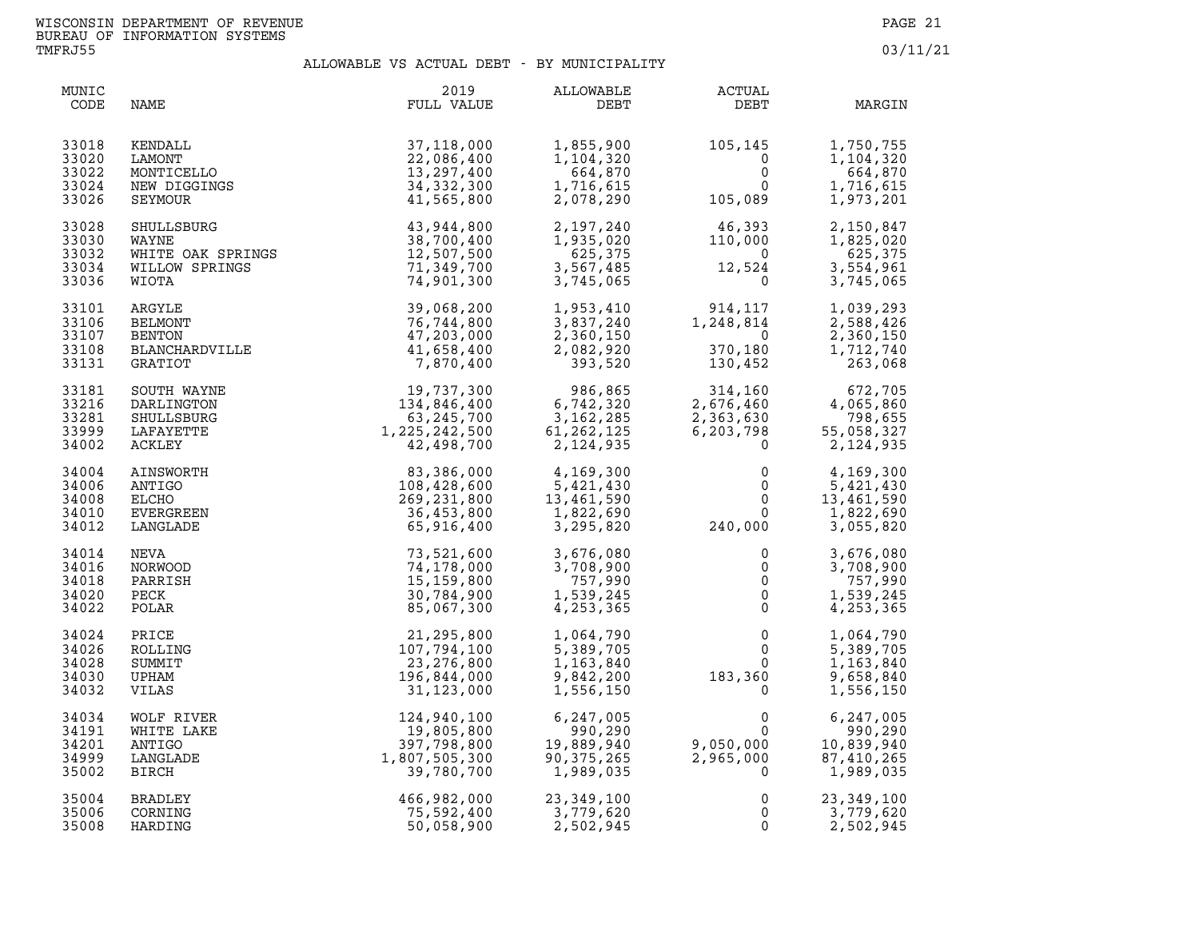| MUNIC<br>CODE                             | NAME                                                                | 2019<br>FULL VALUE                                                                                                                                                                                                                                                 | ALLOWABLE<br>DEBT                                                                           | <b>ACTUAL</b><br>DEBT                                                                                     | MARGIN                                                        |
|-------------------------------------------|---------------------------------------------------------------------|--------------------------------------------------------------------------------------------------------------------------------------------------------------------------------------------------------------------------------------------------------------------|---------------------------------------------------------------------------------------------|-----------------------------------------------------------------------------------------------------------|---------------------------------------------------------------|
| 33018                                     | KENDALL                                                             | 37,118,000                                                                                                                                                                                                                                                         | 1,855,900                                                                                   | 105,145                                                                                                   | 1,750,755                                                     |
| 33020                                     | LAMONT                                                              | 22,086,400                                                                                                                                                                                                                                                         | 1,104,320                                                                                   | $\mathbf{0}$                                                                                              | 1,104,320                                                     |
| 33022                                     | MONTICELLO                                                          | 13,297,400                                                                                                                                                                                                                                                         | 664,870                                                                                     | $\mathsf{O}$                                                                                              | 664,870                                                       |
| 33024                                     | NEW DIGGINGS                                                        | 34, 332, 300                                                                                                                                                                                                                                                       | 1,716,615                                                                                   | $\Omega$                                                                                                  | 1,716,615                                                     |
| 33026                                     | SEYMOUR                                                             | 41,565,800                                                                                                                                                                                                                                                         | 2,078,290                                                                                   | 105,089                                                                                                   | 1,973,201                                                     |
| 33028<br>33030<br>33032<br>33034<br>33036 | SHULLSBURG<br>WAYNE<br>WHITE OAK SPRINGS<br>WILLOW SPRINGS<br>WIOTA | 43,944,800<br>38,700,400<br>12,507,500<br>71,349,700<br>74,901,300                                                                                                                                                                                                 | 2,197,240<br>1,935,020<br>625,375<br>3,567,485<br>3,745,065                                 | $\begin{smallmatrix} 46,393\ 110,000\ 0\ 12,524\ 0 \end{smallmatrix}$                                     | 2,150,847<br>1,825,020<br>625,375<br>3,554,961<br>3,745,065   |
| 33101                                     | ARGYLE                                                              | 39,068,200                                                                                                                                                                                                                                                         | 1,953,410                                                                                   | 914,117                                                                                                   | 1,039,293                                                     |
| 33106                                     | BELMONT                                                             | 76,744,800                                                                                                                                                                                                                                                         | 3,837,240                                                                                   | 1,248,814                                                                                                 | 2,588,426                                                     |
| 33107                                     | <b>BENTON</b>                                                       | 47,203,000                                                                                                                                                                                                                                                         | 2,360,150                                                                                   | $\overline{0}$                                                                                            | 2,360,150                                                     |
| 33108                                     | BLANCHARDVILLE                                                      | 41,658,400                                                                                                                                                                                                                                                         | 2,082,920                                                                                   | 370,180                                                                                                   | 1,712,740                                                     |
| 33131                                     | GRATIOT                                                             | 7,870,400                                                                                                                                                                                                                                                          | 393,520                                                                                     | 130,452                                                                                                   | 263,068                                                       |
| 33181<br>33216<br>33281<br>33999<br>34002 | SOUTH WAYNE<br>DARLINGTON<br>SHULLSBURG<br>LAFAYETTE<br>ACKLEY      | 19,737,300<br>134,846,400<br>63,245,700<br>1,225,242,500<br>42,498,700<br>42,498,700<br>108,428,600<br>26,231,800<br>36,453,800<br>65,916,400<br>73,521,600<br>74,178,000<br>15,159,800<br>30,784,900<br>30,784,900<br>30,784,900<br>30,784,900<br>30,784,900<br>3 | $\begin{array}{r} 986,865 \\ 6,742,320 \\ 3,162,285 \\ 61,262,125 \\ 2,124,935 \end{array}$ | $314, 160$<br>$2, 676, 460$<br>$2, 363, 630$<br>$6, 203, 798$<br>$0$<br>$\mathbf{0}$                      | 672,705<br>4,065,860<br>798,655<br>55,058,327<br>2,124,935    |
| 34004                                     | AINSWORTH                                                           |                                                                                                                                                                                                                                                                    | 4,169,300                                                                                   | $\mathsf{O}$                                                                                              | 4,169,300                                                     |
| 34006                                     | ANTIGO                                                              |                                                                                                                                                                                                                                                                    | 5,421,430                                                                                   | 0                                                                                                         | 5,421,430                                                     |
| 34008                                     | ELCHO                                                               |                                                                                                                                                                                                                                                                    | 13,461,590                                                                                  | $\Omega$                                                                                                  | 13,461,590                                                    |
| 34010                                     | EVERGREEN                                                           |                                                                                                                                                                                                                                                                    | 1,822,690                                                                                   | $\overline{0}$                                                                                            | 1,822,690                                                     |
| 34012                                     | LANGLADE                                                            |                                                                                                                                                                                                                                                                    | 3,295,820                                                                                   | 240,000                                                                                                   | 3,055,820                                                     |
| 34014                                     | NEVA                                                                |                                                                                                                                                                                                                                                                    | 3,676,080                                                                                   | 0                                                                                                         | 3,676,080                                                     |
| 34016                                     | NORWOOD                                                             |                                                                                                                                                                                                                                                                    | 3,708,900                                                                                   | $\overline{0}$                                                                                            | 3,708,900                                                     |
| 34018                                     | PARRISH                                                             |                                                                                                                                                                                                                                                                    | 757,990                                                                                     | $\Omega$                                                                                                  | 757,990                                                       |
| 34020                                     | PECK                                                                |                                                                                                                                                                                                                                                                    | 1,539,245                                                                                   | $\mathsf 0$                                                                                               | 1,539,245                                                     |
| 34022                                     | POLAR                                                               |                                                                                                                                                                                                                                                                    | 4,253,365                                                                                   | $\overline{0}$                                                                                            | 4,253,365                                                     |
| 34024<br>34026<br>34028<br>34030<br>34032 | PRICE<br>ROLLING<br>SUMMIT<br>UPHAM<br>VILAS                        | 21,295,800<br>107,794,100<br>23,276,800<br>196,844,000<br>31,123,000                                                                                                                                                                                               | 1,064,790<br>5,389,705<br>1,163,840<br>9,842,200<br>1,556,150                               | $\mathbf 0$<br>$\Omega$<br>$\overline{0}$<br>$\begin{smallmatrix}&&&0\183\,,&360\\0&&&0\end{smallmatrix}$ | 1,064,790<br>5,389,705<br>1,163,840<br>9,658,840<br>1,556,150 |
| 34034                                     | WOLF RIVER                                                          | $124,940,100$ $19,805,800$ $397,798,800$ $1,807,505,300$ $39,780$ $700$                                                                                                                                                                                            | 6,247,005                                                                                   | $\mathbf 0$                                                                                               | 6,247,005                                                     |
| 34191                                     | WHITE LAKE                                                          |                                                                                                                                                                                                                                                                    | 990,290                                                                                     | $\Omega$                                                                                                  | 990,290                                                       |
| 34201                                     | ANTIGO                                                              |                                                                                                                                                                                                                                                                    | 19,889,940                                                                                  | 9,050,000                                                                                                 | 10,839,940                                                    |
| 34999                                     | LANGLADE                                                            |                                                                                                                                                                                                                                                                    | 90,375,265                                                                                  | 2,965,000                                                                                                 | 87,410,265                                                    |
| 35002                                     | <b>BIRCH</b>                                                        |                                                                                                                                                                                                                                                                    | 1,989,035                                                                                   | $\Omega$                                                                                                  | 1,989,035                                                     |
| 35004<br>35006<br>35008                   | BRADLEY<br>CORNING<br>HARDING                                       | 466,982,000<br>75,592,400<br>50,058,900                                                                                                                                                                                                                            | $23,34,779,620$<br>3,779,620<br>2,502,945                                                   | $\mathbf 0$<br>$\mathbf{0}$<br>$\mathbf{0}$                                                               | 23, 349, 100<br>3,779,620<br>2,502,945                        |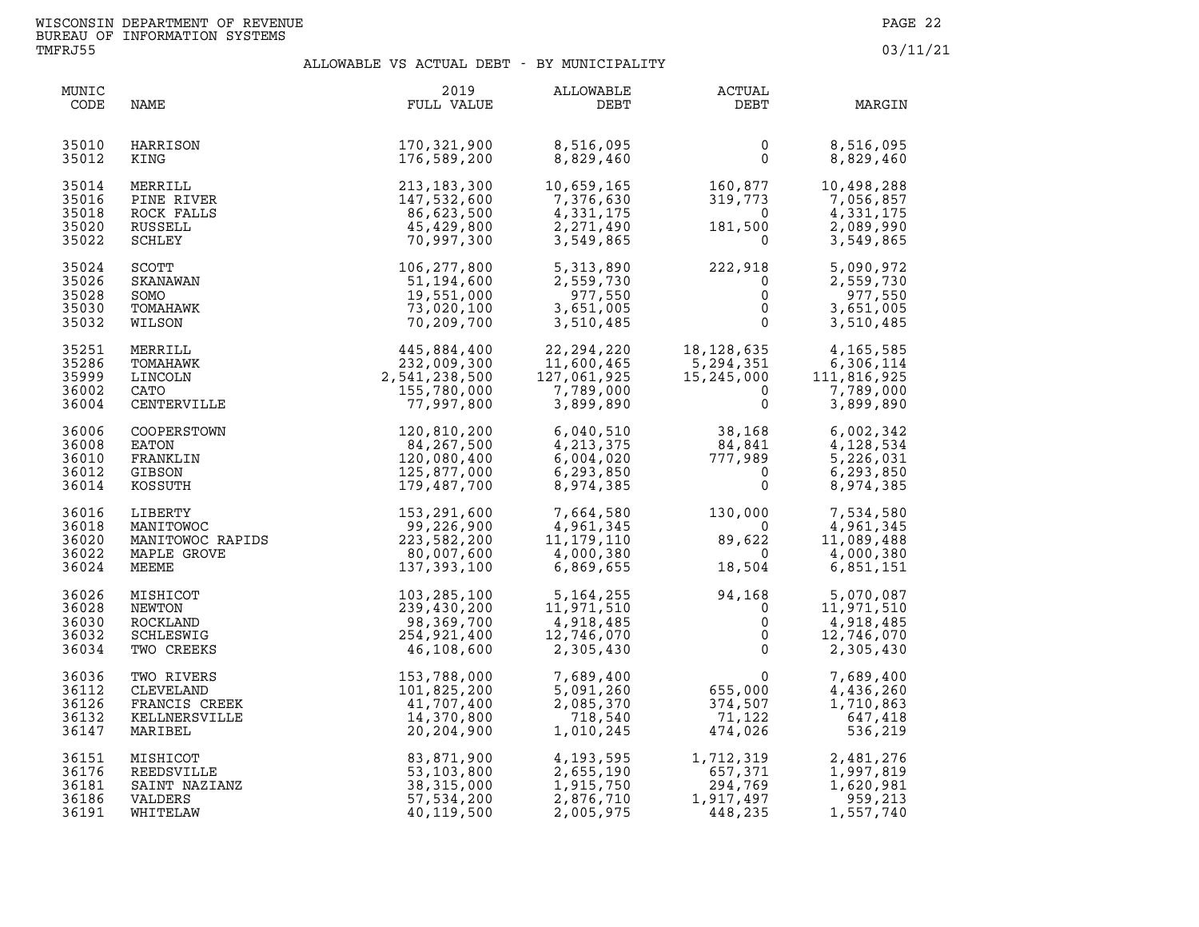| MUNIC<br>CODE                             | NAME                                                                 | 2019<br>FULL VALUE                                                                                                                   | ALLOWABLE<br>DEBT                                                                            | <b>ACTUAL</b><br>DEBT                                                                 | MARGIN                                                                        |
|-------------------------------------------|----------------------------------------------------------------------|--------------------------------------------------------------------------------------------------------------------------------------|----------------------------------------------------------------------------------------------|---------------------------------------------------------------------------------------|-------------------------------------------------------------------------------|
| 35010<br>35012                            | HARRISON<br>KING                                                     | 170,321,900<br>176,589,200                                                                                                           | 8,516,095<br>8,829,460                                                                       | $\mathbf 0$<br>$\Omega$                                                               | 8,516,095<br>8,829,460                                                        |
| 35014<br>35016<br>35018<br>35020<br>35022 | MERRILL<br>PINE RIVER<br>ROCK FALLS<br>RUSSELL<br>SCHLEY             | 213, 183, 300<br>147,532,600<br>86,623,500<br>45,429,800<br>70,997,300                                                               | 10,659,165<br>7,376,630<br>4,331,175<br>2,271,490<br>3,549,865                               | $160,877$<br>$319,773$<br>$0$<br>$181,500$<br>$0$                                     | 10,498,288<br>7,056,857<br>4,331,175<br>2,089,990<br>3,549,865                |
| 35024<br>35026<br>35028<br>35030<br>35032 | <b>SCOTT</b><br><b>SKANAWAN</b><br>SOMO<br>TOMAHAWK<br>WILSON        | 106, 277, 800<br>51,194,600<br>19,551,000<br>73,020,100<br>70,209,700                                                                | 5,313,890<br>2,559,730<br>977,550<br>3,651,005<br>3,510,485                                  | $222,918$<br>0<br>0<br>0<br>0<br>0                                                    | 5,090,972<br>2,559,730<br>977,550<br>$\overline{0}$<br>3,651,005<br>3,510,485 |
| 35251<br>35286<br>35999<br>36002<br>36004 | MERRILL<br>TOMAHAWK<br>LINCOLN<br>CATO<br>CENTERVILLE                | 445,884,400<br>232,009,300<br>2,541,238,500<br>155,780,000<br>77,997,800                                                             | 22, 294, 220<br>$22,294,225$<br>11,600,465<br>127,061,925<br>7,789,000<br>7,789,000<br>3,900 | 18,128,635<br>5,294,351<br>15,245,000 11<br>0<br>$\mathbf 0$                          | 4,165,585<br>6,306,114<br>111,816,925<br>7,789,000<br>3,899,890               |
| 36006<br>36008<br>36010<br>36012<br>36014 | COOPERSTOWN<br>EATON<br>FRANKLIN<br>GIBSON<br>KOSSUTH                | 120,810,200<br>84,267,500<br>120,080,400<br>125,877,000<br>179,487,700                                                               | 6,040,510<br>4, 213, 375<br>6,004,020<br>6,293,850<br>8,974,385                              | $38,168$<br>$84,841$<br>$777,989$<br>$0$<br>0                                         | 6,002,342<br>4,128,534<br>5,226,031<br>6,293,850<br>8,974,385                 |
| 36016<br>36018<br>36020<br>36022<br>36024 | MAPLE GROVE<br>MEEME                                                 | LIBERTY<br>MANITOWOC RAPIDS<br>MANITOWOC RAPIDS 223,582,200<br>223,582,200<br>223,582,200<br>20,007,600<br>80,007,600<br>137,393,100 | 7,664,580<br>4,961,345<br>11, 179, 110<br>4,000,380<br>6,869,655                             | $130,000$<br>0<br>89,622<br>0<br>18,504<br>$\overline{0}$<br>$\overline{0}$<br>18,504 | 7,534,580<br>4,961,345<br>11,089,488<br>4,000,380<br>6,851,151                |
| 36026<br>36028<br>36030<br>36032<br>36034 | MISHICOT<br>NEWTON<br>ROCKLAND<br>SCHLESWIG<br>TWO CREEKS            | 103, 285, 100<br>239,430,200<br>98,369,700<br>254,921,400<br>46,108,600                                                              | 5, 164, 255<br>11, 971, 510<br>4, 918, 485<br>12, 746, 070<br>2, 305, 430<br>5, 164, 255     |                                                                                       | 5,070,087<br>11,971,510<br>4,918,485<br>12,746,070<br>2,305,430               |
| 36036<br>36112<br>36126<br>36132<br>36147 | TWO RIVERS<br>CLEVELAND<br>FRANCIS CREEK<br>KELLNERSVILLE<br>MARIBEL | 153,788,000<br>101,825,200<br>41,707,400<br>14,370,800<br>20,204,900                                                                 | 7,689,400<br>5,091,260<br>2,085,370<br>718,540<br>1,010,245                                  |                                                                                       | 7,689,400<br>4,436,260<br>1,710,863<br>647,418<br>536,219                     |
| 36151<br>36176<br>36181<br>36186<br>36191 | MISHICOT<br>REEDSVILLE<br>SAINT NAZIANZ<br>VALDERS<br>WHITELAW       | 83,871,900<br>53,103,800<br>38,315,000<br>57,534,200<br>40,119,500                                                                   | 4,193,595<br>2,655,190<br>1,915,750<br>2,876,710<br>2,005,975                                | 1,712,319<br>657,371<br>294,769<br>1,017,407<br>1,917,497<br>448,235                  | 2,481,276<br>1,997,819<br>1,620,981<br>959,213<br>1,557,740                   |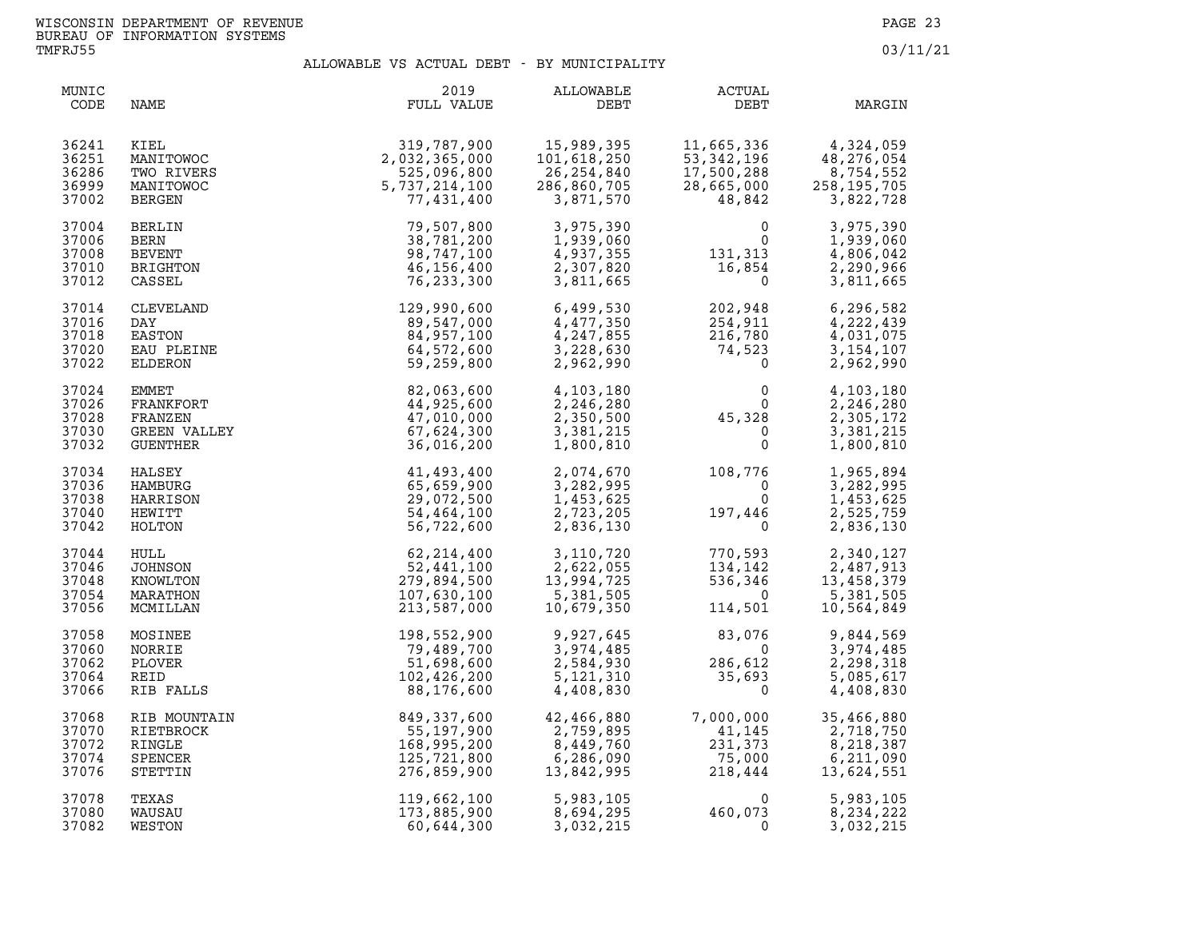| MUNIC<br>CODE                             | NAME                                                                                                                                    | 2019<br>FULL VALUE                                                         | ALLOWABLE<br>DEBT                                                                   | <b>ACTUAL</b><br>DEBT                                                                 | MARGIN                                                             |
|-------------------------------------------|-----------------------------------------------------------------------------------------------------------------------------------------|----------------------------------------------------------------------------|-------------------------------------------------------------------------------------|---------------------------------------------------------------------------------------|--------------------------------------------------------------------|
| 36241<br>36251<br>36286<br>36999<br>37002 | KIEL<br>MANITOWOC<br>TWO RIVERS<br>MANITOWOC<br><b>BERGEN</b>                                                                           | 319,787,900<br>2,032,365,000<br>525,096,800<br>5,737,214,100<br>77,431,400 | 15,989,395<br>101,618,250<br>26,254,840<br>286,860,705<br>3,871,570                 | 11,665,336<br>53,342,196<br>53,342,196<br>17,500,288<br>28,665,000<br>48,842          | 4,324,059<br>48,276,054<br>8,754,552<br>258, 195, 705<br>3,822,728 |
| 37004<br>37006<br>37008<br>37010<br>37012 | BERLIN<br>BERN<br><b>BEVENT</b><br>BRIGHTON<br>CASSEL                                                                                   | 79,507,800<br>38,781,200<br>98,747,100<br>46,156,400<br>76,233,300         | 3,975,390<br>1,939,060<br>4,937,355<br>2,307,820<br>3,811,665                       | $\mathbf{0}$<br>$\begin{smallmatrix}&&0\0\1&31\,,\,313\0&16\,,\,854\end{smallmatrix}$ | 3,975,390<br>1,939,060<br>4,806,042<br>2,290,966<br>3,811,665      |
| 37014<br>37016<br>37018<br>37020<br>37022 | CASSEL<br>CLEVELAND<br>DAY<br>EASTON<br>EAU PLEINE<br>ELDERON<br>EMMET<br>FRANKFORT<br>FRANKFORT<br>FRANZEN<br>GREEN VALLEY<br>GUENTHER | 129,990,600<br>89,547,000<br>84,957,100<br>64,572,600<br>59,259,800        | 6,499,530<br>4,477,350<br>4,247,855<br>3,228,630<br>2,962,990                       | 202,948<br>254,-<br>216,780<br>74,523<br>0                                            | 6,296,582<br>4,222,439<br>4,031,075<br>3, 154, 107<br>2,962,990    |
| 37024<br>37026<br>37028<br>37030<br>37032 |                                                                                                                                         | 82,063,600<br>44,925,600<br>47,010,000<br>67,624,300<br>36,016,200         | 4,103,180<br>2,246,280<br>2,350,500<br>3,381,215<br>1,800,810                       | $0$<br>0<br>45,328<br>$\Omega$<br>$\overline{0}$<br>$\Omega$                          | 4,103,180<br>2,246,280<br>2,305,172<br>3,381,215<br>1,800,810      |
| 37034<br>37036<br>37038<br>37040<br>37042 | HALSEY<br>HAMBURG<br>HARRISON<br>HEWITT<br>HOLTON                                                                                       | 41,493,400<br>65,659,900<br>29,072,500<br>54,464,100<br>56,722,600         | 2,074,670<br>3,282,995<br>1,453,625<br>2,723,205<br>2,836,130                       | 108,776<br>$\overline{0}$<br>$\Omega$<br>197,446                                      | 1,965,894<br>3,282,995<br>1,453,625<br>2,525,759<br>2,836,130      |
| 37044<br>37046<br>37048<br>37054<br>37056 | HULL<br>JOHNSON<br>KNOWLTON<br>MARATHON<br>MCMILLAN                                                                                     | 62, 214, 400<br>52,441,100<br>279,894,500<br>107,630,100<br>213,587,000    | 3,110,720<br>2,622,055<br>13,994,725<br>5,381,505<br>10,679,350                     | 770,593<br>134,142<br>536,346<br>$\overline{0}$<br>114,501                            | 2,340,127<br>2,487,913<br>13,458,379<br>5,381,505<br>10,564,849    |
| 37058<br>37060<br>37062<br>37064<br>37066 | MOSINEE<br>NORRIE<br>PLOVER<br>REID<br>RIB FALLS                                                                                        | 198,552,900<br>79,489,700<br>51,698,600<br>102,426,200<br>88,176,600       | 9,927,645<br>3,974,485<br>2,584,930<br>5,121,310<br>4,408,830                       | 83,076<br>a sta<br>$\overline{\mathbf{0}}$<br>286,612<br>35,693<br>$\mathbf 0$        | 9,844,569<br>3,974,485<br>2,298,318<br>5,085,617<br>4,408,830      |
| 37068<br>37070<br>37072<br>37074<br>37076 | RIB MOUNTAIN<br>RIETBROCK<br>RINGLE<br>SPENCER<br>STETTIN                                                                               | 849,337,600<br>55,197,900<br>168,995,200<br>125,721,800<br>276,859,900     | 42,466,880<br>$42,400,759,895$<br>2,759,895<br>8,449,760<br>6,286,090<br>13,842,995 | 7,000,000<br>41,145<br>231,373<br>75,000<br>218,444                                   | 35,466,880<br>2,718,750<br>8,218,387<br>6,211,090<br>13,624,551    |
| 37078<br>37080<br>37082                   | TEXAS<br>WAUSAU<br>WESTON                                                                                                               | 119,662,100<br>173,885,900<br>60,644,300                                   | 5,983,105<br>8,694,295<br>3,032,215                                                 | $\begin{smallmatrix}&&&0\&460,073\end{smallmatrix}$                                   | 5,983,105<br>8,234,222<br>3,032,215                                |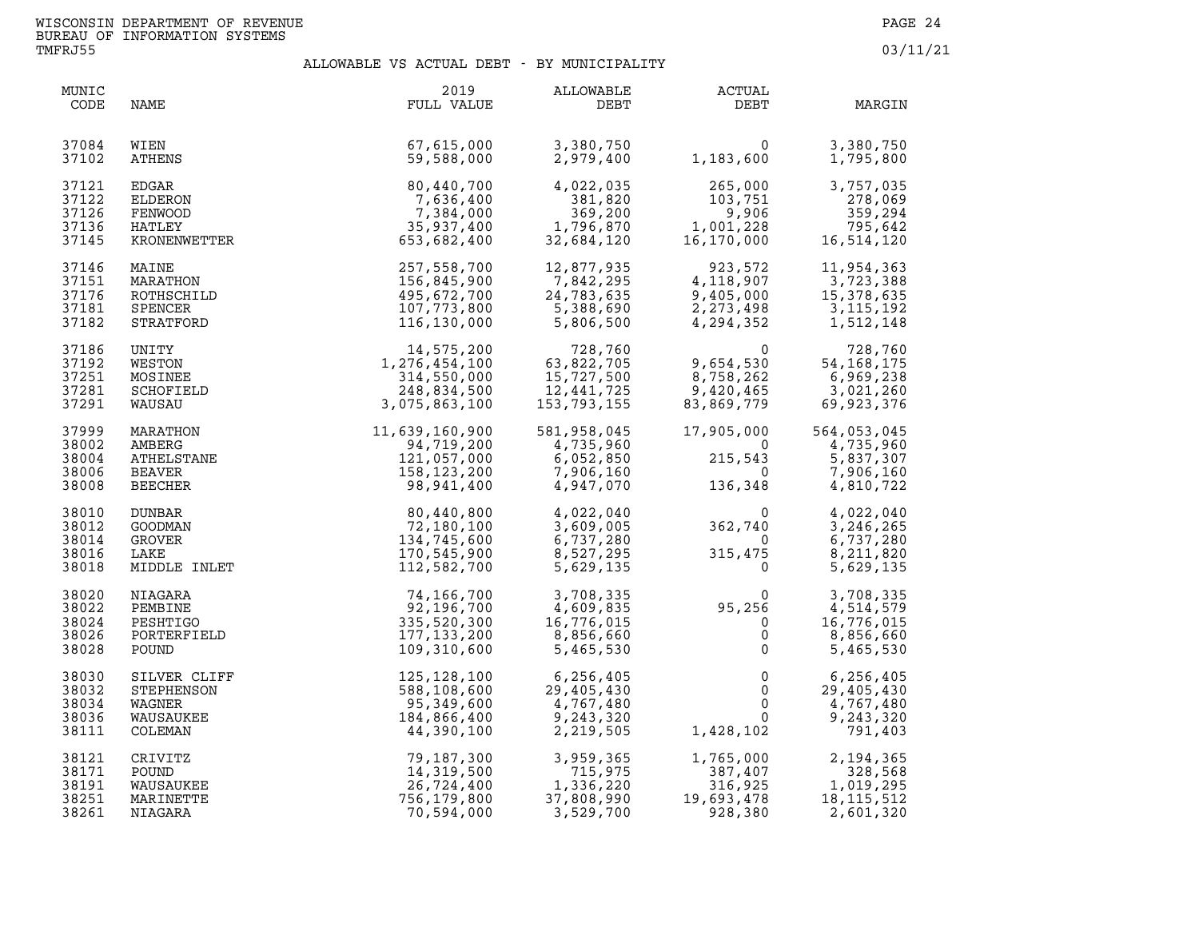| MUNIC<br>CODE                             | NAME                                                         | 2019<br>FULL VALUE                                                         | ALLOWABLE<br>DEBT                                                | ACTUAL<br>DEBT                                                                         | MARGIN                                                          |
|-------------------------------------------|--------------------------------------------------------------|----------------------------------------------------------------------------|------------------------------------------------------------------|----------------------------------------------------------------------------------------|-----------------------------------------------------------------|
| 37084<br>37102                            | WIEN<br><b>ATHENS</b>                                        | 67,615,000<br>59,588,000                                                   | 3,380,750<br>2,979,400                                           | $\Omega$<br>1,183,600                                                                  | 3,380,750<br>1,795,800                                          |
| 37121<br>37122<br>37126<br>37136<br>37145 | EDGAR<br>ELDERON<br>FENWOOD<br>HATLEY<br>KRONENWETTER        | 80,440,700<br>7,636,400<br>7,384,000<br>35,937,400<br>653,682,400          | 4,022,035<br>381,820<br>369,200<br>1,796,870<br>32,684,120       | 265,000<br>265,000<br>103,751<br>9,906<br>1,001,228<br>16,170,000                      | 3,757,035<br>278,069<br>359,294<br>795,642<br>16, 514, 120      |
| 37146<br>37151<br>37176<br>37181<br>37182 | MAINE<br>MARATHON<br>ROTHSCHILD<br>SPENCER<br>STRATFORD      | 257,558,700<br>156,845,900<br>495,672,700<br>107,773,800<br>116,130,000    | 12,877,935<br>7,842,295<br>24,783,635<br>5,388,690<br>5,806,500  | 923,572<br>4,118,907<br>9,405,000<br>2,273,498<br>4,294,352                            | 11,954,363<br>3,723,388<br>15,378,635<br>3,115,192<br>1,512,148 |
| 37186<br>37192<br>37251<br>37281<br>37291 | UNITY<br>WESTON<br>MOSINEE<br>SCHOFIELD<br>WAUSAU            | 14,575,200<br>1,276,454,100<br>314,550,000<br>248,834,500<br>3,075,863,100 | 728,760<br>63,822,705<br>15,727,500<br>12,441,725<br>153,793,155 | $\overline{0}$<br>9,654,530<br>8, 758, 262<br>9, 420, 465<br>83, 869, 779              | 728,760<br>54, 168, 175<br>6,969,238<br>3,021,260<br>69,923,376 |
| 37999<br>38002<br>38004<br>38006<br>38008 | MARATHON<br>AMBERG<br>ATHELSTANE<br>BEAVER<br>BEECHER        | $11,639,160,900 \ 94,719,200 \ 121,057,000 \ 158,123,200 \ 98,941,400$     | 581,958,045<br>4,735,960<br>6,052,850<br>7,906,160<br>4,947,070  | 17,905,000<br>$\overline{\mathbf{0}}$<br>215,543<br>$\overline{\mathbf{0}}$<br>136,348 | 564,053,045<br>4,735,960<br>5,837,307<br>7,906,160<br>4,810,722 |
| 38010<br>38012<br>38014<br>38016<br>38018 | DUNBAR<br>GOODMAN<br>GROVER<br>LAKE<br>MIDDLE INLET          | 80,440,800<br>72,180,100<br>134,745,600<br>170,545,900<br>112,582,700      | 4,022,040<br>3,609,005<br>6,737,280<br>8,527,295<br>5,629,135    | 0<br>362,740<br>$\overline{0}$<br>315,475<br>$\overline{0}$                            | 4,022,040<br>3, 246, 265<br>6,737,280<br>8,211,820<br>5,629,135 |
| 38020<br>38022<br>38024<br>38026<br>38028 | NIAGARA<br>PEMBINE<br>PESHTIGO<br>PORTERFIELD<br>POUND       | 74,166,700<br>92,196,700<br>335,520,300<br>177, 133, 200<br>109,310,600    | 3,708,335<br>4,609,835<br>16,776,015<br>8,856,660<br>5,465,530   | $95,256$<br>0<br>0<br>$\overline{0}$<br>$\mathsf{O}$<br>$\mathbf{0}$                   | 3,708,335<br>4,514,579<br>16,776,015<br>8,856,660<br>5,465,530  |
| 38030<br>38032<br>38034<br>38036<br>38111 | SILVER CLIFF<br>STEPHENSON<br>WAGNER<br>WAUSAUKEE<br>COLEMAN | 125,128,100<br>588,108,600<br>95,349,600<br>184,866,400<br>44,390,100      | 6,256,405<br>29,405,430<br>4,767,480<br>9,243,320<br>2,219,505   | $\mathbf 0$<br>$\mathsf{O}$<br>$\overline{0}$<br>$\overline{0}$<br>1,428,102           | 6,256,405<br>29,405,430<br>4,767,480<br>9,243,320<br>791,403    |
| 38121<br>38171<br>38191<br>38251<br>38261 | CRIVITZ<br>POUND<br>WAUSAUKEE<br>MARINETTE<br>NIAGARA        | 79,187,300<br>14,319,500<br>26,724,400<br>756,179,800<br>70,594,000        | 3,959,365<br>715,975<br>1,336,220<br>37,808,990<br>3,529,700     | 1,765,000<br>387,407<br>316,925<br>19,693,478<br>928,380                               | 2,194,365<br>328,568<br>1,019,295<br>18, 115, 512<br>2,601,320  |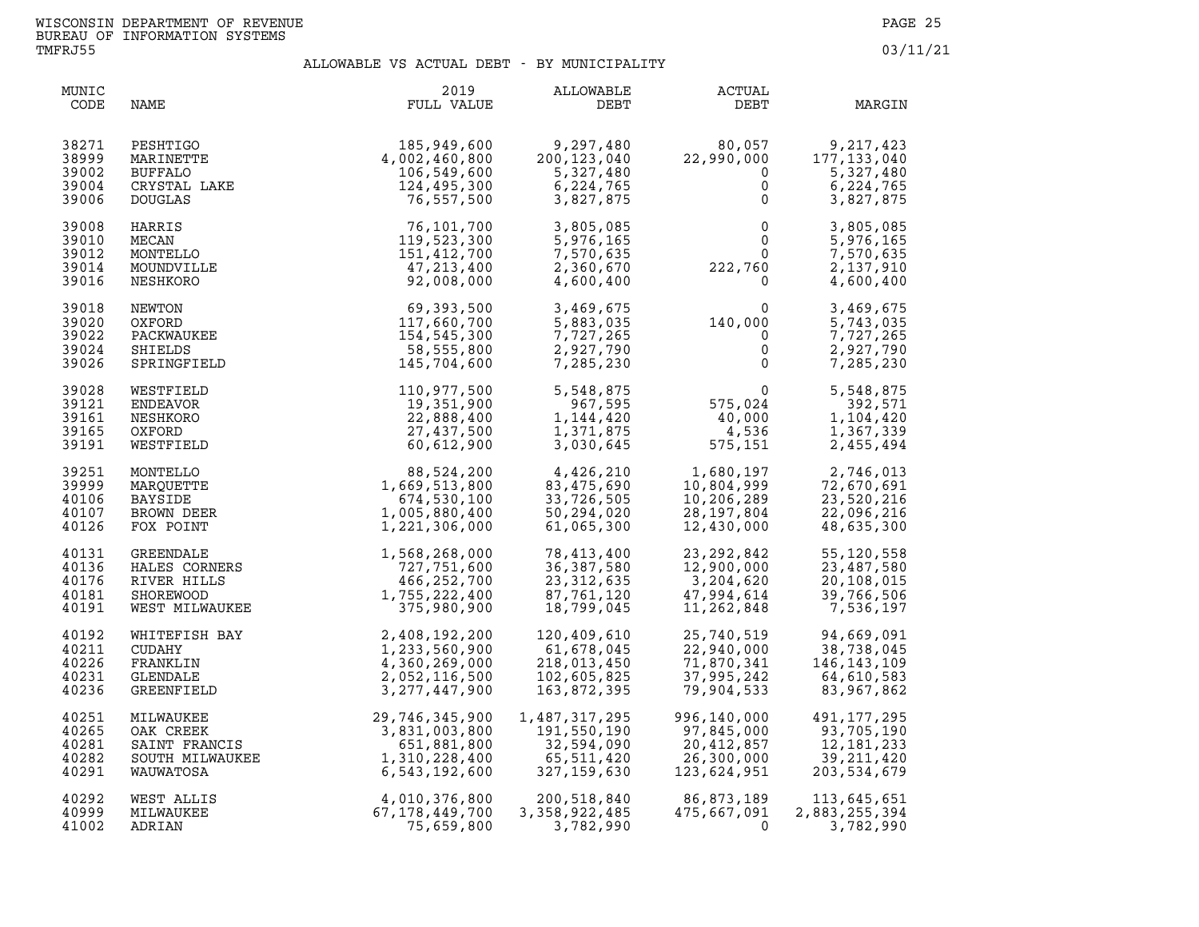| MUNIC<br>CODE                             | NAME                                                                     | 2019<br>FULL VALUE                                                                             | ALLOWABLE<br>DEBT                                                       | ACTUAL<br>DEBT                                                                            | MARGIN                                                                        |
|-------------------------------------------|--------------------------------------------------------------------------|------------------------------------------------------------------------------------------------|-------------------------------------------------------------------------|-------------------------------------------------------------------------------------------|-------------------------------------------------------------------------------|
| 38271                                     | PESHTIGO<br>MARINETTE<br>BUFFALO<br>CRYSTAL LAKE<br>COUCLAS              | 185,949,600                                                                                    | 9,297,480                                                               | 80,057                                                                                    | 9,217,423                                                                     |
| 38999                                     |                                                                          | 4,002,460,800                                                                                  | 200,123,040                                                             | 22,990,000                                                                                | 177, 133, 040                                                                 |
| 39002                                     |                                                                          | 106,549,600                                                                                    | 5,327,480                                                               | $\mathbf 0$                                                                               | 5,327,480                                                                     |
| 39004                                     |                                                                          | 124,495,300                                                                                    | 6,224,765                                                               | $\overline{0}$                                                                            | 6,224,765                                                                     |
| 39006                                     |                                                                          | 76,557,500                                                                                     | 3,827,875                                                               | $\mathbf 0$                                                                               | 3,827,875                                                                     |
| 39008                                     | HARRIS                                                                   | 76,101,700                                                                                     | 3,805,085                                                               | $0$<br>$0$<br>$0$<br>$222,760$<br>$0$                                                     | 3,805,085                                                                     |
| 39010                                     | MECAN                                                                    | 119,523,300                                                                                    | 5,976,165                                                               |                                                                                           | 5,976,165                                                                     |
| 39012                                     | MONTELLO                                                                 | 151, 412, 700                                                                                  | 7,570,635                                                               |                                                                                           | 7,570,635                                                                     |
| 39014                                     | MOUNDVILLE                                                               | 47,213,400                                                                                     | 2,360,670                                                               |                                                                                           | 2,137,910                                                                     |
| 39016                                     | NESHKORO                                                                 | 92,008,000                                                                                     | 4,600,400                                                               |                                                                                           | 4,600,400                                                                     |
| 39018                                     | NEWTON                                                                   | 69,393,500                                                                                     | 3,469,675                                                               | $140,000$<br>0<br>0<br>0                                                                  | 3,469,675                                                                     |
| 39020                                     | OXFORD                                                                   | 117,660,700                                                                                    | 5,883,035                                                               |                                                                                           | 5,743,035                                                                     |
| 39022                                     | PACKWAUKEE                                                               | 154,545,300                                                                                    | 7,727,265                                                               |                                                                                           | 7,727,265                                                                     |
| 39024                                     | SHIELDS                                                                  | 58,555,800                                                                                     | 2,927,790                                                               |                                                                                           | 2,927,790                                                                     |
| 39026                                     | SPRINGFIELD                                                              | 145,704,600                                                                                    | 7,285,230                                                               |                                                                                           | 7,285,230                                                                     |
| 39028<br>39121<br>39161<br>39165<br>39191 | WESTFIELD<br>ENDEAVOR<br>NESHKORO<br>OXFORD<br>WESTFIELD                 | 110,977,500<br>19,351,900<br>22,888,400<br>27,437,500<br>60,612,900                            | 5,548,875<br>967,595<br>1,144,420<br>1,371,875<br>3,030,645             | $\begin{smallmatrix}&&&0\0&575\,,024\end{smallmatrix}$<br>$40,000$<br>$4,536$<br>575,151  | $\overline{0}$<br>5,548,875<br>392,571<br>1,104,420<br>1,367,339<br>2,455,494 |
| 39251<br>39999<br>40106<br>40107<br>40126 | MONTELLO<br>MARQUETTE<br><b>BAYSIDE</b><br>BROWN DEER<br>FOX POINT       | 88,524,200<br>1,669,513,800<br>674,530,100<br>1,005,880,400<br>1,221,306,000                   | 4,426,210<br>83,475,690<br>33,726,505<br>50,294,020<br>61,065,300       | 1,680,197<br>10,804,999 72,670,691<br>10,206,289 23,520,216<br>28, 197, 804<br>12,430,000 | 22,096,216<br>48,635,300                                                      |
| 40131<br>40136<br>40176<br>40181<br>40191 | GREENDALE<br>HALES CORNERS<br>RIVER HILLS<br>SHOREWOOD<br>WEST MILWAUKEE | 1,568,268,000<br>727,751,600<br>466, 252, 700<br>1,755,222,400<br>375,980,900                  | 78,413,400<br>36,387,580<br>23, 312, 635<br>87,761,120<br>18,799,045    | 23, 292, 842<br>$12,900,$<br>3,204,620<br>47,994,614<br>11,262,848                        | 55, 120, 558<br>23,487,580<br>20,108,015<br>39,766,506<br>7,536,197           |
| 40192                                     | WHITEFISH BAY                                                            | 2,408,192,200                                                                                  | 120,409,610                                                             | 25,740,519                                                                                | 94,669,091                                                                    |
| 40211                                     | <b>CUDAHY</b>                                                            | 1,233,560,900                                                                                  | 61,678,045                                                              | 22,940,000                                                                                | 38,738,045                                                                    |
| 40226                                     | FRANKLIN                                                                 | 4,360,269,000                                                                                  | 218,013,450                                                             | 71,870,341                                                                                | 146, 143, 109                                                                 |
| 40231                                     | GLENDALE                                                                 | 2,052,116,500                                                                                  | 102,605,825                                                             | 37,995,242                                                                                | 64,610,583                                                                    |
| 40236                                     | GREENFIELD                                                               | 3, 277, 447, 900                                                                               | 163,872,395                                                             | 79,904,533                                                                                | 83,967,862                                                                    |
| 40251<br>40265<br>40281<br>40282<br>40291 | MILWAUKEE<br>OAK CREEK<br>SAINT FRANCIS<br>SOUTH MILWAUKEE<br>WAUWATOSA  | 29,746,345,900<br>3,831,003,800<br>51,881,800<br>551,881,800<br>1,310,228,400<br>6,543,192,600 | 1,487,317,295<br>191,550,190<br>32,594,090<br>65,511,420<br>327,159,630 | 996,140,000<br>97,845,000<br>20,412,857<br>26,300,000<br>123,624,951                      | 491, 177, 295<br>93,705,190<br>12, 181, 233<br>39, 211, 420<br>203,534,679    |
| 40292                                     | WEST ALLIS                                                               | 4,010,376,800                                                                                  | 200,518,840                                                             | 86,873,189                                                                                | 113,645,651                                                                   |
| 40999                                     | MILWAUKEE                                                                | 67,178,449,700                                                                                 | 3,358,922,485                                                           | 475,667,091                                                                               | 2,883,255,394                                                                 |
| 41002                                     | ADRIAN                                                                   | 75,659,800                                                                                     | 3,782,990                                                               | $\Omega$                                                                                  | 3,782,990                                                                     |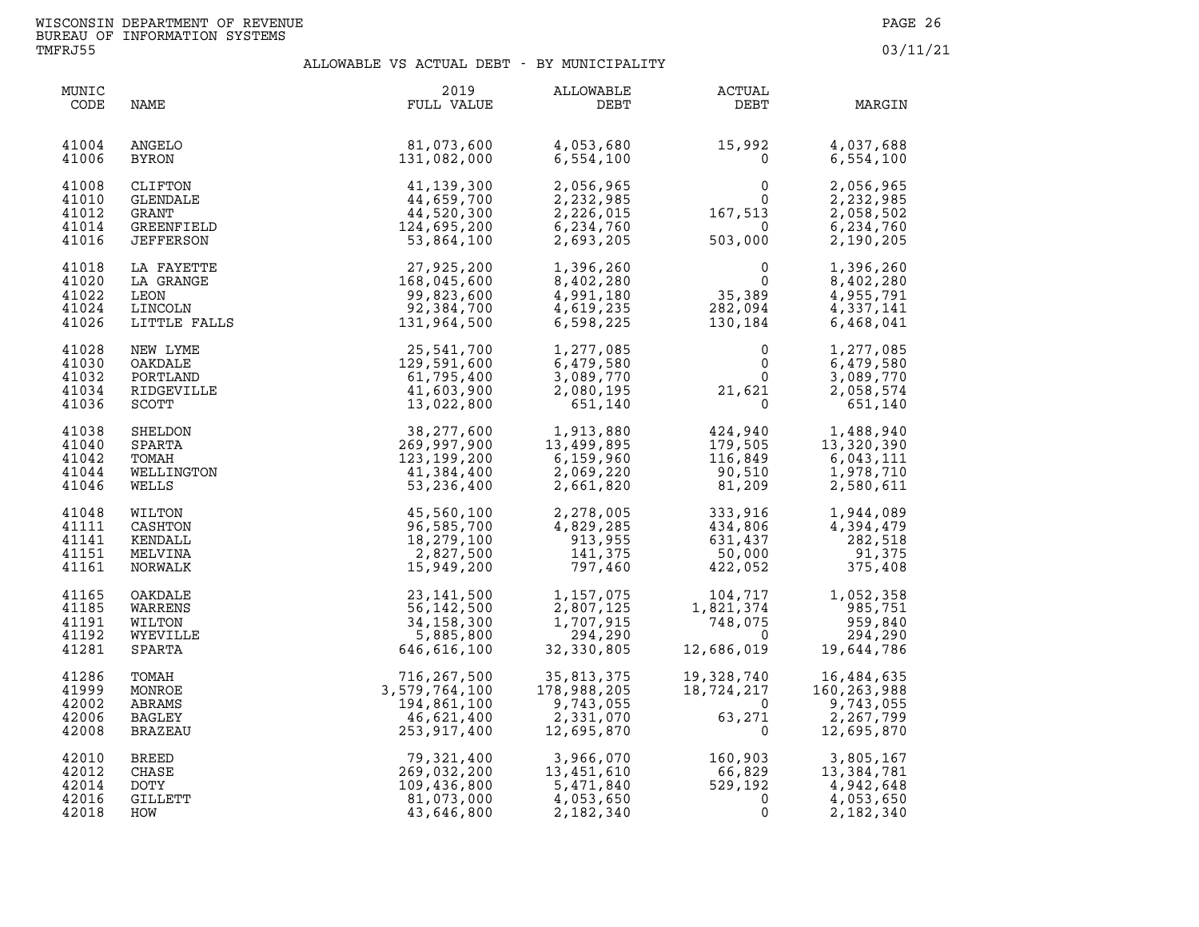| MUNIC<br>CODE                             | NAME                                                                  | 2019<br>FULL VALUE                                                       | ALLOWABLE<br>DEBT                                                 | ACTUAL<br>DEBT                                                        | MARGIN                                                            |
|-------------------------------------------|-----------------------------------------------------------------------|--------------------------------------------------------------------------|-------------------------------------------------------------------|-----------------------------------------------------------------------|-------------------------------------------------------------------|
| 41004<br>41006                            | <b>ANGELO</b><br>BYRON                                                | 81,073,600<br>131,082,000                                                | 4,053,680<br>6,554,100                                            | 15,992<br>$\mathbf 0$                                                 | 4,037,688<br>6,554,100                                            |
| 41008<br>41010<br>41012<br>41014<br>41016 | CLIFTON<br>GLENDALE<br><b>GRANT</b><br>GREENFIELD<br><b>JEFFERSON</b> | 41,139,300<br>44,659,700<br>44,520,300<br>124,695,200<br>53,864,100      | 2,056,965<br>2,232,985<br>2,226,015<br>6,234,760<br>2,693,205     | $\begin{smallmatrix}&&&0\0&&&0\167,513\0&503,000\end{smallmatrix}$    | 2,056,965<br>2,232,985<br>2,058,502<br>6,234,760<br>2,190,205     |
| 41018<br>41020<br>41022<br>41024<br>41026 | LA FAYETTE<br>LA GRANGE<br>LEON<br>LINCOLN<br>LITTLE FALLS            | 27,925,200<br>168,045,600<br>99,823,600<br>92,384,700<br>131,964,500     | 1,396,260<br>8,402,280<br>4,991,180<br>4,619,235<br>6,598,225     | $\begin{smallmatrix}0\0\0\0\0\end{smallmatrix}$<br>282,094<br>130,184 | 1,396,260<br>8,402,280<br>4,955,791<br>4,337,141<br>6,468,041     |
| 41028<br>41030<br>41032<br>41034<br>41036 | NEW LYME<br>OAKDALE<br>PORTLAND<br>RIDGEVILLE<br>SCOTT                | 25,541,700<br>129,591,600<br>61,795,400<br>41,603,900<br>13,022,800      | 1,277,085<br>6,479,580<br>3,089,770<br>2,080,195<br>651,140       | $\mathbf{0}$<br>$\Omega$<br>21,621                                    | 1,277,085<br>6,479,580<br>3,089,770<br>2,058,574<br>651,140       |
| 41038<br>41040<br>41042<br>41044<br>41046 | SHELDON<br>SPARTA<br>TOMAH<br>WELLINGTON<br>WELLS                     | 38,277,600<br>269,997,900<br>123, 199, 200<br>41,384,400<br>53, 236, 400 | 1,913,880<br>13,499.895<br>6,159,960<br>2,069,220<br>2,661,820    | 424,940<br>179,505<br>116,849<br>90,510<br>81,209                     | 1,488,940<br>13,320,390<br>6,043,111<br>1,978,710<br>2,580,611    |
| 41048<br>41111<br>41141<br>41151<br>41161 | WILTON<br>CASHTON<br>KENDALL<br>MELVINA<br>NORWALK                    | 45,560,100<br>96,585,700<br>18,279,100<br>2,827,500<br>15,949,200        | 2,278,005<br>4,829,285<br>913,955<br>141,375<br>797,460           | 333,916<br>$434,806$<br>631,437<br>50,000<br>422,052                  | 1,944,089<br>4,394,479<br>282,518<br>91,375<br>375,408            |
| 41165<br>41185<br>41191<br>41192<br>41281 | OAKDALE<br>WARRENS<br>WILTON<br>WYEVILLE<br>SPARTA                    | 23, 141, 500<br>56,142,500<br>34,158,300<br>5,885,800<br>646,616,100     | 1,157,075<br>2,807,125<br>1,707,915<br>294,290<br>32,330,805      | 104,717<br>1,821,374<br>748,075<br>$\Omega$<br>12,686,019             | 1,052,358<br>985,751<br>959,840<br>294,290<br>19,644,786          |
| 41286<br>41999<br>42002<br>42006<br>42008 | TOMAH<br>MONROE<br>ABRAMS<br><b>BAGLEY</b><br>BRAZEAU                 | 716,267,500<br>3,579,764,100<br>194,861,100<br>46,621,400<br>253,917,400 | 35,813,375<br>178,988,205<br>9,743,055<br>2,331,070<br>12,695,870 | 19, 328, 740<br>$\overline{\mathbf{0}}$<br>63,271<br>$\Omega$         | 16,484,635<br>160,263,988<br>9,743,055<br>2,267,799<br>12,695,870 |
| 42010<br>42012<br>42014<br>42016<br>42018 | <b>BREED</b><br>CHASE<br>DOTY<br>GILLETT<br>HOW                       | 79,321,400<br>269,032,200<br>109,436,800<br>81,073,000<br>43,646,800     | 3,966,070<br>13,451.610<br>5,471,840<br>4,053,650<br>2,182,340    | 160,903<br>66,829<br>529,192<br>$\mathbf{0}$<br>0                     | 3,805,167<br>13,384,781<br>4,942,648<br>4,053,650<br>2,182,340    |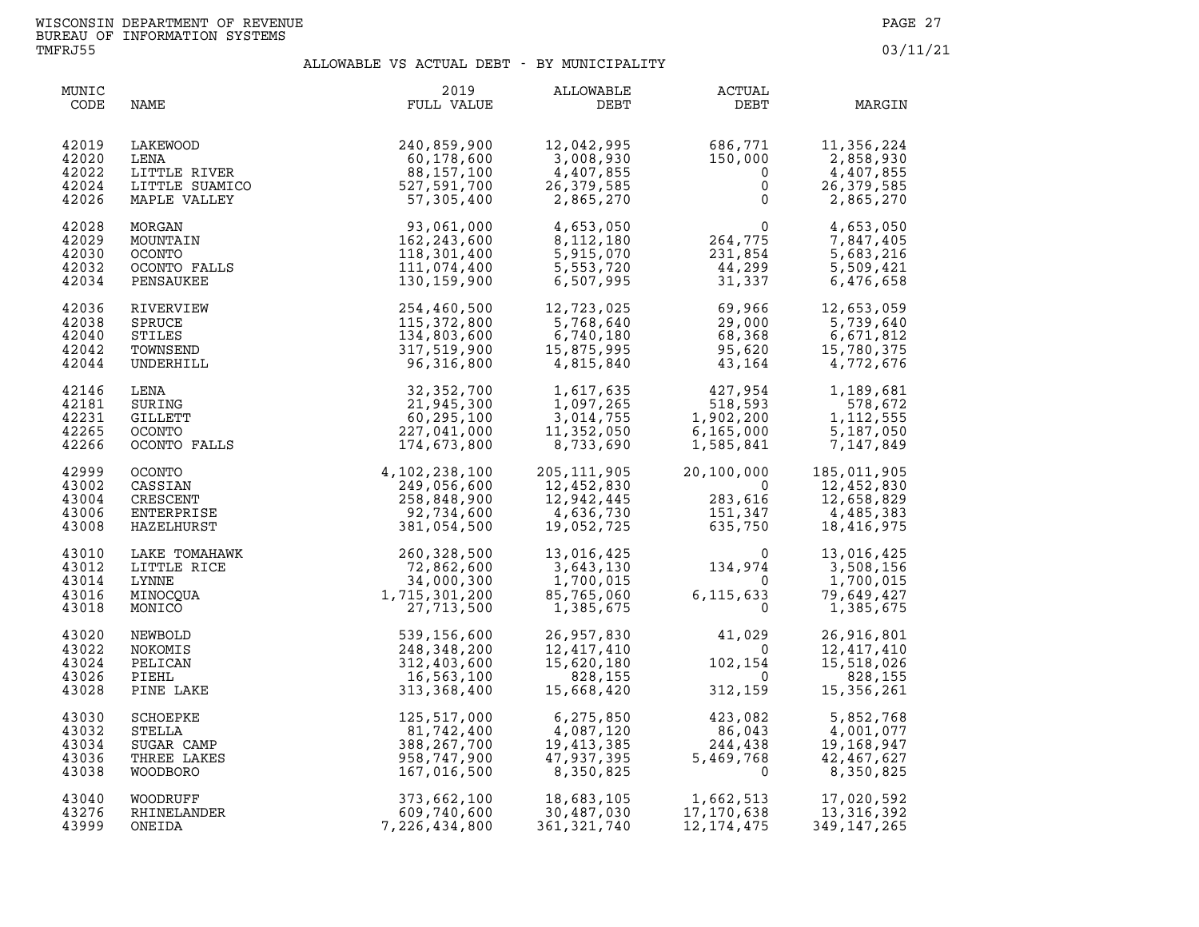| MUNIC<br>CODE                             | NAME                                                             | 2019<br>FULL VALUE                                                                                                                                                      | ALLOWABLE<br>DEBT                                                                                 | <b>ACTUAL</b><br>DEBT                                                                                                                                                                                                                                                                            | MARGIN                                                                        |
|-------------------------------------------|------------------------------------------------------------------|-------------------------------------------------------------------------------------------------------------------------------------------------------------------------|---------------------------------------------------------------------------------------------------|--------------------------------------------------------------------------------------------------------------------------------------------------------------------------------------------------------------------------------------------------------------------------------------------------|-------------------------------------------------------------------------------|
| 42019<br>42020<br>42022<br>42024<br>42026 |                                                                  | 1240,859,900<br>LENA 60,178,600<br>LENA 60,178,600<br>LITTLE RIVER 88,157,100<br>LITTLE SUAMICO 527,591,700<br>MAPLE VALLEY 57,305,400                                  | 12,042,995<br>$12,042,7$<br>3,008,930<br>4,407,855<br>دده , ، نامو<br>26, 379, 585<br>2, 865, 270 | $686, 771$<br>150,000<br>0<br>0                                                                                                                                                                                                                                                                  | 11,356,224<br>2,858,930<br>4,407,855<br>26, 379, 585<br>2,865,270             |
| 42028<br>42029<br>42030<br>42032<br>42034 | MORGAN<br>MOUNTAIN<br><b>OCONTO</b><br>OCONTO FALLS<br>PENSAUKEE | 93,061,000<br>162,243,600<br>118,301,400<br>111,074,400<br>130,159,900                                                                                                  | 4,653,050<br>8,112,180<br>5,915,070<br>5,553,720<br>6,507,995                                     | $\begin{array}{c} 0 \\ 264, 775 \\ 231, 854 \\ 44, 299 \\ 31, 337 \end{array}$                                                                                                                                                                                                                   | 4,653,050<br>7,847,405<br>5,683,216<br>5,509,421<br>6,476,658                 |
| 42036<br>42038<br>42040<br>42042<br>42044 | RIVERVIEW<br><b>SPRUCE</b><br>STILES<br>TOWNSEND<br>UNDERHILL    | 254,460,500<br>115,372,800<br>134,803,600<br>317,519,900<br>96,316,800                                                                                                  | 12,723,025<br>5,768,640<br>6,740,180<br>15,875,995<br>4,815,840                                   | $69,966$<br>$29,000$<br>$68,368$<br>$95,620$<br>$43,164$                                                                                                                                                                                                                                         | 12,653,059<br>5,739,640<br>6,671,812<br>15,780,375<br>4,772,676               |
| 42146<br>42181<br>42231<br>42265<br>42266 | LENA<br>SURING<br>GILLETT<br>OCONTO<br>OCONTO FALLS              | 32,352,700<br>21,945,300<br>60,295,100<br>227,041,000<br>174,673,800                                                                                                    | 1,617,635<br>1,097,265<br>3,014,755<br>11,352,050<br>8,733,690                                    | $\begin{array}{c} 427,954\ 518,593\ 1,902,200\ 6,165,000\ 1,585,841\ \end{array}$                                                                                                                                                                                                                | 1,189,681<br>578,672<br>1, 112, 555<br>5,187,050<br>7,147,849                 |
| 42999<br>43002<br>43004<br>43006<br>43008 | OCONTO<br>CASSIAN<br>CRESCENT<br>ENTERPRISE<br>HAZELHURST        | $4, 102, 238, 100$<br>$249, 056, 600$<br>$258, 848, 900$<br>$92, 734, 600$<br>$381, 054, 500$                                                                           | 205,111,905<br>12,452,830<br>12,942,445<br>4,636,730<br>19,052,725                                | 20,100,000<br>0<br>283,616<br>151,347<br>635,750<br>$283,616$<br>151,347<br>635,750<br>151,347                                                                                                                                                                                                   | 20,100,000 185,011,905<br>12,452,830<br>12,658,829<br>4,485,383<br>18,416,975 |
| 43010<br>43012<br>43014<br>43016<br>43018 | LAKE TOMAHAWK<br>LITTLE RICE<br>LYNNE<br>MINOCQUA<br>MONICO      |                                                                                                                                                                         | 13,016,425<br>85,765,060<br>1,385,675                                                             | $13,016,425$<br>$3,643,130$<br>$1,700,015$<br>$85,765,060$<br>$6,115,633$<br>$0$                                                                                                                                                                                                                 | 13,016,425<br>3,508,156<br>1,700,015<br>79,649,427<br>1,385,675               |
| 43020<br>43022<br>43024<br>43026<br>43028 | NEWBOLD<br>NOKOMIS<br>PELICAN<br>PIEHL<br>PINE LAKE              | HAWK<br>CE<br>CE<br>72, 862, 600<br>34, 000, 300<br>1, 715, 301, 200<br>27, 713, 500<br>27, 713, 500<br>312, 403, 600<br>16, 563, 100<br>313, 368, 400<br>313, 368, 400 | 26,957,830                                                                                        | 41,029<br>$\begin{array}{cc} 26\,,957\,,830 \qquad \qquad & 41\,,029 \\ 12\,,417\,,410 \qquad \qquad & 0 \\ 15\,,620\,,180 \qquad \qquad & 102\,,154 \\ 828\,,155 \qquad \qquad & 0 \\ 15\,,668\,,420 \qquad \qquad & 312\,,159 \end{array}$<br>$\begin{matrix}0\\154\\0\end{matrix}$<br>312,159 | 26,916,801<br>12,417,410<br>15,518,026<br>828,155<br>15,356,261               |
| 43030<br>43032<br>43034<br>43036<br>43038 | SCHOEPKE<br>STELLA<br>SUGAR CAMP<br>THREE LAKES<br>WOODBORO      | 125,517,000<br>81,742,400<br>388,267,700<br>958,747,900<br>167,016,500                                                                                                  | 6,275,850<br>4,087,120<br>19,413,385<br>19,413,385<br>47,937,395<br>8,350,825                     | $423,082$<br>$86,043$<br>$244,438$<br>$5,469,768$<br>$423,082$<br>$86,043$<br>$244,438$<br>$5,469,768$                                                                                                                                                                                           | 5,852,768<br>4,001,077<br>19,168,947<br>42,467,627<br>8,350,825               |
| 43040<br>43276<br>43999                   | WOODRUFF<br>RHINELANDER<br>ONEIDA                                | 373,662,100<br>609,740,600<br>7,226,434,800                                                                                                                             | 18,683,105<br>18,683,105<br>30,487,030<br>361, 321, 740                                           | 1,662,513<br>17,170,638<br>12, 174, 475                                                                                                                                                                                                                                                          | 17,020,592<br>13,316,392<br>349, 147, 265                                     |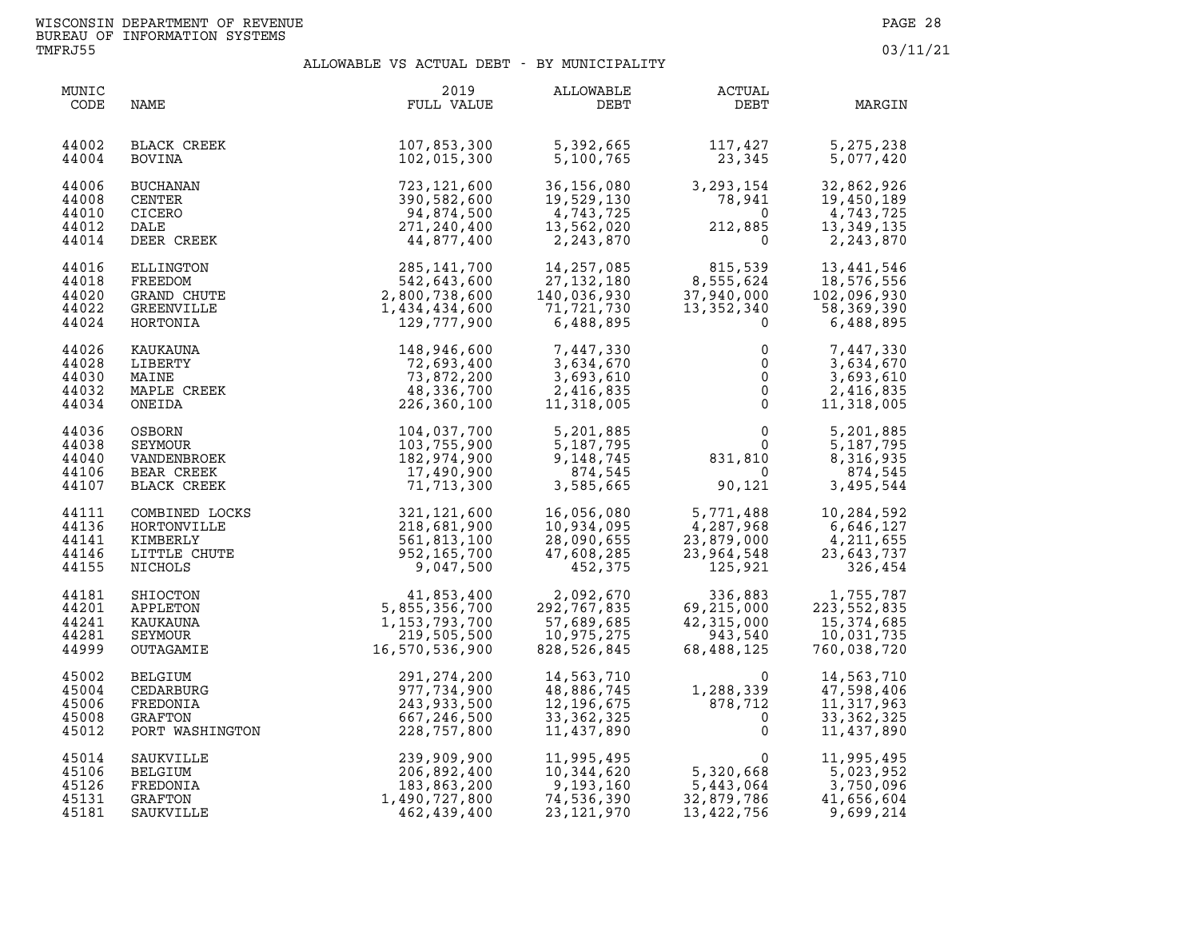| MUNIC<br>CODE                             | NAME                                                           | 2019<br>FULL VALUE                                                               | ALLOWABLE<br>DEBT                                                      | ACTUAL<br>DEBT                                               | MARGIN                                                                |
|-------------------------------------------|----------------------------------------------------------------|----------------------------------------------------------------------------------|------------------------------------------------------------------------|--------------------------------------------------------------|-----------------------------------------------------------------------|
| 44002<br>44004                            | BLACK CREEK<br>BOVINA                                          | 107,853,300<br>102,015,300                                                       | 5,392,665<br>5,100,765                                                 | 117,427<br>23,345                                            | 5,275,238<br>5,077,420                                                |
| 44006                                     | <b>BUCHANAN</b>                                                | 723,121,600                                                                      | 36,156,080                                                             | 3, 293, 154                                                  | 32,862,926                                                            |
| 44008                                     | CENTER                                                         | 390,582,600                                                                      | 19,529,130                                                             | 78,941                                                       | 19,450,189                                                            |
| 44010                                     | CICERO                                                         | 94,874,500                                                                       | 19,529,130<br>4,743,725                                                | $\Omega$                                                     | 4,743,725                                                             |
| 44012                                     | DALE                                                           | 271,240,400                                                                      | 13,562,020                                                             | 212,885                                                      | 13,349,135                                                            |
| 44014                                     | DEER CREEK                                                     | 44,877,400                                                                       | 2,243,870                                                              | $\overline{0}$                                               | 2,243,870                                                             |
| 44016                                     | <b>ELLINGTON</b>                                               | 285, 141, 700                                                                    | 14,257,085                                                             | 815,539                                                      | 13,441,546                                                            |
| 44018                                     | FREEDOM                                                        | 542,643,600                                                                      | 27,132,180                                                             | 8,555,624                                                    | 18,576,556                                                            |
| 44020                                     | GRAND CHUTE                                                    | 2,800,738,600                                                                    | 140,036,930                                                            | 37,940,000                                                   | 102,096,930                                                           |
| 44022                                     | GREENVILLE                                                     | 1,434,434,600                                                                    | 71,721,730                                                             | 13, 352, 340                                                 | 58,369,390                                                            |
| 44024                                     | HORTONIA                                                       | 129,777,900                                                                      | 6,488,895                                                              | $\Omega$                                                     | 6,488,895                                                             |
| 44026                                     | KAUKAUNA                                                       | 148,946,600                                                                      | 7,447,330                                                              | 0                                                            | 7,447,330                                                             |
| 44028                                     | LIBERTY                                                        | 72,693,400                                                                       | 3,634,670                                                              | $\mathbf 0$                                                  | 3,634,670                                                             |
| 44030                                     | MAINE                                                          | 73,872,200                                                                       | 3,693,610                                                              | $\mathsf{O}$                                                 | 3,693,610                                                             |
| 44032                                     | MAPLE CREEK                                                    | 48,336,700                                                                       | 2,416,835                                                              | $\mathbf 0$                                                  | 2,416,835                                                             |
| 44034                                     | ONEIDA                                                         | 226,360,100                                                                      | 11,318,005                                                             | $\mathsf 0$                                                  | 11,318,005                                                            |
| 44036                                     | OSBORN                                                         | 104,037,700                                                                      | 5,201,885                                                              | $\mathsf{O}$                                                 | 5,201,885                                                             |
| 44038                                     | SEYMOUR                                                        | 103,755,900                                                                      | 5,187,795                                                              | $\Omega$                                                     | 5,187,795                                                             |
| 44040                                     | VANDENBROEK                                                    | 182,974,900                                                                      | 9,148,745                                                              | 831,810                                                      | 8,316,935                                                             |
| 44106                                     | BEAR CREEK                                                     | 17,490,900                                                                       | 874,545                                                                | $\overline{0}$                                               | 874,545                                                               |
| 44107                                     | BLACK CREEK                                                    | 71,713,300                                                                       | 3,585,665                                                              | 90,121                                                       | 3,495,544                                                             |
| 44111                                     | COMBINED LOCKS                                                 | 321,121,600                                                                      | 16,056,080                                                             | 5,771,488                                                    | 10,284,592                                                            |
| 44136                                     | HORTONVILLE                                                    | 218,681,900                                                                      | 10,934,095                                                             | 4,287,968                                                    | 6,646,127                                                             |
| 44141                                     | KIMBERLY                                                       | 561,813,100                                                                      | 28,090,655                                                             | 23,879,000                                                   | 4,211,655                                                             |
| 44146                                     | LITTLE CHUTE                                                   | 952,165,700                                                                      | 47,608,285                                                             | 23,964,548                                                   | 23,643,737                                                            |
| 44155                                     | NICHOLS                                                        | 9,047,500                                                                        | 452,375                                                                | 125,921                                                      | 326,454                                                               |
| 44181<br>44201<br>44241<br>44281<br>44999 | SHIOCTON<br>APPLETON<br>KAUKAUNA<br>SEYMOUR<br>OUTAGAMIE       | 41,853,400<br>5,855,356,700<br>1, 153, 793, 700<br>219,505,500<br>16,570,536,900 | 2,092,670<br>292,767,835<br>57,689,685<br>10,975,275<br>828,526,845    | 336,883<br>69,215,000<br>42,315,000<br>943,540<br>68,488,125 | 1,755,787<br>223, 552, 835<br>15,374,685<br>10,031,735<br>760,038,720 |
| 45002<br>45004<br>45006<br>45008<br>45012 | BELGIUM<br>CEDARBURG<br>FREDONIA<br>GRAFTON<br>PORT WASHINGTON | 291, 274, 200<br>977,734,900<br>243,933,500<br>667,246,500<br>228,757,800        | 14,563,710<br>48,886,745<br>12, 196, 675<br>33, 362, 325<br>11,437,890 | $1,288,339$<br>878,712<br>0<br>1,288,339                     | 14,563,710<br>47,598,406<br>11,317,963<br>33, 362, 325<br>11,437,890  |
| 45014                                     | SAUKVILLE                                                      | 239,909,900                                                                      | 11,995,495                                                             | $\Omega$                                                     | 11,995,495                                                            |
| 45106                                     | BELGIUM                                                        | 206,892,400                                                                      | 10,344,620                                                             | 5,320,668                                                    | 5,023,952                                                             |
| 45126                                     | FREDONIA                                                       | 183,863,200                                                                      | 9,193,160                                                              | 5,443,064                                                    | 3,750,096                                                             |
| 45131                                     | GRAFTON                                                        | 1,490,727,800                                                                    | 74,536,390                                                             | 32,879,786                                                   | 41,656,604                                                            |
| 45181                                     | SAUKVILLE                                                      | 462,439,400                                                                      | 23, 121, 970                                                           | 13,422,756                                                   | 9,699,214                                                             |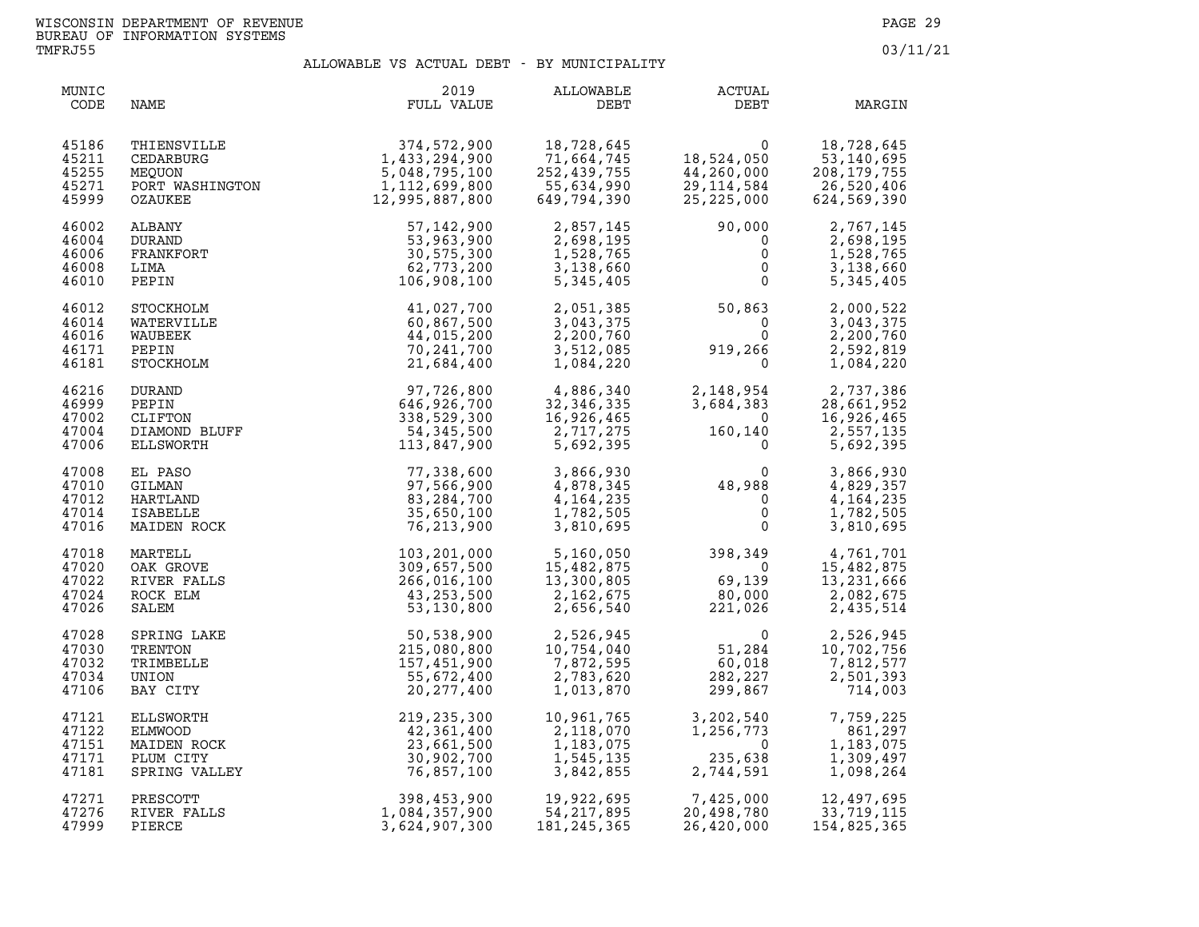| MUNIC<br>CODE                             | NAME                                                                         | 2019<br>FULL VALUE                                                               | ALLOWABLE<br>DEBT                                                            | ACTUAL<br>DEBT                                                                                       | MARGIN                                                                                             |
|-------------------------------------------|------------------------------------------------------------------------------|----------------------------------------------------------------------------------|------------------------------------------------------------------------------|------------------------------------------------------------------------------------------------------|----------------------------------------------------------------------------------------------------|
| 45186<br>45211<br>45255<br>45271<br>45999 | THIENSVILLE<br>CEDARBURG<br>MEQUON<br>PORT WASHINGTON<br>CZAIIKEE<br>OZAUKEE | 374,572,900<br>1,433,294,900<br>5,048,795,100<br>1,112,699,800<br>12,995,887,800 | 18,728,645<br>71,664,745<br>252,439,755<br>55,634,990<br>649,794,390         | 0<br>18,524,050<br>44,260,000<br>29,114,584<br>25, 225, 000                                          | 18,728,645<br>53,140,695<br>208, 179, 755<br>26,520,406<br>624,569,390                             |
| 46002<br>46004<br>46006<br>46008<br>46010 | ALBANY<br>DURAND<br>FRANKFORT<br>LIMA<br>PEPIN                               | 57, 142, 900<br>53,963,900<br>30,575,300<br>62,773,200<br>106,908,100            | 2,857,145<br>2,698,195<br>1,528,765<br>3,138,660<br>5,345,405                | 90,000<br>$\overline{0}$<br>$\mathbf{0}$<br>$\mathsf{O}$<br>$\mathbf 0$                              | 2,767,145<br>2,698,195<br>1,528,765<br>3,138,660<br>5,345,405                                      |
| 46012<br>46014<br>46016<br>46171<br>46181 | STOCKHOLM<br>WATERVILLE<br>WAUBEEK<br>PEPIN<br>STOCKHOLM                     | 41,027,700<br>60,867,500<br>44,015,200<br>70, 241, 700<br>21,684,400             | 2,051,385<br>3,043,375<br>2,200,760<br>3,512,085<br>1,084,220                | 50,863<br>$\overline{0}$<br>$919, 266$<br>0                                                          | 2,000,522<br>3,043,375<br>2,200,760<br>2,592,819<br>1,084,220                                      |
| 46216<br>46999<br>47002<br>47004<br>47006 | DURAND<br>PEPIN<br>CLIFTON<br>DIAMOND BLUFF<br>ELLSWORTH                     | 97,726,800<br>646,926,700<br>338,529,300<br>54,345,500<br>113,847,900            | 4,886,340<br>32,346,335<br>16,926,465<br>2,717,275<br>5,692,395              | $\begin{smallmatrix}&&&0\160,140\end{smallmatrix}$<br>$\Omega$                                       | 2, 148, 954<br>3, 684, 383<br>28, 661, 952<br>28, 661, 952<br>16,926,465<br>2,557,135<br>5,692,395 |
| 47008<br>47010<br>47012<br>47014<br>47016 | EL PASO<br>GILMAN<br>HARTLAND<br><b>ISABELLE</b><br>MAIDEN ROCK              | 77,338,600<br>97,566,900<br>83,284,700<br>35,650,100<br>76,213,900               | 3,866,930<br>4,878,345<br>4,164,235<br>1,782,505<br>3,810,695                | $\begin{smallmatrix}&&&0\&48,988\&0\&&0\end{smallmatrix}$<br>$\Omega$                                | 3,866,930<br>4,829,357<br>4, 164, 235<br>1,782,505<br>3,810,695                                    |
| 47018<br>47020<br>47022<br>47024<br>47026 | MARTELL<br>OAK GROVE<br>RIVER FALLS<br>ROCK ELM<br>SALEM                     | 103,201,000<br>309,657,500<br>266,016,100<br>43,253,500<br>53,130,800            | 5,160,050<br>15,482,875<br>13,300,805<br>2.162.675<br>2,162,675<br>2,656,540 | 398,349 4,761,701<br>0 15,482,875<br>$\begin{array}{c} 0 \\ 69,139 \end{array}$<br>80,000<br>221,026 | 13,231,666<br>2,082,675<br>2,435,514                                                               |
| 47028<br>47030<br>47032<br>47034<br>47106 | SPRING LAKE<br>TRENTON<br>TRIMBELLE<br>UNION<br>BAY CITY                     | 50,538,900<br>215,080,800<br>157,451,900<br>55,672,400<br>20, 277, 400           | 2,526,945<br>10,754,040<br>7,872,595<br>2,783,620<br>1,013,870               | $\mathbf{0}$<br>51,284<br>60,018<br>282,227<br>299,867<br>299,867                                    | 2,526,945<br>10,702,756<br>7,812,577<br>2,501,393<br>714,003                                       |
| 47121<br>47122<br>47151<br>47171<br>47181 | ELLSWORTH<br>ELMWOOD<br>MAIDEN ROCK<br>PLUM CITY<br>SPRING VALLEY            | 219, 235, 300<br>42,361,400<br>23,661,500<br>30,902,700<br>76,857,100            | 10,961,765<br>10,961,765<br>2,118,070<br>1,183,075<br>1,545,135<br>3,842,855 | 3,202,540<br>1,256,773<br>$\overline{0}$<br>235,638<br>2,744,591                                     | 7,759,225<br>861,297<br>1,183,075<br>1,309,497<br>1,098,264                                        |
| 47271<br>47276<br>47999                   | PRESCOTT<br>RIVER FALLS<br>PIERCE                                            | 398,453,900<br>1,084,357,900<br>3,624,907,300                                    | 19, 922, 01<br>54, 217, 895<br>015, 365<br>181, 245, 365                     | 7,425,000<br>20.498.780<br>20,498,780<br>26,420,000                                                  | 12,497,695<br>33,719,115<br>154,825,365                                                            |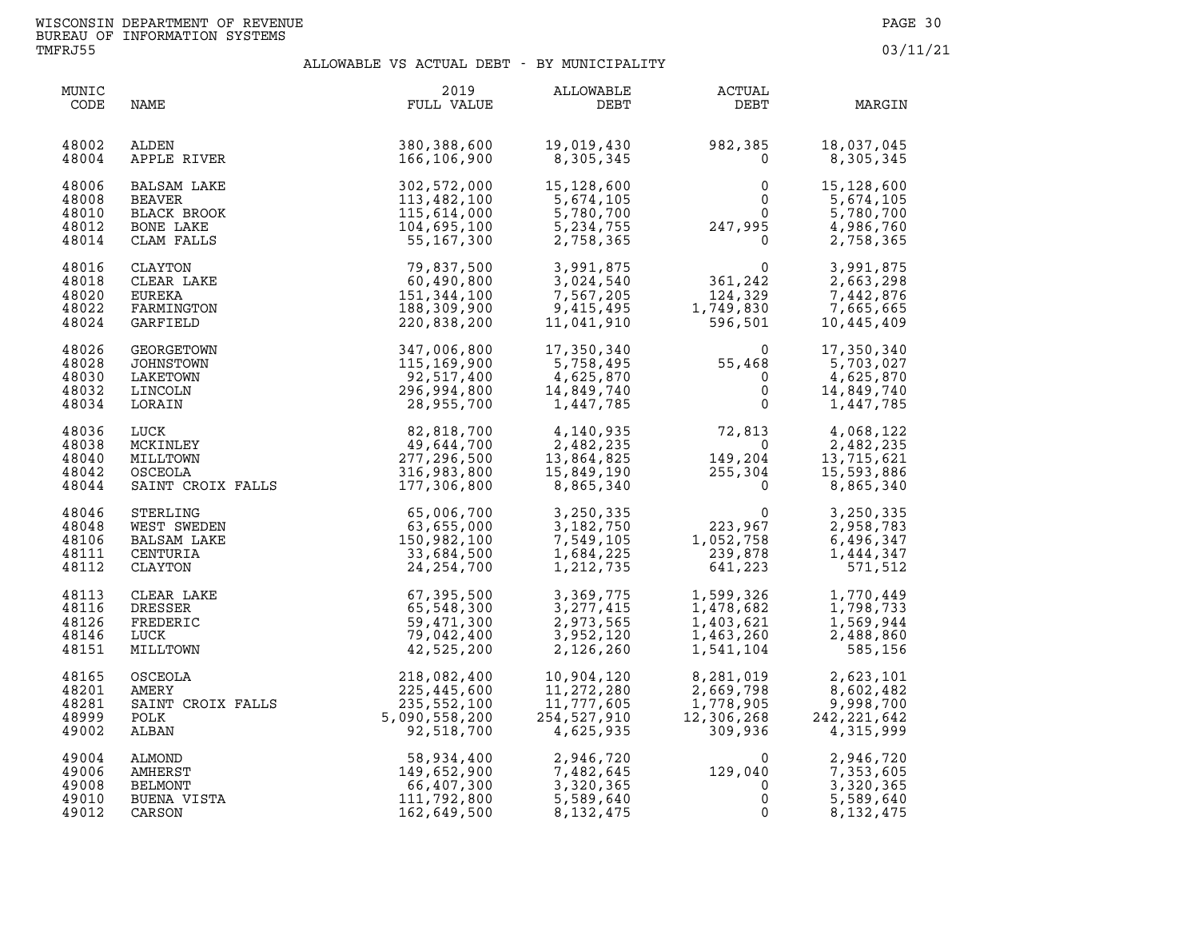| MUNIC<br>CODE                             | NAME                                                                   | 2019<br>FULL VALUE                                                                                                                                                                                                                  | ALLOWABLE<br>DEBT                                                                                        | <b>ACTUAL</b><br>DEBT                                                                                                                            | MARGIN                                                                   |
|-------------------------------------------|------------------------------------------------------------------------|-------------------------------------------------------------------------------------------------------------------------------------------------------------------------------------------------------------------------------------|----------------------------------------------------------------------------------------------------------|--------------------------------------------------------------------------------------------------------------------------------------------------|--------------------------------------------------------------------------|
| 48002<br>48004                            | ALDEN<br>APPLE RIVER                                                   | 380,388,600<br>166,106,900                                                                                                                                                                                                          | 19,019,430<br>8,305,345                                                                                  | 982,385<br>0                                                                                                                                     | 18,037,045<br>8,305,345                                                  |
| 48006<br>48008<br>48010<br>48012<br>48014 | <b>BALSAM LAKE</b><br>BEAVER<br>BLACK BROOK<br>BONE LAKE<br>CLAM FALLS | 302,572,000<br>113,482,100<br>115,614,000<br>104,695,100<br>55,167,300                                                                                                                                                              | 15,128,600<br>5,674,105<br>5,780,700<br>5, 234, 755<br>2,758,365                                         | $\begin{array}{ccc} 0 & 15,128,600 \\ 0 & 5,674,105 \\ 0 & 5,780,700 \\ 247,995 & 4,986,760 \\ 0 & 2,758,365 \end{array}$                        |                                                                          |
| 48016<br>48018<br>48020<br>48022<br>48024 | CLAYTON<br>CLEAR LAKE<br>EUREKA<br>FARMINGTON<br>GARFIELD              | 79,837,500<br>60,490,800<br>151,344,100<br>188,309,900<br>220,838,200                                                                                                                                                               | 3,024,540<br>7,567,205<br>9,415,495<br>11,041,910                                                        | 3,991,875<br>3,024,540<br>7,567,205<br>9,415,495<br>11,041,910<br>596,501                                                                        | 3,991,875<br>2,665,25<br>7,442,876<br>195,665<br>7,665,665<br>10,445,409 |
| 48026<br>48028<br>48030<br>48032<br>48034 | GEORGETOWN<br>JOHNSTOWN<br>LAKETOWN<br>LINCOLN<br>LORAIN               | 347,006,800<br>115,169,900<br>92,517,400<br>296,994,800<br>28,955,700                                                                                                                                                               | 17,350,340<br>5,758,495<br>4,625,870<br>14,849,740<br>1,447,785                                          | $\begin{array}{llll} 17,350,340 & 0 \\ 5,758,495 & 55,468 \\ 4,625,870 & 0 \\ 14,849,740 & 0 \\ 1,447,785 & 0 \end{array}$                       | 17,350,340<br>5,703,027<br>4,625,870<br>14,849,740<br>1,447,785          |
| 48036<br>48038<br>48040<br>48042<br>48044 | LUCK<br>MCKINLEY<br>MILLTOWN<br>OSCEOLA                                | $\begin{array}{c} 82,818,700 \\ 49,644,700 \\ 277,296,500 \\ 316,983,800 \\ \textcolor{red}{117},08,800 \end{array}$<br>USUEULA<br>SAINT CROIX FALLS (177,306,800                                                                   | 4,140,935<br>2,482,235<br>2,482,235<br>13,864,825<br>15,849,190<br>8,865,340<br>13,864,825<br>15,849,190 | $\begin{array}{cccc} 72,813 & & 4,068,122 \\ 0 & & 2,482,235 \\ 149,204 & & 13,715,621 \\ 255,304 & & 15,593,886 \\ 0 & & 8,865,340 \end{array}$ |                                                                          |
| 48046<br>48048<br>48106<br>48111<br>48112 | STERLING<br>WEST SWEDEN<br>BALSAM LAKE<br>CENTURIA<br>CLAYTON          | $65,006,700$<br>$63,655,000$<br>$150,982,100$<br>$33,684,500$<br>$24,254,700$                                                                                                                                                       | 3,250,335<br>3,182,750<br>7,549,105<br>1,684,225<br>1,212,735                                            | $\begin{smallmatrix}&&&0\223,967\1,052,758\239,878\641,223\end{smallmatrix}$                                                                     | 3,250,335<br>2,958,783<br>6,496,347<br>1,444,347<br>571,512              |
| 48113<br>48116<br>48126<br>48146<br>48151 | CLEAR LAKE<br>DRESSER<br>FREDERIC<br>LUCK<br>MILLTOWN                  | 67,395,500<br>65,548,300<br>59,471,300<br>79,042,400<br>42,525,200                                                                                                                                                                  | 3,369,775<br>3,277,415<br>2,973,565<br>3,952,120<br>2,126,260                                            | 1,599,326<br>1,478,682<br>1,403,621<br>1,463,260<br>1,541,104                                                                                    | 1,770,449<br>1,798,733<br>1,569,944<br>2,488,860<br>585,156              |
| 48165<br>48201<br>48281<br>48999<br>49002 | OSCEOLA                                                                | 218,082,400                                                                                                                                                                                                                         | 10,904,120<br>11,272,280<br>11,777,605<br>254,527,910<br>4,625,935                                       | 8,281,019<br>2,669,798<br>1,778,905<br>12,306,268<br>309,936<br>12,306,268                                                                       | 2,623,101<br>8,602,482<br>9,998,700<br>242, 221, 642<br>4,315,999        |
| 49004<br>49006<br>49008<br>49010<br>49012 |                                                                        | AMERY 225, 445, 600<br>SAINT CROIX FALLS 225, 445, 600<br>POLK 5, 090, 558, 200<br>ALMOND 58, 934, 400<br>ALMOND 58, 934, 400<br>AMERST 149, 652, 900<br>BELMONT 149, 652, 900<br>BUENA VISTA 111, 792, 800<br>CARSON 162, 649, 500 | 2,946,720<br>7,482,645<br>3,320,365<br>5,589,640<br>8,132,475                                            | $129,040$<br>0<br>0<br>0                                                                                                                         | 2,946,720<br>7,353,605<br>3,320,365<br>5,589,640<br>8, 132, 475          |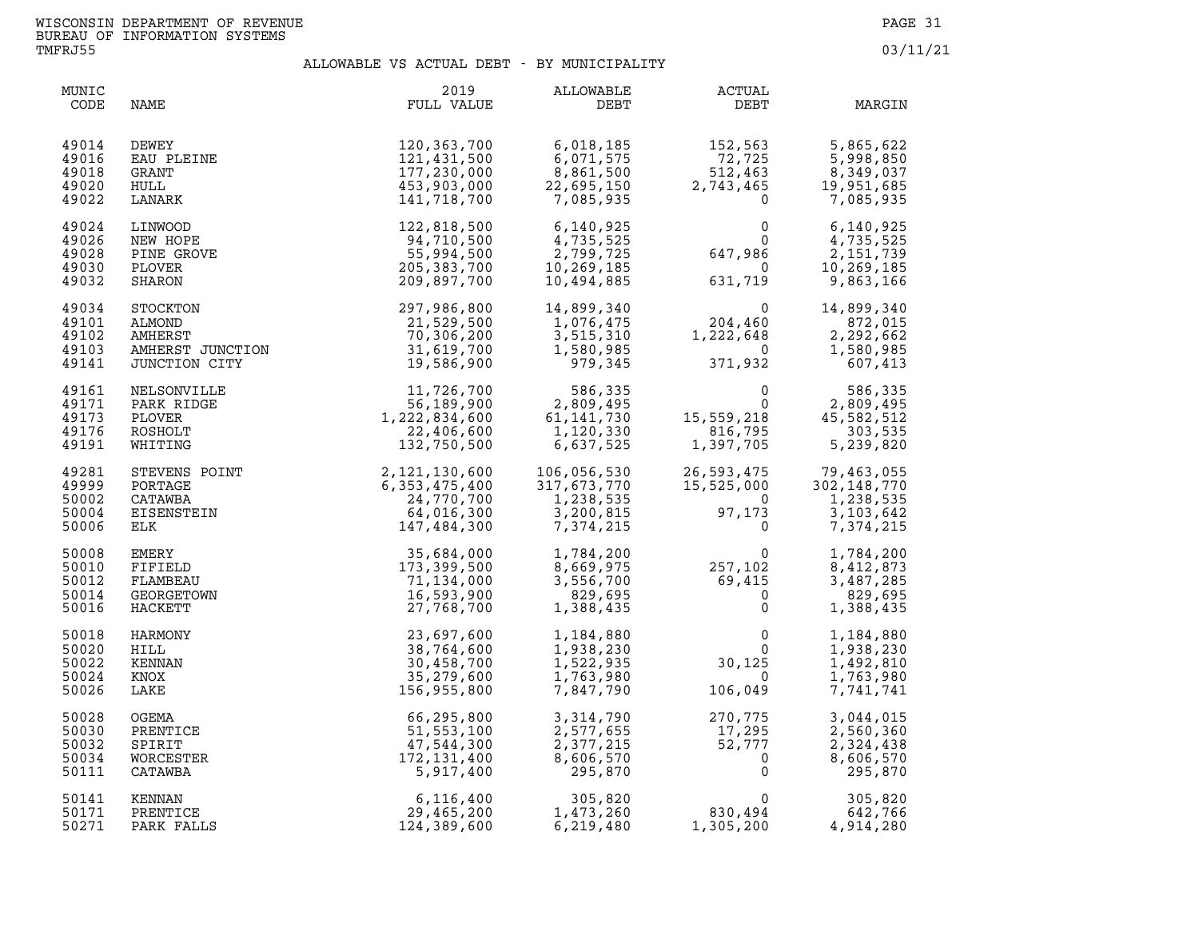| MUNIC<br>CODE                             | NAME                                                                                                                                                                                                                                               | 2019<br>FULL VALUE                                                                                                                                                                                                                                                                               | ALLOWABLE<br>DEBT                                                                                         | <b>ACTUAL</b><br>DEBT                                                                                               | MARGIN                                                                                                  |
|-------------------------------------------|----------------------------------------------------------------------------------------------------------------------------------------------------------------------------------------------------------------------------------------------------|--------------------------------------------------------------------------------------------------------------------------------------------------------------------------------------------------------------------------------------------------------------------------------------------------|-----------------------------------------------------------------------------------------------------------|---------------------------------------------------------------------------------------------------------------------|---------------------------------------------------------------------------------------------------------|
| 49014<br>49016<br>49018<br>49020<br>49022 | DEWEY<br>EAU PLEINE<br>GRANT<br>HULL<br>LANARK                                                                                                                                                                                                     | 120,363,700<br>121,431,500<br>177,230,000<br>453,903,000<br>141,718,700                                                                                                                                                                                                                          | 6,018,185<br>6,071,575<br>8,861,500<br>22,695,150<br>7,085,935                                            | $152, 563$<br>$72, 725$<br>$512, 463$<br>$2, 743, 465$<br>$\overline{0}$                                            | 5,865,622<br>5,998,850<br>8,349,037<br>19,951,685<br>7,085,935                                          |
| 49024<br>49026<br>49028<br>49030<br>49032 | LINWOOD<br>NEW HOPE<br>PINE GROVE<br>PLOVER<br>SHARON                                                                                                                                                                                              | 122,818,500<br>94,710,500<br>55,994,500<br>205, 383, 700<br>209,897,700                                                                                                                                                                                                                          | 6,140,925<br>4,735,525<br>2,799,725<br>10,269,185<br>10,494,885                                           | $0\ 0\ 0$<br>647,986<br>631,719                                                                                     | 6,140,925<br>4,735,525<br>2, 151, 739<br>10,269,185<br>9,863,166                                        |
| 49034<br>49101<br>49102<br>49103<br>49141 |                                                                                                                                                                                                                                                    | SHARON<br>STOCKTON<br>ALMOND<br>ALMOND<br>AMHERST<br>AMHERST<br>JUNCTION<br>CITY<br>CITY<br>CITY<br>CITY<br>CITY<br>CITY<br>CITY<br>CITY<br>CITY<br>CITY<br>CITY<br>CITY<br>CITY<br>CITY<br>CITY<br>CITY<br>CITY<br>CITY<br>CITY<br>CITY<br>CITY<br>CITY<br>CITY<br>CITY<br>CITY<br>CITY<br>CITY | 14,899,340<br>1,076,475<br>$\begin{array}{r} 1,070,470 \\ 3,515,310 \\ 1,580,985 \\ 979,345 \end{array}$  | $\begin{smallmatrix}&&&0\0&204,460\end{smallmatrix}$<br>1,222,648<br>371<br>371,932                                 | 14,899,340<br>872,015<br>2,292,662<br>1,580,985<br>607,413                                              |
| 49161<br>49171<br>49173<br>49176<br>49191 | NELSONVILLE<br>PARK RIDGE<br>PLOVER<br>ROSHOLT<br>WHITING                                                                                                                                                                                          | LE<br>E<br>11,726,700<br>56,189,900<br>1,222,834,600<br>22,406,600<br>132,750,500                                                                                                                                                                                                                | 11,726,700 586,335<br>56,189,900 2,809,495<br>222,834,600 61,141,730<br>22,406,600 1,120,330<br>6,637,525 | $\begin{array}{cc} & & 0 & & 2 \\ & & 0 & & 2 \\ 15,559,218 & & 45 \\ & 816,795 & & \\ 1,397,705 & & 5 \end{array}$ | 586,335<br>2,809,495<br>45,582,512<br>303,535<br>5,239,820                                              |
| 49281<br>49999<br>50002<br>50004<br>50006 |                                                                                                                                                                                                                                                    |                                                                                                                                                                                                                                                                                                  | 106,056,530<br>317,673,770<br>317,673,770<br>1,238,535<br>3,200,815<br>3,200,815<br>7,374,215             | $97,173$<br>0                                                                                                       | 26,593,475 79,463,055<br>15,525,000 302,148,770<br>0 1,238,535<br>1,238,535<br>3, 103, 642<br>7,374,215 |
| 50008<br>50010<br>50012<br>50014<br>50016 |                                                                                                                                                                                                                                                    |                                                                                                                                                                                                                                                                                                  |                                                                                                           | $1,784,200$<br>$8,669,975$<br>$3,556,700$<br>$829,695$<br>$1,388,435$<br>257,102<br>$69,415$<br>$0$<br>0            | 1,784,200<br>8,412,873<br>3,487,285<br>829,695<br>1,388,435                                             |
| 50018<br>50020<br>50022<br>50024<br>50026 |                                                                                                                                                                                                                                                    |                                                                                                                                                                                                                                                                                                  | 1,184,880<br>1,938,230<br>1,522,935<br>1,763,980<br>7,847,790                                             | $\begin{array}{c} 0 \\ 0 \\ 30, 125 \\ 0 \\ 106, 049 \end{array}$<br>$\overline{0}$<br>$\overline{0}$<br>106,049    | 1,184,880<br>1,938,230<br>1,492,810<br>1,763,980<br>7,741,741                                           |
| 50028<br>50030<br>50032<br>50034<br>50111 | WHITING 132,750,500<br>STEVENS POINT 2,121,130,600<br>PORTAGE 6,353,475,400<br>CATAWBA 24,770,700<br>ELK 24,770,700<br>ELK 147,484,300<br>ELK 147,484,300<br>FIFITIELD 35,684,000<br>FIFITIELD 173,399,500<br>HACKETT 153,99,500<br>HACKETT 154,40 |                                                                                                                                                                                                                                                                                                  | 3,314,790<br>2,577,655<br>2,377,215<br>8,606,570<br>295,870                                               | 270,775<br>17,295<br>52,777<br>0                                                                                    | 3,044,015<br>2,560,360<br>2,324,438<br>8,606,570<br>295,870                                             |
| 50141<br>50171<br>50271                   |                                                                                                                                                                                                                                                    |                                                                                                                                                                                                                                                                                                  | 305,820<br>1,473,260<br>6,219,480                                                                         | 830,494<br>$\overline{0}$<br>1,305,200                                                                              | 305,820<br>642,766<br>4,914,280                                                                         |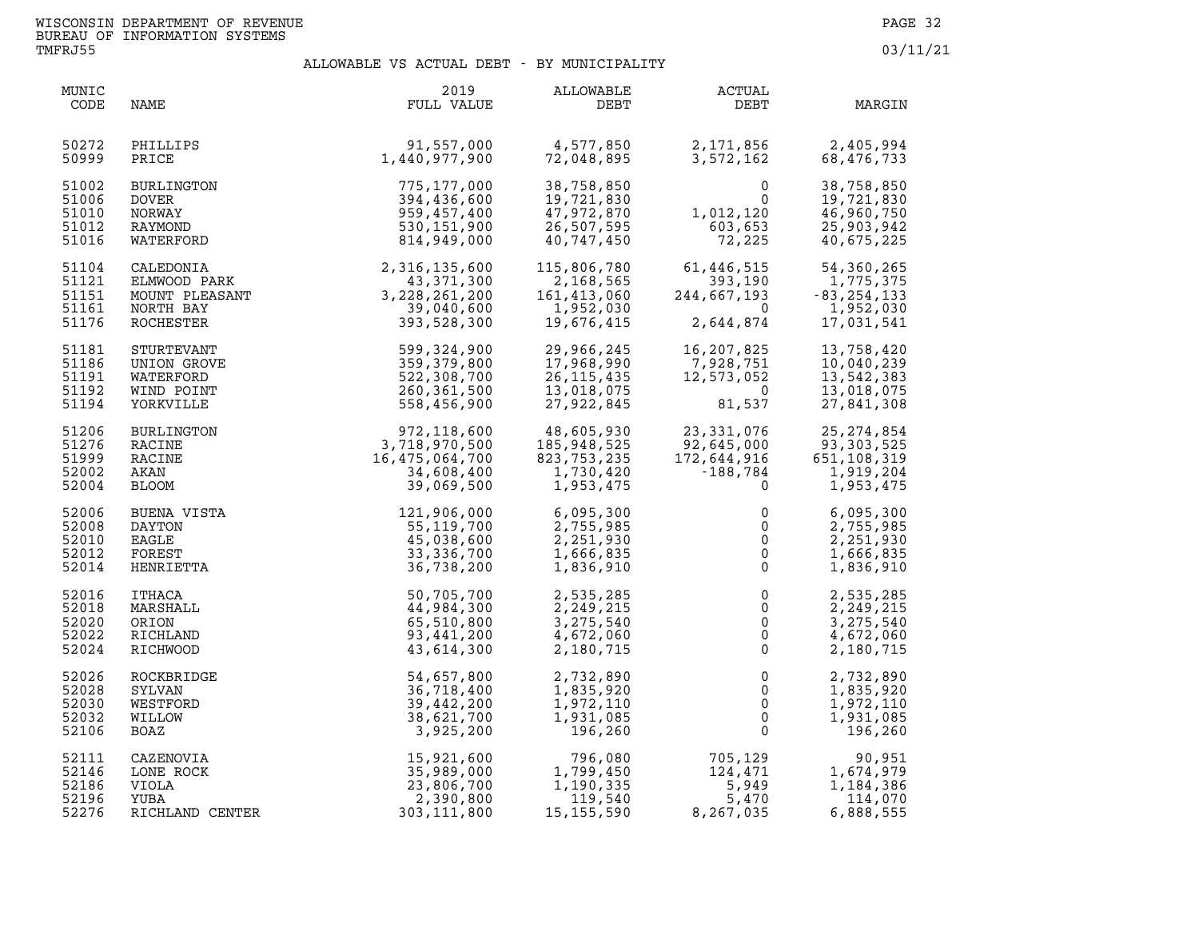| MUNIC<br>CODE                             | NAME                                                  | 2019<br>FULL VALUE                                                                                                              | ALLOWABLE<br>DEBT                                                  | ACTUAL<br><b>DEBT</b>                                                                    | MARGIN                                                                |
|-------------------------------------------|-------------------------------------------------------|---------------------------------------------------------------------------------------------------------------------------------|--------------------------------------------------------------------|------------------------------------------------------------------------------------------|-----------------------------------------------------------------------|
| 50272                                     | PHILLIPS                                              | 91,557,000                                                                                                                      | 4,577,850                                                          | 2,171,856                                                                                | 2,405,994                                                             |
| 50999                                     | PRICE                                                 | 1,440,977,900                                                                                                                   | 72,048,895                                                         | 3,572,162                                                                                | 68,476,733                                                            |
| 51002                                     | BURLINGTON                                            | 775,177,000                                                                                                                     | 38,758,850                                                         | $\mathbf{0}$                                                                             | 38,758,850                                                            |
| 51006                                     | <b>DOVER</b>                                          | 394,436,600                                                                                                                     | 19,721,830                                                         | $\Omega$                                                                                 | 19,721,830                                                            |
| 51010                                     | NORWAY                                                | 959,457,400                                                                                                                     | 47,972,870                                                         | 1,012,120                                                                                | 46,960,750                                                            |
| 51012                                     | RAYMOND                                               | 530,151,900                                                                                                                     | 26,507,595                                                         | 603,653                                                                                  | 25,903,942                                                            |
| 51016                                     | WATERFORD                                             | 814,949,000                                                                                                                     | 40,747,450                                                         | 72,225                                                                                   | 40,675,225                                                            |
| 51104<br>51121<br>51151<br>51161<br>51176 | NORTH BAY<br>ROCHESTER                                | CALEDONIA<br>ELMWOOD PARK 2,316,135,600<br>MOUNT PLEASANT 3,228,261,200<br>NORTH BAY 3,228,261,200<br>39,040,600<br>393,528,300 | 115,806,780<br>2,168,565<br>161,413,060<br>1,952,030<br>19,676,415 | 61,446,515<br>244,667,193<br>$\overline{0}$<br>2,644,874                                 | 54,360,265<br>1,775,375<br>$-83, 254, 133$<br>1,952,030<br>17,031,541 |
| 51181                                     | STURTEVANT                                            | 599,324,900                                                                                                                     | 29,966,245                                                         | 16,207,825                                                                               | 13,758,420                                                            |
| 51186                                     | UNION GROVE                                           | 359,379,800                                                                                                                     | 17,968,990                                                         | 7,928,751                                                                                | 10,040,239                                                            |
| 51191                                     | WATERFORD                                             | 522,308,700                                                                                                                     | 26, 115, 435                                                       | 12,573,052                                                                               | 13,542,383                                                            |
| 51192                                     | WIND POINT                                            | 260,361,500                                                                                                                     | 13,018,075                                                         | - 0                                                                                      | 13,018,075                                                            |
| 51194                                     | YORKVILLE                                             | 558,456,900                                                                                                                     | 27,922,845                                                         | 81,537                                                                                   | 27,841,308                                                            |
| 51206                                     | BURLINGTON                                            | 972, 118, 600<br>3, 718, 970, 500<br>3, 718, 970, 500<br>16, 475, 064, 700<br>34, 608, 400<br>39, 069, 500                      | 48,605,930                                                         | 23, 331, 076                                                                             | 25, 274, 854                                                          |
| 51276                                     | RACINE                                                |                                                                                                                                 | 185,948,525                                                        | 92,645,000                                                                               | 93, 303, 525                                                          |
| 51999                                     | RACINE                                                |                                                                                                                                 | 823,753,235                                                        | 172,644,916                                                                              | 651,108,319                                                           |
| 52002                                     | AKAN                                                  |                                                                                                                                 | 1,730,420                                                          | -188,784                                                                                 | 1,919,204                                                             |
| 52004                                     | <b>BLOOM</b>                                          |                                                                                                                                 | 1,953,475                                                          | $\mathbf 0$                                                                              | 1,953,475                                                             |
| 52006<br>52008<br>52010<br>52012<br>52014 | BUENA VISTA<br>DAYTON<br>EAGLE<br>FOREST<br>HENRIETTA | 121,906,000<br>55, 119, 700<br>45,038,600<br>33, 336, 700<br>36,738,200                                                         | 6,095,300<br>2,755,985<br>2,251,930<br>1,666,835<br>1,836,910      | 0<br>$\mathsf{O}\xspace$<br>$\mathsf{O}\xspace$<br>$\mathsf{O}\xspace$<br>$\overline{0}$ | 6,095,300<br>2,755,985<br>2,251,930<br>1,666,835<br>1,836,910         |
| 52016                                     | ITHACA                                                | 50,705,700                                                                                                                      | 2,535,285                                                          | $\mathsf{O}\xspace$                                                                      | 2,535,285                                                             |
| 52018                                     | MARSHALL                                              | 44,984,300                                                                                                                      | 2,249,215                                                          | $\mathsf{O}$                                                                             | 2,249,215                                                             |
| 52020                                     | ORION                                                 | 65,510,800                                                                                                                      | 3,275,540                                                          | $\mathsf{O}\xspace$                                                                      | 3,275,540                                                             |
| 52022                                     | RICHLAND                                              | 93,441,200                                                                                                                      | 4,672,060                                                          | $\ddot{\mathbf{0}}$                                                                      | 4,672,060                                                             |
| 52024                                     | RICHWOOD                                              | 43,614,300                                                                                                                      | 2,180,715                                                          | $\mathsf 0$                                                                              | 2,180,715                                                             |
| 52026                                     | ROCKBRIDGE                                            | 54,657,800                                                                                                                      | 2,732,890                                                          | $\mathbf 0$                                                                              | 2,732,890                                                             |
| 52028                                     | SYLVAN                                                | 36,718,400                                                                                                                      | 1,835,920                                                          | $\mathbf 0$                                                                              | 1,835,920                                                             |
| 52030                                     | WESTFORD                                              | 39,442,200                                                                                                                      | 1,972,110                                                          | $\mathsf 0$                                                                              | 1,972,110                                                             |
| 52032                                     | WILLOW                                                | 38,621,700                                                                                                                      | 1,931,085                                                          | $\overline{0}$                                                                           | 1,931,085                                                             |
| 52106                                     | BOAZ                                                  | 3,925,200                                                                                                                       | 196,260                                                            | $\Omega$                                                                                 | 196,260                                                               |
| 52111                                     | CAZENOVIA                                             | 15,921,600                                                                                                                      | 796,080                                                            | 705,129                                                                                  | 90,951                                                                |
| 52146                                     | LONE ROCK                                             | 35,989,000                                                                                                                      | 1,799,450                                                          | 124,471                                                                                  | 1,674,979                                                             |
| 52186                                     | VIOLA                                                 | 23,806,700                                                                                                                      | 1,190,335                                                          | 5,949                                                                                    | 1,184,386                                                             |
| 52196                                     | YUBA                                                  | 2,390,800                                                                                                                       | 119,540                                                            | 5,470                                                                                    | 114,070                                                               |
| 52276                                     | RICHLAND CENTER                                       | 303, 111, 800                                                                                                                   | 15, 155, 590                                                       | 8,267,035                                                                                | 6,888,555                                                             |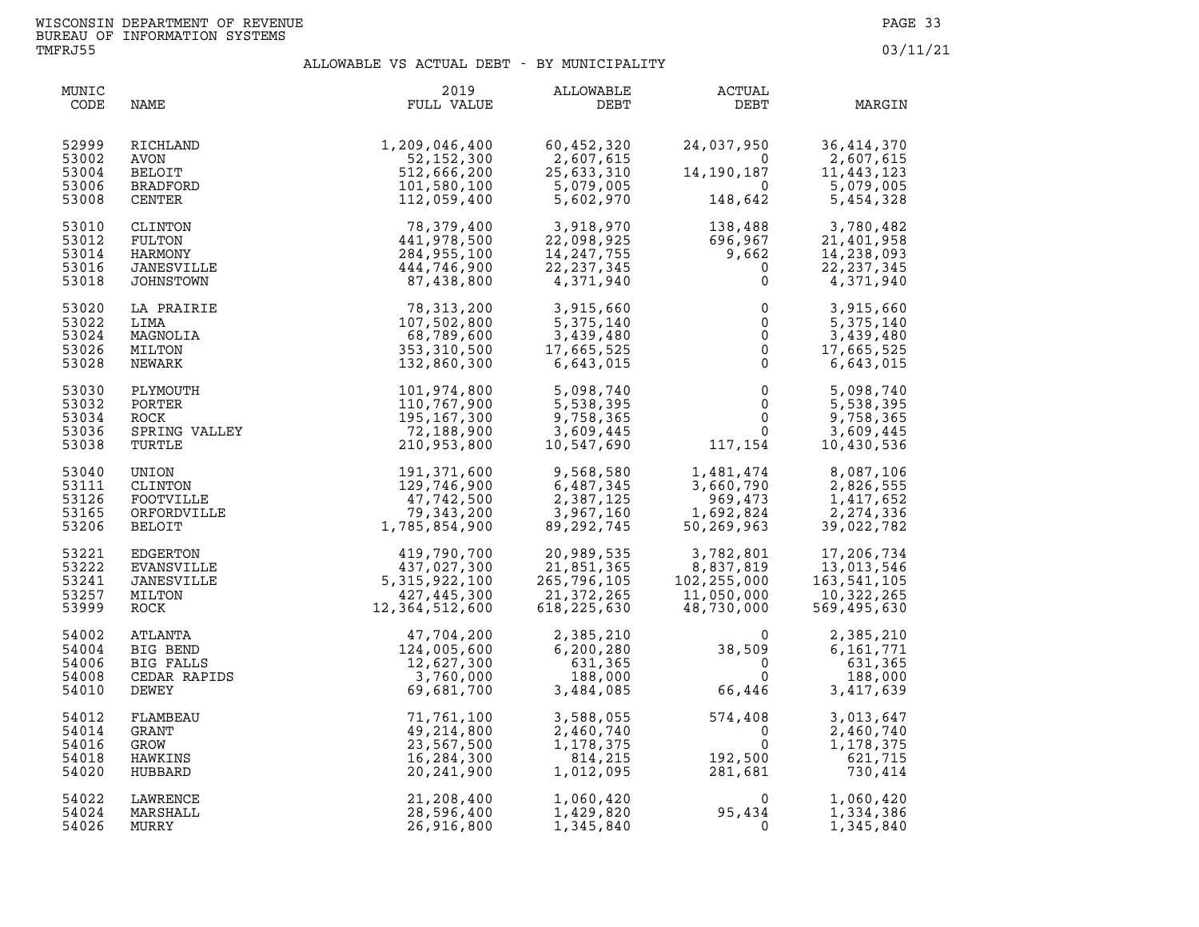| MUNIC<br>CODE                             | NAME                                                             | 2019<br>FULL VALUE                                                                       | <b>ALLOWABLE</b><br>DEBT                                                          | ACTUAL<br>DEBT                                                                                                                                                       | MARGIN                                                                                                                                                                                                   |
|-------------------------------------------|------------------------------------------------------------------|------------------------------------------------------------------------------------------|-----------------------------------------------------------------------------------|----------------------------------------------------------------------------------------------------------------------------------------------------------------------|----------------------------------------------------------------------------------------------------------------------------------------------------------------------------------------------------------|
| 52999<br>53002<br>53004<br>53006<br>53008 | RICHLAND<br>AVON<br><b>BELOIT</b><br>BRADFORD<br>CENTER          | 1,209,046,400<br>52,152,300<br>512,666,200<br>101,580,100<br>112,059,400                 | 60,452,320<br>2,607,615<br>013,007,015<br>25,633,310<br>5,079,005<br>5.603.0      | 24,037,950<br>$\overline{0}$<br>14,190,187<br>$\overline{\mathbf{0}}$<br>148,642                                                                                     | 36, 414, 370<br>2,607,615<br>11,443,123<br>5,079,005<br>5,454,328                                                                                                                                        |
| 53010<br>53012<br>53014<br>53016<br>53018 | CLINTON<br>FULTON<br>HARMONY<br>JANESVILLE<br>JOHNSTOWN          | 78,379,400<br>441,978,500<br>284,955,100<br>444,746,900<br>87,438,800                    | 3,918,970<br>22,098,925<br>14,247,755<br>22,237,345<br>4,371,940                  | $\begin{array}{cc} 138,488 & \qquad & 3,780,482 \ 696,967 & \qquad & 21,401,958 \ 9,662 & \qquad & 14,238,093 \ 0 & \qquad & 22,237,345 \end{array}$<br>$\mathsf{O}$ | 4,371,940                                                                                                                                                                                                |
| 53020<br>53022<br>53024<br>53026<br>53028 | LA PRAIRIE<br>LIMA<br>MAGNOLIA<br>MILTON<br>NEWARK               | 78,313,200<br>107,502,800<br>68,789,600<br>353, 310, 500<br>132,860,300                  | 3,915,660<br>5,375,140<br>3,439,480<br>17,665,525<br>6,643,015                    | $\begin{array}{c} 0 \\ 0 \\ 0 \\ 0 \\ 0 \end{array}$                                                                                                                 | 3,915,660<br>5,375,140<br>3,439,480<br>17,665,525<br>6,643,015                                                                                                                                           |
| 53030<br>53032<br>53034<br>53036<br>53038 | PLYMOUTH<br>PORTER<br>ROCK<br>SPRING VALLEY<br>TURTLE            | 101,974,800<br>110,767,900<br>195, 167, 300<br>72,188,900<br>210,953,800                 | 5,098,740<br>5,538,395<br>9,758,365<br>3,609,445<br>10,547,690                    | $\begin{array}{ll} 0 & \quad & 5\,,098\,,740\ 0 & \quad & 5\,,538\,,395\ 0 & \quad & 9\,,758\,,365\ 0 & \quad & 3\,.609\,.445 \end{array}$                           | $0 \qquad 9,758,365$<br>0 3,609,445<br>117,154 10,430,536                                                                                                                                                |
| 53040<br>53111<br>53126<br>53165<br>53206 | UNION<br>CLINTON<br>FOOTVILLE<br>ORFORDVILLE<br>BELOIT           | 191,371,600<br>129,746,900<br>47,742,500<br>79,343,200<br>1,785,854,900                  | 9,568,580<br>$\frac{1}{2}$<br>6,487,345<br>2,387,125<br>3,967,160<br>89, 292, 745 | 969,473                                                                                                                                                              | $\begin{array}{llll} 1,481,474 & \qquad & 8,087,106 \\ 3,660,790 & \qquad & 2,826,555 \\ 969,473 & \qquad & 1,417,652 \\ 1,692,824 & \qquad & 2,274,336 \\ 50,269,963 & \qquad & 39,022,782 \end{array}$ |
| 53221<br>53222<br>53241<br>53257<br>53999 | EDGERTON<br>EVANSVILLE<br>JANESVILLE<br>MILTON<br>ROCK           | 419, 790, 700<br>437, 027, 300<br>5, 315, 922, 100<br>427, 445, 300<br>12, 364, 512, 600 | 20,989,535<br>21,851,365<br>265.79 <i>6</i><br>21,372,265<br>618, 225, 630        | 3,782,801<br>11,050,000<br>48,730,000                                                                                                                                | 17,206,734<br>13,013,546<br>163,541,105<br>10,322,265<br>569,495,630                                                                                                                                     |
| 54002<br>54004<br>54006<br>54008<br>54010 | ATLANTA<br>BIG BEND<br><b>BIG FALLS</b><br>CEDAR RAPIDS<br>DEWEY | 47,704,200<br>124,005,600<br>12,627,300<br>3,760,000<br>69,681,700                       | 2,385,210<br>6,200,280<br>631,365<br>188,000<br>3,484,085                         | $\Omega$<br>38,509<br>$\mathsf{O}$<br>$\Omega$<br>66, 446                                                                                                            | 2,385,210<br>6,161,771<br>631,365<br>188,000<br>3,417,639                                                                                                                                                |
| 54012<br>54014<br>54016<br>54018<br>54020 | FLAMBEAU<br>GRANT<br>GROW<br>HAWKINS<br>HUBBARD                  | 71,761,100<br>49, 214, 800<br>23,567,500<br>16,284,300<br>20,241,900                     | 3,588,055<br>2,460,740<br>1,178,375<br>814,215<br>1,012,095                       | 574,408<br>$\Omega$<br>$\mathbf 0$<br>$192,500$<br>$281,681$                                                                                                         | 3,013,647<br>2,460,740<br>1,178,375<br>621,715<br>730,414                                                                                                                                                |
| 54022<br>54024<br>54026                   | LAWRENCE<br>MARSHALL<br>MURRY                                    | 21,208,400<br>28,596,400<br>26,916,800                                                   | 1,060,420<br>1,429,820<br>1,345,840                                               | $95,434$<br>0                                                                                                                                                        | 1,060,420<br>1,334,386<br>1,345,840                                                                                                                                                                      |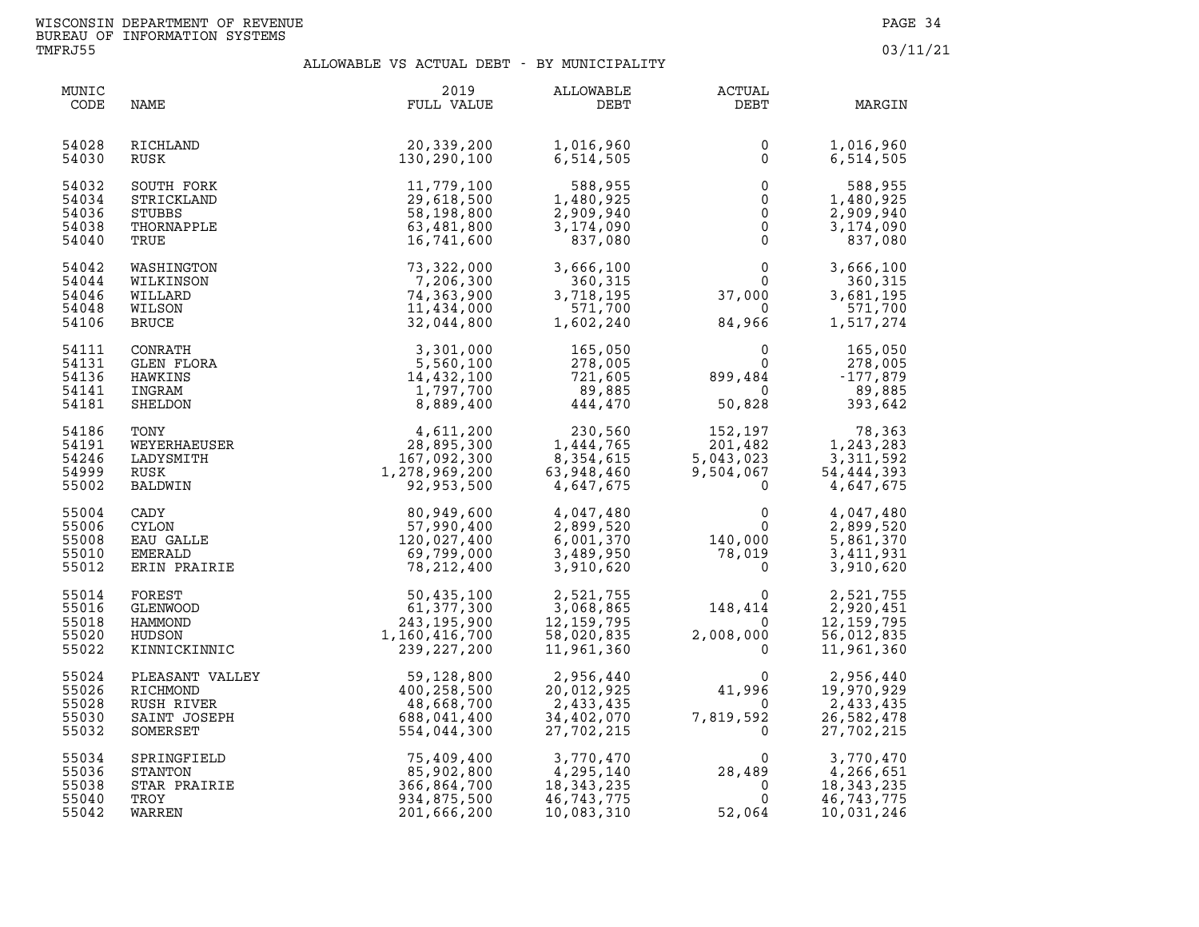| MUNIC<br>CODE                             | NAME                                                                  | 2019<br>FULL VALUE                                                                                   | ALLOWABLE<br>DEBT                                                                                      | ACTUAL<br>DEBT                                                                             | MARGIN                                                                                                                         |
|-------------------------------------------|-----------------------------------------------------------------------|------------------------------------------------------------------------------------------------------|--------------------------------------------------------------------------------------------------------|--------------------------------------------------------------------------------------------|--------------------------------------------------------------------------------------------------------------------------------|
| 54028<br>54030                            | RICHLAND<br>RUSK                                                      | 20,339,200<br>130,290,100                                                                            | 1,016,960<br>6,514,505                                                                                 | 0<br>$\mathbf{0}$                                                                          | 1,016,960<br>6,514,505                                                                                                         |
| 54032<br>54034<br>54036<br>54038<br>54040 | SOUTH FORK<br>STRICKLAND<br><b>STUBBS</b><br>THORNAPPLE<br>TRUE       | 11,779,100<br>29,618,500<br>58,198,800<br>63,481,800<br>16,741,600                                   | 588,955<br>1,480,925<br>2,909,940<br>3,174,090<br>837,080                                              | $\mathsf 0$<br>$\mathsf{O}\xspace$<br>$\overline{0}$<br>$\ddot{\mathbf{0}}$<br>$\mathsf 0$ | 588,955<br>1,480,925<br>2,909,940<br>3,174,090<br>837,080                                                                      |
| 54042<br>54044<br>54046<br>54048<br>54106 | WASHINGTON<br>WILKINSON<br>WILLARD<br>WILSON<br>BRUCE                 | 73,322,000<br>7,206,300<br>74,363,900<br>11,434,000<br>32,044,800                                    | 3,666,100<br>360,315<br>3,718,195<br>571,700<br>1,602,240                                              | $\mathbf 0$<br>$\Omega$<br>37,000<br>$\overline{0}$<br>84,966                              | 3,666,100<br>360,315<br>3,681,195<br>571,700<br>1,517,274                                                                      |
| 54111<br>54131<br>54136<br>54141<br>54181 | CONRATH<br>GLEN FLORA<br>HAWKINS<br>INGRAM<br>SHELDON                 | 3,301,000<br>5,560,100<br>14,432,100<br>1,797,700<br>8,889,400                                       | $165,050$<br>$278$<br>721,605<br>89,885<br>444,470                                                     | $\mathbf 0$<br>$\mathbf 0$<br>899,484<br>$\Omega$<br>50,828                                | 165,050<br>278,005<br>$-177,879$<br>89,885<br>393,642                                                                          |
| 54186<br>54191<br>54246<br>54999<br>55002 | TONY<br>WEYERHAEUSER<br>LADYSMITH<br>RUSK<br>BALDWIN                  | SER<br>$36.11, 200$<br>$28, 895, 300$<br>$167, 092, 300$<br>$1, 278, 969, 200$<br>$92, 953, 500$     | $230,560$<br>1,444,765<br>$\begin{array}{r} 1,114 \\ 8,354,615 \\ 63,948,460 \\ 4,647,675 \end{array}$ | 201,482<br>$201,482$<br>5,043,023<br>9,504,067<br>0                                        | $\frac{152,197}{123,283}$<br>$\frac{78,300}{1,243,283}$<br>$\frac{1,243,283}{211,592}$<br>3,311,592<br>54,444,393<br>4,647,675 |
| 55004<br>55006<br>55008<br>55010<br>55012 | CADY<br><b>CYLON</b><br>EAU GALLE<br>EMERALD<br>ERIN PRAIRIE          | 80,949,600<br>57,990,400<br>120,027,400<br>69,799,000<br>78,212,400                                  | 4,047,480<br>2,899,520<br>6,001,370<br>3,489,950<br>3,910,620                                          | $\mathbf 0$<br>$\mathbf{0}$<br>$\frac{140,000}{78,019}$                                    | 4,047,480<br>2,899,520<br>5,861,370<br>3,411,931<br>3,910,620                                                                  |
| 55014<br>55016<br>55018<br>55020<br>55022 | FOREST<br><b>GLENWOOD</b><br>HAMMOND<br>HUDSON<br>KINNICKINNIC        | $50, 435, 100$<br>$61, 377, 300$<br>$243, 195, 900$<br>$1, 160, 416, 700$<br>$239, 227, 200$         | $\begin{array}{r} .062 \\ 2,521,755 \\ 3,068,865 \\ 12,159,795 \\ 58,020 \\ 11\n\end{array}$           | $\Omega$<br>148,414<br>$\mathbf 0$<br>2,008,000<br>$\mathbf{0}$                            | 2,521,755<br>2,920,451<br>12, 159, 795<br>56,012,835<br>11,961,360                                                             |
| 55024<br>55026<br>55028<br>55030<br>55032 | PLEASANT VALLEY<br>RICHMOND<br>RUSH RIVER<br>SAINT JOSEPH<br>SOMERSET | $\begin{array}{r} 59,128,800 \\ 400,258,500 \\ 48,668,700 \\ 688,041,400 \\ 554,044,300 \end{array}$ | 2,956,440<br>20,012,925<br>2,433,435<br>34,402,070<br>27,702,215                                       | $\Omega$<br>41,996<br>$\overline{0}$<br>7,819,592<br>$\mathsf{O}$                          | 2,956,440<br>19,970,929<br>2,433,435<br>26,582,478<br>27,702,215                                                               |
| 55034<br>55036<br>55038<br>55040<br>55042 | SPRINGFIELD<br>STANTON<br>STAR PRAIRIE<br>TROY<br>WARREN              | 75,409,400<br>85,902,800<br>366,864,700<br>934,875,500<br>201,666,200                                | 3,770,470<br>4,295,140<br>18, 343, 235<br>46,743,775<br>10,083,310                                     | $\Omega$<br>28,489<br>$\overline{0}$<br>$\mathbf 0$<br>52,064                              | 3,770,470<br>4,266,651<br>18, 343, 235<br>46,743,775<br>10,031,246                                                             |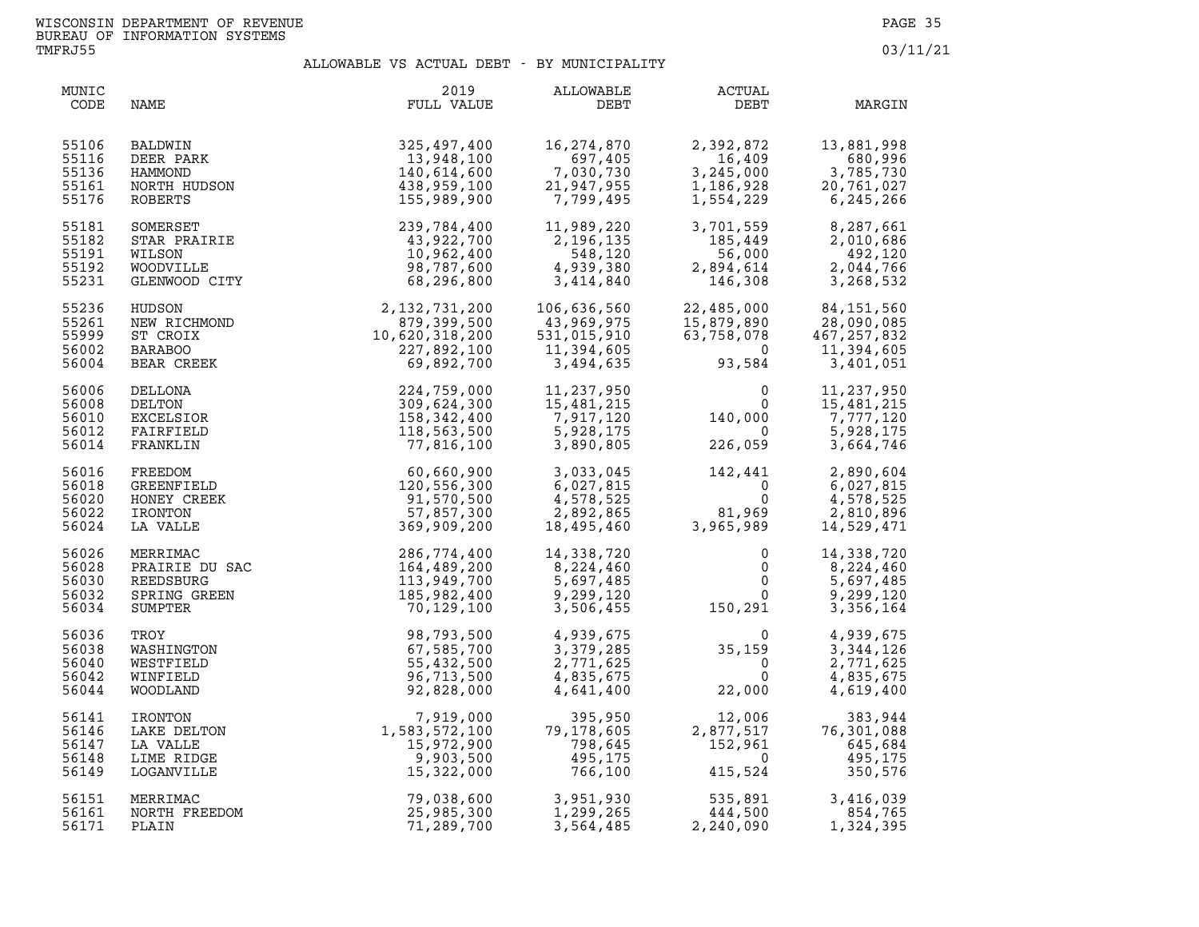| MUNIC<br>CODE                             | NAME                                                                                                                           | 2019<br>FULL VALUE                                                                                                                                                                                                                                                       | ALLOWABLE<br>DEBT                                                                                                                                                                                                                                                                  | ACTUAL<br>DEBT                                                                                          | MARGIN                                                                                                                                                                                                                                             |
|-------------------------------------------|--------------------------------------------------------------------------------------------------------------------------------|--------------------------------------------------------------------------------------------------------------------------------------------------------------------------------------------------------------------------------------------------------------------------|------------------------------------------------------------------------------------------------------------------------------------------------------------------------------------------------------------------------------------------------------------------------------------|---------------------------------------------------------------------------------------------------------|----------------------------------------------------------------------------------------------------------------------------------------------------------------------------------------------------------------------------------------------------|
| 55106<br>55116<br>55136<br>55161<br>55176 | BALDWIN<br>DEER PARK<br>HAMMOND<br>NORTH HUDSON<br>ROBERTS<br>SOMERSET<br>STAR PRAIRIE<br>WILSON<br>WOODVILLE<br>GLENWOOD CITY | 325,497,400<br>13,948,100<br>140,614,600<br>438,959,100<br>155,989,900                                                                                                                                                                                                   | 16,274,870<br>097,405<br>097,405<br>7,030,730<br>21,947,955<br>7,799.495                                                                                                                                                                                                           | 2,392,872<br>2,392,872<br>16,409<br>3,245,000<br>1,186,928<br>1,554,229                                 | 13,881,998<br>680,996<br>3, 245, 000<br>1, 186, 928<br>1, 554, 229<br>6, 245, 266                                                                                                                                                                  |
| 55181<br>55182<br>55191<br>55192<br>55231 |                                                                                                                                | 239,784,400<br>43,922,700<br>10,962,400<br>98,787,600<br>68,296,800                                                                                                                                                                                                      | 11, you, 11<br>2, 196, 135<br>548.120<br>4,939,380<br>3,414,840                                                                                                                                                                                                                    | 3,701,559<br>185,449<br>56,000<br>2,894,614<br>146,308                                                  | 8,287,661<br>2,010,686<br>492,120<br>2,044,766<br>3,268,532                                                                                                                                                                                        |
| 55236<br>55261<br>55999<br>56002<br>56004 |                                                                                                                                | EUBANWOL CIII<br>HUDSON 2,132,731,200<br>ST CROIX<br>ST CROIX<br>ST CROIX<br>DELLONA 221,892,100<br>DELLONA 224,759,000<br>DELLONA 224,759,000<br>EELONA 224,759,000<br>EELONA 224,759,000<br>EELONA 224,759,000<br>EELONA 224,759,000<br>EELONA 224,7                   | 106,636,560<br>$\begin{array}{c} 43,969,975\ 531,015,910\ 11,394,605\ 3,494,635 \end{array}$                                                                                                                                                                                       | 15,879,890<br>63,758,078<br>0<br>93,584                                                                 | 22,485,000 84,151,560<br>15,879,890 28,090,085<br>63,758,078 467,257,832<br>03,50 11,394,605<br>3,401,051                                                                                                                                          |
| 56006<br>56008<br>56010<br>56012<br>56014 |                                                                                                                                |                                                                                                                                                                                                                                                                          | 11,237,950<br>15,481,215<br>7,917,120<br>5,928,175<br>3,890,805                                                                                                                                                                                                                    | $\begin{smallmatrix}&&&0\0&&&0\140\, ,000\0&226\, ,059\end{smallmatrix}$                                | 11,237,950<br>$\begin{array}{cccc}\n0 & 15,401,7 \\ 00 & 7,777,120 \\ 0 & 5,928,175 \\ 2 & 664,746\n\end{array}$                                                                                                                                   |
| 56016<br>56018<br>56020<br>56022<br>56024 |                                                                                                                                |                                                                                                                                                                                                                                                                          | $\begin{array}{cccc} 3\, , 033\, , 045 & 142\, , 441 & 2\, , 890\, , 604\, \\ 6\, , 027\, , 815 & 0 & 6\, , 027\, , 815\, \\ 4\, , 578\, , 525 & 0 & 4\, , 578\, , 525\, \\ 2\, , 892\, , 865 & 81\, , 969 & 2\, , 810\, , 896\, \\ 18\, , 495\, , 460 & 3\, , 965\, , 989 & 14\,$ |                                                                                                         |                                                                                                                                                                                                                                                    |
| 56026<br>56028<br>56030<br>56032<br>56034 |                                                                                                                                |                                                                                                                                                                                                                                                                          | 14,338,720<br>8,224,460<br>5,697,485<br>9,299,120<br>3,506,455                                                                                                                                                                                                                     | $\begin{smallmatrix} & & 0\ & & 0\ & & & 0\ & & & 0\ & & & 0\ & & & 150\,291 & & & & \end{smallmatrix}$ | 14,338,720<br>$\begin{bmatrix} 0 \\ 0 \\ 0 \end{bmatrix}$<br>8,224,460<br>5,697,485<br>9,299,120<br>3,356,164                                                                                                                                      |
| 56036<br>56038<br>56040<br>56042<br>56044 |                                                                                                                                | 369,909,200<br>MERRIMAC<br>PRAIRIE DU SAC<br>REEDSBURG<br>REEDSBURG<br>SPRING GREEN<br>SUMPTER<br>TROY<br>TROY<br>TROY<br>MESTFIELD<br>MESTFIELD<br>MESTFIELD<br>MESTFIELD<br>TROY<br>MESTFIELD<br>TROY<br>SPRINGTON<br>MESTFIELD<br>SPRINGTON<br>SPRINGTON<br>SPRINGTON | 4,939,675<br>3,379,285<br>2,771,625<br>4,835,675<br>4,641,400                                                                                                                                                                                                                      | $\begin{smallmatrix}&&&0\0&35\, ,159\0&0\end{smallmatrix}$<br>22,000                                    | 4,939,675<br>3,344,126<br>2,771,625<br>4,835,675<br>4,619,400                                                                                                                                                                                      |
| 56141<br>56146<br>56147<br>56148<br>56149 | IRONTON<br>LAKE DELTON<br>LA VALLE<br>LIME RIDGE<br>LOGANVILLE                                                                 | $\begin{array}{r} \n 24,628,000 \\  7,919,000 \\  1,583,572,100 \\  15,972,900 \\  9,903,500 \\  15,322,000\n\end{array}$<br>1<br>$\begin{array}{r} 79,038,600 \\  25,985,300 \\  71,000,71\n\end{array}$                                                                | 79<br>395,950<br>79,178,605<br>798,645<br>495,175<br>766,100                                                                                                                                                                                                                       | $2,877,517$<br>152,961<br>155,524                                                                       | $\begin{array}{r} 12\, , 006 \qquad \qquad 383\, , 944 \cr 2\, , 877\, , 517 \qquad \qquad 76\, , 301\, , 088 \cr 152\, , 961 \qquad \qquad 645\, , 684 \cr 0 \qquad \qquad 495\, , 175 \cr 415\, , 524 \qquad \qquad 350\, , 576 \cr \end{array}$ |
| 56151<br>56161<br>56171                   | MERRIMAC<br>NORTH FREEDOM<br>PLAIN                                                                                             |                                                                                                                                                                                                                                                                          | 3,564,485                                                                                                                                                                                                                                                                          | 3,951,930 535,891<br>1,299,265 444,500<br>2,240,090                                                     | 3,416,039<br>854,765<br>1,324,395                                                                                                                                                                                                                  |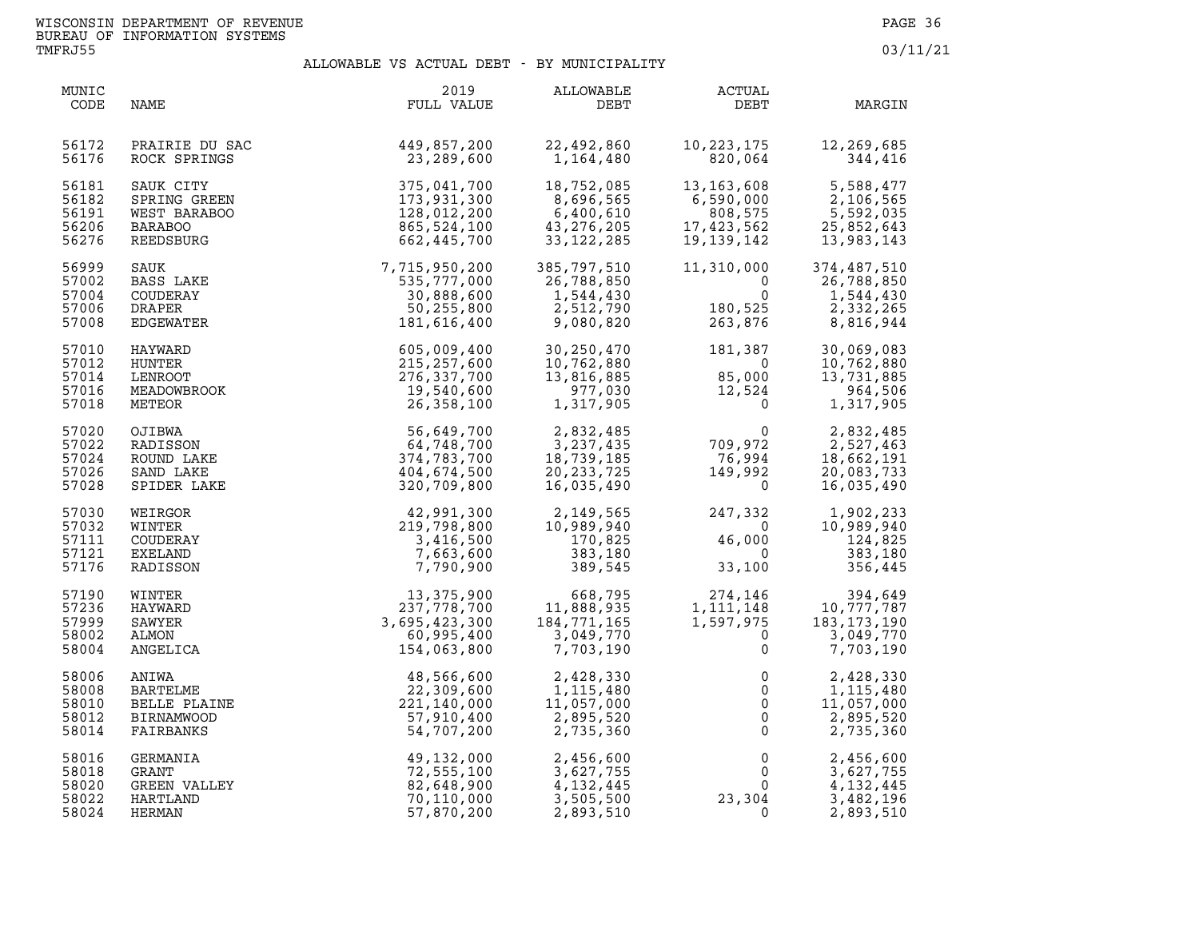| MUNIC<br>CODE | NAME                | 2019<br>FULL VALUE | ALLOWABLE<br>DEBT | <b>ACTUAL</b><br>DEBT | MARGIN        |
|---------------|---------------------|--------------------|-------------------|-----------------------|---------------|
| 56172         | PRAIRIE DU SAC      | 449,857,200        | 22,492,860        | 10,223,175            | 12,269,685    |
| 56176         | ROCK SPRINGS        | 23,289,600         | 1,164,480         | 820,064               | 344,416       |
| 56181         | SAUK CITY           | 375,041,700        | 18,752,085        | 13,163,608            | 5,588,477     |
| 56182         | SPRING GREEN        | 173,931,300        | 8,696,565         | 6,590,000             | 2,106,565     |
| 56191         | WEST BARABOO        | 128,012,200        | 6,400,610         | 808,575               | 5,592,035     |
| 56206         | <b>BARABOO</b>      | 865,524,100        | 43, 276, 205      | 17,423,562            | 25,852,643    |
| 56276         | REEDSBURG           | 662,445,700        | 33, 122, 285      | 19,139,142            | 13,983,143    |
| 56999         | SAUK                | 7,715,950,200      | 385,797,510       | 11,310,000            | 374,487,510   |
| 57002         | BASS LAKE           | 535,777,000        | 26,788,850        | $\Omega$              | 26,788,850    |
| 57004         | COUDERAY            | 30,888,600         | 1,544,430         | $\Omega$              | 1,544,430     |
| 57006         | <b>DRAPER</b>       | 50,255,800         | 2,512,790         | 180,525               | 2,332,265     |
| 57008         | EDGEWATER           | 181,616,400        | 9,080,820         | 263,876               | 8,816,944     |
| 57010         | HAYWARD             | 605,009,400        | 30,250,470        | 181,387               | 30,069,083    |
| 57012         | HUNTER              | 215,257,600        | 10,762,880        | $\overline{0}$        | 10,762,880    |
| 57014         | LENROOT             | 276,337,700        | 13,816,885        | 85,000                | 13,731,885    |
| 57016         | MEADOWBROOK         | 19,540,600         | 977,030           | 12,524                | 964,506       |
| 57018         | METEOR              | 26,358,100         | 1,317,905         | $\overline{0}$        | 1,317,905     |
| 57020         | OJIBWA              | 56,649,700         | 2,832,485         | $\mathbf{0}$          | 2,832,485     |
| 57022         | RADISSON            | 64,748,700         | 3,237,435         | 709,972               | 2,527,463     |
| 57024         | ROUND LAKE          | 374,783,700        | 18,739,185        | 76,994                | 18,662,191    |
| 57026         | SAND LAKE           | 404,674,500        | 20, 233, 725      | 149,992               | 20,083,733    |
| 57028         | SPIDER LAKE         | 320,709,800        | 16,035,490        | $\overline{0}$        | 16,035,490    |
| 57030         | WEIRGOR             | 42,991,300         | 2,149,565         | 247,332               | 1,902,233     |
| 57032         | WINTER              | 219,798,800        | 10,989,940        | $\overline{0}$        | 10,989,940    |
| 57111         | COUDERAY            | 3,416,500          | 170,825           | 46,000                | 124,825       |
| 57121         | EXELAND             | 7,663,600          | 383,180           | $\overline{0}$        | 383,180       |
| 57176         | RADISSON            | 7,790,900          | 389,545           | 33,100                | 356,445       |
| 57190         | WINTER              | 13,375,900         | 668,795           | 274,146               | 394,649       |
| 57236         | HAYWARD             | 237,778,700        | 11,888,935        | 1, 111, 148           | 10,777,787    |
| 57999         | SAWYER              | 3,695,423,300      | 184,771,165       | 1,597,975             | 183, 173, 190 |
| 58002         | ALMON               | 60,995,400         | 3,049,770         | $\mathbf 0$           | 3,049,770     |
| 58004         | ANGELICA            | 154,063,800        | 7,703,190         | $\mathbf{0}$          | 7,703,190     |
| 58006         | ANIWA               | 48,566,600         | 2,428,330         | 0                     | 2,428,330     |
| 58008         | BARTELME            | 22,309,600         | 1,115,480         | $\mathbf 0$           | 1,115,480     |
| 58010         | BELLE PLAINE        | 221,140,000        | 11,057,000        | $\mathsf{O}\xspace$   | 11,057,000    |
| 58012         | <b>BIRNAMWOOD</b>   | 57,910,400         | 2,895,520         | $\overline{0}$        | 2,895,520     |
| 58014         | FAIRBANKS           | 54,707,200         | 2,735,360         | $\Omega$              | 2,735,360     |
| 58016         | GERMANIA            | 49,132,000         | 2,456,600         | 0                     | 2,456,600     |
| 58018         | GRANT               | 72,555,100         | 3,627,755         | $\mathsf{O}$          | 3,627,755     |
| 58020         | <b>GREEN VALLEY</b> | 82,648,900         | 4,132,445         | $\mathbf{0}$          | 4,132,445     |
| 58022         | HARTLAND            | 70,110,000         | 3,505,500         | 23,304                | 3,482,196     |
| 58024         | HERMAN              | 57,870,200         | 2,893,510         | $\mathbf 0$           | 2,893,510     |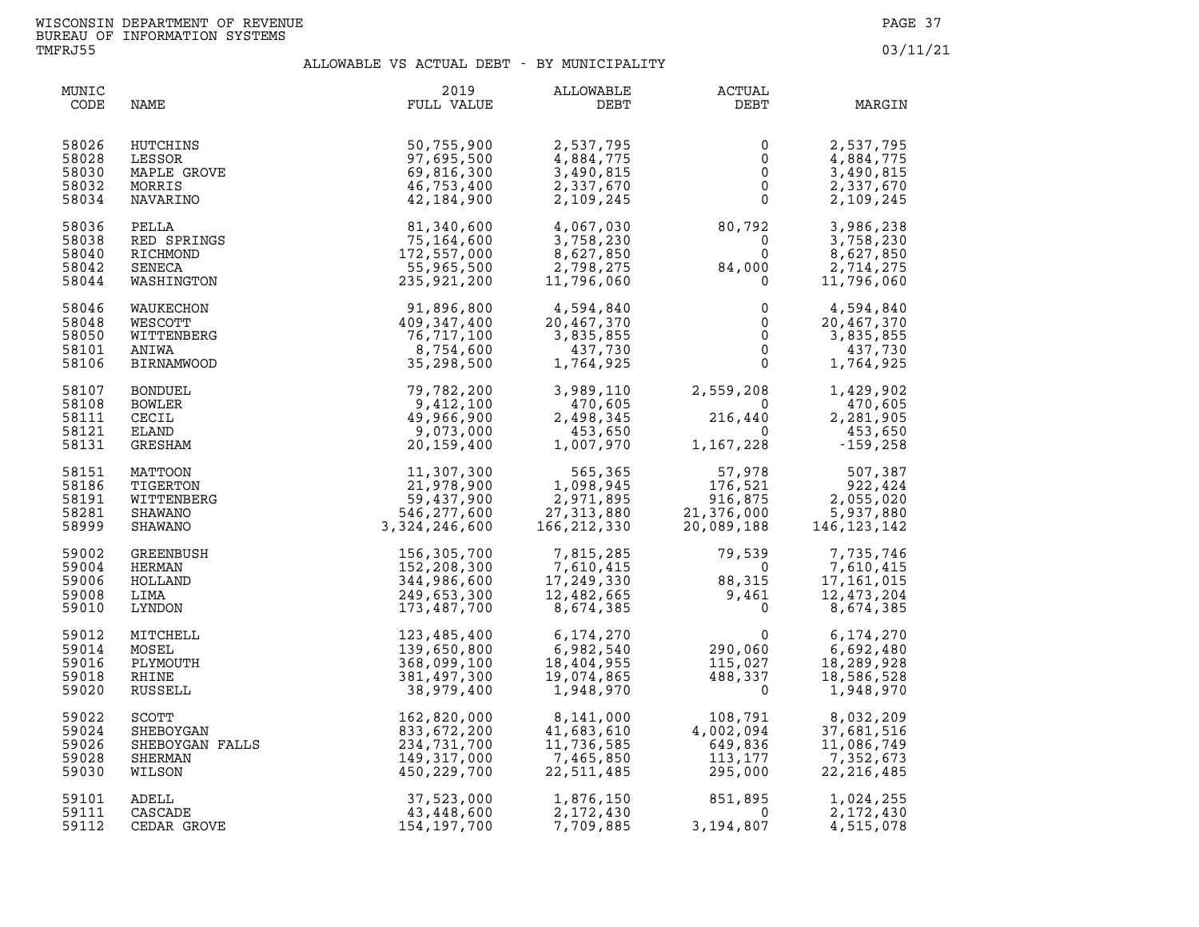| MUNIC<br>CODE                             | NAME                                                                                                                           | 2019<br>FULL VALUE                                                      | ALLOWABLE<br>DEBT                                                | <b>ACTUAL</b><br>DEBT                                 | MARGIN                                                             |
|-------------------------------------------|--------------------------------------------------------------------------------------------------------------------------------|-------------------------------------------------------------------------|------------------------------------------------------------------|-------------------------------------------------------|--------------------------------------------------------------------|
| 58026                                     | HUTCHINS                                                                                                                       | 50,755,900                                                              | 2,537,795                                                        | 0                                                     | 2,537,795                                                          |
| 58028                                     | LESSOR                                                                                                                         | 97,695,500                                                              | 4,884,775                                                        | $\mathsf 0$                                           | 4,884,775                                                          |
| 58030                                     | MAPLE GROVE                                                                                                                    | 69,816,300                                                              | 3,490,815                                                        | $\overline{0}$                                        | 3,490,815                                                          |
| 58032                                     | MORRIS                                                                                                                         | 46,753,400                                                              | 2,337,670                                                        | $\overline{0}$                                        | 2,337,670                                                          |
| 58034                                     | NAVARINO                                                                                                                       | 42,184,900                                                              | 2,109,245                                                        | $\mathsf 0$                                           | 2,109,245                                                          |
| 58036                                     | PELLA                                                                                                                          | 81,340,600                                                              | 4,067,030                                                        | 80,792                                                | 3,986,238                                                          |
| 58038                                     | RED SPRINGS                                                                                                                    | 75,164,600                                                              | 3,758,230                                                        | $\overline{0}$                                        | 3,758,230                                                          |
| 58040                                     | RICHMOND                                                                                                                       | 172,557,000                                                             | 8,627,850                                                        | $\overline{0}$                                        | 8,627,850                                                          |
| 58042                                     | SENECA                                                                                                                         | 55,965,500                                                              | 2,798,275                                                        | 84,000                                                | 2,714,275                                                          |
| 58044                                     | WASHINGTON                                                                                                                     | 235,921,200                                                             | 11,796,060                                                       | $\Omega$                                              | 11,796,060                                                         |
| 58046                                     | WAUKECHON                                                                                                                      | 91,896,800                                                              | 4,594,840                                                        | 0                                                     | 4,594,840                                                          |
| 58048                                     | WESCOTT                                                                                                                        | 409, 347, 400                                                           | 20,467,370                                                       | $\mathsf{O}$                                          | 20,467,370                                                         |
| 58050                                     | WITTENBERG                                                                                                                     | 76,717,100                                                              | 3,835,855                                                        | $\overline{0}$                                        | 3,835,855                                                          |
| 58101                                     | ANIWA                                                                                                                          | 8,754,600                                                               | 437,730                                                          | $\overline{0}$                                        | 437,730                                                            |
| 58106                                     | <b>BIRNAMWOOD</b>                                                                                                              | 35,298,500                                                              | 1,764,925                                                        | $\Omega$                                              | 1,764,925                                                          |
| 58107                                     | <b>BONDUEL</b>                                                                                                                 | 79,782,200                                                              | 3,989,110                                                        | 2,559,208                                             | 1,429,902                                                          |
| 58108                                     | BOWLER                                                                                                                         | 9,412,100                                                               | 470,605                                                          | $\overline{0}$                                        | 470,605                                                            |
| 58111                                     | CECIL                                                                                                                          | 49,966,900                                                              | 2,498,345                                                        | 216,440                                               | 2,281,905                                                          |
| 58121                                     | <b>ELAND</b>                                                                                                                   | 9,073,000                                                               | 453,650                                                          | $\overline{0}$                                        | 453,650                                                            |
| 58131                                     | GRESHAM                                                                                                                        | 20,159,400                                                              | 1,007,970                                                        | 1,167,228                                             | $-159,258$                                                         |
| 58151                                     | MATTOON                                                                                                                        | 11,307,300                                                              | 565,365                                                          | $176,521$<br>916,875<br>21,376,000<br>20,089,188      | 507,387                                                            |
| 58186                                     | TIGERTON                                                                                                                       | 21,978,900                                                              | 1,098,945                                                        |                                                       | 922,424                                                            |
| 58191                                     | WITTENBERG                                                                                                                     | 59,437,900                                                              | 2,971,895                                                        |                                                       | 2,055,020                                                          |
| 58281                                     | <b>SHAWANO</b>                                                                                                                 | 546, 277, 600                                                           | 27, 313, 880                                                     |                                                       | 5,937,880                                                          |
| 58999                                     | SHAWANO                                                                                                                        | 3,324,246,600                                                           | 166, 212, 330                                                    |                                                       | 146, 123, 142                                                      |
| 59002                                     | GREENBUSH                                                                                                                      | 156,305,700                                                             | 7,815,285                                                        | 79,539                                                | 7,735,746                                                          |
| 59004                                     | HERMAN                                                                                                                         | 152,208,300                                                             | 7,610,415                                                        | $\overline{0}$                                        | 7,610,415                                                          |
| 59006                                     | HOLLAND                                                                                                                        | 344,986,600                                                             | 17,249,330                                                       | 88,315                                                | 17, 161, 015                                                       |
| 59008                                     | LIMA                                                                                                                           | 249,653,300                                                             | 12,482,665                                                       | 9,461                                                 | 12, 473, 204                                                       |
| 59010                                     | LYNDON                                                                                                                         | 173,487,700                                                             | 8,674,385                                                        | $\overline{0}$                                        | 8,674,385                                                          |
| 59012                                     | MITCHELL                                                                                                                       | 123,485,400                                                             | 6,174,270                                                        | 0<br>290,060<br>115,027<br>488,337<br>0               | 6,174,270                                                          |
| 59014                                     | MOSEL                                                                                                                          | 139,650,800                                                             | 6,982,540                                                        |                                                       | 6,692,480                                                          |
| 59016                                     | PLYMOUTH                                                                                                                       | 368,099,100                                                             | 18,404,955                                                       |                                                       | 18,289,928                                                         |
| 59018                                     | RHINE                                                                                                                          | 381,497,300                                                             | 19,074,865                                                       |                                                       | 18,586,528                                                         |
| 59020                                     | RUSSELL                                                                                                                        | 38,979,400                                                              | 1,948,970                                                        |                                                       | 1,948,970                                                          |
| 59022<br>59024<br>59026<br>59028<br>59030 | $\label{eq:2.1} \begin{aligned} \text{LLS} \end{aligned}$<br><b>SCOTT</b><br>SHEBOYGAN<br>SHEBOYGAN FALLS<br>SHERMAN<br>WILSON | 162,820,000<br>833,672,200<br>234,731,700<br>149,317,000<br>450,229,700 | 8,141,000<br>41,683,610<br>11,736,585<br>7,465,850<br>22,511,485 | 108,791<br>4,002,094<br>649,836<br>113,177<br>295,000 | 8,032,209<br>37,681,516<br>11,086,749<br>7,352,673<br>22, 216, 485 |
| 59101                                     | ADELL                                                                                                                          | 37,523,000                                                              | 1,876,150                                                        | 851,895                                               | 1,024,255                                                          |
| 59111                                     | CASCADE                                                                                                                        | 43,448,600                                                              | 2,172,430                                                        | $\overline{0}$                                        | 2,172,430                                                          |
| 59112                                     | CEDAR GROVE                                                                                                                    | 154,197,700                                                             | 7,709,885                                                        | 3,194,807                                             | 4,515,078                                                          |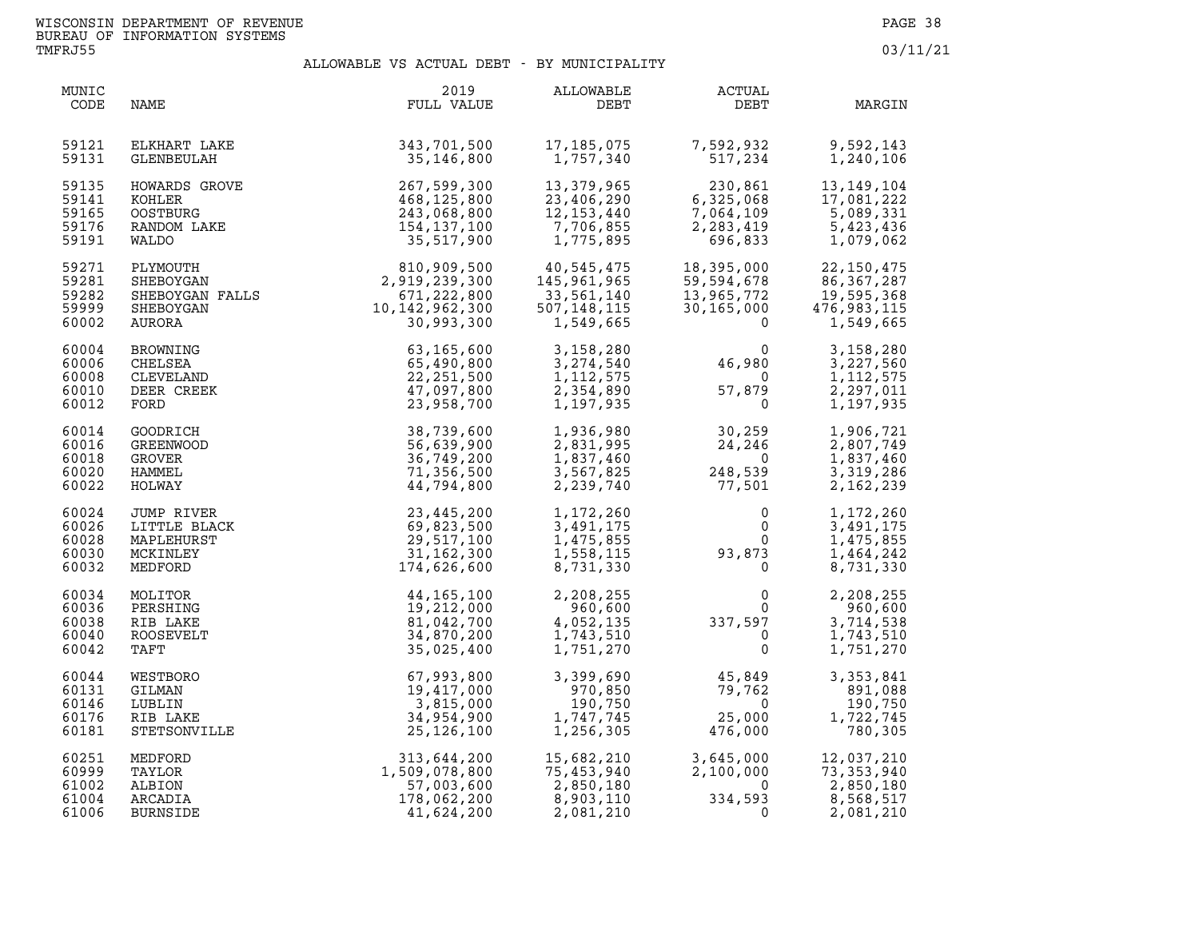| MUNIC<br>CODE                             | NAME                                                            | 2019<br>FULL VALUE                                                                          | ALLOWABLE<br>DEBT                                                   | <b>ACTUAL</b><br>DEBT                                                                                        | MARGIN                                                                 |
|-------------------------------------------|-----------------------------------------------------------------|---------------------------------------------------------------------------------------------|---------------------------------------------------------------------|--------------------------------------------------------------------------------------------------------------|------------------------------------------------------------------------|
| 59121                                     | ELKHART LAKE                                                    | 343,701,500                                                                                 | 17,185,075                                                          | 7,592,932                                                                                                    | 9,592,143                                                              |
| 59131                                     | GLENBEULAH                                                      | 35,146,800                                                                                  | 1,757,340                                                           | 517,234                                                                                                      | 1,240,106                                                              |
| 59135                                     | HOWARDS GROVE                                                   | 267,599,300                                                                                 | 13,379,965                                                          | 230,861                                                                                                      | 13, 149, 104                                                           |
| 59141                                     | KOHLER                                                          | 468,125,800                                                                                 | 23,406,290                                                          | 6,325,068                                                                                                    | 17,081,222                                                             |
| 59165                                     | <b>OOSTBURG</b>                                                 | 243,068,800                                                                                 | 12, 153, 440                                                        | 7,064,109                                                                                                    | 5,089,331                                                              |
| 59176                                     | RANDOM LAKE                                                     | 154, 137, 100                                                                               | 7,706,855                                                           | 2, 283, 419                                                                                                  | 5,423,436                                                              |
| 59191                                     | WALDO                                                           | 35,517,900                                                                                  | 1,775,895                                                           | 696,833                                                                                                      | 1,079,062                                                              |
| 59271<br>59281<br>59282<br>59999<br>60002 | PLYMOUTH<br>SHEBOYGAN<br>SHEBOYGAN FALLS<br>SHEBOYGAN<br>AURORA | $810,909,500$<br>2,919,239,300<br>671,222,800<br>10,142,962,300<br>30.993,300<br>30,993,300 | 40,545,475<br>145,961,965<br>33,561,140<br>507,148,115<br>1,549,665 | 18,395,000<br>59,594,678<br>13,965,772<br>30,165,000<br>$\Omega$                                             | 22, 150, 475<br>86, 367, 287<br>19,595,368<br>476,983,115<br>1,549,665 |
| 60004                                     | BROWNING                                                        | 63,165,600                                                                                  | 3,158,280                                                           | 0                                                                                                            | 3,158,280                                                              |
| 60006                                     | CHELSEA                                                         | 65,490,800                                                                                  | 3,274,540                                                           | 46,980                                                                                                       | 3,227,560                                                              |
| 60008                                     | CLEVELAND                                                       | 22, 251, 500                                                                                | 1, 112, 575                                                         | $\overline{\mathbf{0}}$                                                                                      | 1, 112, 575                                                            |
| 60010                                     | DEER CREEK                                                      | 47,097,800                                                                                  | 2,354,890                                                           | 57,879                                                                                                       | 2,297,011                                                              |
| 60012                                     | FORD                                                            | 23,958,700                                                                                  | 1,197,935                                                           | $\overline{\mathbf{0}}$                                                                                      | 1,197,935                                                              |
| 60014                                     | GOODRICH                                                        | 38,739,600                                                                                  | 1,936,980                                                           | 30,259                                                                                                       | 1,906,721                                                              |
| 60016                                     | GREENWOOD                                                       | 56,639,900                                                                                  | 2,831,995                                                           | 24,246                                                                                                       | 2,807,749                                                              |
| 60018                                     | GROVER                                                          | 36,749,200                                                                                  | 1,837,460                                                           | $\overline{0}$                                                                                               | 1,837,460                                                              |
| 60020                                     | HAMMEL                                                          | 71,356,500                                                                                  | 3,567,825                                                           | 248,539                                                                                                      | 3,319,286                                                              |
| 60022                                     | HOLWAY                                                          | 44,794,800                                                                                  | 2,239,740                                                           | 77,501                                                                                                       | 2,162,239                                                              |
| 60024<br>60026<br>60028<br>60030<br>60032 | JUMP RIVER<br>LITTLE BLACK<br>MAPLEHURST<br>MCKINLEY<br>MEDFORD | 23, 445, 200<br>69,823,500<br>29,517,100<br>31,162,300<br>174,626,600                       | 1,172,260<br>3,491,175<br>1,475,855<br>1,558,115<br>8,731,330       | $\begin{smallmatrix} & & & 0\ & & & 0\ & & & 0\ & & & 0\ & & & 93\, ,\,873\ & & & & 0\end{smallmatrix}$<br>0 | 1,172,260<br>3,491,175<br>1,475,855<br>1,464,242<br>8,731,330          |
| 60034<br>60036<br>60038<br>60040<br>60042 | MOLITOR<br>PERSHING<br>RIB LAKE<br><b>ROOSEVELT</b><br>TAFT     | 44,165,100<br>19,212,000<br>81,042,700<br>34,870,200<br>35,025,400                          | 2,208,255<br>960,600<br>4,052,135<br>1,743,510<br>1,751,270         | $\begin{array}{c}0\\0\\337,597\end{array}$<br>$\mathbf{0}$<br>$\mathbf{0}$                                   | 2,208,255<br>960,600<br>3,714,538<br>1,743,510<br>1,751,270            |
| 60044                                     | WESTBORO                                                        | 67,993,800                                                                                  | 3,399,690                                                           | 45,849                                                                                                       | 3,353,841                                                              |
| 60131                                     | GILMAN                                                          | 19,417,000                                                                                  | 970,850                                                             | 79,762                                                                                                       | 891,088                                                                |
| 60146                                     | LUBLIN                                                          | 3,815,000                                                                                   | 190,750                                                             | $\overline{0}$                                                                                               | 190,750                                                                |
| 60176                                     | RIB LAKE                                                        | 34,954,900                                                                                  | 1,747,745                                                           | 25,000                                                                                                       | 1,722,745                                                              |
| 60181                                     | STETSONVILLE                                                    | 25, 126, 100                                                                                | 1,256,305                                                           | 476,000                                                                                                      | 780,305                                                                |
| 60251                                     | MEDFORD                                                         | 313,644,200                                                                                 | 15,682,210                                                          | 3,645,000                                                                                                    | 12,037,210                                                             |
| 60999                                     | TAYLOR                                                          | 1,509,078,800                                                                               | 75,453,940                                                          | 2,100,000                                                                                                    | 73, 353, 940                                                           |
| 61002                                     | ALBION                                                          | 57,003,600                                                                                  | 2,850,180                                                           | $\overline{0}$                                                                                               | 2,850,180                                                              |
| 61004                                     | ARCADIA                                                         | 178,062,200                                                                                 | 8,903,110                                                           | 334,593                                                                                                      | 8,568,517                                                              |
| 61006                                     | <b>BURNSIDE</b>                                                 | 41,624,200                                                                                  | 2,081,210                                                           | $\mathbf{0}$                                                                                                 | 2,081,210                                                              |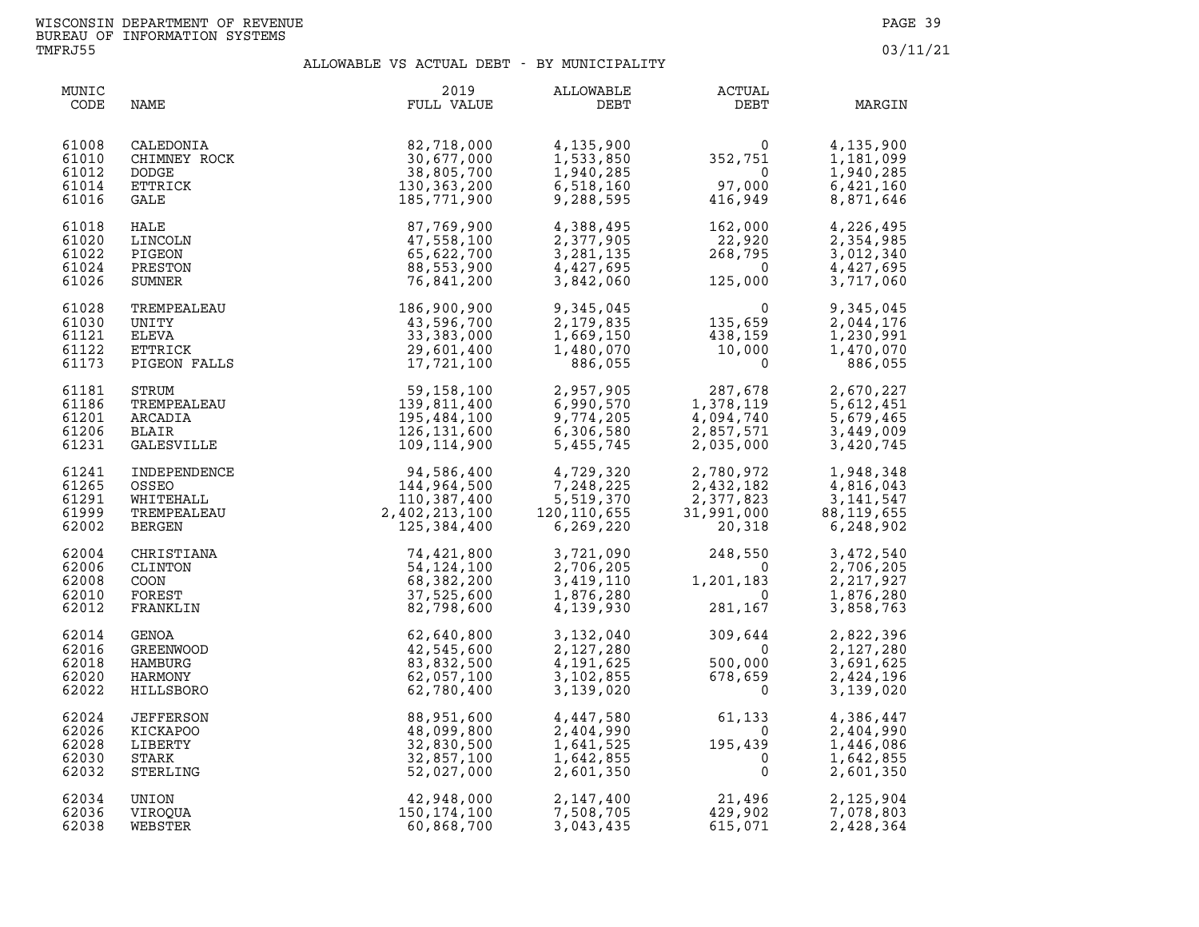| MUNIC<br>CODE                             | NAME                                                                                                                          | 2019<br>FULL VALUE                                                                   | ALLOWABLE<br>DEBT                                                                                                                                   | ACTUAL<br>DEBT                                                                                              | MARGIN                                                           |
|-------------------------------------------|-------------------------------------------------------------------------------------------------------------------------------|--------------------------------------------------------------------------------------|-----------------------------------------------------------------------------------------------------------------------------------------------------|-------------------------------------------------------------------------------------------------------------|------------------------------------------------------------------|
| 61008<br>61010<br>61012<br>61014<br>61016 | CALEDONIA<br>CHIMNEY ROCK<br>DODGE<br>ETTRICK<br>GALE<br>HALE<br>HALE<br>INCOLN<br>PIGEON<br>PRESTON<br>SUMNER<br>CREMPEALEAU | 82,718,000<br>30,677,000<br>38,805,700<br>130, 363, 200<br>185,771,900               | 4,135,900<br>1,533,850<br>1,940,285<br>6,518,160<br>9,288,595                                                                                       | $0$<br>352,751<br>97,000<br>416,949                                                                         | 4,135,900<br>1,181,099<br>1,940,285<br>6,421,160<br>8,871,646    |
| 61018<br>61020<br>61022<br>61024<br>61026 |                                                                                                                               | 87,769,900<br>47,558,100<br>65,622,700<br>88,553,900<br>76,841,200                   | 4,388,495<br>2,377,905<br>3, 281, 135<br>4,427,695<br>3,842,060                                                                                     | 162,000<br>162, ∪∪∪<br>22,920<br>268,795<br>0<br>$\begin{array}{c} 22 \\ 268 \\ 125 \end{array}$<br>125,000 | 4,226,495<br>2,354,985<br>3,012,340<br>4,427,695<br>3,717,060    |
| 61028<br>61030<br>61121<br>61122<br>61173 | TREMPEALEAU<br>UNITY<br><b>ELEVA</b><br>ETTRICK<br>PIGEON FALLS                                                               | AU 186,900,900<br>43,596,700<br>43,596,700<br>33,383,000<br>29,601,400<br>17,721,100 | 9,345,045<br>2,179,835<br>1,669,150<br>1,480,070<br>886,055                                                                                         | $\begin{array}{c} 0 \\ 135,659 \end{array}$<br>$\frac{138,159}{10,000}$                                     | 9,345,045<br>2,044,176<br>1,230,991<br>1,470,070<br>886,055      |
| 61181<br>61186<br>61201<br>61206<br>61231 | STRUM<br>TREMPEALEAU<br>ARCADIA<br>BLAIR<br>GALESVILLE                                                                        | 59,158,100<br>139,811,400<br>195,484,100<br>126,131,600<br>109, 114, 900             |                                                                                                                                                     | 2,957,905<br>6,990,570<br>9,774,205<br>6,306,580<br>5,455,745<br>1,378,1740<br>2,857,571<br>2,035,000       | 2,670,227<br>5,612,451<br>5,679,465<br>3,449,009<br>3,420,745    |
| 61241<br>61265<br>61291<br>61999<br>62002 |                                                                                                                               |                                                                                      | 4,729,320<br>7,248,225<br>7,248,225<br>5,519,370<br>120,110,655<br>6,269,220                                                                        | 2,780,972<br>$2,432,182$<br>$2,377,823$<br>$31,991,000$<br>$20,318$                                         | 1,948,348<br>4,816,043<br>3,141,547<br>88, 119, 655<br>6,248,902 |
| 62004<br>62006<br>62008<br>62010<br>62012 |                                                                                                                               |                                                                                      | 3,721,090<br>$2,706,205$<br>$3,419,110$<br>$1,876,280$<br>1,876,280<br>4,139,930                                                                    | 248,550<br>$\overline{0}$<br>1,201,183<br>$\Omega$<br>281,167                                               | 3,472,540<br>2,706,205<br>2,217,927<br>1,876,280<br>3,858,763    |
| 62014<br>62016<br>62018<br>62020<br>62022 |                                                                                                                               |                                                                                      | $\begin{array}{llll} 3,132,040 & & 309\,, \\ 2,127,280 & & & 500\,, \\ 4,191,625 & & 500\,, \\ 3,102,855 & & 678\,, \\ 3,139,020 & & & \end{array}$ | 309,644<br>500,000<br>500,000<br>678,659<br>0<br>$\Omega$                                                   | 2,822,396<br>2,127,280<br>3,691,625<br>2,424,196<br>3,139,020    |
| 62024<br>62026<br>62028<br>62030<br>62032 | <b>JEFFERSON</b><br>KICKAPOO<br>LIBERTY<br>STARK<br>STERLING                                                                  | 88,951,600<br>48,099,800<br>32,830,500<br>32,857,100<br>52,027,000                   | 4,447,580<br>2,404,990<br>1,641,525<br>1,642,855<br>2,601,350                                                                                       | $61, 133$<br>0<br>195, 439<br>0<br>0<br>195,439                                                             | 4,386,447<br>2,404,990<br>1,446,086<br>1,642,855<br>2,601,350    |
| 62034<br>62036<br>62038                   | UNION<br>VIROQUA<br>WEBSTER                                                                                                   | 42,948,000<br>150,174,100<br>60,868,700                                              | 2,147,400<br>7,508,705<br>3,043,435                                                                                                                 | 21,496<br>429,902<br>615,071                                                                                | 2,125,904<br>7,078,803<br>2,428,364                              |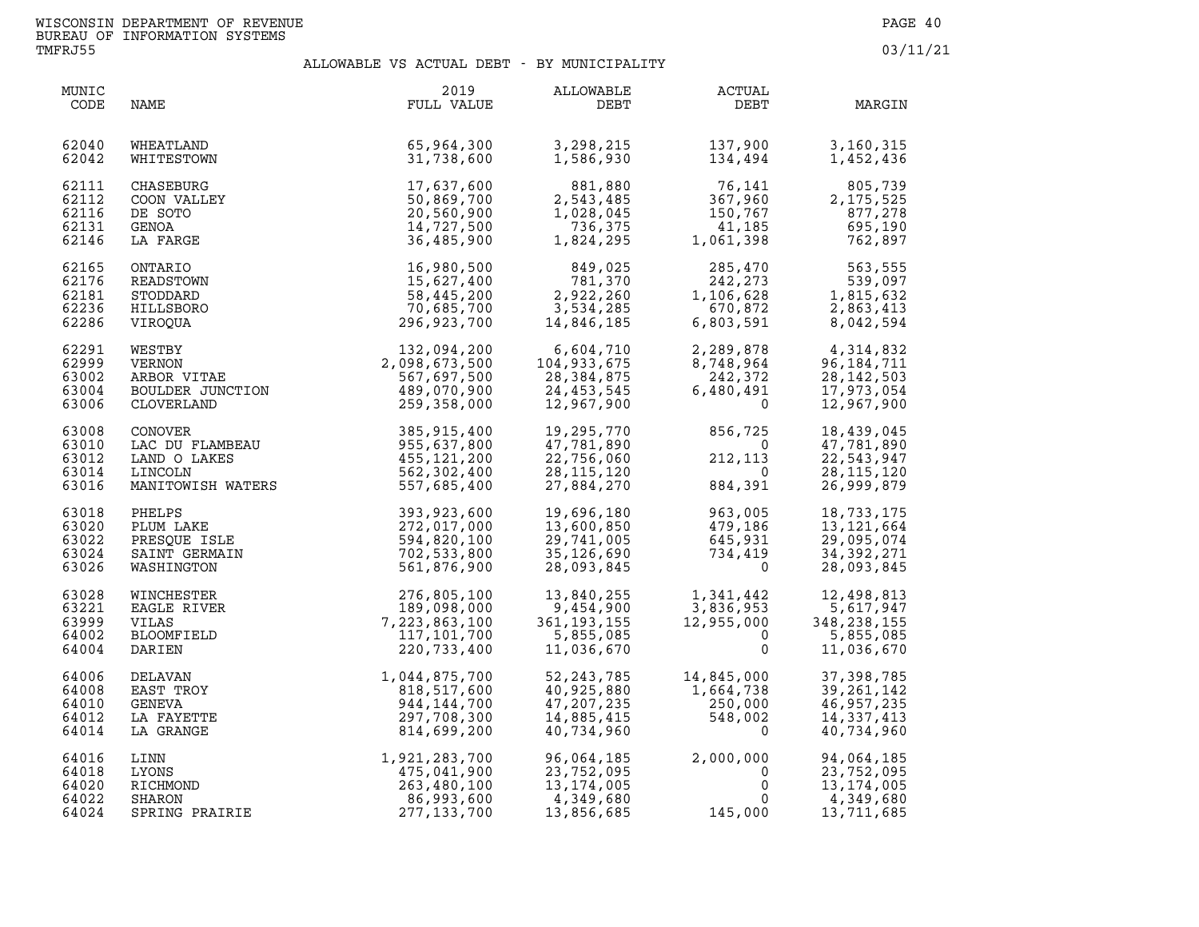| MUNIC<br>CODE                             | NAME                                                                                             | 2019<br>FULL VALUE                                                                                                                     | ALLOWABLE<br>DEBT                                                    | <b>ACTUAL</b><br>DEBT                                                                                                  | MARGIN                                                                   |
|-------------------------------------------|--------------------------------------------------------------------------------------------------|----------------------------------------------------------------------------------------------------------------------------------------|----------------------------------------------------------------------|------------------------------------------------------------------------------------------------------------------------|--------------------------------------------------------------------------|
| 62040                                     | WHEATLAND                                                                                        | 65,964,300                                                                                                                             | 3,298,215                                                            | 137,900                                                                                                                | 3,160,315                                                                |
| 62042                                     | WHITESTOWN                                                                                       | 31,738,600                                                                                                                             | 1,586,930                                                            | 134,494                                                                                                                | 1,452,436                                                                |
| 62111<br>62112<br>62116<br>62131<br>62146 | <b>CHASEBURG</b><br>COON VALLEY<br>DE SOTO<br>GENOA<br>LA FARGE                                  | 17,637,600<br>50,869,700<br>20,560,900<br>14,727,500<br>36,485,900                                                                     | 881,880<br>2,543,485<br>1,028,045<br>736,375<br>1,824,295            | 76,141<br>367,960<br>150,767                                                                                           | 805,739<br>2, 175, 525<br>877,278<br>41,185 695,190<br>1,061,398 762,897 |
| 62165<br>62176<br>62181<br>62236<br>62286 | ONTARIO<br>READSTOWN<br>STODDARD<br>HILLSBORO<br>VIROQUA                                         | 16,980,500<br>15,627,400<br>58,445,200<br>70,685,700<br>296,923,700                                                                    | 849,025<br>781,370<br>2,922,260<br>3,534,285<br>14,846,185           | 285,470<br>242.273<br>$-35$<br>$285,470$<br>$242,273$<br>0<br>$1,106,62^p$<br>670<br>1,106,628<br>670,872<br>6,803,591 | 563,555<br>539,097<br>1,815,632<br>2,863,413<br>8,042,594                |
| 62291<br>62999<br>63002<br>63004<br>63006 | VIROQUA<br>WESTBY<br>VERNON<br>ARBOR VITAE<br>BOULDER JUNCTION<br>COULDER JUNCTION<br>CLOVERLAND | 132,094,200<br>2,098,673,500<br>567,697,500<br>489,070,900<br>259,358,000                                                              | 6,604,710<br>104,933,675<br>28, 384, 875<br>24,453,545<br>12,967,900 | 2, 289, 878<br>8, 748, 964<br>242, 372<br>6, 480, 491<br>$\overline{0}$                                                | 4,314,832<br>96, 184, 711<br>28, 142, 503<br>17,973,054<br>12,967,900    |
| 63008<br>63010<br>63012<br>63014<br>63016 |                                                                                                  | CONOVER 185,915,400<br>LAC DU FLAMBEAU 955,637,800<br>LAND O LAKES 455,121,200<br>LINCOLN 562,302,400<br>MANITOWISH WATERS 557,685,400 | 19,295,770<br>47,781,890<br>22,756,060<br>28, 115, 120<br>27,884,270 | 856,725<br>$\overline{\mathbf{0}}$<br>212,113<br>$\overline{0}$<br>884,391                                             | 18,439,045<br>47,781,890<br>22,543,947<br>28, 115, 120<br>26,999,879     |
| 63018                                     | PHELPS                                                                                           | 393,923,600<br>272,017,000<br>594,820,100<br>702,533,800<br>561,876,900                                                                | 19,696,180                                                           | 963,005                                                                                                                | 18,733,175                                                               |
| 63020                                     | PLUM LAKE                                                                                        |                                                                                                                                        | 13,600,850                                                           | 479,186                                                                                                                | 13, 121, 664                                                             |
| 63022                                     | PRESQUE ISLE                                                                                     |                                                                                                                                        | 29,741,005                                                           | 645,931                                                                                                                | 29,095,074                                                               |
| 63024                                     | SAINT GERMAIN                                                                                    |                                                                                                                                        | 35,126,690                                                           | 734,419                                                                                                                | 34, 392, 271                                                             |
| 63026                                     | WASHINGTON                                                                                       |                                                                                                                                        | 28,093,845                                                           | $\Omega$                                                                                                               | 28,093,845                                                               |
| 63028                                     | WINCHESTER                                                                                       | 276,805,100                                                                                                                            | 13,840,255                                                           | 1,341,442                                                                                                              | 12,498,813                                                               |
| 63221                                     | EAGLE RIVER                                                                                      | 189,098,000                                                                                                                            | 9,454,900                                                            | 3,836,953                                                                                                              | 5,617,947                                                                |
| 63999                                     | VILAS                                                                                            | 7,223,863,100                                                                                                                          | 361, 193, 155                                                        | 3,836,953<br>12,955,000                                                                                                | 348,238,155                                                              |
| 64002                                     | BLOOMFIELD                                                                                       | 117,101,700                                                                                                                            | 5,855,085                                                            | $\overline{0}$                                                                                                         | 5,855,085                                                                |
| 64004                                     | DARIEN                                                                                           | 220,733,400                                                                                                                            | 11,036,670                                                           | $\mathbf{0}$                                                                                                           | 11,036,670                                                               |
| 64006                                     | DELAVAN                                                                                          | 1,044,875,700                                                                                                                          | 52, 243, 785                                                         | 14,845,000                                                                                                             | 37, 398, 785                                                             |
| 64008                                     | EAST TROY                                                                                        | 818,517,600                                                                                                                            | 40,925,880                                                           | $14, 64, 738$<br>1,664,738                                                                                             | 39, 261, 142                                                             |
| 64010                                     | GENEVA                                                                                           | 944, 144, 700                                                                                                                          | 47,207,235                                                           | 250,000                                                                                                                | 46,957,235                                                               |
| 64012                                     | LA FAYETTE                                                                                       | 297,708,300                                                                                                                            | 14,885,415                                                           | 548,002                                                                                                                | 14, 337, 413                                                             |
| 64014                                     | LA GRANGE                                                                                        | 814,699,200                                                                                                                            | 40,734,960                                                           | $\Omega$                                                                                                               | 40,734,960                                                               |
| 64016                                     | LINN                                                                                             | 1,921,283,700                                                                                                                          | 96,064,185                                                           | 2,000,000                                                                                                              | 94,064,185                                                               |
| 64018                                     | LYONS                                                                                            | 475,041,900                                                                                                                            | 23,752,095                                                           | $\mathbf 0$                                                                                                            | 23,752,095                                                               |
| 64020                                     | RICHMOND                                                                                         | 263,480,100                                                                                                                            | 13, 174, 005                                                         | 0                                                                                                                      | 13, 174, 005                                                             |
| 64022                                     | <b>SHARON</b>                                                                                    | 86,993,600                                                                                                                             | 4,349,680                                                            | 0                                                                                                                      | 4,349,680                                                                |
| 64024                                     | SPRING PRAIRIE                                                                                   | 277, 133, 700                                                                                                                          | 13,856,685                                                           | 145,000                                                                                                                | 13,711,685                                                               |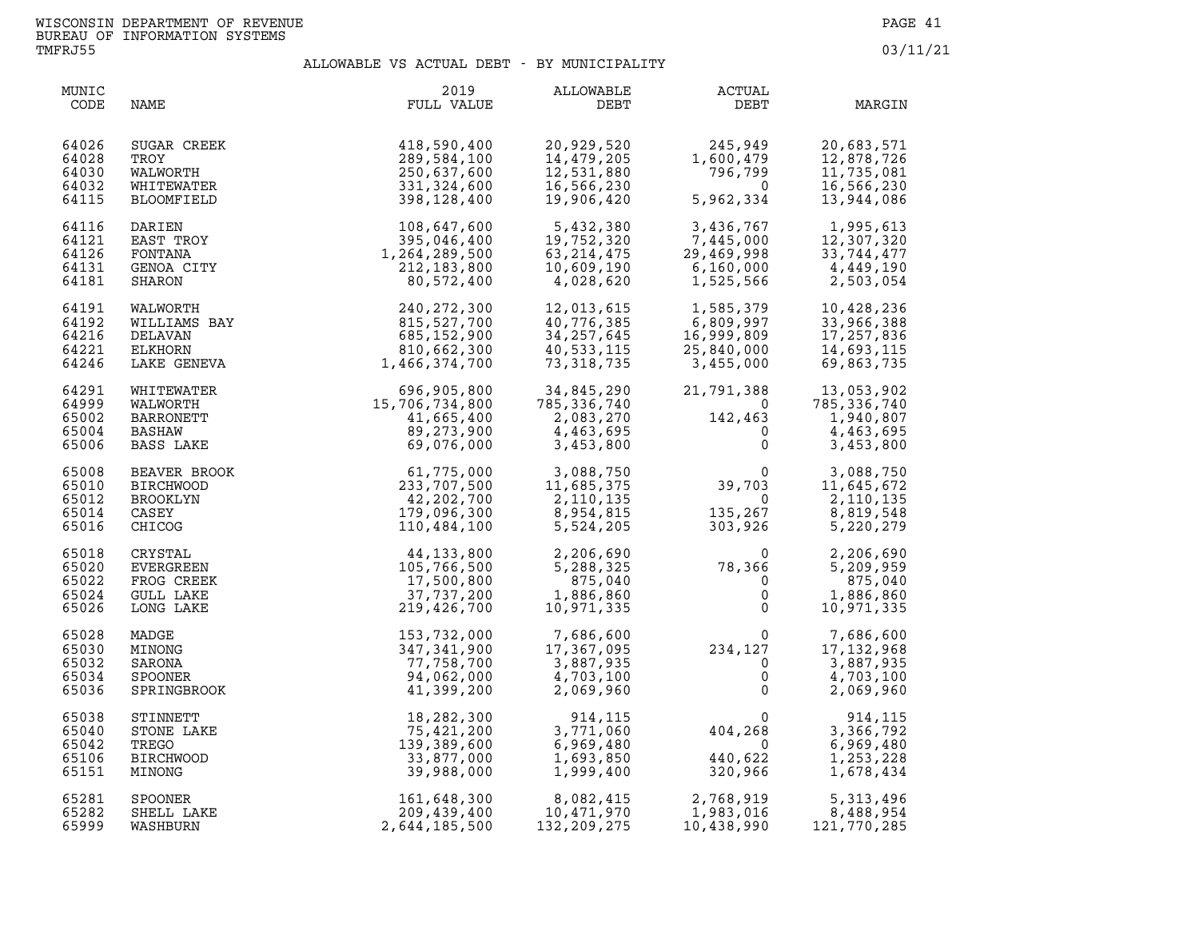| MUNIC<br>CODE                             | NAME                                                                | 2019<br>FULL VALUE                                                                                                                                                                                                                                       | ALLOWABLE<br>DEBT                                                    | <b>ACTUAL</b><br>DEBT                                                                                                                    | MARGIN                                                                                                                                                         |
|-------------------------------------------|---------------------------------------------------------------------|----------------------------------------------------------------------------------------------------------------------------------------------------------------------------------------------------------------------------------------------------------|----------------------------------------------------------------------|------------------------------------------------------------------------------------------------------------------------------------------|----------------------------------------------------------------------------------------------------------------------------------------------------------------|
| 64026<br>64028<br>64030<br>64032<br>64115 | SUGAR CREEK<br>TROY<br>WALWORTH<br>WHITEWATER<br>BLOOMFIELD         | 418,590,400<br>289,584,100<br>250,637,600<br>331,324,600<br>398,128,400                                                                                                                                                                                  | 20,929,520<br>14,479,205<br>12,531,880<br>16,566,230<br>19,906,420   | 245,949<br>1,600,479<br>796,799<br>5,962,334                                                                                             | 20,683,571<br>12,878,726<br>11,735,081<br>16,566,230<br>13,944,086                                                                                             |
| 64116<br>64121<br>64126<br>64131<br>64181 | DARIEN<br>EAST TROY<br>FONTANA<br>GENOA CITY<br>SHARON              | $108, 647, 600$<br>$395, 046, 400$<br>$1, 264, 289, 500$<br>$212, 183, 800$<br>$80, 572, 400$<br>$815, 527, 700$<br>$685, 152, 900$<br>$810, 662, 300$<br>$1, 466, 374, 700$                                                                             | 5,432,380<br>19,752,320<br>63, 214, 475<br>10,609,190<br>4,028,620   | 7,445,000<br>29,469,998<br>6,160,000<br>1,525,566                                                                                        | $\begin{array}{llll} 3,436,767 & 1,995,613 \\ 7,445,000 & 12,307,320 \\ 29,469,998 & 33,744,477 \\ 6,160,000 & 4,449,190 \\ 1,525,566 & 2,503,054 \end{array}$ |
| 64191<br>64192<br>64216<br>64221<br>64246 | WALWORTH<br>WILLIAMS BAY<br>DELAVAN<br>ELKHORN<br>LAKE GENEVA       |                                                                                                                                                                                                                                                          | 12,013,615<br>40,776,385<br>34, 257, 645<br>40,533,115<br>73,318,735 | 1,585,379<br>6,809,997<br>16,999,809<br>25,840,000<br>3,455,000                                                                          | 10,428,236<br>33,966,388<br>17,257,836<br>14,693,115<br>69,863,735                                                                                             |
| 64291<br>64999<br>65002<br>65004<br>65006 | WHITEWATER<br>WALWORTH<br>BARRONETT<br>BASHAW<br>BASS LAKE          | 696, 905, 800<br>15, 706, 734, 800<br>11, 665, 400<br>89, 273, 900<br>69, 076, 000                                                                                                                                                                       | 34,845,290<br>785,336,740<br>2,083,270<br>4,463,695<br>3,453,800     | $-4$<br>142,463<br>0                                                                                                                     | 21,791,388 13,053,902<br>0 785,336,740<br>142,463 1,940,807<br>4,463,695<br>3,453,800                                                                          |
| 65008<br>65010<br>65012<br>65014<br>65016 | BEAVER BROOK<br><b>BIRCHWOOD</b><br>BROOKLYN<br>CASEY<br>CHICOG     |                                                                                                                                                                                                                                                          |                                                                      | $\begin{array}{ccc} & 0 & 3,088,750 \\ 39,703 & 11,645,672 \\ & 0 & 2,110,135 \\ 135,267 & 8,819,548 \\ 303,926 & 5,220,279 \end{array}$ |                                                                                                                                                                |
| 65018<br>65020<br>65022<br>65024<br>65026 | CRYSTAL<br>EVERGREEN<br>FROG CREEK<br><b>GULL LAKE</b><br>LONG LAKE | 00K<br>61,775,000<br>61,775,000<br>3,088,750<br>233,707,500<br>11,685,375<br>42,202,700<br>2,110,135<br>179,096,300<br>8,954,815<br>110,484,100<br>5,524,205<br>5,288,325<br>7,750,800<br>8,954,815<br>17,500,800<br>875,040<br>37,737,200<br>10,971,335 |                                                                      | $78,366$<br>0<br>0<br>0<br>0                                                                                                             | 2,206,690<br>5,209,959<br>875,040<br>1,886,860<br>10,971,335                                                                                                   |
| 65028<br>65030<br>65032<br>65034<br>65036 | MADGE<br>MINONG<br>SARONA<br><b>SPOONER</b><br>SPRINGBROOK          | 153,732,000<br>347,341,900<br>77,758,700<br>94,062,000<br>41,399,200                                                                                                                                                                                     | 7,686,600<br>17,367,095<br>3,887,935<br>4,703,100<br>2,069,960       | $234, 127$<br>0<br>0<br>0<br>0                                                                                                           | 7,686,600<br>17, 132, 968<br>3,887,935<br>4,703,100<br>2,069,960                                                                                               |
| 65038<br>65040<br>65042<br>65106<br>65151 | STINNETT<br>STONE LAKE<br>TREGO<br><b>BIRCHWOOD</b><br>MINONG       | 18,282,300<br>75,421,200<br>139,389,600<br>33,877,000<br>39,988,000                                                                                                                                                                                      | 914,115<br>3,771,060<br>6,969,480<br>1,693,850<br>1,999,400          | 404, 268<br>$\overline{0}$<br><sub>±±∪,</sub> 622<br>320,966                                                                             | 914,115<br>3,366,792<br>6,969,480<br>1,253,228<br>1,678,434                                                                                                    |
| 65281<br>65282<br>65999                   | <b>SPOONER</b><br>SHELL LAKE<br>WASHBURN                            | 161,648,300<br>209,439,400<br>2,644,185,500                                                                                                                                                                                                              | 10,471,970<br>132, 209, 275                                          | 8,082,415<br>10,471,970 1,983,016<br>2,768,919<br>1.983,016<br>10,438,990                                                                | 5, 313, 496<br>8,488,954<br>121,770,285                                                                                                                        |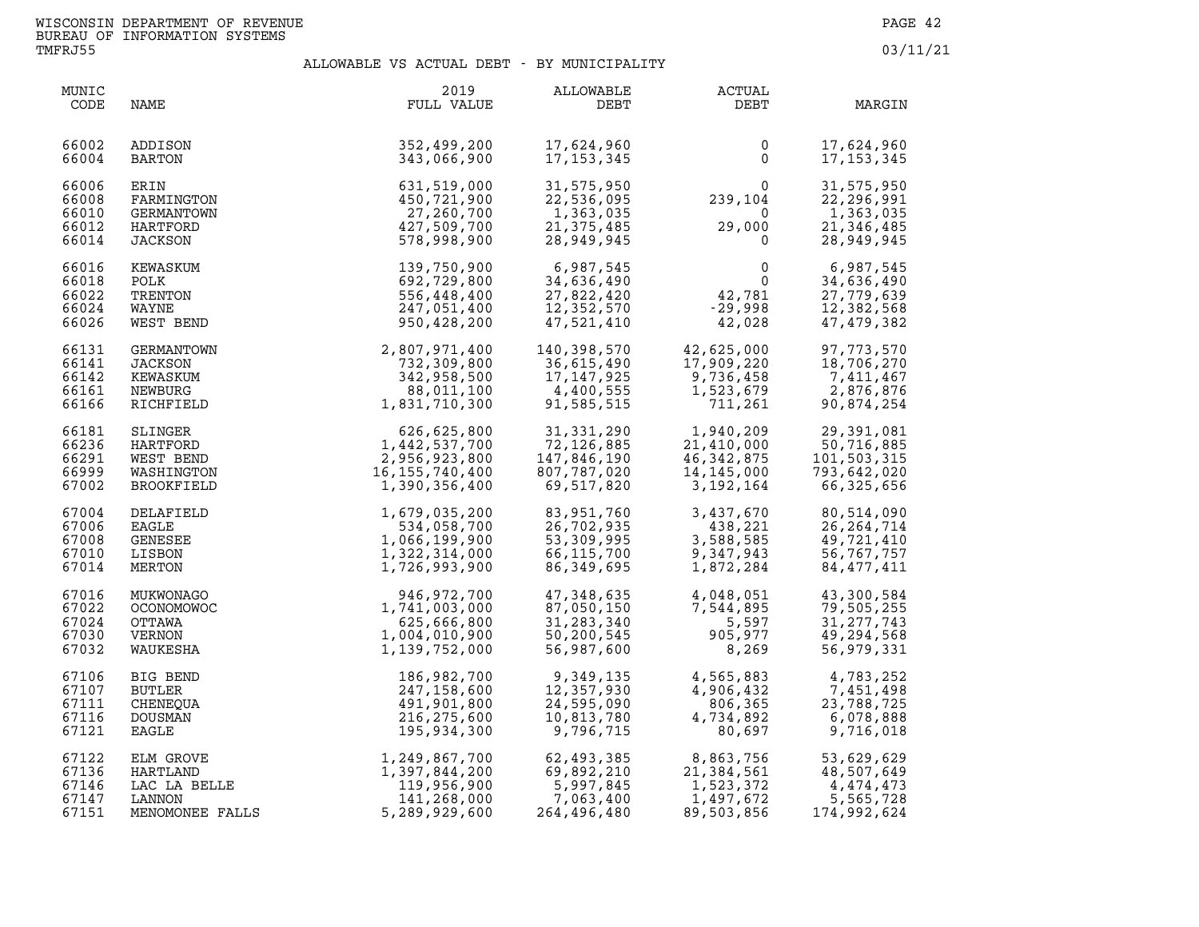| MUNIC<br>CODE                             | NAME                                                                | 2019<br>FULL VALUE                                                                           | ALLOWABLE<br>DEBT                                                    | ACTUAL<br>DEBT                                                                             | MARGIN                                                                 |
|-------------------------------------------|---------------------------------------------------------------------|----------------------------------------------------------------------------------------------|----------------------------------------------------------------------|--------------------------------------------------------------------------------------------|------------------------------------------------------------------------|
| 66002<br>66004                            | ADDISON<br>BARTON                                                   | 352,499,200<br>343,066,900                                                                   | 17,624,960<br>17, 153, 345                                           | 0<br>$\mathbf 0$                                                                           | 17,624,960<br>17, 153, 345                                             |
| 66006<br>66008<br>66010<br>66012<br>66014 | ERIN<br>FARMINGTON<br>GERMANTOWN<br>HARTFORD<br>JACKSON             | 631,519,000<br>450,721,900<br>27,260,700<br>427,509,700<br>578,998,900                       | 31,575,950<br>22,536,095<br>1,363,035<br>21, 375, 485<br>28,949,945  | $\begin{smallmatrix}&&&0\0&239,104\end{smallmatrix}$<br>$\Omega$<br>29,000<br>$\mathbf{0}$ | 31,575,950<br>22,296,991<br>1,363,035<br>21,346,485<br>28,949,945      |
| 66016<br>66018<br>66022<br>66024<br>66026 | KEWASKUM<br>POLK<br>TRENTON<br>WAYNE<br>WEST BEND                   | 139,750,900<br>692,729,800<br>556,448,400<br>247,051,400<br>950,428,200                      | 6,987,545<br>34,636,490<br>27,822,420<br>12,352,570<br>47,521,410    | $\begin{smallmatrix}&&&0\\&42,781\&0&998\end{smallmatrix}$<br>$-29,998$<br>42,028          | 6,987,545<br>34,636,490<br>27,779,639<br>12,382,568<br>47, 479, 382    |
| 66131<br>66141<br>66142<br>66161<br>66166 | GERMANTOWN<br><b>JACKSON</b><br>KEWASKUM<br>NEWBURG<br>RICHFIELD    | 2,807,971,400<br>732,309,800<br>342,958,500<br>88,011,100<br>1,831,710,300                   | 140,398,570<br>36,615,490<br>17,147,925<br>4,400,555<br>91,585,515   | 42,625,000<br>17,909,220<br>9,736,458<br>1,523,679<br>711,261                              | 97,773,570<br>18,706,270<br>7,411,467<br>2,876,876<br>90,874,254       |
| 66181<br>66236<br>66291<br>66999<br>67002 | SLINGER<br>HARTFORD<br>WEST BEND<br>WASHINGTON<br><b>BROOKFIELD</b> | 626,625,800<br>1,442,537,700<br>2,956,923,800<br>16,155,740,400<br>1,390,356,400             | 31,331,290<br>72,126,885<br>147,846,190<br>807,787,020<br>69,517,820 | 1,940,209<br>21,410,000<br>46,342,875<br>14,145,000<br>3,192,164                           | 29,391,081<br>50,716,885<br>101,503,315<br>793,642,020<br>66,325,656   |
| 67004<br>67006<br>67008<br>67010<br>67014 | DELAFIELD<br><b>EAGLE</b><br>GENESEE<br>LISBON<br>MERTON            | 1,679,035,200<br>534,058,700<br>1,066,199,900<br>1,322,314,000<br>1,726,993,900              | 83,951,760<br>26,702,935<br>53,309,995<br>66,115,700<br>86,349,695   | 3,437,670<br>438,221<br>3,588,585<br>9,347,943<br>1,872,284                                | 80,514,090<br>26, 264, 714<br>49,721,410<br>56,767,757<br>84, 477, 411 |
| 67016<br>67022<br>67024<br>67030<br>67032 | MUKWONAGO<br>OCONOMOWOC<br>OTTAWA<br>VERNON<br>WAUKESHA             | 946, 972, 700<br>1,741,003,000<br>625,666,800<br>1,004,010,900<br>1,139,752,000              | 47,348,635<br>87,050,150<br>31,283,340<br>50,200,545<br>56,987,600   | 4,048,051<br>7,544,895<br>5,597<br>905,977<br>8,269                                        | 43,300,584<br>79,505,255<br>31, 277, 743<br>49,294,568<br>56,979,331   |
| 67106<br>67107<br>67111<br>67116<br>67121 | BIG BEND<br>BUTLER<br>CHENEQUA<br>DOUSMAN<br><b>EAGLE</b>           | 186,982,700<br>247,158,600<br>491,901,800<br>216, 275, 600<br>195,934,300                    | 9,349,135<br>12,357,930<br>24,595,090<br>10,813,780<br>9,796,715     | 4,565,883<br>4,906,432<br>806,365<br>4,734,892<br>80,697                                   | 4,783,252<br>7,451,498<br>23,788,725<br>6,078,888<br>9,716,018         |
| 67122<br>67136<br>67146<br>67147<br>67151 | ELM GROVE<br>HARTLAND<br>LAC LA BELLE<br>LANNON<br>MENOMONEE FALLS  | 1,249,867,700<br>1,397,844,200<br>119,956,900<br>141,268,000<br>141,268,000<br>5,289,929,600 | 62,493,385<br>69,892,210<br>5,997,845<br>7,063,400<br>264,496,480    | 8,863,756<br>21,384,561<br>1,523 <i>.</i> 372<br>1,523,372<br>1,497,672<br>89,503,856      | 53,629,629<br>48,507,649<br>4,474,473<br>5,565,728<br>174,992,624      |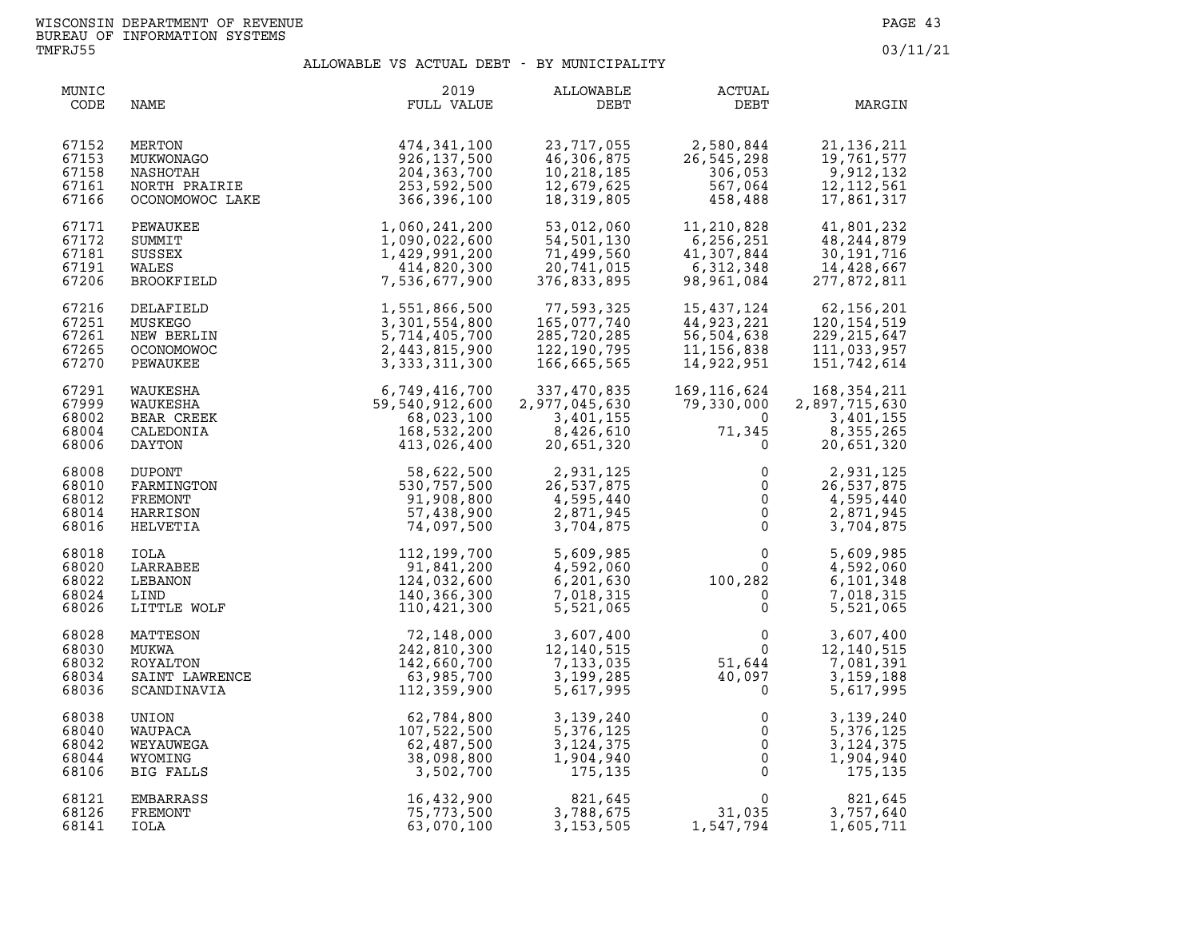| MUNIC<br>CODE                             | NAME                                                    | 2019<br>FULL VALUE                                                              | ALLOWABLE<br>DEBT                                                   | ACTUAL<br>DEBT                                                             | MARGIN                                                                |
|-------------------------------------------|---------------------------------------------------------|---------------------------------------------------------------------------------|---------------------------------------------------------------------|----------------------------------------------------------------------------|-----------------------------------------------------------------------|
| 67152                                     | MERTON                                                  | 474,341,100                                                                     | 23,717,055                                                          | 2,580,844                                                                  | 21, 136, 211                                                          |
| 67153                                     | MUKWONAGO                                               | 926,137,500                                                                     | 46,306,875                                                          | 26,545,298                                                                 | 19,761,577                                                            |
| 67158                                     | NASHOTAH                                                | 204, 363, 700                                                                   | 10,218,185                                                          | 306,053                                                                    | 9,912,132                                                             |
| 67161                                     | NORTH PRAIRIE                                           | 253,592,500                                                                     | 12,679,625                                                          | 567,064                                                                    | 12, 112, 561                                                          |
| 67166                                     | OCONOMOWOC LAKE                                         | 366,396,100                                                                     | 18,319,805                                                          | 458,488                                                                    | 17,861,317                                                            |
| 67171<br>67172<br>67181<br>67191<br>67206 | PEWAUKEE<br>SUMMIT<br>SUSSEX<br>WALES<br>BROOKFIELD     | 1,060,241,200<br>1,090,022,600<br>1,429,991,200<br>414,820,300<br>7,536,677,900 | 53,012,060<br>54,501,130<br>71,499,560<br>20,741,015<br>376,833,895 | 11,210,828<br>6,256,251<br>41,307,844<br>6,312,348<br>98,961,084           | 41,801,232<br>48,244,879<br>30, 191, 716<br>14,428,667<br>277,872,811 |
| 67216                                     | DELAFIELD                                               | 1,551,866,500                                                                   | 77,593,325                                                          | 15, 437, 124                                                               | 62, 156, 201                                                          |
| 67251                                     | MUSKEGO                                                 | 3,301,554,800                                                                   | 165,077,740                                                         | 44,923,221                                                                 | 120, 154, 519                                                         |
| 67261                                     | NEW BERLIN                                              | 5,714,405,700                                                                   | 285,720,285                                                         | 56,504,638                                                                 | 229, 215, 647                                                         |
| 67265                                     | <b>OCONOMOWOC</b>                                       | 2,443,815,900                                                                   | 122,190,795                                                         | 11, 156, 838                                                               | 111,033,957                                                           |
| 67270                                     | PEWAUKEE                                                | 3, 333, 311, 300                                                                | 166,665,565                                                         | 14,922,951                                                                 | 151,742,614                                                           |
| 67291                                     | WAUKESHA                                                | 6,749,416,700                                                                   | 337,470,835                                                         | 169,116,624                                                                | 168,354,211                                                           |
| 67999                                     | WAUKESHA                                                | 59,540,912,600                                                                  | 2,977,045,630                                                       | 79,330,000                                                                 | 2,897,715,630                                                         |
| 68002                                     | BEAR CREEK                                              | 68,023,100                                                                      | 3,401,155                                                           | $\Omega$                                                                   | 3,401,155                                                             |
| 68004                                     | CALEDONIA                                               | 168,532,200                                                                     | 8,426,610                                                           | 71,345                                                                     | 8,355,265                                                             |
| 68006                                     | DAYTON                                                  | 413,026,400                                                                     | 20,651,320                                                          | 0                                                                          | 20,651,320                                                            |
| 68008<br>68010<br>68012<br>68014<br>68016 | DUPONT<br>FARMINGTON<br>FREMONT<br>HARRISON<br>HELVETIA | 58,622,500<br>530,757,500<br>91,908,800<br>57,438,900<br>74,097,500             | 2,931,125<br>26,537,875<br>4,595,440<br>2,871,945<br>3,704,875      | 0<br>$\mathsf{O}\xspace$<br>$\mathsf{O}$<br>$\overline{0}$<br>$\mathsf{O}$ | 2,931,125<br>26,537,875<br>4,595,440<br>2,871,945<br>3,704,875        |
| 68018<br>68020<br>68022<br>68024<br>68026 | IOLA<br>LARRABEE<br>LEBANON<br>LIND<br>LITTLE WOLF      | 112,199,700<br>91,841,200<br>124,032,600<br>140,366,300<br>110,421,300          | 5,609,985<br>4,592,060<br>6,201,630<br>7,018,315<br>5,521,065       | $\begin{smallmatrix}&&&0\0&0\0&0\0&0\0&0\end{smallmatrix}$<br>$\Omega$     | 5,609,985<br>4,592,060<br>6,101,348<br>7,018,315<br>5,521,065         |
| 68028                                     | MATTESON                                                | 72,148,000                                                                      | 3,607,400                                                           | $\mathsf{O}$                                                               | 3,607,400                                                             |
| 68030                                     | MUKWA                                                   | 242,810,300                                                                     | 12, 140, 515                                                        | $\ddot{\mathbf{0}}$                                                        | 12,140,515                                                            |
| 68032                                     | ROYALTON                                                | 142,660,700                                                                     | 7,133,035                                                           | 51,644                                                                     | 7,081,391                                                             |
| 68034                                     | SAINT LAWRENCE                                          | 63,985,700                                                                      | 3,199,285                                                           | 40,097                                                                     | 3, 159, 188                                                           |
| 68036                                     | SCANDINAVIA                                             | 112,359,900                                                                     | 5,617,995                                                           | $\Omega$                                                                   | 5,617,995                                                             |
| 68038                                     | UNION                                                   | 62,784,800                                                                      | 3,139,240                                                           | 0                                                                          | 3,139,240                                                             |
| 68040                                     | WAUPACA                                                 | 107,522,500                                                                     | 5,376,125                                                           | $\mathsf 0$                                                                | 5,376,125                                                             |
| 68042                                     | WEYAUWEGA                                               | 62,487,500                                                                      | 3, 124, 375                                                         | $\overline{0}$                                                             | 3, 124, 375                                                           |
| 68044                                     | WYOMING                                                 | 38,098,800                                                                      | 1,904,940                                                           | $\overline{0}$                                                             | 1,904,940                                                             |
| 68106                                     | BIG FALLS                                               | 3,502,700                                                                       | 175, 135                                                            | $\mathsf 0$                                                                | 175,135                                                               |
| 68121                                     | EMBARRASS                                               | 16,432,900                                                                      | 821,645                                                             | $\Omega$                                                                   | 821,645                                                               |
| 68126                                     | FREMONT                                                 | 75,773,500                                                                      | 3,788,675                                                           | 31,035                                                                     | 3,757,640                                                             |
| 68141                                     | IOLA                                                    | 63,070,100                                                                      | 3, 153, 505                                                         | 1,547,794                                                                  | 1,605,711                                                             |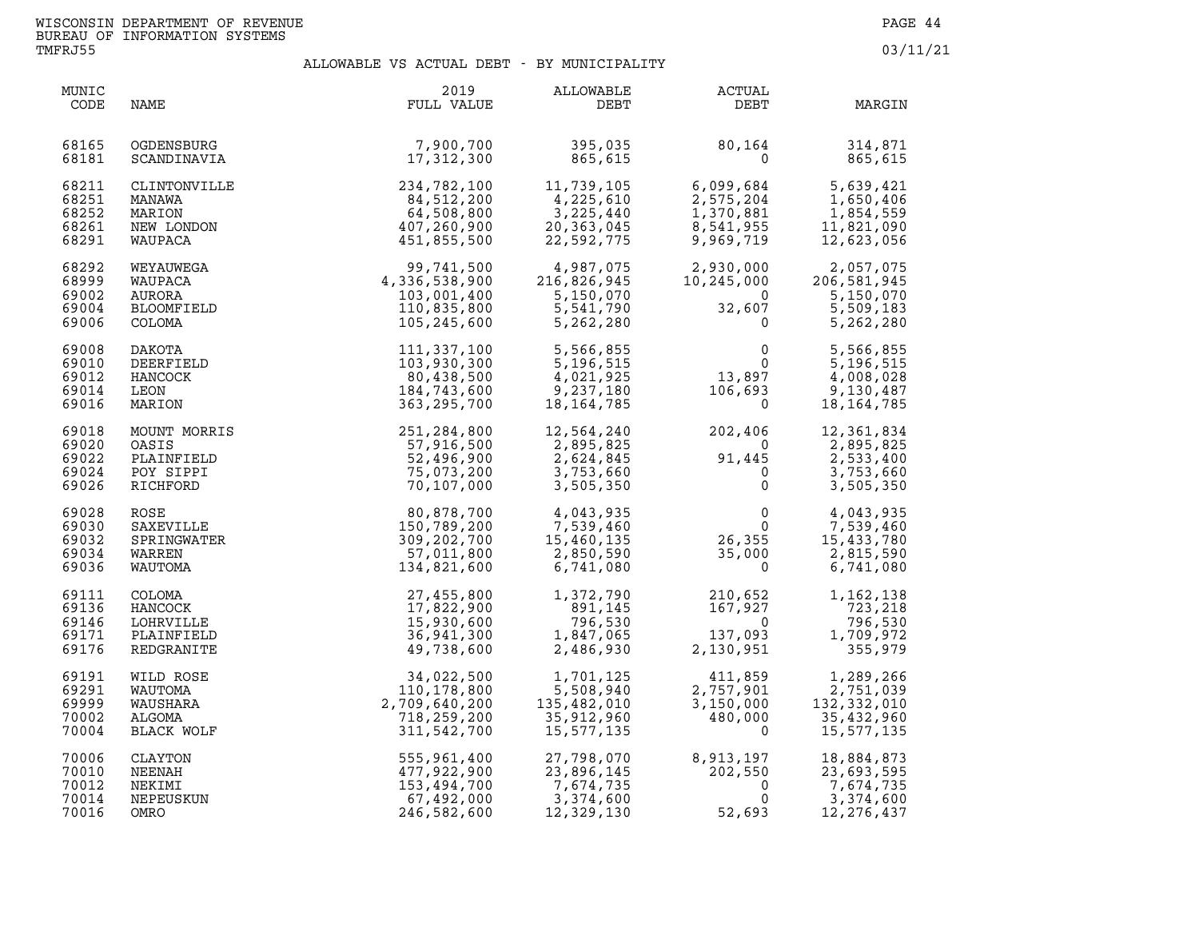| MUNIC<br>CODE                             | NAME                                                         | 2019<br>FULL VALUE                                                       | ALLOWABLE<br>DEBT                                              | <b>ACTUAL</b><br>DEBT                                                                       | MARGIN                                                           |
|-------------------------------------------|--------------------------------------------------------------|--------------------------------------------------------------------------|----------------------------------------------------------------|---------------------------------------------------------------------------------------------|------------------------------------------------------------------|
| 68165                                     | OGDENSBURG                                                   | 7,900,700                                                                | 395,035                                                        | 80,164                                                                                      | 314,871                                                          |
| 68181                                     | SCANDINAVIA                                                  | 17,312,300                                                               | 865,615                                                        | $\mathbf 0$                                                                                 | 865,615                                                          |
| 68211                                     | CLINTONVILLE                                                 | 234,782,100                                                              | 11,739,105                                                     | 6,099,684                                                                                   | 5,639,421                                                        |
| 68251                                     | MANAWA                                                       | 84,512,200                                                               | 4,225,610                                                      | 2,575,204                                                                                   | 1,650,406                                                        |
| 68252                                     | MARION                                                       | 64,508,800                                                               | 3, 225, 440                                                    | 1,370,881                                                                                   | 1,854,559                                                        |
| 68261                                     | NEW LONDON                                                   | 407,260,900                                                              | 20,363,045                                                     | 8,541,955                                                                                   | 11,821,090                                                       |
| 68291                                     | WAUPACA                                                      | 451,855,500                                                              | 22,592,775                                                     | 9,969,719                                                                                   | 12,623,056                                                       |
| 68292                                     | WEYAUWEGA                                                    | 99,741,500                                                               | 4,987,075                                                      | 2,930,000                                                                                   | 2,057,075                                                        |
| 68999                                     | WAUPACA                                                      | 4,336,538,900                                                            | 216,826,945                                                    | 10,245,000                                                                                  | 206,581,945                                                      |
| 69002                                     | AURORA                                                       | 103,001,400                                                              | 5,150,070                                                      | $\overline{\mathbf{0}}$                                                                     | 5,150,070                                                        |
| 69004                                     | BLOOMFIELD                                                   | 110,835,800                                                              | 5,541,790                                                      | 32,607                                                                                      | 5,509,183                                                        |
| 69006                                     | COLOMA                                                       | 105,245,600                                                              | 5,262,280                                                      | 0                                                                                           | 5,262,280                                                        |
| 69008<br>69010<br>69012<br>69014<br>69016 | DAKOTA<br>DEERFIELD<br>HANCOCK<br>LEON<br>MARION             | 111,337,100<br>103,930,300<br>80,438,500<br>184,743,600<br>363, 295, 700 | 5,566,855<br>5,196,515<br>4,021,925<br>9,237,180<br>18,164,785 | $\begin{smallmatrix}&&&0\\&&&0\\13\, ,\, 897\end{smallmatrix}$<br>106,693<br>$\overline{0}$ | 5,566,855<br>5,196,515<br>4,008,028<br>9,130,487<br>18, 164, 785 |
| 69018<br>69020<br>69022<br>69024<br>69026 | MOUNT MORRIS<br>OASIS<br>PLAINFIELD<br>POY SIPPI<br>RICHFORD | 251,284,800<br>57,916,500<br>52,496,900<br>75,073,200<br>70,107,000      | 12,564,240<br>2,895,825<br>2,624,845<br>3,753,660<br>3,505,350 | 202,406<br>$\overline{0}$<br>$91,445$<br>0                                                  | 12,361,834<br>2,895,825<br>2,533,400<br>3,753,660<br>3,505,350   |
| 69028                                     | ROSE                                                         | 80,878,700                                                               | 4,043,935                                                      | $\mathbf 0$                                                                                 | 4,043,935                                                        |
| 69030                                     | SAXEVILLE                                                    | 150,789,200                                                              | 7,539,460                                                      | $\Omega$                                                                                    | 7,539,460                                                        |
| 69032                                     | SPRINGWATER                                                  | 309,202,700                                                              | 15,460,135                                                     | 26,355                                                                                      | 15,433,780                                                       |
| 69034                                     | WARREN                                                       | 57,011,800                                                               | 2,850,590                                                      | 35,000                                                                                      | 2,815,590                                                        |
| 69036                                     | WAUTOMA                                                      | 134,821,600                                                              | 6,741,080                                                      | $\Omega$                                                                                    | 6,741,080                                                        |
| 69111                                     | COLOMA                                                       | 27,455,800                                                               | 1,372,790                                                      | 210,652                                                                                     | 1,162,138                                                        |
| 69136                                     | HANCOCK                                                      | 17,822,900                                                               | 891,145                                                        | 167,927                                                                                     | 723,218                                                          |
| 69146                                     | LOHRVILLE                                                    | 15,930,600                                                               | 796,530                                                        | $\overline{0}$                                                                              | 796,530                                                          |
| 69171                                     | PLAINFIELD                                                   | 36,941,300                                                               | 1,847,065                                                      | 137,093                                                                                     | 1,709,972                                                        |
| 69176                                     | REDGRANITE                                                   | 49,738,600                                                               | 2,486,930                                                      | 2,130,951                                                                                   | 355,979                                                          |
| 69191                                     | WILD ROSE                                                    | 34,022,500                                                               | 1,701,125                                                      | 411,859                                                                                     | 1,289,266                                                        |
| 69291                                     | WAUTOMA                                                      | 110,178,800                                                              | 5,508,940                                                      | 2,757,901                                                                                   | 2,751,039                                                        |
| 69999                                     | WAUSHARA                                                     | 2,709,640,200                                                            | 135,482,010                                                    | 3,150,000                                                                                   | 132, 332, 010                                                    |
| 70002                                     | ALGOMA                                                       | 718,259,200                                                              | 35,912,960                                                     | 480,000                                                                                     | 35,432,960                                                       |
| 70004                                     | BLACK WOLF                                                   | 311,542,700                                                              | 15,577,135                                                     | $\Omega$                                                                                    | 15, 577, 135                                                     |
| 70006                                     | CLAYTON                                                      | 555,961,400                                                              | 27,798,070                                                     | 8,913,197                                                                                   | 18,884,873                                                       |
| 70010                                     | NEENAH                                                       | 477,922,900                                                              | 23,896,145                                                     | 202,550                                                                                     | 23,693,595                                                       |
| 70012                                     | NEKIMI                                                       | 153,494,700                                                              | 7,674,735                                                      | $\Omega$                                                                                    | 7,674,735                                                        |
| 70014                                     | NEPEUSKUN                                                    | 67,492,000                                                               | 3,374,600                                                      | $\mathbf{0}$                                                                                | 3,374,600                                                        |
| 70016                                     | OMRO                                                         | 246,582,600                                                              | 12,329,130                                                     | 52,693                                                                                      | 12, 276, 437                                                     |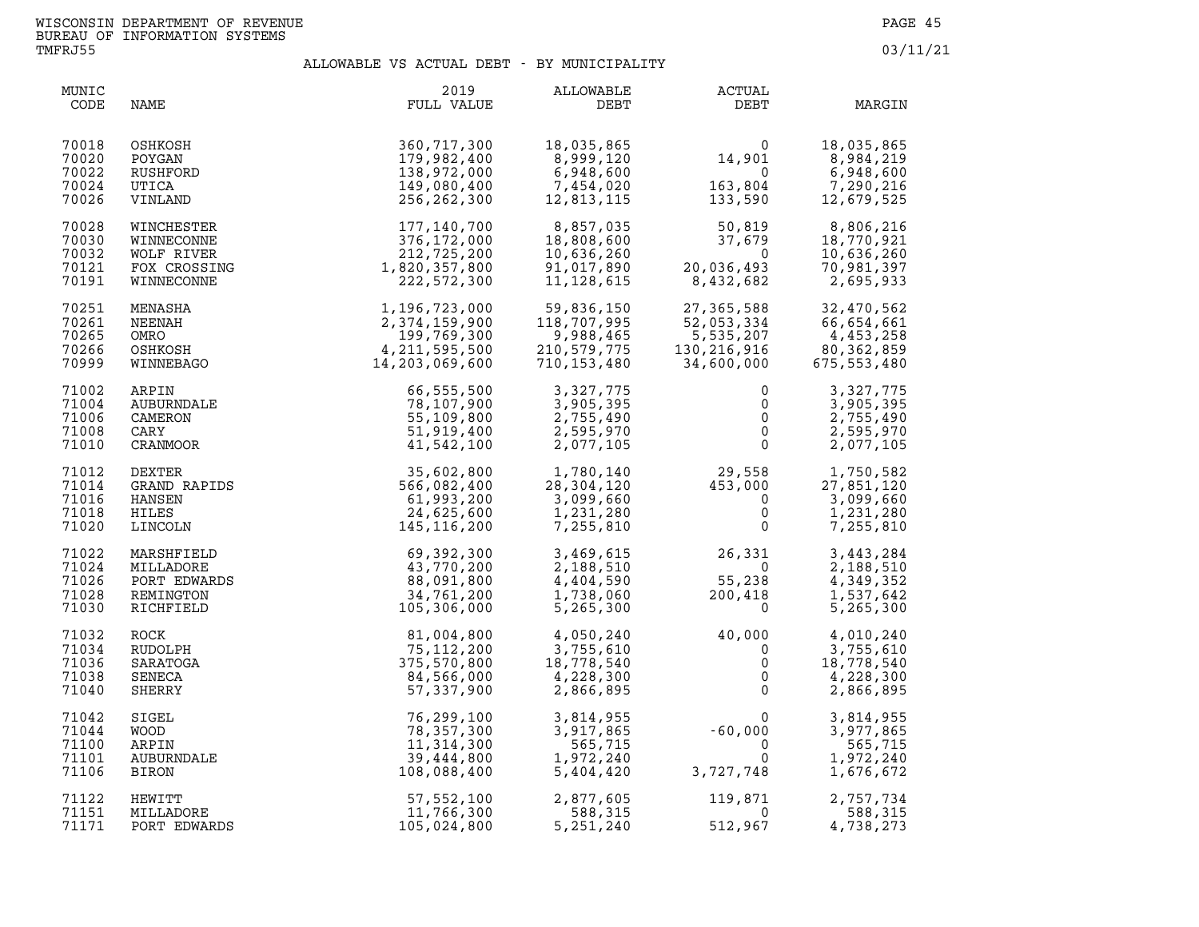| MUNIC<br>CODE                             | NAME                                                                 | 2019<br>FULL VALUE                                                                                                                                                                                              | ALLOWABLE<br>DEBT                                                           | ACTUAL<br>DEBT                                                                                                                                          | MARGIN                                                           |
|-------------------------------------------|----------------------------------------------------------------------|-----------------------------------------------------------------------------------------------------------------------------------------------------------------------------------------------------------------|-----------------------------------------------------------------------------|---------------------------------------------------------------------------------------------------------------------------------------------------------|------------------------------------------------------------------|
| 70018<br>70020<br>70022<br>70024<br>70026 | OSHKOSH<br>POYGAN<br>RUSHFORD<br>UTICA<br>VINLAND                    | 360,717,300<br>179,982,400<br>138,972,000<br>149,080,400<br>256,262,300                                                                                                                                         | - ۱۵,۵۰۰, 18<br>8,999,120<br>8 ۹48,600<br>7,454,020<br>12,813,115           | $\begin{smallmatrix}&&&0\14\,,901\0\163\,,804\133\,,990\end{smallmatrix}$<br>163,804<br>133,590                                                         | 18,035,865<br>8,984,219<br>6,948,600<br>7,290,216<br>12,679,525  |
| 70028<br>70030<br>70032<br>70121<br>70191 | WINCHESTER<br>WINNECONNE<br>WOLF RIVER<br>FOX CROSSING<br>WINNECONNE | 177,140,700<br>376,172,000<br>212,725,200<br>1,820,357,800<br>222,572,300                                                                                                                                       | 8,857,035<br>18,808,600<br>10,636,260<br>91,017,890<br>11,128,615           | 50,819<br>37,679<br>$\Omega$<br>20,036,493<br>8,432,682                                                                                                 | 8,806,216<br>18,770,921<br>10,636,260<br>70,981,397<br>2,695,933 |
| 70251<br>70261<br>70265<br>70266<br>70999 | MENASHA<br>NEENAH<br>OMRO<br>OSHKOSH<br>WINNEBAGO                    | 1, 196, 723, 000<br>2, 374, 159, 900<br>199, 769, 300<br>4, 211, 595, 500<br>14, 203, 069, 600                                                                                                                  | 59,836,150<br>118,707,995<br>9,988,465<br>210,579,775<br>710,153,480        | 27,365,588           32,470,562<br>52,053,334            66,654,661<br>5.535,207            4,453,258<br>5,535,207<br>$130, 216, 916$<br>$34, 600, 000$ | 4,453,258<br>80, 362, 859<br>675, 553, 480                       |
| 71002<br>71004<br>71006<br>71008<br>71010 | ARPIN<br>AUBURNDALE<br>CAMERON<br>CARY<br>CRANMOOR                   | 66, 555, 500<br>78, 107, 900<br>55, 109, 800<br>51, 919, 400<br>41, 542, 100<br>85, 602, 800<br>566, 082, 400<br>566, 082, 400<br>61, 993, 200<br>24, 625, 600<br>145, 116, 200<br>69. 392, 300<br>69. 392, 300 | 3,327,775<br>3,905,395<br>2,755,490<br>2,595,970<br>2,077,105               | $\mathbf 0$<br>$\begin{matrix}0\0\0\0\0\end{matrix}$                                                                                                    | 3,327,775<br>3,905,395<br>2,755,490<br>2,595,970<br>2,077,105    |
| 71012<br>71014<br>71016<br>71018<br>71020 | DEXTER<br>GRAND RAPIDS<br>HANSEN<br>HILES<br>LINCOLN                 |                                                                                                                                                                                                                 | 1,780,140<br>28,304,120<br>3,099,660<br>1,231,280<br>7,255,810              | $\begin{array}{cc} 29,558 & 1,750,582 \ 453,000 & 27,851,120 \ 0 & 3,099,660 \ 0 & 1,231,280 \ 0 & 7,255,810 \end{array}$                               |                                                                  |
| 71022<br>71024<br>71026<br>71028<br>71030 | MARSHFIELD<br>MILLADORE<br>PORT EDWARDS<br>REMINGTON<br>RICHFIELD    | $69, 392, 300$<br>$43, 770, 200$<br>$88, 091, 800$<br>$34, 761, 200$<br>$105, 306, 000$                                                                                                                         | 3,469,615<br>2,188,510<br>4,404,590<br>1,738,060<br>5,265,300               | $26,331$<br>55,238<br>200,418<br>0                                                                                                                      | 3,443,284<br>2,188,510<br>4,349,352<br>1,537,642<br>5,265,300    |
| 71032<br>71034<br>71036<br>71038<br>71040 | ROCK<br>RUDOLPH<br>SARATOGA<br>SENECA<br>SHERRY                      | 81,004,800<br>75,112,200<br>375,570,800<br>84,566,000<br>57,337,900                                                                                                                                             | 4,050,240<br>3,755,610<br>18,778,540<br>4,228.300<br>4,228,300<br>2,866,895 | $\begin{bmatrix} 40,000 & 0 \ 0 & 0 \ 0 & 1 \ 0 & 0 \end{bmatrix}$                                                                                      | 4,010,240<br>3,755,610<br>18,778,540<br>4,228,300<br>2,866,895   |
| 71042<br>71044<br>71100<br>71101<br>71106 | SIGEL<br><b>WOOD</b><br>ARPIN<br>AUBURNDALE<br><b>BIRON</b>          | 76,299,100<br>78,357,300<br>11,314,300<br>39,444,800<br>108,088,400                                                                                                                                             | 3,814,955<br>3,917,865<br>565,715<br>1,972,240<br>5,404,420                 | $\begin{array}{ccc}\n 0 & 0 \\  0 & 0 \\  \hline\n 5 & -60,000 \\  \frac{0}{3} & 0\n \end{array}$                                                       | 3,814,955<br>3,977,865<br>565,715<br>1,972,240<br>1,676,672      |
| 71122<br>71151<br>71171                   | HEWITT<br>MILLADORE<br>PORT EDWARDS                                  | 57,552,100<br>11,766,300<br>105,024,800                                                                                                                                                                         | 2,877,605<br>588,315<br>5,251,240                                           | 119,871<br>$\overline{0}$<br>512,967                                                                                                                    | 2,757,734<br>588,315<br>4,738,273                                |